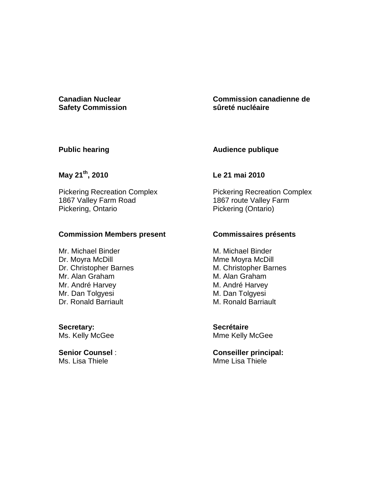# **Safety Commission**

**Canadian Nuclear Commission canadienne de sûreté nucléaire**

### **Public hearing**

# **Audience publique**

# **May 21th, 2010**

Pickering Recreation Complex 1867 Valley Farm Road Pickering, Ontario

### **Commission Members present**

Mr. Michael Binder Dr. Moyra McDill Dr. Christopher Barnes Mr. Alan Graham Mr. André Harvey Mr. Dan Tolgyesi Dr. Ronald Barriault

**Secretary:**  Ms. Kelly McGee

**Senior Counsel** : Ms. Lisa Thiele

# **Le 21 mai 2010**

Pickering Recreation Complex 1867 route Valley Farm Pickering (Ontario)

# **Commissaires présents**

M. Michael Binder Mme Moyra McDill M. Christopher Barnes M. Alan Graham M. André Harvey M. Dan Tolgyesi M. Ronald Barriault

**Secrétaire**  Mme Kelly McGee

**Conseiller principal:**  Mme Lisa Thiele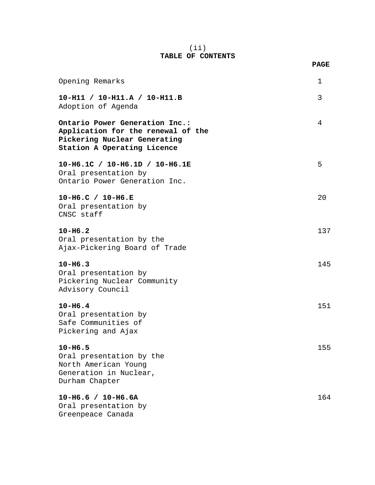#### (ii) **TABLE OF CONTENTS**

| Opening Remarks                                                                                                                     | 1   |
|-------------------------------------------------------------------------------------------------------------------------------------|-----|
| 10-H11 / 10-H11.A / 10-H11.B<br>Adoption of Agenda                                                                                  | 3   |
| Ontario Power Generation Inc.:<br>Application for the renewal of the<br>Pickering Nuclear Generating<br>Station A Operating Licence | 4   |
| 10-H6.1C / 10-H6.1D / 10-H6.1E<br>Oral presentation by<br>Ontario Power Generation Inc.                                             | 5   |
| 10-H6.C / 10-H6.E<br>Oral presentation by<br>CNSC staff                                                                             | 20  |
| $10 - H6.2$<br>Oral presentation by the<br>Ajax-Pickering Board of Trade                                                            | 137 |
| $10 - H6.3$<br>Oral presentation by<br>Pickering Nuclear Community<br>Advisory Council                                              | 145 |
| $10 - H6.4$<br>Oral presentation by<br>Safe Communities of<br>Pickering and Ajax                                                    | 151 |
| $10 - H6.5$<br>Oral presentation by the<br>North American Young<br>Generation in Nuclear,<br>Durham Chapter                         | 155 |
| $10 - H6.6 / 10 - H6.6A$<br>Oral presentation by<br>Greenpeace Canada                                                               | 164 |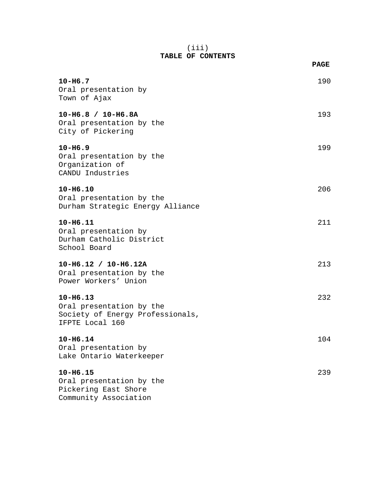#### (iii) **TABLE OF CONTENTS**

|                                                                                                 | <b>PAGE</b> |
|-------------------------------------------------------------------------------------------------|-------------|
| $10 - H6.7$<br>Oral presentation by<br>Town of Ajax                                             | 190         |
| $10-H6.8 / 10-H6.8A$<br>Oral presentation by the<br>City of Pickering                           | 193         |
| $10 - H6.9$<br>Oral presentation by the<br>Organization of<br>CANDU Industries                  | 199         |
| $10 - H6.10$<br>Oral presentation by the<br>Durham Strategic Energy Alliance                    | 206         |
| $10 - H6.11$<br>Oral presentation by<br>Durham Catholic District<br>School Board                | 211         |
| $10-H6.12 / 10-H6.12A$<br>Oral presentation by the<br>Power Workers' Union                      | 213         |
| $10 - H6.13$<br>Oral presentation by the<br>Society of Energy Professionals,<br>IFPTE Local 160 | 232         |
| $10 - H6.14$<br>Oral presentation by<br>Lake Ontario Waterkeeper                                | 104         |
| $10 - H6.15$<br>Oral presentation by the<br>Pickering East Shore<br>Community Association       | 239         |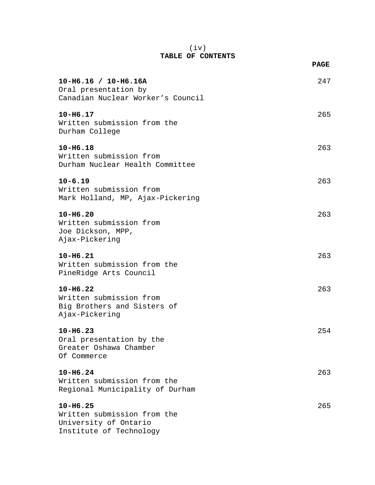#### (iv) **TABLE OF CONTENTS**

|                                                                                                 | <b>PAGE</b> |
|-------------------------------------------------------------------------------------------------|-------------|
| $10 - H6.16 / 10 - H6.16A$<br>Oral presentation by<br>Canadian Nuclear Worker's Council         | 247         |
| $10 - H6.17$<br>Written submission from the<br>Durham College                                   | 265         |
| $10 - H6.18$<br>Written submission from<br>Durham Nuclear Health Committee                      | 263         |
| $10 - 6.19$<br>Written submission from<br>Mark Holland, MP, Ajax-Pickering                      | 263         |
| $10 - H6.20$<br>Written submission from<br>Joe Dickson, MPP,<br>Ajax-Pickering                  | 263         |
| $10 - H6.21$<br>Written submission from the<br>PineRidge Arts Council                           | 263         |
| $10 - H6.22$<br>Written submission from<br>Big Brothers and Sisters of<br>Ajax-Pickering        | 263         |
| $10 - H6.23$<br>Oral presentation by the<br>Greater Oshawa Chamber<br>Of Commerce               | 254         |
| $10 - H6.24$<br>Written submission from the<br>Regional Municipality of Durham                  | 263         |
| $10 - H6.25$<br>Written submission from the<br>University of Ontario<br>Institute of Technology | 265         |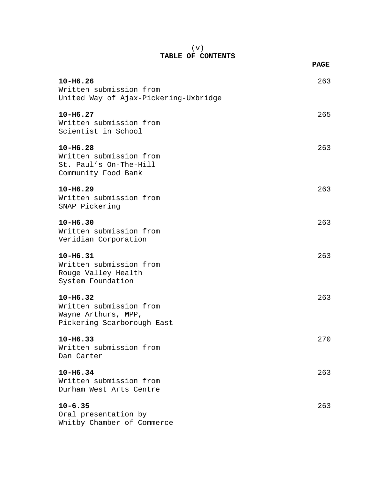#### (v) **TABLE OF CONTENTS**

|                                                                                              | <b>PAGE</b> |
|----------------------------------------------------------------------------------------------|-------------|
| $10 - H6.26$<br>Written submission from<br>United Way of Ajax-Pickering-Uxbridge             | 263         |
| $10 - H6.27$<br>Written submission from<br>Scientist in School                               | 265         |
| $10 - H6.28$<br>Written submission from<br>St. Paul's On-The-Hill<br>Community Food Bank     | 263         |
| $10 - H6.29$<br>Written submission from<br>SNAP Pickering                                    | 263         |
| $10 - H6.30$<br>Written submission from<br>Veridian Corporation                              | 263         |
| $10 - H6.31$<br>Written submission from<br>Rouge Valley Health<br>System Foundation          | 263         |
| $10 - H6.32$<br>Written submission from<br>Wayne Arthurs, MPP,<br>Pickering-Scarborough East | 263         |
| $10 - H6.33$<br>Written submission from<br>Dan Carter                                        | 270         |
| $10 - H6.34$<br>Written submission from<br>Durham West Arts Centre                           | 263         |
| $10 - 6.35$<br>Oral presentation by<br>Whitby Chamber of Commerce                            | 263         |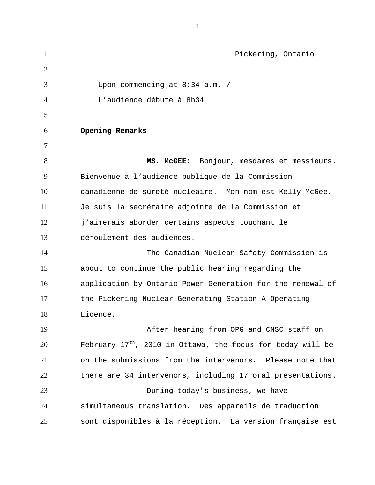| $\mathbf{1}$   | Pickering, Ontario                                            |
|----------------|---------------------------------------------------------------|
| $\overline{2}$ |                                                               |
| 3              | --- Upon commencing at 8:34 a.m. /                            |
| 4              | L'audience débute à 8h34                                      |
| 5              |                                                               |
| 6              | Opening Remarks                                               |
| 7              |                                                               |
| 8              | MS. MCGEE: Bonjour, mesdames et messieurs.                    |
| 9              | Bienvenue à l'audience publique de la Commission              |
| 10             | canadienne de sûreté nucléaire. Mon nom est Kelly McGee.      |
| 11             | Je suis la secrétaire adjointe de la Commission et            |
| 12             | j'aimerais aborder certains aspects touchant le               |
| 13             | déroulement des audiences.                                    |
| 14             | The Canadian Nuclear Safety Commission is                     |
| 15             | about to continue the public hearing regarding the            |
| 16             | application by Ontario Power Generation for the renewal of    |
| 17             | the Pickering Nuclear Generating Station A Operating          |
| 18             | Licence.                                                      |
| 19             | After hearing from OPG and CNSC staff on                      |
| 20             | February $17th$ , 2010 in Ottawa, the focus for today will be |
| 21             | on the submissions from the intervenors. Please note that     |
| 22             | there are 34 intervenors, including 17 oral presentations.    |
| 23             | During today's business, we have                              |
| 24             | simultaneous translation. Des appareils de traduction         |
| 25             | sont disponibles à la réception. La version française est     |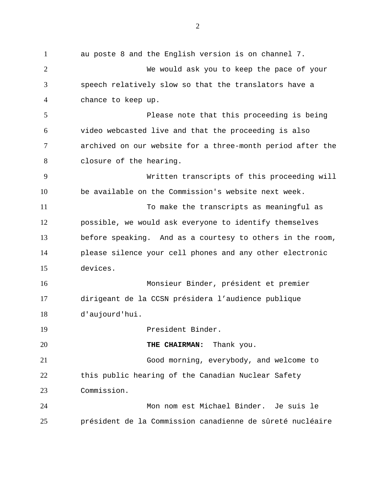au poste 8 and the English version is on channel 7. We would ask you to keep the pace of your speech relatively slow so that the translators have a chance to keep up. Please note that this proceeding is being video webcasted live and that the proceeding is also archived on our website for a three-month period after the closure of the hearing. Written transcripts of this proceeding will be available on the Commission's website next week. To make the transcripts as meaningful as possible, we would ask everyone to identify themselves before speaking. And as a courtesy to others in the room, please silence your cell phones and any other electronic devices. Monsieur Binder, président et premier dirigeant de la CCSN présidera l'audience publique d'aujourd'hui. President Binder. **THE CHAIRMAN:** Thank you. Good morning, everybody, and welcome to this public hearing of the Canadian Nuclear Safety Commission. Mon nom est Michael Binder. Je suis le président de la Commission canadienne de sûreté nucléaire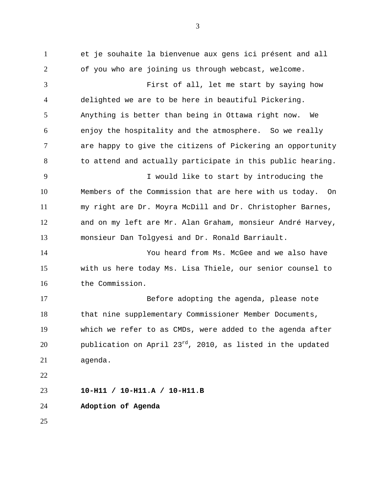et je souhaite la bienvenue aux gens ici présent and all of you who are joining us through webcast, welcome. First of all, let me start by saying how delighted we are to be here in beautiful Pickering. Anything is better than being in Ottawa right now. We enjoy the hospitality and the atmosphere. So we really are happy to give the citizens of Pickering an opportunity 8 to attend and actually participate in this public hearing. I would like to start by introducing the Members of the Commission that are here with us today. On my right are Dr. Moyra McDill and Dr. Christopher Barnes, and on my left are Mr. Alan Graham, monsieur André Harvey, monsieur Dan Tolgyesi and Dr. Ronald Barriault. You heard from Ms. McGee and we also have with us here today Ms. Lisa Thiele, our senior counsel to the Commission. Before adopting the agenda, please note that nine supplementary Commissioner Member Documents, which we refer to as CMDs, were added to the agenda after  $pubit$  publication on April 23 $^{rd}$ , 2010, as listed in the updated agenda. **10-H11 / 10-H11.A / 10-H11.B Adoption of Agenda**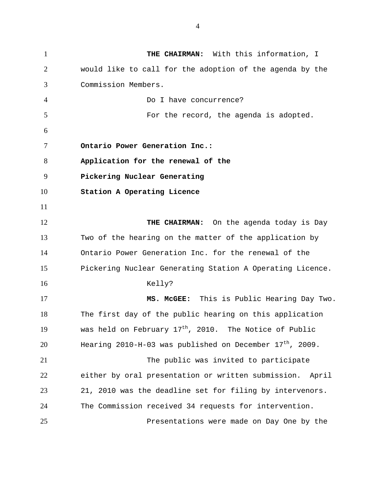**THE CHAIRMAN:** With this information, I would like to call for the adoption of the agenda by the Commission Members. Do I have concurrence? For the record, the agenda is adopted. **Ontario Power Generation Inc.: Application for the renewal of the Pickering Nuclear Generating Station A Operating Licence THE CHAIRMAN:** On the agenda today is Day Two of the hearing on the matter of the application by Ontario Power Generation Inc. for the renewal of the Pickering Nuclear Generating Station A Operating Licence. Kelly? **MS. McGEE:** This is Public Hearing Day Two. The first day of the public hearing on this application 19 was held on February  $17<sup>th</sup>$ , 2010. The Notice of Public Hearing 2010-H-03 was published on December 17<sup>th</sup>, 2009. The public was invited to participate either by oral presentation or written submission. April 21, 2010 was the deadline set for filing by intervenors. The Commission received 34 requests for intervention. Presentations were made on Day One by the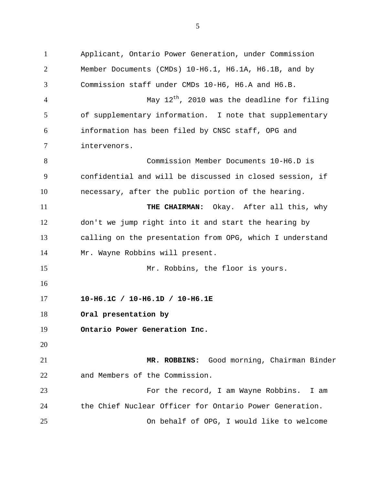Applicant, Ontario Power Generation, under Commission Member Documents (CMDs) 10-H6.1, H6.1A, H6.1B, and by Commission staff under CMDs 10-H6, H6.A and H6.B.  $\mu$  4 and 4  $\mu$  May 12<sup>th</sup>, 2010 was the deadline for filing of supplementary information. I note that supplementary information has been filed by CNSC staff, OPG and intervenors. Commission Member Documents 10-H6.D is confidential and will be discussed in closed session, if necessary, after the public portion of the hearing. **THE CHAIRMAN:** Okay. After all this, why don't we jump right into it and start the hearing by calling on the presentation from OPG, which I understand Mr. Wayne Robbins will present. Mr. Robbins, the floor is yours. **10-H6.1C / 10-H6.1D / 10-H6.1E Oral presentation by Ontario Power Generation Inc. MR. ROBBINS:** Good morning, Chairman Binder and Members of the Commission. For the record, I am Wayne Robbins. I am the Chief Nuclear Officer for Ontario Power Generation. On behalf of OPG, I would like to welcome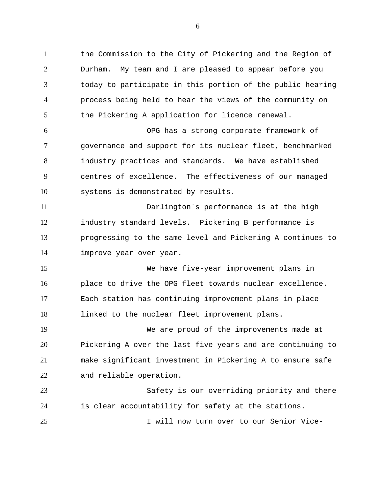the Commission to the City of Pickering and the Region of Durham. My team and I are pleased to appear before you today to participate in this portion of the public hearing process being held to hear the views of the community on the Pickering A application for licence renewal. OPG has a strong corporate framework of governance and support for its nuclear fleet, benchmarked industry practices and standards. We have established centres of excellence. The effectiveness of our managed systems is demonstrated by results. Darlington's performance is at the high industry standard levels. Pickering B performance is progressing to the same level and Pickering A continues to improve year over year. We have five-year improvement plans in place to drive the OPG fleet towards nuclear excellence. Each station has continuing improvement plans in place linked to the nuclear fleet improvement plans. We are proud of the improvements made at Pickering A over the last five years and are continuing to make significant investment in Pickering A to ensure safe and reliable operation. Safety is our overriding priority and there

I will now turn over to our Senior Vice-

is clear accountability for safety at the stations.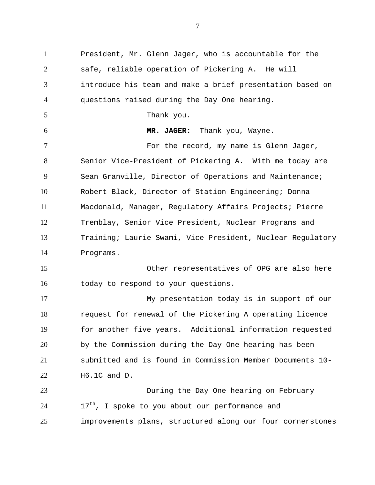President, Mr. Glenn Jager, who is accountable for the safe, reliable operation of Pickering A. He will introduce his team and make a brief presentation based on questions raised during the Day One hearing. Thank you. **MR. JAGER:** Thank you, Wayne. For the record, my name is Glenn Jager, Senior Vice-President of Pickering A. With me today are Sean Granville, Director of Operations and Maintenance; Robert Black, Director of Station Engineering; Donna Macdonald, Manager, Regulatory Affairs Projects; Pierre Tremblay, Senior Vice President, Nuclear Programs and Training; Laurie Swami, Vice President, Nuclear Regulatory Programs. Other representatives of OPG are also here today to respond to your questions. My presentation today is in support of our request for renewal of the Pickering A operating licence for another five years. Additional information requested by the Commission during the Day One hearing has been submitted and is found in Commission Member Documents 10- H6.1C and D. During the Day One hearing on February  $17<sup>th</sup>$ , I spoke to you about our performance and improvements plans, structured along our four cornerstones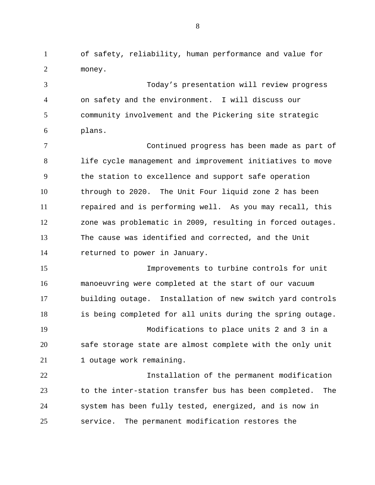of safety, reliability, human performance and value for money.

 Today's presentation will review progress on safety and the environment. I will discuss our community involvement and the Pickering site strategic plans.

 Continued progress has been made as part of life cycle management and improvement initiatives to move the station to excellence and support safe operation through to 2020. The Unit Four liquid zone 2 has been repaired and is performing well. As you may recall, this zone was problematic in 2009, resulting in forced outages. The cause was identified and corrected, and the Unit returned to power in January.

 Improvements to turbine controls for unit manoeuvring were completed at the start of our vacuum building outage. Installation of new switch yard controls is being completed for all units during the spring outage.

 Modifications to place units 2 and 3 in a safe storage state are almost complete with the only unit 21 1 outage work remaining.

 Installation of the permanent modification to the inter-station transfer bus has been completed. The system has been fully tested, energized, and is now in service. The permanent modification restores the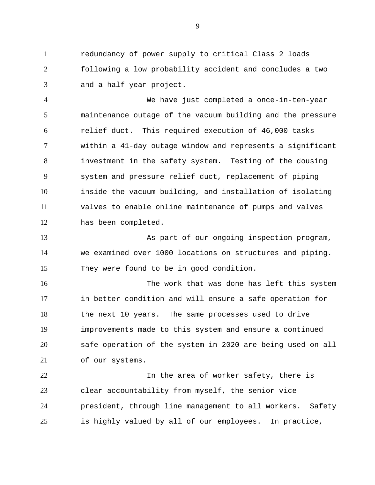redundancy of power supply to critical Class 2 loads following a low probability accident and concludes a two and a half year project.

 We have just completed a once-in-ten-year maintenance outage of the vacuum building and the pressure relief duct. This required execution of 46,000 tasks within a 41-day outage window and represents a significant investment in the safety system. Testing of the dousing system and pressure relief duct, replacement of piping inside the vacuum building, and installation of isolating valves to enable online maintenance of pumps and valves has been completed.

 As part of our ongoing inspection program, we examined over 1000 locations on structures and piping. They were found to be in good condition.

 The work that was done has left this system in better condition and will ensure a safe operation for the next 10 years. The same processes used to drive improvements made to this system and ensure a continued safe operation of the system in 2020 are being used on all of our systems.

 In the area of worker safety, there is clear accountability from myself, the senior vice president, through line management to all workers. Safety is highly valued by all of our employees. In practice,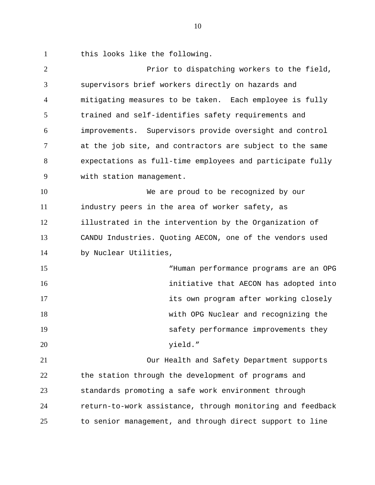this looks like the following.

 Prior to dispatching workers to the field, supervisors brief workers directly on hazards and mitigating measures to be taken. Each employee is fully trained and self-identifies safety requirements and improvements. Supervisors provide oversight and control at the job site, and contractors are subject to the same expectations as full-time employees and participate fully with station management. We are proud to be recognized by our industry peers in the area of worker safety, as illustrated in the intervention by the Organization of CANDU Industries. Quoting AECON, one of the vendors used by Nuclear Utilities, "Human performance programs are an OPG initiative that AECON has adopted into its own program after working closely with OPG Nuclear and recognizing the safety performance improvements they yield." Our Health and Safety Department supports the station through the development of programs and standards promoting a safe work environment through return-to-work assistance, through monitoring and feedback to senior management, and through direct support to line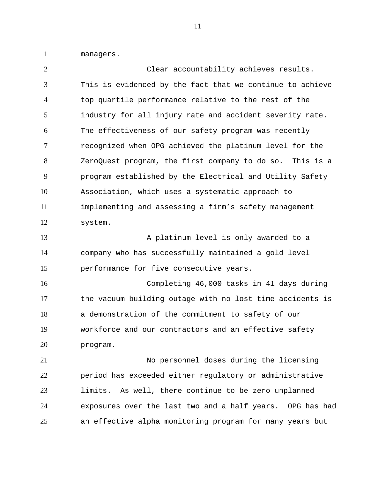managers.

 Clear accountability achieves results. This is evidenced by the fact that we continue to achieve top quartile performance relative to the rest of the industry for all injury rate and accident severity rate. The effectiveness of our safety program was recently recognized when OPG achieved the platinum level for the ZeroQuest program, the first company to do so. This is a program established by the Electrical and Utility Safety Association, which uses a systematic approach to implementing and assessing a firm's safety management system. 13 A platinum level is only awarded to a company who has successfully maintained a gold level performance for five consecutive years. Completing 46,000 tasks in 41 days during the vacuum building outage with no lost time accidents is a demonstration of the commitment to safety of our workforce and our contractors and an effective safety program. No personnel doses during the licensing period has exceeded either regulatory or administrative limits. As well, there continue to be zero unplanned exposures over the last two and a half years. OPG has had an effective alpha monitoring program for many years but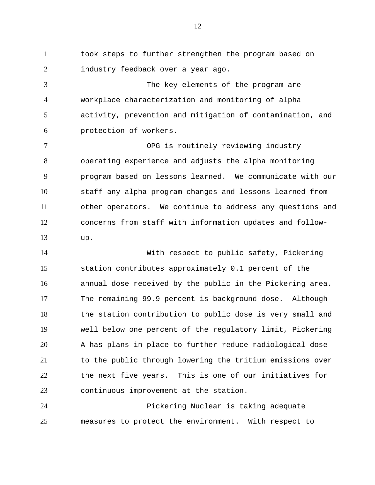took steps to further strengthen the program based on industry feedback over a year ago.

 The key elements of the program are workplace characterization and monitoring of alpha activity, prevention and mitigation of contamination, and protection of workers.

 OPG is routinely reviewing industry operating experience and adjusts the alpha monitoring program based on lessons learned. We communicate with our staff any alpha program changes and lessons learned from other operators. We continue to address any questions and concerns from staff with information updates and follow-up.

 With respect to public safety, Pickering station contributes approximately 0.1 percent of the annual dose received by the public in the Pickering area. The remaining 99.9 percent is background dose. Although the station contribution to public dose is very small and well below one percent of the regulatory limit, Pickering A has plans in place to further reduce radiological dose to the public through lowering the tritium emissions over the next five years. This is one of our initiatives for continuous improvement at the station.

 Pickering Nuclear is taking adequate measures to protect the environment. With respect to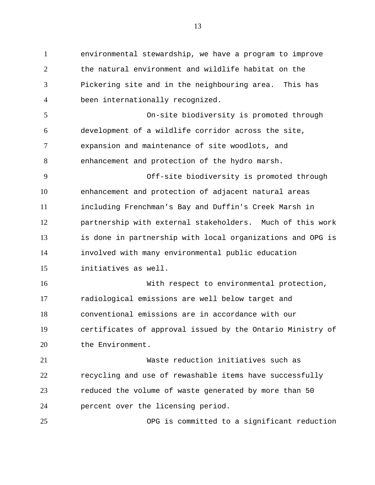environmental stewardship, we have a program to improve the natural environment and wildlife habitat on the Pickering site and in the neighbouring area. This has been internationally recognized. On-site biodiversity is promoted through development of a wildlife corridor across the site, expansion and maintenance of site woodlots, and enhancement and protection of the hydro marsh. Off-site biodiversity is promoted through enhancement and protection of adjacent natural areas including Frenchman's Bay and Duffin's Creek Marsh in partnership with external stakeholders. Much of this work is done in partnership with local organizations and OPG is involved with many environmental public education initiatives as well. With respect to environmental protection, radiological emissions are well below target and conventional emissions are in accordance with our certificates of approval issued by the Ontario Ministry of 20 the Environment. Waste reduction initiatives such as recycling and use of rewashable items have successfully reduced the volume of waste generated by more than 50 percent over the licensing period. OPG is committed to a significant reduction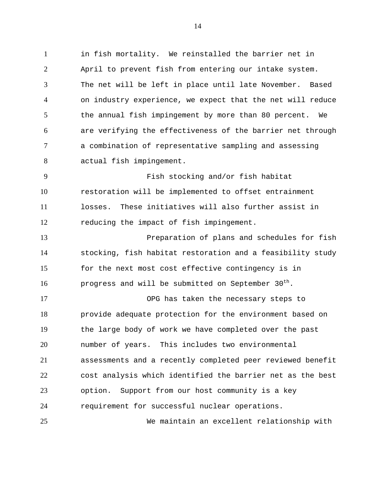in fish mortality. We reinstalled the barrier net in April to prevent fish from entering our intake system. The net will be left in place until late November. Based on industry experience, we expect that the net will reduce 5 the annual fish impingement by more than 80 percent. We are verifying the effectiveness of the barrier net through a combination of representative sampling and assessing actual fish impingement. Fish stocking and/or fish habitat

 restoration will be implemented to offset entrainment losses. These initiatives will also further assist in reducing the impact of fish impingement.

 Preparation of plans and schedules for fish stocking, fish habitat restoration and a feasibility study 15 for the next most cost effective contingency is in **progress and will be submitted on September 30<sup>th</sup>.** 

 OPG has taken the necessary steps to provide adequate protection for the environment based on the large body of work we have completed over the past number of years. This includes two environmental assessments and a recently completed peer reviewed benefit cost analysis which identified the barrier net as the best option. Support from our host community is a key requirement for successful nuclear operations.

We maintain an excellent relationship with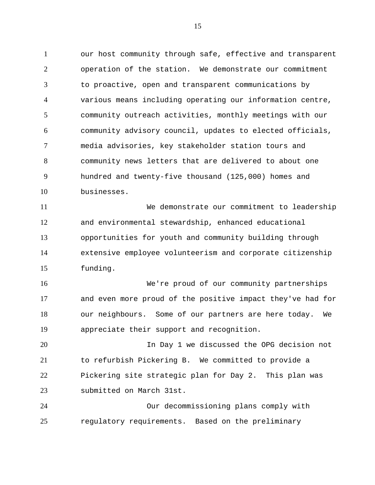our host community through safe, effective and transparent operation of the station. We demonstrate our commitment to proactive, open and transparent communications by various means including operating our information centre, community outreach activities, monthly meetings with our community advisory council, updates to elected officials, media advisories, key stakeholder station tours and community news letters that are delivered to about one hundred and twenty-five thousand (125,000) homes and businesses.

 We demonstrate our commitment to leadership and environmental stewardship, enhanced educational opportunities for youth and community building through extensive employee volunteerism and corporate citizenship funding.

 We're proud of our community partnerships and even more proud of the positive impact they've had for our neighbours. Some of our partners are here today. We appreciate their support and recognition.

 In Day 1 we discussed the OPG decision not to refurbish Pickering B. We committed to provide a Pickering site strategic plan for Day 2. This plan was submitted on March 31st.

 Our decommissioning plans comply with regulatory requirements. Based on the preliminary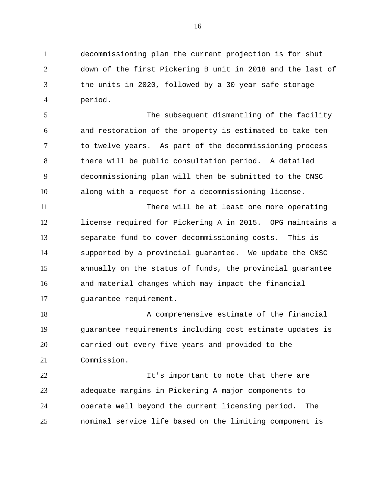decommissioning plan the current projection is for shut down of the first Pickering B unit in 2018 and the last of the units in 2020, followed by a 30 year safe storage period.

 The subsequent dismantling of the facility and restoration of the property is estimated to take ten to twelve years. As part of the decommissioning process there will be public consultation period. A detailed decommissioning plan will then be submitted to the CNSC along with a request for a decommissioning license.

 There will be at least one more operating license required for Pickering A in 2015. OPG maintains a separate fund to cover decommissioning costs. This is supported by a provincial guarantee. We update the CNSC annually on the status of funds, the provincial guarantee and material changes which may impact the financial guarantee requirement.

18 A comprehensive estimate of the financial guarantee requirements including cost estimate updates is carried out every five years and provided to the Commission.

**It's important to note that there are**  adequate margins in Pickering A major components to operate well beyond the current licensing period. The nominal service life based on the limiting component is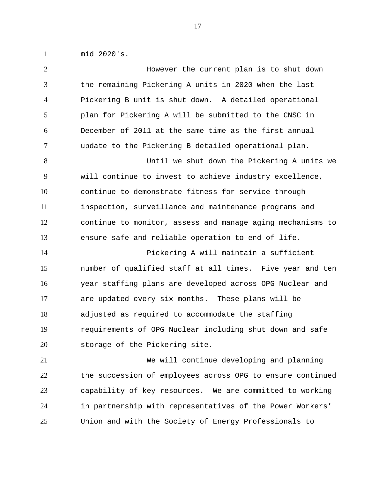mid 2020's.

| $\overline{2}$ | However the current plan is to shut down                   |
|----------------|------------------------------------------------------------|
| 3              | the remaining Pickering A units in 2020 when the last      |
| $\overline{4}$ | Pickering B unit is shut down. A detailed operational      |
| 5              | plan for Pickering A will be submitted to the CNSC in      |
| 6              | December of 2011 at the same time as the first annual      |
| $\overline{7}$ | update to the Pickering B detailed operational plan.       |
| 8              | Until we shut down the Pickering A units we                |
| 9              | will continue to invest to achieve industry excellence,    |
| 10             | continue to demonstrate fitness for service through        |
| 11             | inspection, surveillance and maintenance programs and      |
| 12             | continue to monitor, assess and manage aging mechanisms to |
| 13             | ensure safe and reliable operation to end of life.         |
| 14             | Pickering A will maintain a sufficient                     |
| 15             | number of qualified staff at all times. Five year and ten  |
| 16             | year staffing plans are developed across OPG Nuclear and   |
| 17             | are updated every six months. These plans will be          |
| 18             | adjusted as required to accommodate the staffing           |
| 19             | requirements of OPG Nuclear including shut down and safe   |
| 20             | storage of the Pickering site.                             |
| 21             | We will continue developing and planning                   |
| 22             | the succession of employees across OPG to ensure continued |
| 23             | capability of key resources. We are committed to working   |
| 24             | in partnership with representatives of the Power Workers'  |
| 25             | Union and with the Society of Energy Professionals to      |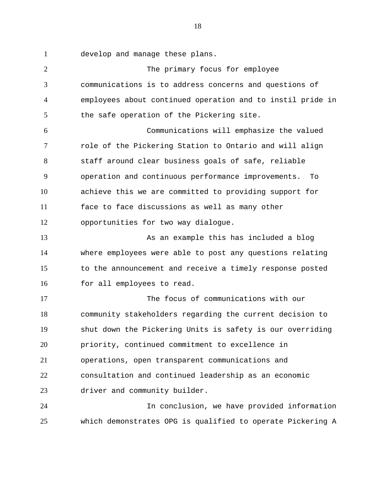develop and manage these plans.

 The primary focus for employee communications is to address concerns and questions of employees about continued operation and to instil pride in 5 the safe operation of the Pickering site. Communications will emphasize the valued role of the Pickering Station to Ontario and will align staff around clear business goals of safe, reliable operation and continuous performance improvements. To achieve this we are committed to providing support for face to face discussions as well as many other opportunities for two way dialogue. 13 As an example this has included a blog 13 where employees were able to post any questions relating to the announcement and receive a timely response posted 16 for all employees to read. The focus of communications with our community stakeholders regarding the current decision to shut down the Pickering Units is safety is our overriding priority, continued commitment to excellence in operations, open transparent communications and consultation and continued leadership as an economic driver and community builder. In conclusion, we have provided information which demonstrates OPG is qualified to operate Pickering A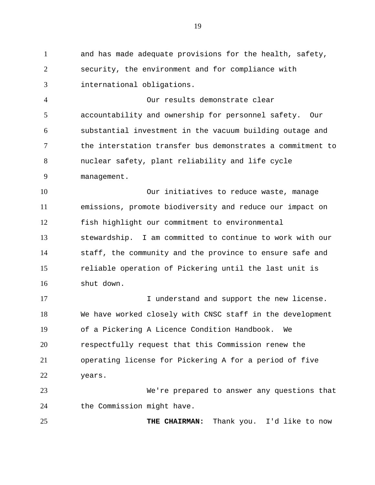and has made adequate provisions for the health, safety, security, the environment and for compliance with international obligations.

 Our results demonstrate clear accountability and ownership for personnel safety. Our substantial investment in the vacuum building outage and the interstation transfer bus demonstrates a commitment to nuclear safety, plant reliability and life cycle management.

 Our initiatives to reduce waste, manage emissions, promote biodiversity and reduce our impact on fish highlight our commitment to environmental stewardship. I am committed to continue to work with our staff, the community and the province to ensure safe and reliable operation of Pickering until the last unit is shut down.

**I** understand and support the new license. We have worked closely with CNSC staff in the development of a Pickering A Licence Condition Handbook. We respectfully request that this Commission renew the operating license for Pickering A for a period of five years.

 We're prepared to answer any questions that 24 the Commission might have.

**THE CHAIRMAN:** Thank you. I'd like to now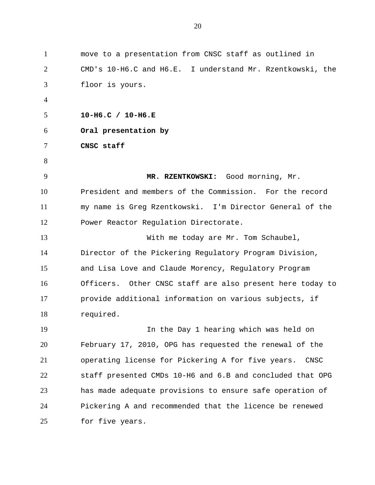| $\mathbf{1}$   | move to a presentation from CNSC staff as outlined in     |
|----------------|-----------------------------------------------------------|
| 2              | CMD's 10-H6.C and H6.E. I understand Mr. Rzentkowski, the |
| 3              | floor is yours.                                           |
| $\overline{4}$ |                                                           |
| 5              | $10-H6.C$ / $10-H6.E$                                     |
| 6              | Oral presentation by                                      |
| 7              | CNSC staff                                                |
| 8              |                                                           |
| 9              | MR. RZENTKOWSKI: Good morning, Mr.                        |
| 10             | President and members of the Commission. For the record   |
| 11             | my name is Greg Rzentkowski. I'm Director General of the  |
| 12             | Power Reactor Regulation Directorate.                     |
| 13             | With me today are Mr. Tom Schaubel,                       |
| 14             | Director of the Pickering Regulatory Program Division,    |
| 15             | and Lisa Love and Claude Morency, Regulatory Program      |
| 16             | Officers. Other CNSC staff are also present here today to |
| 17             | provide additional information on various subjects, if    |
| 18             | required.                                                 |
| 19             | In the Day 1 hearing which was held on                    |
| 20             | February 17, 2010, OPG has requested the renewal of the   |
| 21             | operating license for Pickering A for five years.<br>CNSC |
| 22             | staff presented CMDs 10-H6 and 6.B and concluded that OPG |
| 23             | has made adequate provisions to ensure safe operation of  |
| 24             | Pickering A and recommended that the licence be renewed   |
| 25             | for five years.                                           |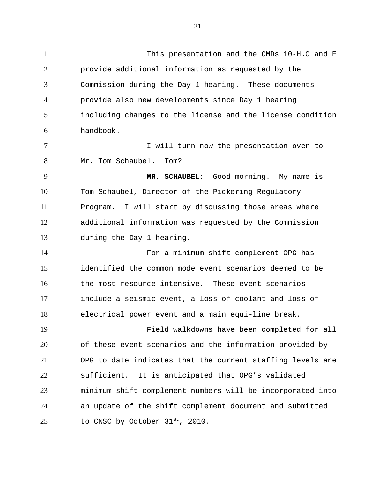This presentation and the CMDs 10-H.C and E provide additional information as requested by the Commission during the Day 1 hearing. These documents provide also new developments since Day 1 hearing including changes to the license and the license condition handbook. **I** will turn now the presentation over to Mr. Tom Schaubel. Tom? **MR. SCHAUBEL:** Good morning. My name is Tom Schaubel, Director of the Pickering Regulatory Program. I will start by discussing those areas where additional information was requested by the Commission during the Day 1 hearing. For a minimum shift complement OPG has identified the common mode event scenarios deemed to be 16 the most resource intensive. These event scenarios include a seismic event, a loss of coolant and loss of electrical power event and a main equi-line break. Field walkdowns have been completed for all of these event scenarios and the information provided by OPG to date indicates that the current staffing levels are sufficient. It is anticipated that OPG's validated minimum shift complement numbers will be incorporated into

 an update of the shift complement document and submitted 25 to CNSC by October  $31^{st}$ , 2010.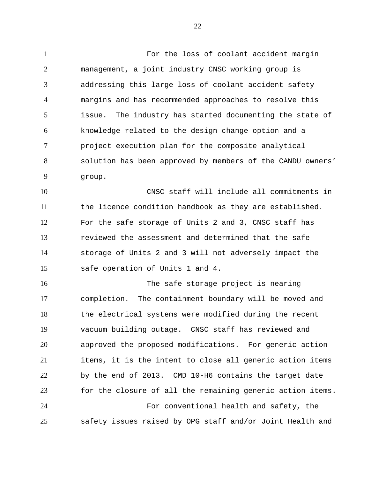For the loss of coolant accident margin management, a joint industry CNSC working group is addressing this large loss of coolant accident safety margins and has recommended approaches to resolve this issue. The industry has started documenting the state of knowledge related to the design change option and a project execution plan for the composite analytical solution has been approved by members of the CANDU owners' group.

 CNSC staff will include all commitments in the licence condition handbook as they are established. For the safe storage of Units 2 and 3, CNSC staff has reviewed the assessment and determined that the safe storage of Units 2 and 3 will not adversely impact the safe operation of Units 1 and 4.

 The safe storage project is nearing completion. The containment boundary will be moved and the electrical systems were modified during the recent vacuum building outage. CNSC staff has reviewed and approved the proposed modifications. For generic action items, it is the intent to close all generic action items by the end of 2013. CMD 10-H6 contains the target date for the closure of all the remaining generic action items. For conventional health and safety, the safety issues raised by OPG staff and/or Joint Health and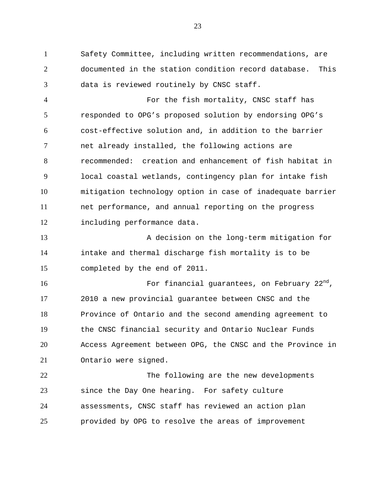Safety Committee, including written recommendations, are documented in the station condition record database. This data is reviewed routinely by CNSC staff.

 For the fish mortality, CNSC staff has responded to OPG's proposed solution by endorsing OPG's cost-effective solution and, in addition to the barrier net already installed, the following actions are recommended: creation and enhancement of fish habitat in local coastal wetlands, contingency plan for intake fish mitigation technology option in case of inadequate barrier net performance, and annual reporting on the progress including performance data.

13 A decision on the long-term mitigation for intake and thermal discharge fish mortality is to be completed by the end of 2011.

**For financial guarantees, on February**  $22<sup>nd</sup>$ , 2010 a new provincial guarantee between CNSC and the Province of Ontario and the second amending agreement to the CNSC financial security and Ontario Nuclear Funds Access Agreement between OPG, the CNSC and the Province in Ontario were signed.

 The following are the new developments since the Day One hearing. For safety culture assessments, CNSC staff has reviewed an action plan provided by OPG to resolve the areas of improvement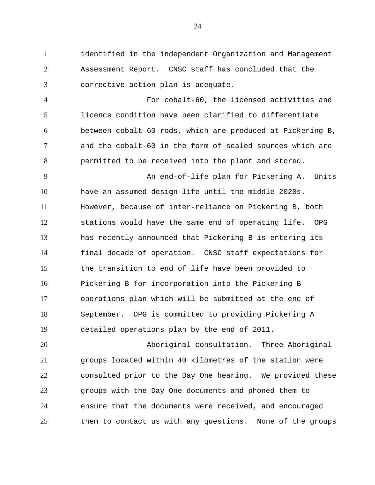identified in the independent Organization and Management Assessment Report. CNSC staff has concluded that the corrective action plan is adequate.

 For cobalt-60, the licensed activities and licence condition have been clarified to differentiate between cobalt-60 rods, which are produced at Pickering B, and the cobalt-60 in the form of sealed sources which are permitted to be received into the plant and stored.

9 An end-of-life plan for Pickering A. Units have an assumed design life until the middle 2020s. However, because of inter-reliance on Pickering B, both stations would have the same end of operating life. OPG has recently announced that Pickering B is entering its final decade of operation. CNSC staff expectations for the transition to end of life have been provided to Pickering B for incorporation into the Pickering B operations plan which will be submitted at the end of September. OPG is committed to providing Pickering A detailed operations plan by the end of 2011.

 Aboriginal consultation. Three Aboriginal groups located within 40 kilometres of the station were consulted prior to the Day One hearing. We provided these groups with the Day One documents and phoned them to ensure that the documents were received, and encouraged them to contact us with any questions. None of the groups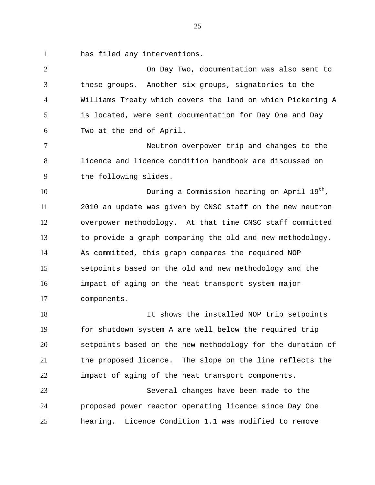has filed any interventions.

 On Day Two, documentation was also sent to these groups. Another six groups, signatories to the Williams Treaty which covers the land on which Pickering A is located, were sent documentation for Day One and Day Two at the end of April.

 Neutron overpower trip and changes to the licence and licence condition handbook are discussed on the following slides.

 During a Commission hearing on April  $19<sup>th</sup>$ , 2010 an update was given by CNSC staff on the new neutron overpower methodology. At that time CNSC staff committed to provide a graph comparing the old and new methodology. As committed, this graph compares the required NOP setpoints based on the old and new methodology and the impact of aging on the heat transport system major components.

 It shows the installed NOP trip setpoints for shutdown system A are well below the required trip setpoints based on the new methodology for the duration of the proposed licence. The slope on the line reflects the impact of aging of the heat transport components.

 Several changes have been made to the proposed power reactor operating licence since Day One hearing. Licence Condition 1.1 was modified to remove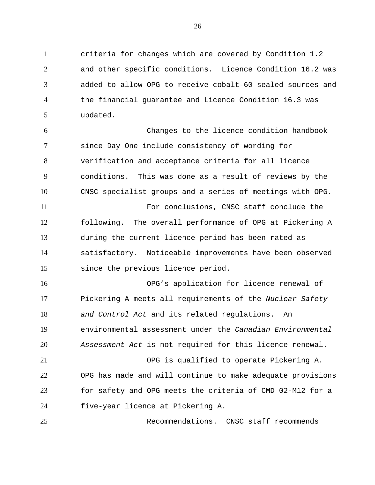criteria for changes which are covered by Condition 1.2 and other specific conditions. Licence Condition 16.2 was added to allow OPG to receive cobalt-60 sealed sources and the financial guarantee and Licence Condition 16.3 was updated.

 Changes to the licence condition handbook since Day One include consistency of wording for verification and acceptance criteria for all licence conditions. This was done as a result of reviews by the CNSC specialist groups and a series of meetings with OPG. For conclusions, CNSC staff conclude the

 following. The overall performance of OPG at Pickering A during the current licence period has been rated as satisfactory. Noticeable improvements have been observed since the previous licence period.

 OPG's application for licence renewal of Pickering A meets all requirements of the *Nuclear Safety and Control Act* and its related regulations. An environmental assessment under the *Canadian Environmental Assessment Act* is not required for this licence renewal. OPG is qualified to operate Pickering A.

 OPG has made and will continue to make adequate provisions for safety and OPG meets the criteria of CMD 02-M12 for a five-year licence at Pickering A.

Recommendations. CNSC staff recommends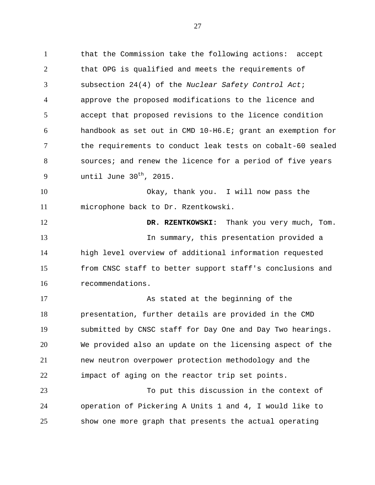that the Commission take the following actions: accept that OPG is qualified and meets the requirements of subsection 24(4) of the *Nuclear Safety Control Act*; approve the proposed modifications to the licence and accept that proposed revisions to the licence condition handbook as set out in CMD 10-H6.E; grant an exemption for the requirements to conduct leak tests on cobalt-60 sealed sources; and renew the licence for a period of five years until June 30<sup>th</sup>, 2015.

 Okay, thank you. I will now pass the microphone back to Dr. Rzentkowski.

**DR. RZENTKOWSKI:** Thank you very much, Tom. In summary, this presentation provided a high level overview of additional information requested from CNSC staff to better support staff's conclusions and recommendations.

 As stated at the beginning of the presentation, further details are provided in the CMD submitted by CNSC staff for Day One and Day Two hearings. We provided also an update on the licensing aspect of the new neutron overpower protection methodology and the impact of aging on the reactor trip set points.

 To put this discussion in the context of operation of Pickering A Units 1 and 4, I would like to show one more graph that presents the actual operating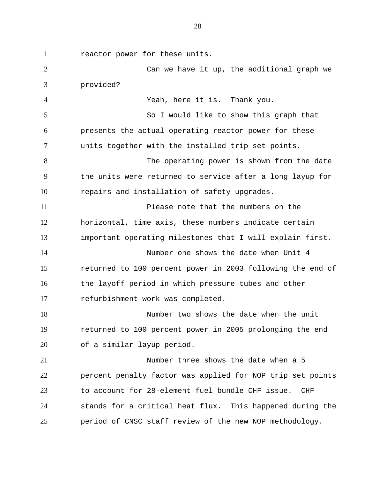reactor power for these units.

 Can we have it up, the additional graph we provided? Yeah, here it is. Thank you. So I would like to show this graph that presents the actual operating reactor power for these units together with the installed trip set points. 8 The operating power is shown from the date the units were returned to service after a long layup for repairs and installation of safety upgrades. Please note that the numbers on the horizontal, time axis, these numbers indicate certain important operating milestones that I will explain first. Number one shows the date when Unit 4 returned to 100 percent power in 2003 following the end of the layoff period in which pressure tubes and other refurbishment work was completed. Number two shows the date when the unit returned to 100 percent power in 2005 prolonging the end of a similar layup period. Number three shows the date when a 5 percent penalty factor was applied for NOP trip set points to account for 28-element fuel bundle CHF issue. CHF stands for a critical heat flux. This happened during the period of CNSC staff review of the new NOP methodology.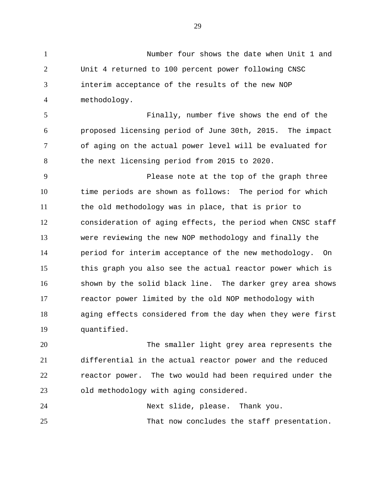Number four shows the date when Unit 1 and Unit 4 returned to 100 percent power following CNSC interim acceptance of the results of the new NOP methodology. Finally, number five shows the end of the proposed licensing period of June 30th, 2015. The impact of aging on the actual power level will be evaluated for the next licensing period from 2015 to 2020. Please note at the top of the graph three time periods are shown as follows: The period for which the old methodology was in place, that is prior to consideration of aging effects, the period when CNSC staff were reviewing the new NOP methodology and finally the period for interim acceptance of the new methodology. On this graph you also see the actual reactor power which is shown by the solid black line. The darker grey area shows reactor power limited by the old NOP methodology with aging effects considered from the day when they were first quantified.

 The smaller light grey area represents the differential in the actual reactor power and the reduced reactor power. The two would had been required under the old methodology with aging considered.

Next slide, please. Thank you.

That now concludes the staff presentation.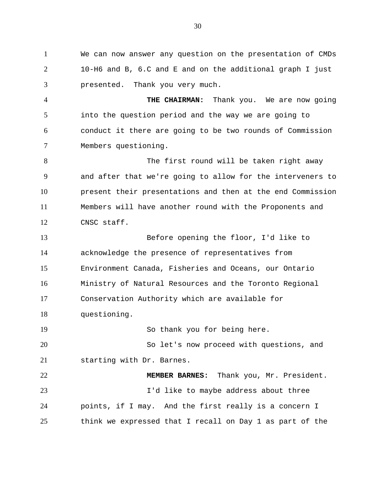We can now answer any question on the presentation of CMDs 10-H6 and B, 6.C and E and on the additional graph I just presented. Thank you very much.

 **THE CHAIRMAN:** Thank you. We are now going into the question period and the way we are going to conduct it there are going to be two rounds of Commission Members questioning.

8 The first round will be taken right away and after that we're going to allow for the interveners to present their presentations and then at the end Commission Members will have another round with the Proponents and CNSC staff.

 Before opening the floor, I'd like to acknowledge the presence of representatives from Environment Canada, Fisheries and Oceans, our Ontario Ministry of Natural Resources and the Toronto Regional Conservation Authority which are available for questioning.

So thank you for being here.

 So let's now proceed with questions, and starting with Dr. Barnes.

 **MEMBER BARNES:** Thank you, Mr. President. I'd like to maybe address about three points, if I may. And the first really is a concern I think we expressed that I recall on Day 1 as part of the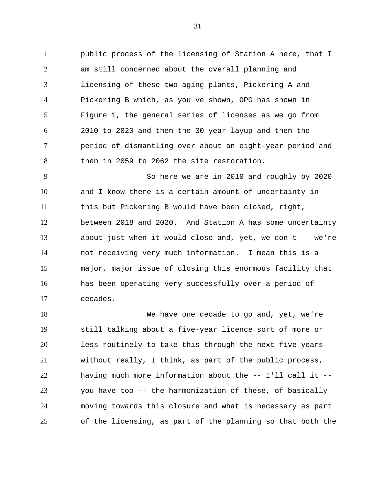public process of the licensing of Station A here, that I am still concerned about the overall planning and licensing of these two aging plants, Pickering A and Pickering B which, as you've shown, OPG has shown in Figure 1, the general series of licenses as we go from 2010 to 2020 and then the 30 year layup and then the period of dismantling over about an eight-year period and then in 2059 to 2062 the site restoration.

 So here we are in 2010 and roughly by 2020 and I know there is a certain amount of uncertainty in this but Pickering B would have been closed, right, between 2018 and 2020. And Station A has some uncertainty about just when it would close and, yet, we don't -- we're not receiving very much information. I mean this is a major, major issue of closing this enormous facility that has been operating very successfully over a period of decades.

 We have one decade to go and, yet, we're still talking about a five-year licence sort of more or less routinely to take this through the next five years without really, I think, as part of the public process, having much more information about the -- I'll call it -- you have too -- the harmonization of these, of basically moving towards this closure and what is necessary as part of the licensing, as part of the planning so that both the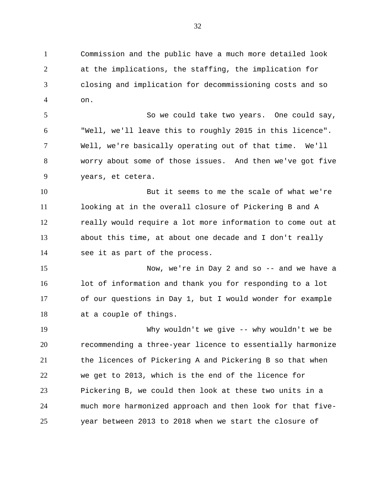Commission and the public have a much more detailed look at the implications, the staffing, the implication for closing and implication for decommissioning costs and so on.

 So we could take two years. One could say, "Well, we'll leave this to roughly 2015 in this licence". Well, we're basically operating out of that time. We'll worry about some of those issues. And then we've got five years, et cetera.

 But it seems to me the scale of what we're looking at in the overall closure of Pickering B and A really would require a lot more information to come out at about this time, at about one decade and I don't really see it as part of the process.

 Now, we're in Day 2 and so -- and we have a lot of information and thank you for responding to a lot of our questions in Day 1, but I would wonder for example at a couple of things.

 Why wouldn't we give -- why wouldn't we be recommending a three-year licence to essentially harmonize the licences of Pickering A and Pickering B so that when we get to 2013, which is the end of the licence for Pickering B, we could then look at these two units in a much more harmonized approach and then look for that five-year between 2013 to 2018 when we start the closure of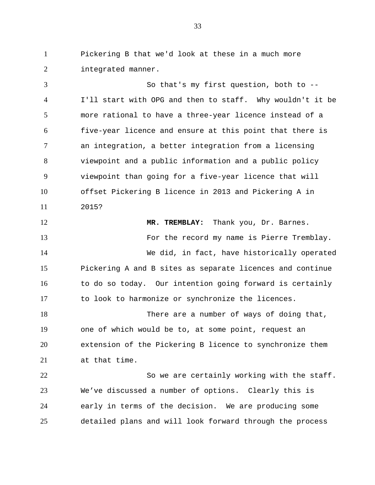Pickering B that we'd look at these in a much more integrated manner.

 So that's my first question, both to -- I'll start with OPG and then to staff. Why wouldn't it be more rational to have a three-year licence instead of a five-year licence and ensure at this point that there is an integration, a better integration from a licensing viewpoint and a public information and a public policy viewpoint than going for a five-year licence that will offset Pickering B licence in 2013 and Pickering A in 2015?

 **MR. TREMBLAY:** Thank you, Dr. Barnes. For the record my name is Pierre Tremblay. We did, in fact, have historically operated Pickering A and B sites as separate licences and continue to do so today. Our intention going forward is certainly to look to harmonize or synchronize the licences. 18 There are a number of ways of doing that,

 one of which would be to, at some point, request an extension of the Pickering B licence to synchronize them at that time.

 So we are certainly working with the staff. We've discussed a number of options. Clearly this is early in terms of the decision. We are producing some detailed plans and will look forward through the process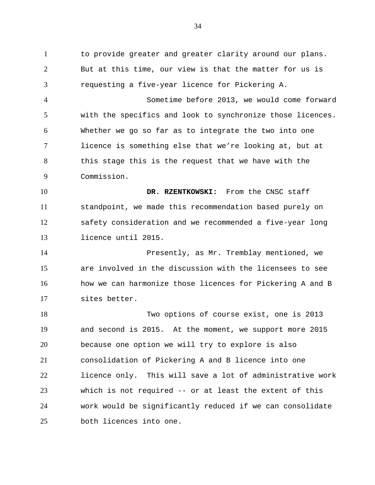to provide greater and greater clarity around our plans. But at this time, our view is that the matter for us is requesting a five-year licence for Pickering A.

 Sometime before 2013, we would come forward with the specifics and look to synchronize those licences. Whether we go so far as to integrate the two into one licence is something else that we're looking at, but at this stage this is the request that we have with the Commission.

 **DR. RZENTKOWSKI:** From the CNSC staff standpoint, we made this recommendation based purely on safety consideration and we recommended a five-year long licence until 2015.

 Presently, as Mr. Tremblay mentioned, we are involved in the discussion with the licensees to see how we can harmonize those licences for Pickering A and B sites better.

 Two options of course exist, one is 2013 and second is 2015. At the moment, we support more 2015 because one option we will try to explore is also consolidation of Pickering A and B licence into one licence only. This will save a lot of administrative work which is not required -- or at least the extent of this work would be significantly reduced if we can consolidate both licences into one.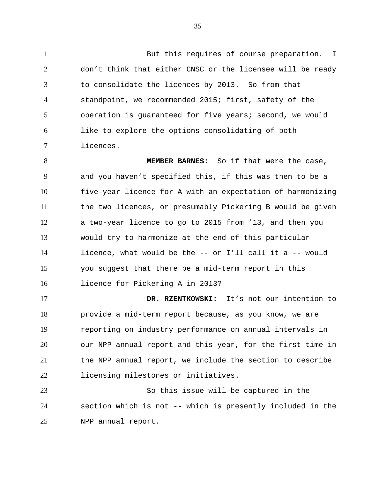1 But this requires of course preparation. I don't think that either CNSC or the licensee will be ready to consolidate the licences by 2013. So from that standpoint, we recommended 2015; first, safety of the operation is guaranteed for five years; second, we would like to explore the options consolidating of both licences.

 **MEMBER BARNES:** So if that were the case, and you haven't specified this, if this was then to be a five-year licence for A with an expectation of harmonizing the two licences, or presumably Pickering B would be given a two-year licence to go to 2015 from '13, and then you would try to harmonize at the end of this particular licence, what would be the -- or I'll call it a -- would you suggest that there be a mid-term report in this licence for Pickering A in 2013?

 **DR. RZENTKOWSKI:** It's not our intention to provide a mid-term report because, as you know, we are reporting on industry performance on annual intervals in our NPP annual report and this year, for the first time in the NPP annual report, we include the section to describe licensing milestones or initiatives.

 So this issue will be captured in the section which is not -- which is presently included in the NPP annual report.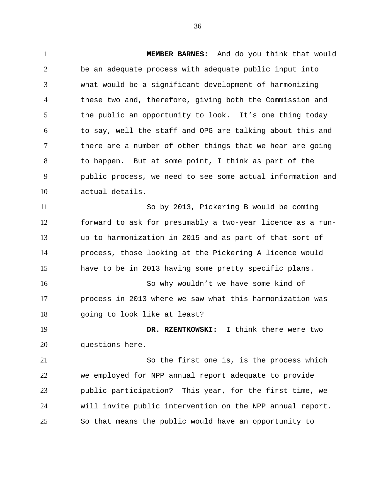**MEMBER BARNES:** And do you think that would be an adequate process with adequate public input into what would be a significant development of harmonizing these two and, therefore, giving both the Commission and the public an opportunity to look. It's one thing today to say, well the staff and OPG are talking about this and there are a number of other things that we hear are going to happen. But at some point, I think as part of the public process, we need to see some actual information and actual details. So by 2013, Pickering B would be coming forward to ask for presumably a two-year licence as a run- up to harmonization in 2015 and as part of that sort of process, those looking at the Pickering A licence would have to be in 2013 having some pretty specific plans. So why wouldn't we have some kind of process in 2013 where we saw what this harmonization was 18 going to look like at least? **DR. RZENTKOWSKI:** I think there were two questions here. So the first one is, is the process which we employed for NPP annual report adequate to provide public participation? This year, for the first time, we

 will invite public intervention on the NPP annual report. So that means the public would have an opportunity to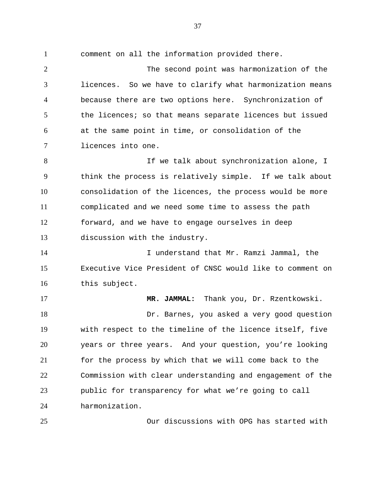comment on all the information provided there. The second point was harmonization of the licences. So we have to clarify what harmonization means because there are two options here. Synchronization of 5 the licences; so that means separate licences but issued at the same point in time, or consolidation of the licences into one. 8 If we talk about synchronization alone, I think the process is relatively simple. If we talk about consolidation of the licences, the process would be more complicated and we need some time to assess the path forward, and we have to engage ourselves in deep discussion with the industry. I understand that Mr. Ramzi Jammal, the Executive Vice President of CNSC would like to comment on this subject. **MR. JAMMAL:** Thank you, Dr. Rzentkowski. Dr. Barnes, you asked a very good question with respect to the timeline of the licence itself, five years or three years. And your question, you're looking

 for the process by which that we will come back to the Commission with clear understanding and engagement of the public for transparency for what we're going to call harmonization.

Our discussions with OPG has started with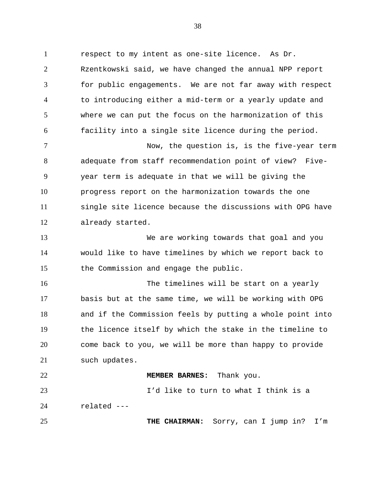respect to my intent as one-site licence. As Dr. Rzentkowski said, we have changed the annual NPP report for public engagements. We are not far away with respect to introducing either a mid-term or a yearly update and where we can put the focus on the harmonization of this facility into a single site licence during the period.

 Now, the question is, is the five-year term adequate from staff recommendation point of view? Five- year term is adequate in that we will be giving the progress report on the harmonization towards the one single site licence because the discussions with OPG have already started.

 We are working towards that goal and you would like to have timelines by which we report back to the Commission and engage the public.

 The timelines will be start on a yearly basis but at the same time, we will be working with OPG and if the Commission feels by putting a whole point into the licence itself by which the stake in the timeline to come back to you, we will be more than happy to provide such updates.

## **MEMBER BARNES:** Thank you.

 I'd like to turn to what I think is a related ---

**THE CHAIRMAN:** Sorry, can I jump in? I'm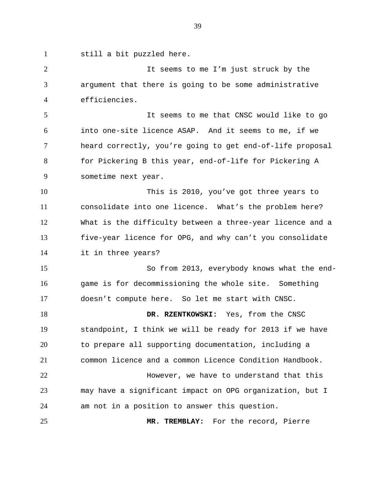still a bit puzzled here. It seems to me I'm just struck by the argument that there is going to be some administrative efficiencies. It seems to me that CNSC would like to go into one-site licence ASAP. And it seems to me, if we heard correctly, you're going to get end-of-life proposal for Pickering B this year, end-of-life for Pickering A sometime next year. This is 2010, you've got three years to consolidate into one licence. What's the problem here? What is the difficulty between a three-year licence and a five-year licence for OPG, and why can't you consolidate it in three years? So from 2013, everybody knows what the end- game is for decommissioning the whole site. Something doesn't compute here. So let me start with CNSC. **DR. RZENTKOWSKI:** Yes, from the CNSC standpoint, I think we will be ready for 2013 if we have to prepare all supporting documentation, including a common licence and a common Licence Condition Handbook. However, we have to understand that this may have a significant impact on OPG organization, but I am not in a position to answer this question. **MR. TREMBLAY:** For the record, Pierre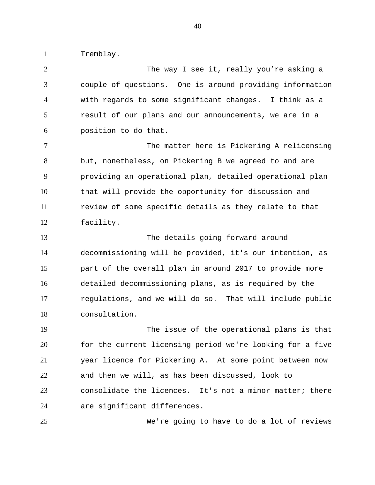Tremblay.

2 The way I see it, really you're asking a couple of questions. One is around providing information with regards to some significant changes. I think as a result of our plans and our announcements, we are in a position to do that. The matter here is Pickering A relicensing but, nonetheless, on Pickering B we agreed to and are providing an operational plan, detailed operational plan that will provide the opportunity for discussion and review of some specific details as they relate to that facility. The details going forward around decommissioning will be provided, it's our intention, as part of the overall plan in around 2017 to provide more detailed decommissioning plans, as is required by the regulations, and we will do so. That will include public consultation. The issue of the operational plans is that for the current licensing period we're looking for a five- year licence for Pickering A. At some point between now and then we will, as has been discussed, look to consolidate the licences. It's not a minor matter; there are significant differences.

We're going to have to do a lot of reviews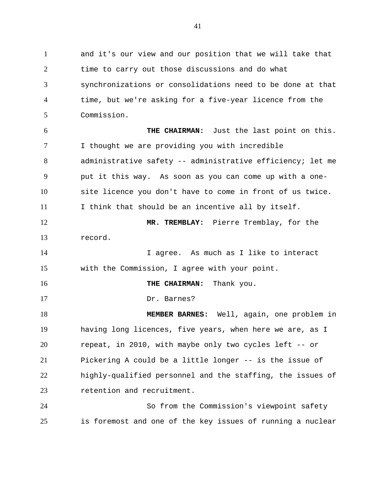and it's our view and our position that we will take that time to carry out those discussions and do what synchronizations or consolidations need to be done at that time, but we're asking for a five-year licence from the Commission. **THE CHAIRMAN:** Just the last point on this. I thought we are providing you with incredible administrative safety -- administrative efficiency; let me put it this way. As soon as you can come up with a one- site licence you don't have to come in front of us twice. I think that should be an incentive all by itself. **MR. TREMBLAY:** Pierre Tremblay, for the record. I agree. As much as I like to interact with the Commission, I agree with your point. **THE CHAIRMAN:** Thank you. Dr. Barnes? **MEMBER BARNES:** Well, again, one problem in having long licences, five years, when here we are, as I repeat, in 2010, with maybe only two cycles left -- or Pickering A could be a little longer -- is the issue of highly-qualified personnel and the staffing, the issues of retention and recruitment. So from the Commission's viewpoint safety is foremost and one of the key issues of running a nuclear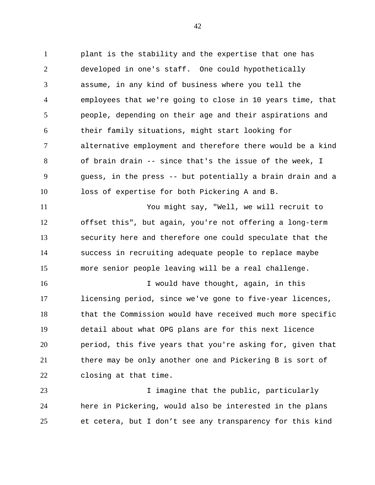plant is the stability and the expertise that one has developed in one's staff. One could hypothetically assume, in any kind of business where you tell the employees that we're going to close in 10 years time, that people, depending on their age and their aspirations and their family situations, might start looking for alternative employment and therefore there would be a kind of brain drain -- since that's the issue of the week, I guess, in the press -- but potentially a brain drain and a loss of expertise for both Pickering A and B.

 You might say, "Well, we will recruit to offset this", but again, you're not offering a long-term security here and therefore one could speculate that the success in recruiting adequate people to replace maybe more senior people leaving will be a real challenge.

 I would have thought, again, in this licensing period, since we've gone to five-year licences, that the Commission would have received much more specific detail about what OPG plans are for this next licence period, this five years that you're asking for, given that there may be only another one and Pickering B is sort of closing at that time.

 I imagine that the public, particularly here in Pickering, would also be interested in the plans et cetera, but I don't see any transparency for this kind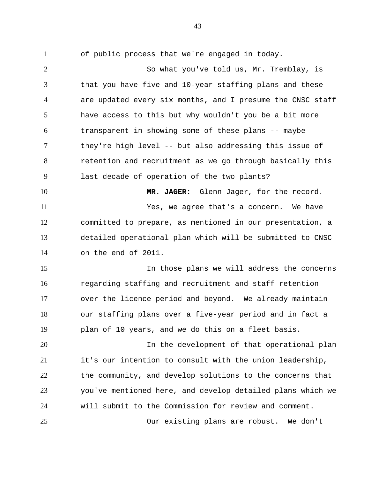of public process that we're engaged in today. So what you've told us, Mr. Tremblay, is that you have five and 10-year staffing plans and these are updated every six months, and I presume the CNSC staff have access to this but why wouldn't you be a bit more transparent in showing some of these plans -- maybe they're high level -- but also addressing this issue of retention and recruitment as we go through basically this last decade of operation of the two plants? 10 MR. JAGER: Glenn Jager, for the record. Yes, we agree that's a concern. We have committed to prepare, as mentioned in our presentation, a detailed operational plan which will be submitted to CNSC on the end of 2011. In those plans we will address the concerns regarding staffing and recruitment and staff retention over the licence period and beyond. We already maintain our staffing plans over a five-year period and in fact a plan of 10 years, and we do this on a fleet basis. In the development of that operational plan it's our intention to consult with the union leadership, the community, and develop solutions to the concerns that you've mentioned here, and develop detailed plans which we will submit to the Commission for review and comment.

Our existing plans are robust. We don't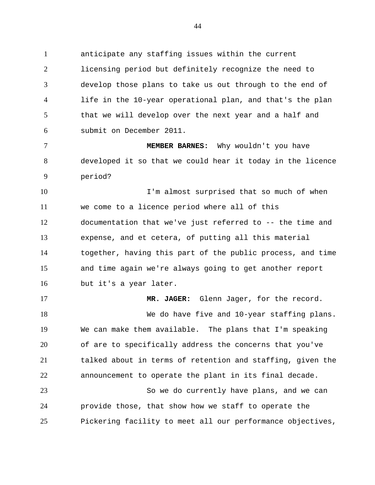anticipate any staffing issues within the current licensing period but definitely recognize the need to develop those plans to take us out through to the end of life in the 10-year operational plan, and that's the plan that we will develop over the next year and a half and submit on December 2011.

 **MEMBER BARNES:** Why wouldn't you have developed it so that we could hear it today in the licence period?

10 I'm almost surprised that so much of when we come to a licence period where all of this documentation that we've just referred to -- the time and expense, and et cetera, of putting all this material together, having this part of the public process, and time and time again we're always going to get another report but it's a year later.

 **MR. JAGER:** Glenn Jager, for the record. We do have five and 10-year staffing plans. We can make them available. The plans that I'm speaking of are to specifically address the concerns that you've talked about in terms of retention and staffing, given the announcement to operate the plant in its final decade. So we do currently have plans, and we can

 provide those, that show how we staff to operate the Pickering facility to meet all our performance objectives,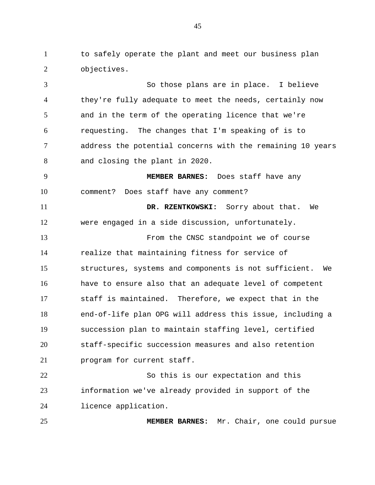to safely operate the plant and meet our business plan objectives.

 So those plans are in place. I believe they're fully adequate to meet the needs, certainly now and in the term of the operating licence that we're requesting. The changes that I'm speaking of is to address the potential concerns with the remaining 10 years and closing the plant in 2020. **MEMBER BARNES:** Does staff have any

comment? Does staff have any comment?

 **DR. RZENTKOWSKI:** Sorry about that. We were engaged in a side discussion, unfortunately. From the CNSC standpoint we of course realize that maintaining fitness for service of structures, systems and components is not sufficient. We have to ensure also that an adequate level of competent staff is maintained. Therefore, we expect that in the end-of-life plan OPG will address this issue, including a succession plan to maintain staffing level, certified staff-specific succession measures and also retention

 So this is our expectation and this information we've already provided in support of the licence application.

program for current staff.

**MEMBER BARNES:** Mr. Chair, one could pursue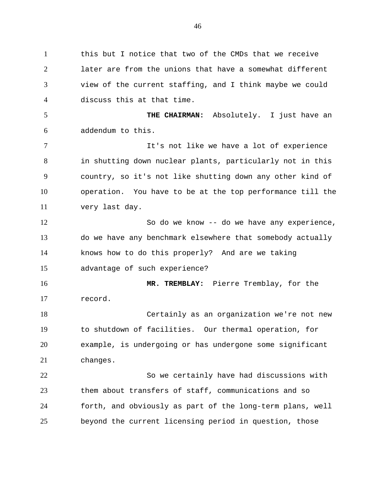1 this but I notice that two of the CMDs that we receive later are from the unions that have a somewhat different view of the current staffing, and I think maybe we could discuss this at that time. **THE CHAIRMAN:** Absolutely. I just have an addendum to this. It's not like we have a lot of experience in shutting down nuclear plants, particularly not in this country, so it's not like shutting down any other kind of operation. You have to be at the top performance till the very last day. So do we know -- do we have any experience, do we have any benchmark elsewhere that somebody actually knows how to do this properly? And are we taking advantage of such experience? **MR. TREMBLAY:** Pierre Tremblay, for the record. Certainly as an organization we're not new to shutdown of facilities. Our thermal operation, for example, is undergoing or has undergone some significant changes. So we certainly have had discussions with them about transfers of staff, communications and so forth, and obviously as part of the long-term plans, well beyond the current licensing period in question, those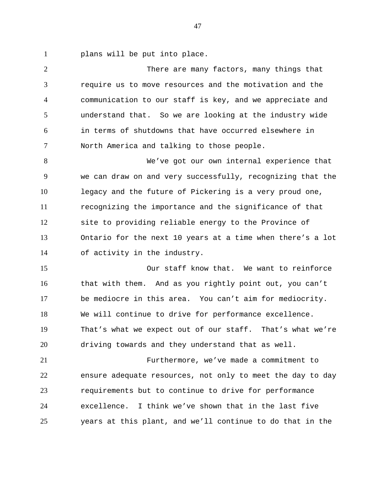plans will be put into place.

 There are many factors, many things that require us to move resources and the motivation and the communication to our staff is key, and we appreciate and understand that. So we are looking at the industry wide in terms of shutdowns that have occurred elsewhere in North America and talking to those people.

 We've got our own internal experience that we can draw on and very successfully, recognizing that the legacy and the future of Pickering is a very proud one, recognizing the importance and the significance of that site to providing reliable energy to the Province of Ontario for the next 10 years at a time when there's a lot of activity in the industry.

 Our staff know that. We want to reinforce that with them. And as you rightly point out, you can't be mediocre in this area. You can't aim for mediocrity. We will continue to drive for performance excellence. That's what we expect out of our staff. That's what we're driving towards and they understand that as well.

 Furthermore, we've made a commitment to ensure adequate resources, not only to meet the day to day requirements but to continue to drive for performance excellence. I think we've shown that in the last five years at this plant, and we'll continue to do that in the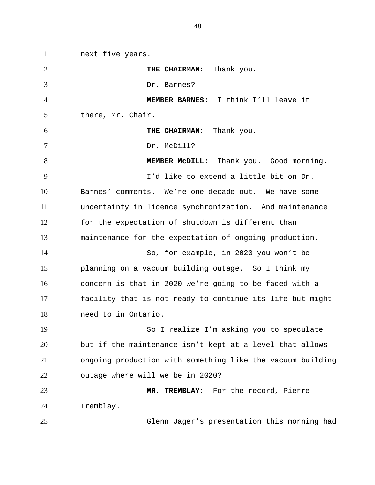next five years. **THE CHAIRMAN:** Thank you. Dr. Barnes? **MEMBER BARNES:** I think I'll leave it there, Mr. Chair. **THE CHAIRMAN**: Thank you. 7 Dr. McDill? 8 MEMBER MCDILL: Thank you. Good morning. I'd like to extend a little bit on Dr. Barnes' comments. We're one decade out. We have some uncertainty in licence synchronization. And maintenance for the expectation of shutdown is different than maintenance for the expectation of ongoing production. So, for example, in 2020 you won't be planning on a vacuum building outage. So I think my concern is that in 2020 we're going to be faced with a facility that is not ready to continue its life but might need to in Ontario. So I realize I'm asking you to speculate but if the maintenance isn't kept at a level that allows ongoing production with something like the vacuum building outage where will we be in 2020? **MR. TREMBLAY:** For the record, Pierre Tremblay. Glenn Jager's presentation this morning had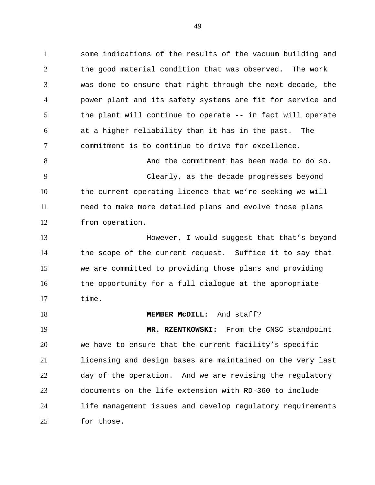some indications of the results of the vacuum building and the good material condition that was observed. The work was done to ensure that right through the next decade, the power plant and its safety systems are fit for service and the plant will continue to operate -- in fact will operate at a higher reliability than it has in the past. The commitment is to continue to drive for excellence.

 And the commitment has been made to do so. Clearly, as the decade progresses beyond the current operating licence that we're seeking we will need to make more detailed plans and evolve those plans from operation.

 However, I would suggest that that's beyond the scope of the current request. Suffice it to say that we are committed to providing those plans and providing the opportunity for a full dialogue at the appropriate time.

**MEMBER MCDILL:** And staff?

 **MR. RZENTKOWSKI:** From the CNSC standpoint we have to ensure that the current facility's specific licensing and design bases are maintained on the very last day of the operation. And we are revising the regulatory documents on the life extension with RD-360 to include life management issues and develop regulatory requirements for those.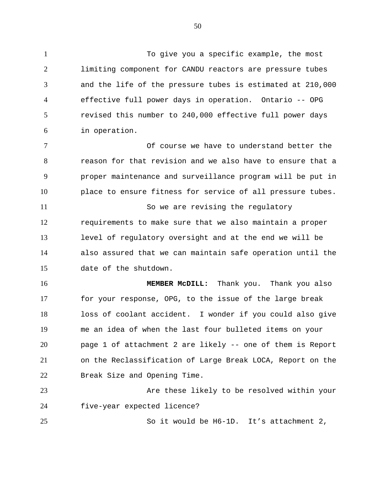To give you a specific example, the most limiting component for CANDU reactors are pressure tubes and the life of the pressure tubes is estimated at 210,000 effective full power days in operation. Ontario -- OPG revised this number to 240,000 effective full power days in operation. 7 The course we have to understand better the

 reason for that revision and we also have to ensure that a proper maintenance and surveillance program will be put in place to ensure fitness for service of all pressure tubes.

11 So we are revising the regulatory requirements to make sure that we also maintain a proper level of regulatory oversight and at the end we will be also assured that we can maintain safe operation until the date of the shutdown.

 **MEMBER McDILL:** Thank you. Thank you also for your response, OPG, to the issue of the large break loss of coolant accident. I wonder if you could also give me an idea of when the last four bulleted items on your page 1 of attachment 2 are likely -- one of them is Report on the Reclassification of Large Break LOCA, Report on the Break Size and Opening Time.

 Are these likely to be resolved within your five-year expected licence?

So it would be H6-1D. It's attachment 2,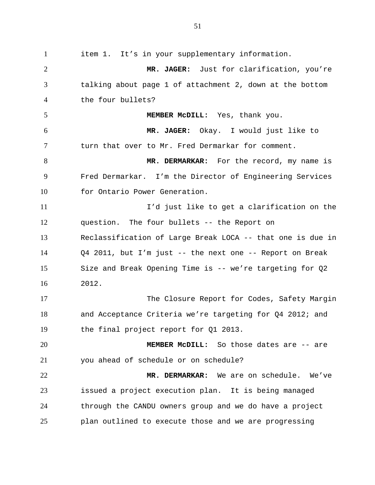item 1. It's in your supplementary information. **MR. JAGER:** Just for clarification, you're talking about page 1 of attachment 2, down at the bottom the four bullets? **MEMBER McDILL:** Yes, thank you. **MR. JAGER:** Okay. I would just like to turn that over to Mr. Fred Dermarkar for comment. **MR. DERMARKAR:** For the record, my name is Fred Dermarkar. I'm the Director of Engineering Services 10 for Ontario Power Generation. I'd just like to get a clarification on the question. The four bullets -- the Report on Reclassification of Large Break LOCA -- that one is due in Q4 2011, but I'm just -- the next one -- Report on Break Size and Break Opening Time is -- we're targeting for Q2 2012. The Closure Report for Codes, Safety Margin and Acceptance Criteria we're targeting for Q4 2012; and the final project report for Q1 2013. **MEMBER McDILL:** So those dates are -- are you ahead of schedule or on schedule? **MR. DERMARKAR:** We are on schedule. We've issued a project execution plan. It is being managed through the CANDU owners group and we do have a project plan outlined to execute those and we are progressing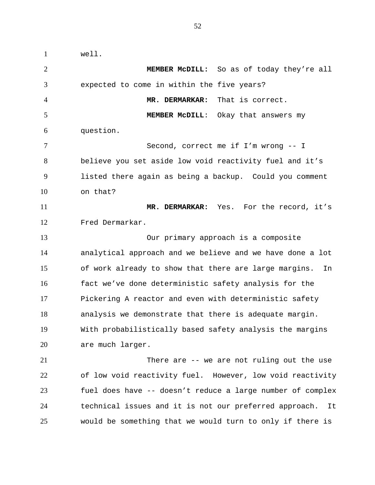well. **MEMBER McDILL:** So as of today they're all expected to come in within the five years? **MR. DERMARKAR:** That is correct. **MEMBER McDILL**: Okay that answers my question. Second, correct me if I'm wrong -- I believe you set aside low void reactivity fuel and it's listed there again as being a backup. Could you comment on that? **MR. DERMARKAR:** Yes. For the record, it's Fred Dermarkar. Our primary approach is a composite analytical approach and we believe and we have done a lot of work already to show that there are large margins. In fact we've done deterministic safety analysis for the Pickering A reactor and even with deterministic safety analysis we demonstrate that there is adequate margin. With probabilistically based safety analysis the margins are much larger. There are -- we are not ruling out the use of low void reactivity fuel. However, low void reactivity fuel does have -- doesn't reduce a large number of complex technical issues and it is not our preferred approach. It would be something that we would turn to only if there is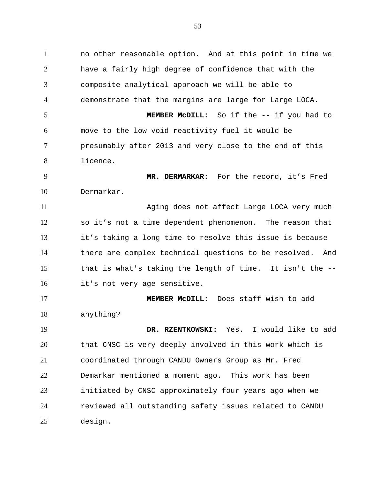no other reasonable option. And at this point in time we have a fairly high degree of confidence that with the composite analytical approach we will be able to demonstrate that the margins are large for Large LOCA. **MEMBER McDILL:** So if the -- if you had to move to the low void reactivity fuel it would be presumably after 2013 and very close to the end of this licence. **MR. DERMARKAR:** For the record, it's Fred Dermarkar. Aging does not affect Large LOCA very much so it's not a time dependent phenomenon. The reason that it's taking a long time to resolve this issue is because there are complex technical questions to be resolved. And that is what's taking the length of time. It isn't the -- it's not very age sensitive. **MEMBER McDILL:** Does staff wish to add anything? **DR. RZENTKOWSKI:** Yes. I would like to add that CNSC is very deeply involved in this work which is coordinated through CANDU Owners Group as Mr. Fred Demarkar mentioned a moment ago. This work has been initiated by CNSC approximately four years ago when we reviewed all outstanding safety issues related to CANDU

design.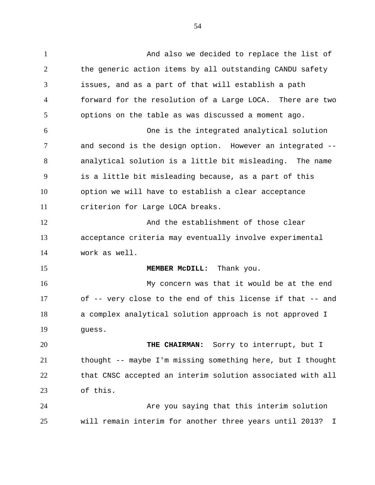And also we decided to replace the list of the generic action items by all outstanding CANDU safety issues, and as a part of that will establish a path forward for the resolution of a Large LOCA. There are two options on the table as was discussed a moment ago. One is the integrated analytical solution and second is the design option. However an integrated -- analytical solution is a little bit misleading. The name is a little bit misleading because, as a part of this option we will have to establish a clear acceptance criterion for Large LOCA breaks. And the establishment of those clear acceptance criteria may eventually involve experimental work as well. **MEMBER MCDILL:** Thank you. My concern was that it would be at the end of -- very close to the end of this license if that -- and a complex analytical solution approach is not approved I guess. **THE CHAIRMAN:** Sorry to interrupt, but I thought -- maybe I'm missing something here, but I thought that CNSC accepted an interim solution associated with all of this. Are you saying that this interim solution will remain interim for another three years until 2013? I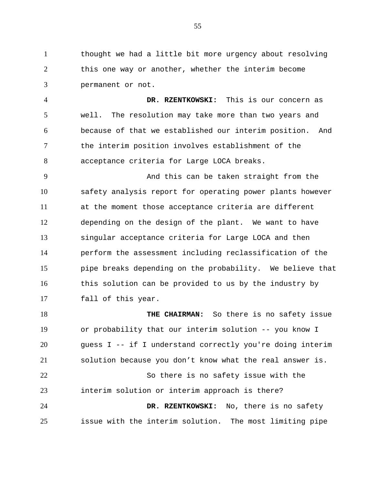thought we had a little bit more urgency about resolving this one way or another, whether the interim become permanent or not.

 **DR. RZENTKOWSKI:** This is our concern as well. The resolution may take more than two years and because of that we established our interim position. And the interim position involves establishment of the acceptance criteria for Large LOCA breaks.

 And this can be taken straight from the safety analysis report for operating power plants however at the moment those acceptance criteria are different depending on the design of the plant. We want to have singular acceptance criteria for Large LOCA and then perform the assessment including reclassification of the pipe breaks depending on the probability. We believe that this solution can be provided to us by the industry by fall of this year.

 **THE CHAIRMAN:** So there is no safety issue or probability that our interim solution -- you know I guess I -- if I understand correctly you're doing interim solution because you don't know what the real answer is. So there is no safety issue with the interim solution or interim approach is there? **DR. RZENTKOWSKI:** No, there is no safety issue with the interim solution. The most limiting pipe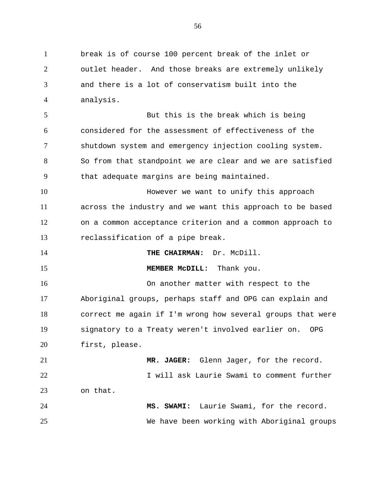break is of course 100 percent break of the inlet or outlet header. And those breaks are extremely unlikely and there is a lot of conservatism built into the analysis. But this is the break which is being considered for the assessment of effectiveness of the shutdown system and emergency injection cooling system. So from that standpoint we are clear and we are satisfied that adequate margins are being maintained. However we want to unify this approach across the industry and we want this approach to be based on a common acceptance criterion and a common approach to reclassification of a pipe break. **THE CHAIRMAN:** Dr. McDill. **MEMBER MCDILL:** Thank you. On another matter with respect to the Aboriginal groups, perhaps staff and OPG can explain and correct me again if I'm wrong how several groups that were signatory to a Treaty weren't involved earlier on. OPG first, please. **MR. JAGER:** Glenn Jager, for the record. I will ask Laurie Swami to comment further on that. **MS. SWAMI:** Laurie Swami, for the record. We have been working with Aboriginal groups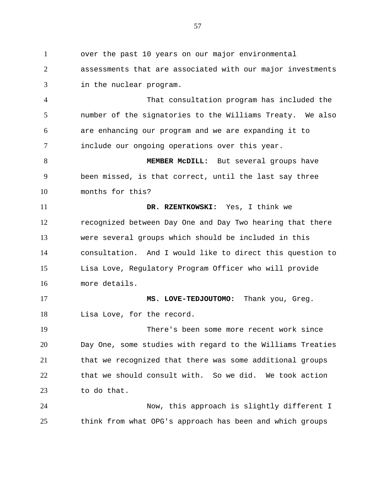over the past 10 years on our major environmental assessments that are associated with our major investments in the nuclear program.

 That consultation program has included the number of the signatories to the Williams Treaty. We also are enhancing our program and we are expanding it to include our ongoing operations over this year.

 **MEMBER McDILL:** But several groups have been missed, is that correct, until the last say three months for this?

 **DR. RZENTKOWSKI:** Yes, I think we recognized between Day One and Day Two hearing that there were several groups which should be included in this consultation. And I would like to direct this question to Lisa Love, Regulatory Program Officer who will provide more details.

 **MS. LOVE-TEDJOUTOMO:** Thank you, Greg. 18 Lisa Love, for the record.

 There's been some more recent work since Day One, some studies with regard to the Williams Treaties that we recognized that there was some additional groups that we should consult with. So we did. We took action to do that.

 Now, this approach is slightly different I think from what OPG's approach has been and which groups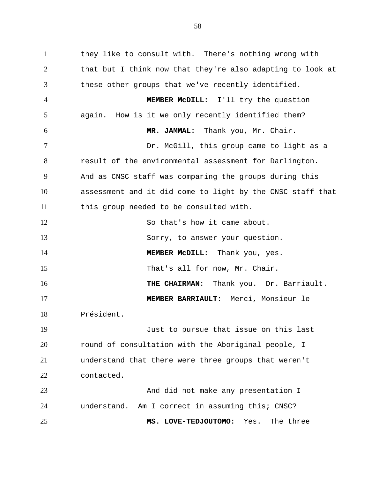they like to consult with. There's nothing wrong with that but I think now that they're also adapting to look at these other groups that we've recently identified. **MEMBER McDILL:** I'll try the question again. How is it we only recently identified them? **MR. JAMMAL:** Thank you, Mr. Chair. 7 Dr. McGill, this group came to light as a result of the environmental assessment for Darlington. And as CNSC staff was comparing the groups during this assessment and it did come to light by the CNSC staff that this group needed to be consulted with. 12 So that's how it came about. Sorry, to answer your question. **MEMBER McDILL:** Thank you, yes. 15 That's all for now, Mr. Chair. **THE CHAIRMAN:** Thank you. Dr. Barriault. **MEMBER BARRIAULT:** Merci, Monsieur le Président. Just to pursue that issue on this last round of consultation with the Aboriginal people, I understand that there were three groups that weren't contacted. And did not make any presentation I understand. Am I correct in assuming this; CNSC? **MS. LOVE-TEDJOUTOMO:** Yes. The three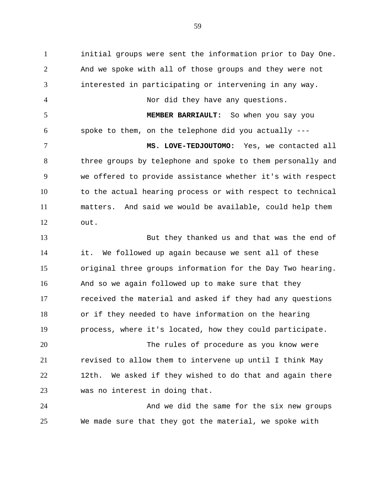initial groups were sent the information prior to Day One. And we spoke with all of those groups and they were not interested in participating or intervening in any way. Nor did they have any questions. **MEMBER BARRIAULT:** So when you say you spoke to them, on the telephone did you actually --- **MS. LOVE-TEDJOUTOMO:** Yes, we contacted all three groups by telephone and spoke to them personally and we offered to provide assistance whether it's with respect 10 to the actual hearing process or with respect to technical matters. And said we would be available, could help them out. But they thanked us and that was the end of it. We followed up again because we sent all of these original three groups information for the Day Two hearing. And so we again followed up to make sure that they received the material and asked if they had any questions or if they needed to have information on the hearing process, where it's located, how they could participate. The rules of procedure as you know were revised to allow them to intervene up until I think May 12th. We asked if they wished to do that and again there was no interest in doing that.

 And we did the same for the six new groups We made sure that they got the material, we spoke with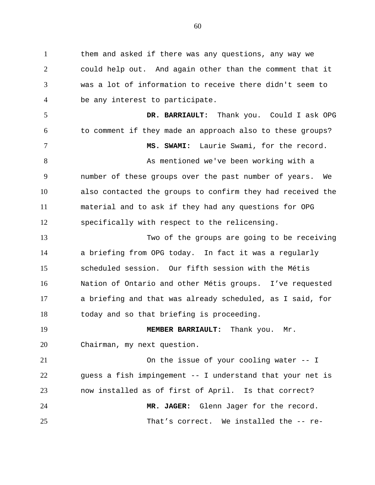them and asked if there was any questions, any way we could help out. And again other than the comment that it was a lot of information to receive there didn't seem to be any interest to participate. **DR. BARRIAULT:** Thank you. Could I ask OPG to comment if they made an approach also to these groups? **MS. SWAMI:** Laurie Swami, for the record. As mentioned we've been working with a number of these groups over the past number of years. We also contacted the groups to confirm they had received the material and to ask if they had any questions for OPG specifically with respect to the relicensing. Two of the groups are going to be receiving

 a briefing from OPG today. In fact it was a regularly scheduled session. Our fifth session with the Métis Nation of Ontario and other Métis groups. I've requested a briefing and that was already scheduled, as I said, for today and so that briefing is proceeding.

 **MEMBER BARRIAULT:** Thank you. Mr. Chairman, my next question.

 On the issue of your cooling water -- I guess a fish impingement -- I understand that your net is now installed as of first of April. Is that correct? **MR. JAGER:** Glenn Jager for the record. That's correct. We installed the -- re-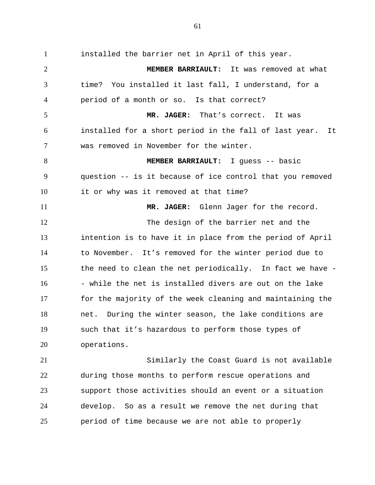installed the barrier net in April of this year. **MEMBER BARRIAULT:** It was removed at what time? You installed it last fall, I understand, for a period of a month or so. Is that correct? **MR. JAGER:** That's correct. It was installed for a short period in the fall of last year. It was removed in November for the winter. **MEMBER BARRIAULT:** I guess -- basic question -- is it because of ice control that you removed it or why was it removed at that time? **MR. JAGER:** Glenn Jager for the record. The design of the barrier net and the intention is to have it in place from the period of April to November. It's removed for the winter period due to the need to clean the net periodically. In fact we have - 16 - while the net is installed divers are out on the lake for the majority of the week cleaning and maintaining the net. During the winter season, the lake conditions are such that it's hazardous to perform those types of operations. Similarly the Coast Guard is not available

 during those months to perform rescue operations and support those activities should an event or a situation develop. So as a result we remove the net during that period of time because we are not able to properly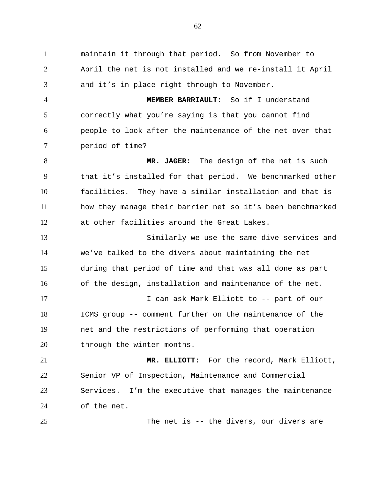maintain it through that period. So from November to April the net is not installed and we re-install it April and it's in place right through to November.

 **MEMBER BARRIAULT:** So if I understand correctly what you're saying is that you cannot find people to look after the maintenance of the net over that period of time?

 **MR. JAGER:** The design of the net is such that it's installed for that period. We benchmarked other facilities. They have a similar installation and that is how they manage their barrier net so it's been benchmarked at other facilities around the Great Lakes.

 Similarly we use the same dive services and we've talked to the divers about maintaining the net during that period of time and that was all done as part of the design, installation and maintenance of the net. I can ask Mark Elliott to -- part of our ICMS group -- comment further on the maintenance of the

 net and the restrictions of performing that operation 20 through the winter months.

 **MR. ELLIOTT:** For the record, Mark Elliott, Senior VP of Inspection, Maintenance and Commercial Services. I'm the executive that manages the maintenance of the net.

The net is -- the divers, our divers are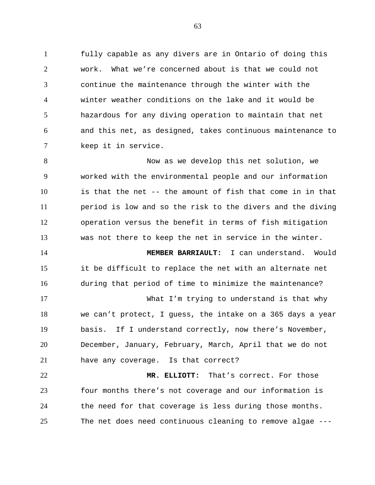fully capable as any divers are in Ontario of doing this work. What we're concerned about is that we could not continue the maintenance through the winter with the winter weather conditions on the lake and it would be hazardous for any diving operation to maintain that net and this net, as designed, takes continuous maintenance to keep it in service.

 Now as we develop this net solution, we worked with the environmental people and our information is that the net -- the amount of fish that come in in that period is low and so the risk to the divers and the diving operation versus the benefit in terms of fish mitigation was not there to keep the net in service in the winter.

 **MEMBER BARRIAULT:** I can understand. Would it be difficult to replace the net with an alternate net during that period of time to minimize the maintenance?

 What I'm trying to understand is that why we can't protect, I guess, the intake on a 365 days a year basis. If I understand correctly, now there's November, December, January, February, March, April that we do not have any coverage. Is that correct?

 **MR. ELLIOTT:** That's correct. For those four months there's not coverage and our information is the need for that coverage is less during those months. The net does need continuous cleaning to remove algae ---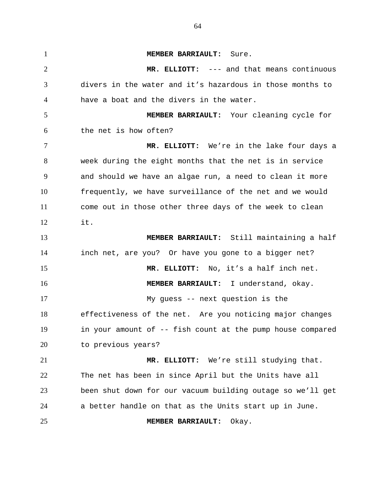**MEMBER BARRIAULT:** Sure. **MR. ELLIOTT:** --- and that means continuous divers in the water and it's hazardous in those months to have a boat and the divers in the water. **MEMBER BARRIAULT:** Your cleaning cycle for the net is how often? **MR. ELLIOTT:** We're in the lake four days a week during the eight months that the net is in service and should we have an algae run, a need to clean it more frequently, we have surveillance of the net and we would come out in those other three days of the week to clean it. **MEMBER BARRIAULT:** Still maintaining a half inch net, are you? Or have you gone to a bigger net? **MR. ELLIOTT:** No, it's a half inch net. **MEMBER BARRIAULT:** I understand, okay. My guess -- next question is the effectiveness of the net. Are you noticing major changes in your amount of -- fish count at the pump house compared to previous years? **MR. ELLIOTT:** We're still studying that. The net has been in since April but the Units have all been shut down for our vacuum building outage so we'll get a better handle on that as the Units start up in June. **MEMBER BARRIAULT:** Okay.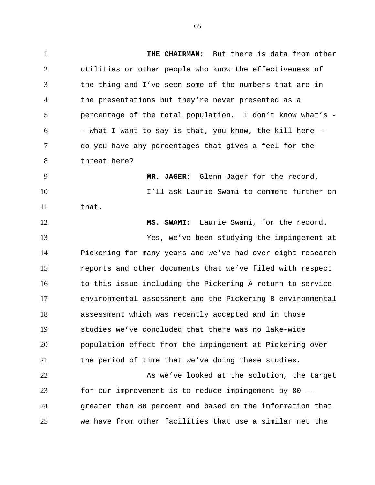**THE CHAIRMAN:** But there is data from other utilities or other people who know the effectiveness of the thing and I've seen some of the numbers that are in the presentations but they're never presented as a percentage of the total population. I don't know what's - - what I want to say is that, you know, the kill here  $-$ - do you have any percentages that gives a feel for the threat here? **MR. JAGER:** Glenn Jager for the record.

 I'll ask Laurie Swami to comment further on that.

 **MS. SWAMI:** Laurie Swami, for the record. Yes, we've been studying the impingement at Pickering for many years and we've had over eight research reports and other documents that we've filed with respect 16 to this issue including the Pickering A return to service environmental assessment and the Pickering B environmental assessment which was recently accepted and in those studies we've concluded that there was no lake-wide population effect from the impingement at Pickering over the period of time that we've doing these studies.

22 As we've looked at the solution, the target for our improvement is to reduce impingement by 80 -- greater than 80 percent and based on the information that we have from other facilities that use a similar net the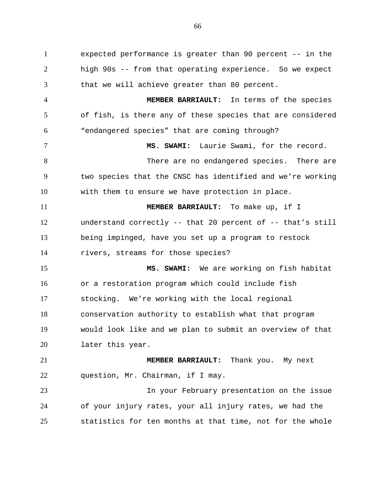expected performance is greater than 90 percent -- in the high 90s -- from that operating experience. So we expect that we will achieve greater than 80 percent.

 **MEMBER BARRIAULT:** In terms of the species of fish, is there any of these species that are considered "endangered species" that are coming through?

 **MS. SWAMI:** Laurie Swami, for the record. 8 There are no endangered species. There are two species that the CNSC has identified and we're working with them to ensure we have protection in place.

 **MEMBER BARRIAULT:** To make up, if I understand correctly -- that 20 percent of -- that's still being impinged, have you set up a program to restock rivers, streams for those species?

 **MS. SWAMI:** We are working on fish habitat or a restoration program which could include fish stocking. We're working with the local regional conservation authority to establish what that program would look like and we plan to submit an overview of that later this year.

 **MEMBER BARRIAULT:** Thank you. My next question, Mr. Chairman, if I may.

 In your February presentation on the issue of your injury rates, your all injury rates, we had the statistics for ten months at that time, not for the whole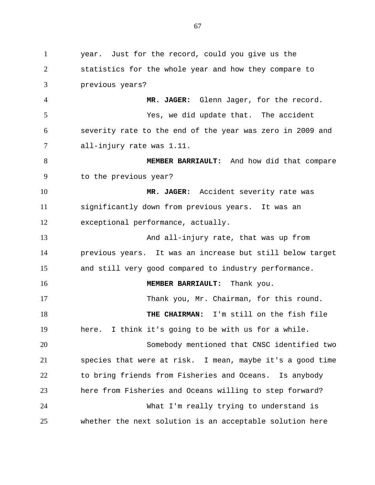year. Just for the record, could you give us the statistics for the whole year and how they compare to previous years? **MR. JAGER:** Glenn Jager, for the record. Yes, we did update that. The accident severity rate to the end of the year was zero in 2009 and all-injury rate was 1.11. **MEMBER BARRIAULT:** And how did that compare to the previous year? **MR. JAGER:** Accident severity rate was significantly down from previous years. It was an exceptional performance, actually. And all-injury rate, that was up from previous years. It was an increase but still below target and still very good compared to industry performance. **MEMBER BARRIAULT:** Thank you. Thank you, Mr. Chairman, for this round. **THE CHAIRMAN:** I'm still on the fish file here. I think it's going to be with us for a while. Somebody mentioned that CNSC identified two species that were at risk. I mean, maybe it's a good time to bring friends from Fisheries and Oceans. Is anybody here from Fisheries and Oceans willing to step forward? What I'm really trying to understand is whether the next solution is an acceptable solution here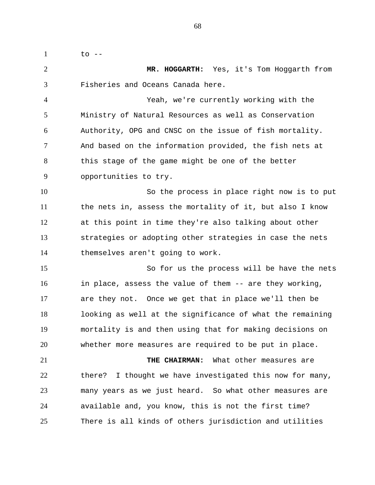to -- **MR. HOGGARTH:** Yes, it's Tom Hoggarth from Fisheries and Oceans Canada here. Yeah, we're currently working with the Ministry of Natural Resources as well as Conservation Authority, OPG and CNSC on the issue of fish mortality. And based on the information provided, the fish nets at 8 this stage of the game might be one of the better opportunities to try. So the process in place right now is to put the nets in, assess the mortality of it, but also I know at this point in time they're also talking about other strategies or adopting other strategies in case the nets themselves aren't going to work. So for us the process will be have the nets in place, assess the value of them -- are they working, are they not. Once we get that in place we'll then be looking as well at the significance of what the remaining mortality is and then using that for making decisions on whether more measures are required to be put in place. **THE CHAIRMAN:** What other measures are there? I thought we have investigated this now for many, many years as we just heard. So what other measures are available and, you know, this is not the first time? There is all kinds of others jurisdiction and utilities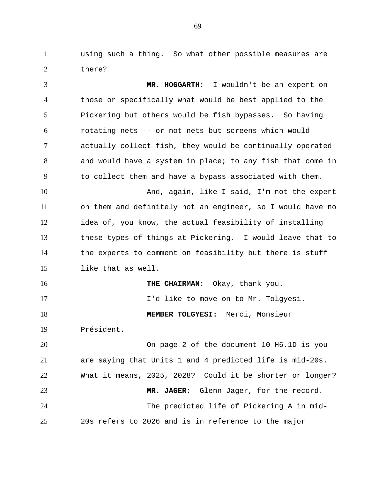using such a thing. So what other possible measures are there?

 **MR. HOGGARTH:** I wouldn't be an expert on those or specifically what would be best applied to the Pickering but others would be fish bypasses. So having rotating nets -- or not nets but screens which would actually collect fish, they would be continually operated and would have a system in place; to any fish that come in to collect them and have a bypass associated with them. And, again, like I said, I'm not the expert on them and definitely not an engineer, so I would have no idea of, you know, the actual feasibility of installing these types of things at Pickering. I would leave that to the experts to comment on feasibility but there is stuff like that as well. **THE CHAIRMAN:** Okay, thank you. **I'd like to move on to Mr. Tolgyesi. MEMBER TOLGYESI:** Merci, Monsieur Président. On page 2 of the document 10-H6.1D is you are saying that Units 1 and 4 predicted life is mid-20s. What it means, 2025, 2028? Could it be shorter or longer? **MR. JAGER:** Glenn Jager, for the record. The predicted life of Pickering A in mid-20s refers to 2026 and is in reference to the major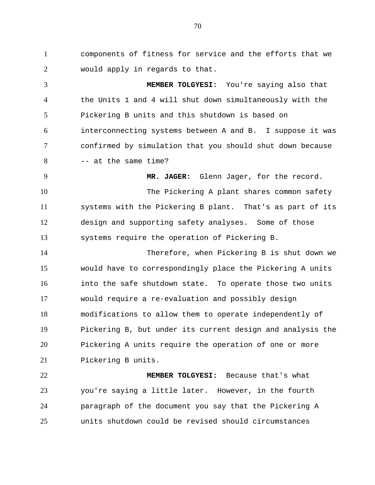components of fitness for service and the efforts that we would apply in regards to that.

 **MEMBER TOLGYESI:** You're saying also that the Units 1 and 4 will shut down simultaneously with the Pickering B units and this shutdown is based on interconnecting systems between A and B. I suppose it was confirmed by simulation that you should shut down because  $8 \rightarrow -a$ t the same time?

 **MR. JAGER:** Glenn Jager, for the record. 10 The Pickering A plant shares common safety systems with the Pickering B plant. That's as part of its design and supporting safety analyses. Some of those systems require the operation of Pickering B.

 Therefore, when Pickering B is shut down we would have to correspondingly place the Pickering A units into the safe shutdown state. To operate those two units would require a re-evaluation and possibly design modifications to allow them to operate independently of Pickering B, but under its current design and analysis the Pickering A units require the operation of one or more Pickering B units.

 **MEMBER TOLGYESI:** Because that's what you're saying a little later. However, in the fourth paragraph of the document you say that the Pickering A units shutdown could be revised should circumstances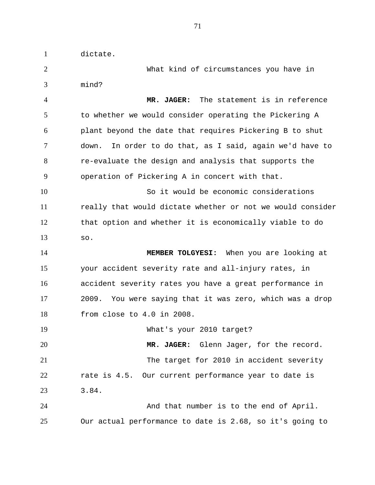dictate.

 What kind of circumstances you have in mind?

 **MR. JAGER:** The statement is in reference to whether we would consider operating the Pickering A plant beyond the date that requires Pickering B to shut down. In order to do that, as I said, again we'd have to re-evaluate the design and analysis that supports the operation of Pickering A in concert with that.

 So it would be economic considerations really that would dictate whether or not we would consider that option and whether it is economically viable to do so.

 **MEMBER TOLGYESI:** When you are looking at your accident severity rate and all-injury rates, in accident severity rates you have a great performance in 2009. You were saying that it was zero, which was a drop from close to 4.0 in 2008.

 What's your 2010 target? **MR. JAGER:** Glenn Jager, for the record. The target for 2010 in accident severity rate is 4.5. Our current performance year to date is 3.84. And that number is to the end of April.

Our actual performance to date is 2.68, so it's going to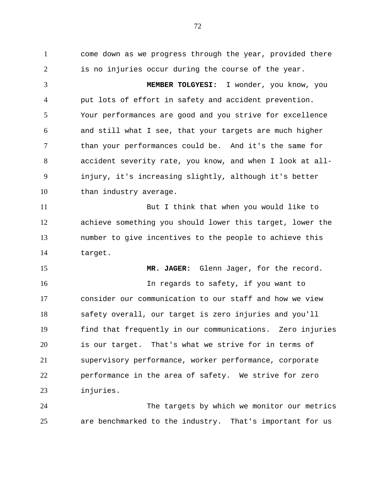come down as we progress through the year, provided there is no injuries occur during the course of the year. **MEMBER TOLGYESI:** I wonder, you know, you put lots of effort in safety and accident prevention. Your performances are good and you strive for excellence and still what I see, that your targets are much higher than your performances could be. And it's the same for accident severity rate, you know, and when I look at all- injury, it's increasing slightly, although it's better 10 than industry average. But I think that when you would like to achieve something you should lower this target, lower the number to give incentives to the people to achieve this target. 15 MR. JAGER: Glenn Jager, for the record. In regards to safety, if you want to consider our communication to our staff and how we view safety overall, our target is zero injuries and you'll find that frequently in our communications. Zero injuries is our target. That's what we strive for in terms of supervisory performance, worker performance, corporate performance in the area of safety. We strive for zero injuries.

 The targets by which we monitor our metrics are benchmarked to the industry. That's important for us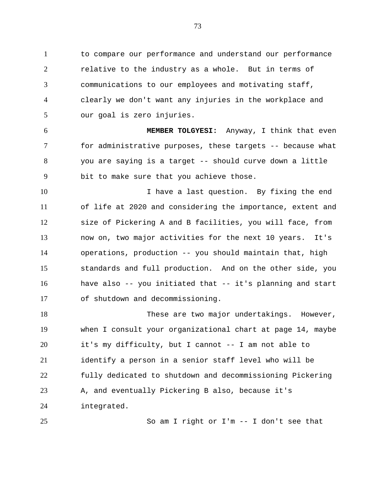to compare our performance and understand our performance 2 relative to the industry as a whole. But in terms of communications to our employees and motivating staff, clearly we don't want any injuries in the workplace and our goal is zero injuries.

 **MEMBER TOLGYESI:** Anyway, I think that even for administrative purposes, these targets -- because what you are saying is a target -- should curve down a little bit to make sure that you achieve those.

10 10 I have a last question. By fixing the end of life at 2020 and considering the importance, extent and size of Pickering A and B facilities, you will face, from now on, two major activities for the next 10 years. It's operations, production -- you should maintain that, high standards and full production. And on the other side, you have also -- you initiated that -- it's planning and start of shutdown and decommissioning.

18 These are two major undertakings. However, when I consult your organizational chart at page 14, maybe it's my difficulty, but I cannot -- I am not able to identify a person in a senior staff level who will be fully dedicated to shutdown and decommissioning Pickering 23 A, and eventually Pickering B also, because it's integrated.

So am I right or I'm -- I don't see that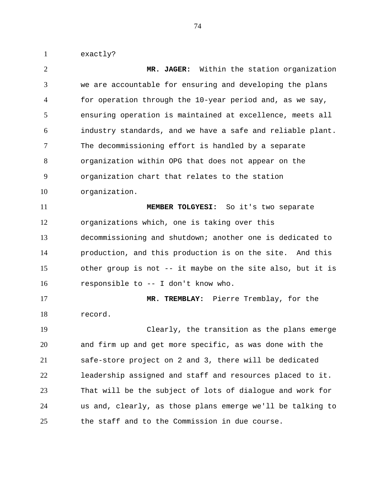exactly?

 **MR. JAGER:** Within the station organization we are accountable for ensuring and developing the plans for operation through the 10-year period and, as we say, ensuring operation is maintained at excellence, meets all industry standards, and we have a safe and reliable plant. The decommissioning effort is handled by a separate organization within OPG that does not appear on the organization chart that relates to the station organization. **MEMBER TOLGYESI:** So it's two separate organizations which, one is taking over this decommissioning and shutdown; another one is dedicated to production, and this production is on the site. And this other group is not -- it maybe on the site also, but it is responsible to -- I don't know who. **MR. TREMBLAY:** Pierre Tremblay, for the record. Clearly, the transition as the plans emerge and firm up and get more specific, as was done with the safe-store project on 2 and 3, there will be dedicated leadership assigned and staff and resources placed to it. That will be the subject of lots of dialogue and work for us and, clearly, as those plans emerge we'll be talking to the staff and to the Commission in due course.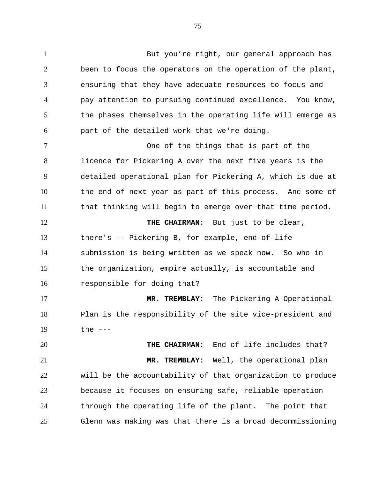1 But you're right, our general approach has been to focus the operators on the operation of the plant, ensuring that they have adequate resources to focus and pay attention to pursuing continued excellence. You know, 5 the phases themselves in the operating life will emerge as part of the detailed work that we're doing.

 One of the things that is part of the licence for Pickering A over the next five years is the detailed operational plan for Pickering A, which is due at the end of next year as part of this process. And some of that thinking will begin to emerge over that time period.

**THE CHAIRMAN:** But just to be clear, there's -- Pickering B, for example, end-of-life submission is being written as we speak now. So who in the organization, empire actually, is accountable and responsible for doing that?

 **MR. TREMBLAY:** The Pickering A Operational Plan is the responsibility of the site vice-president and the ---

 **THE CHAIRMAN:** End of life includes that? **MR. TREMBLAY:** Well, the operational plan will be the accountability of that organization to produce because it focuses on ensuring safe, reliable operation through the operating life of the plant. The point that Glenn was making was that there is a broad decommissioning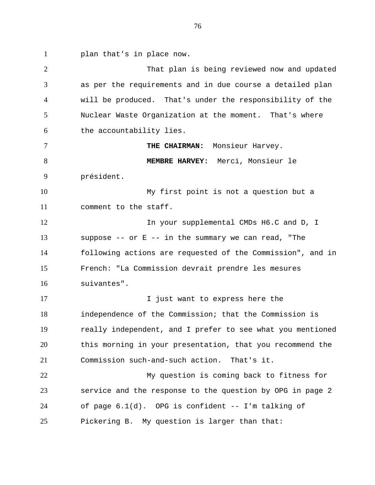plan that's in place now.

 That plan is being reviewed now and updated as per the requirements and in due course a detailed plan will be produced. That's under the responsibility of the Nuclear Waste Organization at the moment. That's where the accountability lies. **THE CHAIRMAN:** Monsieur Harvey. **MEMBRE HARVEY:** Merci, Monsieur le président. My first point is not a question but a comment to the staff. 12 In your supplemental CMDs H6.C and D, I suppose -- or E -- in the summary we can read, "The following actions are requested of the Commission", and in French: "La Commission devrait prendre les mesures suivantes". 17 17 I just want to express here the independence of the Commission; that the Commission is really independent, and I prefer to see what you mentioned this morning in your presentation, that you recommend the Commission such-and-such action. That's it. My question is coming back to fitness for service and the response to the question by OPG in page 2 of page 6.1(d). OPG is confident -- I'm talking of Pickering B. My question is larger than that: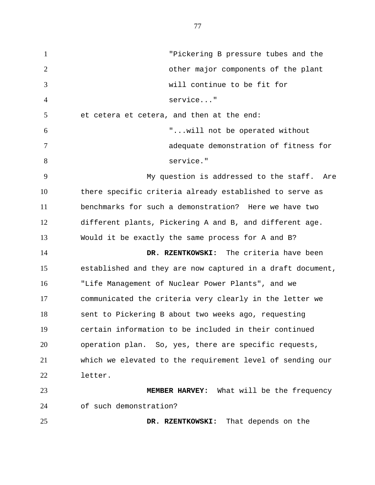"Pickering B pressure tubes and the other major components of the plant will continue to be fit for service..." 5 et cetera et cetera, and then at the end: "...will not be operated without adequate demonstration of fitness for 8 service." My question is addressed to the staff. Are there specific criteria already established to serve as benchmarks for such a demonstration? Here we have two different plants, Pickering A and B, and different age. Would it be exactly the same process for A and B? **DR. RZENTKOWSKI:** The criteria have been established and they are now captured in a draft document, "Life Management of Nuclear Power Plants", and we communicated the criteria very clearly in the letter we sent to Pickering B about two weeks ago, requesting certain information to be included in their continued operation plan. So, yes, there are specific requests, which we elevated to the requirement level of sending our letter. **MEMBER HARVEY:** What will be the frequency of such demonstration? **DR. RZENTKOWSKI:** That depends on the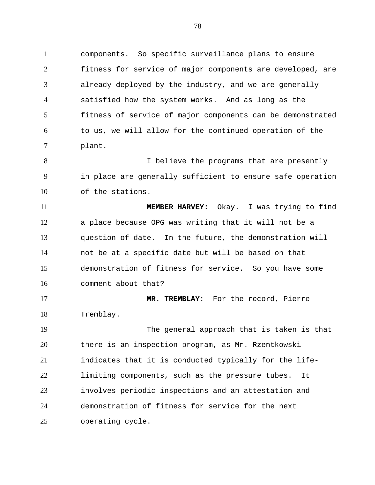components. So specific surveillance plans to ensure fitness for service of major components are developed, are already deployed by the industry, and we are generally satisfied how the system works. And as long as the fitness of service of major components can be demonstrated to us, we will allow for the continued operation of the plant.

8 I believe the programs that are presently in place are generally sufficient to ensure safe operation of the stations.

 **MEMBER HARVEY:** Okay. I was trying to find a place because OPG was writing that it will not be a question of date. In the future, the demonstration will not be at a specific date but will be based on that demonstration of fitness for service. So you have some comment about that?

 **MR. TREMBLAY:** For the record, Pierre Tremblay.

 The general approach that is taken is that there is an inspection program, as Mr. Rzentkowski indicates that it is conducted typically for the life- limiting components, such as the pressure tubes. It involves periodic inspections and an attestation and demonstration of fitness for service for the next operating cycle.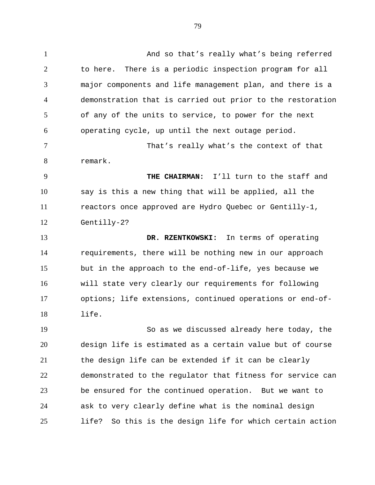And so that's really what's being referred to here. There is a periodic inspection program for all major components and life management plan, and there is a demonstration that is carried out prior to the restoration of any of the units to service, to power for the next operating cycle, up until the next outage period.

 That's really what's the context of that remark.

 **THE CHAIRMAN:** I'll turn to the staff and say is this a new thing that will be applied, all the reactors once approved are Hydro Quebec or Gentilly-1, Gentilly-2?

 **DR. RZENTKOWSKI:** In terms of operating requirements, there will be nothing new in our approach but in the approach to the end-of-life, yes because we will state very clearly our requirements for following options; life extensions, continued operations or end-of-life.

 So as we discussed already here today, the design life is estimated as a certain value but of course the design life can be extended if it can be clearly demonstrated to the regulator that fitness for service can be ensured for the continued operation. But we want to ask to very clearly define what is the nominal design life? So this is the design life for which certain action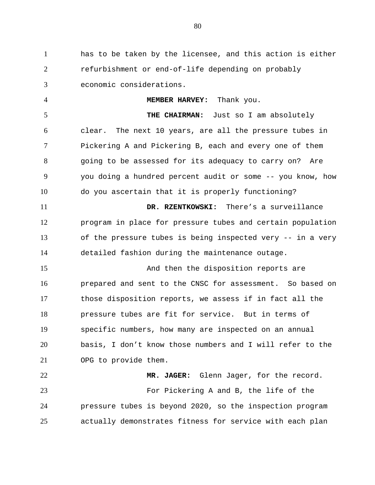has to be taken by the licensee, and this action is either refurbishment or end-of-life depending on probably economic considerations.

 **MEMBER HARVEY:** Thank you. **THE CHAIRMAN:** Just so I am absolutely clear. The next 10 years, are all the pressure tubes in Pickering A and Pickering B, each and every one of them going to be assessed for its adequacy to carry on? Are you doing a hundred percent audit or some -- you know, how do you ascertain that it is properly functioning? **DR. RZENTKOWSKI:** There's a surveillance program in place for pressure tubes and certain population of the pressure tubes is being inspected very -- in a very detailed fashion during the maintenance outage. 15 And then the disposition reports are prepared and sent to the CNSC for assessment. So based on those disposition reports, we assess if in fact all the

 pressure tubes are fit for service. But in terms of specific numbers, how many are inspected on an annual basis, I don't know those numbers and I will refer to the OPG to provide them.

 **MR. JAGER:** Glenn Jager, for the record. For Pickering A and B, the life of the pressure tubes is beyond 2020, so the inspection program actually demonstrates fitness for service with each plan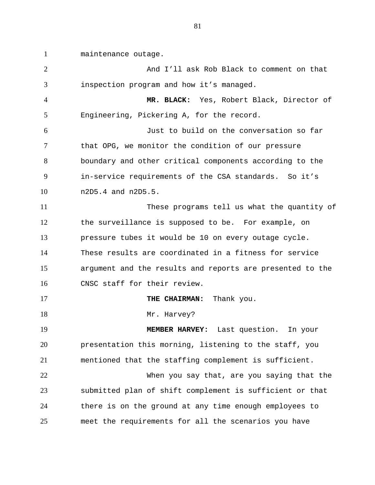maintenance outage.

 And I'll ask Rob Black to comment on that inspection program and how it's managed.

 **MR. BLACK:** Yes, Robert Black, Director of Engineering, Pickering A, for the record.

 Just to build on the conversation so far that OPG, we monitor the condition of our pressure boundary and other critical components according to the in-service requirements of the CSA standards. So it's n2D5.4 and n2D5.5.

 These programs tell us what the quantity of the surveillance is supposed to be. For example, on pressure tubes it would be 10 on every outage cycle. These results are coordinated in a fitness for service argument and the results and reports are presented to the CNSC staff for their review.

**THE CHAIRMAN:** Thank you.

18 Mr. Harvey?

 **MEMBER HARVEY:** Last question. In your presentation this morning, listening to the staff, you mentioned that the staffing complement is sufficient.

 When you say that, are you saying that the submitted plan of shift complement is sufficient or that there is on the ground at any time enough employees to meet the requirements for all the scenarios you have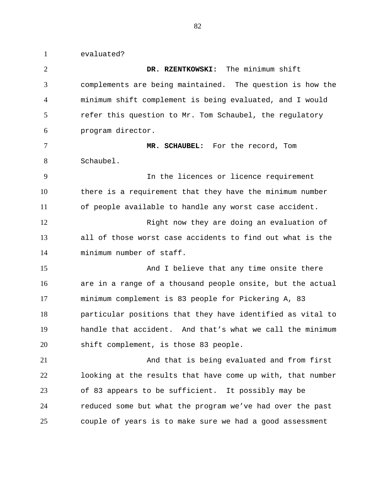evaluated?

 **DR. RZENTKOWSKI:** The minimum shift complements are being maintained. The question is how the minimum shift complement is being evaluated, and I would refer this question to Mr. Tom Schaubel, the regulatory program director. **MR. SCHAUBEL:** For the record, Tom Schaubel. In the licences or licence requirement there is a requirement that they have the minimum number of people available to handle any worst case accident. 12 Right now they are doing an evaluation of all of those worst case accidents to find out what is the minimum number of staff. 15 And I believe that any time onsite there are in a range of a thousand people onsite, but the actual minimum complement is 83 people for Pickering A, 83 particular positions that they have identified as vital to handle that accident. And that's what we call the minimum shift complement, is those 83 people. And that is being evaluated and from first looking at the results that have come up with, that number of 83 appears to be sufficient. It possibly may be reduced some but what the program we've had over the past couple of years is to make sure we had a good assessment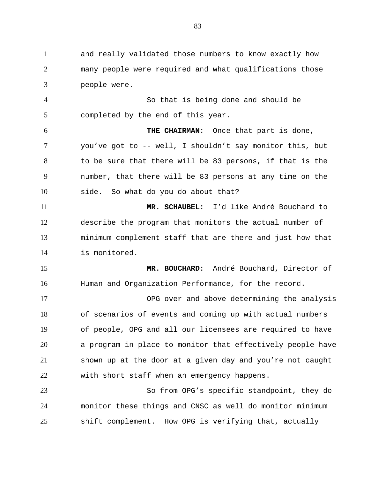and really validated those numbers to know exactly how many people were required and what qualifications those people were.

 So that is being done and should be completed by the end of this year.

 **THE CHAIRMAN:** Once that part is done, you've got to -- well, I shouldn't say monitor this, but to be sure that there will be 83 persons, if that is the number, that there will be 83 persons at any time on the side. So what do you do about that?

 **MR. SCHAUBEL:** I'd like André Bouchard to describe the program that monitors the actual number of minimum complement staff that are there and just how that is monitored.

 **MR. BOUCHARD:** André Bouchard, Director of Human and Organization Performance, for the record.

 OPG over and above determining the analysis of scenarios of events and coming up with actual numbers of people, OPG and all our licensees are required to have a program in place to monitor that effectively people have shown up at the door at a given day and you're not caught with short staff when an emergency happens.

 So from OPG's specific standpoint, they do monitor these things and CNSC as well do monitor minimum shift complement. How OPG is verifying that, actually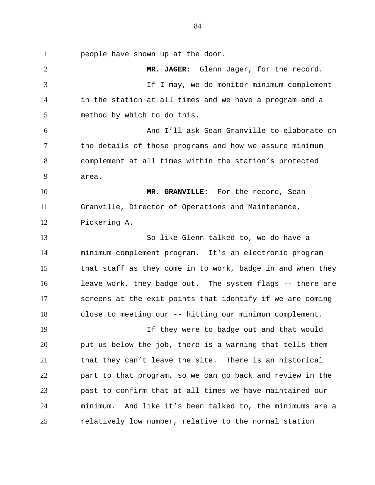people have shown up at the door.

 **MR. JAGER:** Glenn Jager, for the record. If I may, we do monitor minimum complement in the station at all times and we have a program and a method by which to do this. And I'll ask Sean Granville to elaborate on the details of those programs and how we assure minimum complement at all times within the station's protected area. **MR. GRANVILLE:** For the record, Sean Granville, Director of Operations and Maintenance, Pickering A. So like Glenn talked to, we do have a minimum complement program. It's an electronic program that staff as they come in to work, badge in and when they leave work, they badge out. The system flags -- there are screens at the exit points that identify if we are coming close to meeting our -- hitting our minimum complement. If they were to badge out and that would put us below the job, there is a warning that tells them that they can't leave the site. There is an historical part to that program, so we can go back and review in the past to confirm that at all times we have maintained our minimum. And like it's been talked to, the minimums are a relatively low number, relative to the normal station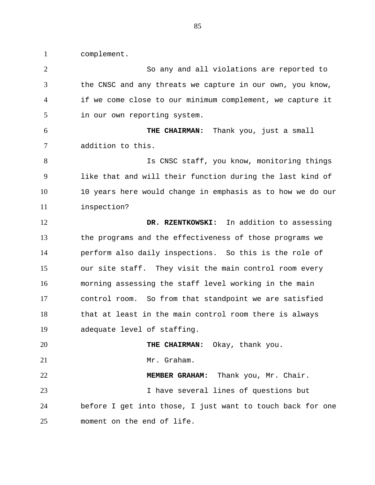complement.

 So any and all violations are reported to the CNSC and any threats we capture in our own, you know, if we come close to our minimum complement, we capture it in our own reporting system. **THE CHAIRMAN:** Thank you, just a small addition to this. 8 Is CNSC staff, you know, monitoring things like that and will their function during the last kind of 10 years here would change in emphasis as to how we do our inspection? **DR. RZENTKOWSKI:** In addition to assessing the programs and the effectiveness of those programs we perform also daily inspections. So this is the role of our site staff. They visit the main control room every morning assessing the staff level working in the main control room. So from that standpoint we are satisfied that at least in the main control room there is always adequate level of staffing. **THE CHAIRMAN:** Okay, thank you. 21 Mr. Graham. **MEMBER GRAHAM:** Thank you, Mr. Chair. I have several lines of questions but before I get into those, I just want to touch back for one moment on the end of life.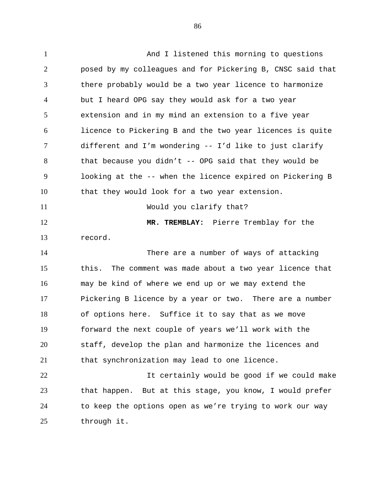And I listened this morning to questions posed by my colleagues and for Pickering B, CNSC said that there probably would be a two year licence to harmonize but I heard OPG say they would ask for a two year extension and in my mind an extension to a five year licence to Pickering B and the two year licences is quite different and I'm wondering -- I'd like to just clarify that because you didn't -- OPG said that they would be looking at the -- when the licence expired on Pickering B that they would look for a two year extension. Would you clarify that? **MR. TREMBLAY:** Pierre Tremblay for the record. There are a number of ways of attacking this. The comment was made about a two year licence that may be kind of where we end up or we may extend the Pickering B licence by a year or two. There are a number of options here. Suffice it to say that as we move forward the next couple of years we'll work with the staff, develop the plan and harmonize the licences and that synchronization may lead to one licence. It certainly would be good if we could make that happen. But at this stage, you know, I would prefer to keep the options open as we're trying to work our way through it.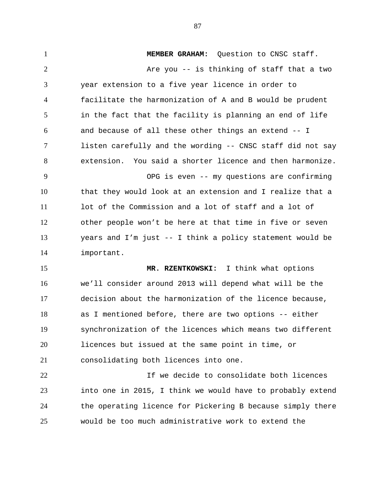**MEMBER GRAHAM:** Question to CNSC staff. 2 Are you -- is thinking of staff that a two year extension to a five year licence in order to facilitate the harmonization of A and B would be prudent in the fact that the facility is planning an end of life and because of all these other things an extend -- I listen carefully and the wording -- CNSC staff did not say extension. You said a shorter licence and then harmonize. OPG is even -- my questions are confirming that they would look at an extension and I realize that a lot of the Commission and a lot of staff and a lot of other people won't be here at that time in five or seven years and I'm just -- I think a policy statement would be important. **MR. RZENTKOWSKI:** I think what options we'll consider around 2013 will depend what will be the decision about the harmonization of the licence because, as I mentioned before, there are two options -- either synchronization of the licences which means two different licences but issued at the same point in time, or consolidating both licences into one. If we decide to consolidate both licences into one in 2015, I think we would have to probably extend the operating licence for Pickering B because simply there would be too much administrative work to extend the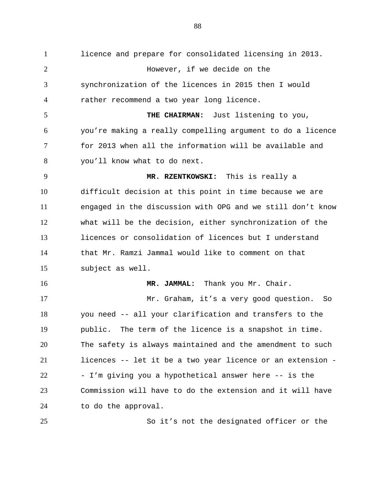licence and prepare for consolidated licensing in 2013. However, if we decide on the synchronization of the licences in 2015 then I would rather recommend a two year long licence. **THE CHAIRMAN:** Just listening to you, you're making a really compelling argument to do a licence for 2013 when all the information will be available and you'll know what to do next. **MR. RZENTKOWSKI:** This is really a difficult decision at this point in time because we are engaged in the discussion with OPG and we still don't know what will be the decision, either synchronization of the licences or consolidation of licences but I understand that Mr. Ramzi Jammal would like to comment on that subject as well. **MR. JAMMAL:** Thank you Mr. Chair. Mr. Graham, it's a very good question. So you need -- all your clarification and transfers to the public. The term of the licence is a snapshot in time. The safety is always maintained and the amendment to such licences -- let it be a two year licence or an extension - - I'm giving you a hypothetical answer here -- is the Commission will have to do the extension and it will have to do the approval.

So it's not the designated officer or the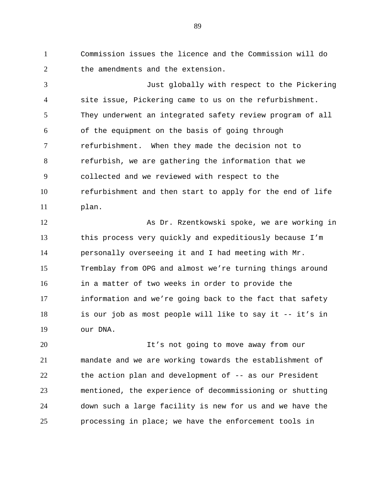Commission issues the licence and the Commission will do 2 the amendments and the extension.

 Just globally with respect to the Pickering site issue, Pickering came to us on the refurbishment. They underwent an integrated safety review program of all of the equipment on the basis of going through refurbishment. When they made the decision not to refurbish, we are gathering the information that we collected and we reviewed with respect to the refurbishment and then start to apply for the end of life plan.

12 As Dr. Rzentkowski spoke, we are working in this process very quickly and expeditiously because I'm personally overseeing it and I had meeting with Mr. Tremblay from OPG and almost we're turning things around in a matter of two weeks in order to provide the information and we're going back to the fact that safety is our job as most people will like to say it -- it's in our DNA.

 It's not going to move away from our mandate and we are working towards the establishment of the action plan and development of -- as our President mentioned, the experience of decommissioning or shutting down such a large facility is new for us and we have the processing in place; we have the enforcement tools in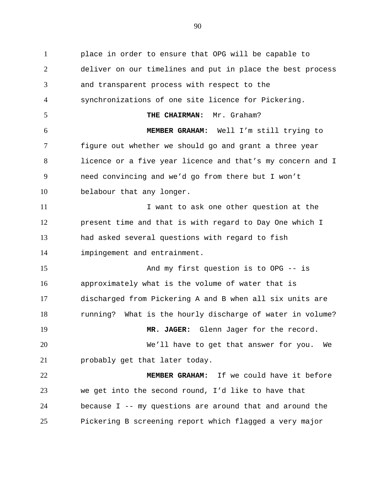place in order to ensure that OPG will be capable to deliver on our timelines and put in place the best process and transparent process with respect to the synchronizations of one site licence for Pickering. **THE CHAIRMAN:** Mr. Graham? **MEMBER GRAHAM:** Well I'm still trying to figure out whether we should go and grant a three year licence or a five year licence and that's my concern and I need convincing and we'd go from there but I won't belabour that any longer. 11 11 I want to ask one other question at the present time and that is with regard to Day One which I had asked several questions with regard to fish impingement and entrainment. 15 And my first question is to OPG -- is approximately what is the volume of water that is discharged from Pickering A and B when all six units are running? What is the hourly discharge of water in volume? **MR. JAGER:** Glenn Jager for the record. We'll have to get that answer for you. We probably get that later today. **MEMBER GRAHAM:** If we could have it before we get into the second round, I'd like to have that because I -- my questions are around that and around the Pickering B screening report which flagged a very major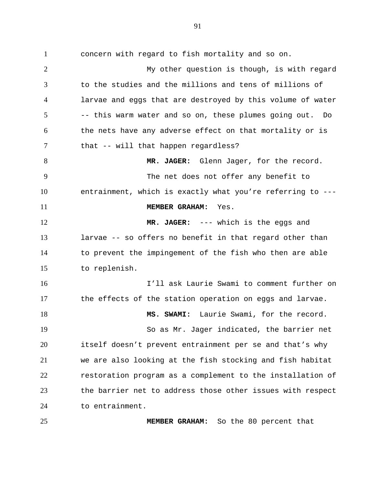concern with regard to fish mortality and so on. My other question is though, is with regard to the studies and the millions and tens of millions of larvae and eggs that are destroyed by this volume of water -- this warm water and so on, these plumes going out. Do the nets have any adverse effect on that mortality or is 7 that -- will that happen regardless? 8 MR. JAGER: Glenn Jager, for the record. The net does not offer any benefit to entrainment, which is exactly what you're referring to --- **MEMBER GRAHAM:** Yes. **MR. JAGER:** --- which is the eggs and larvae -- so offers no benefit in that regard other than to prevent the impingement of the fish who then are able to replenish. I'll ask Laurie Swami to comment further on the effects of the station operation on eggs and larvae. **MS. SWAMI:** Laurie Swami, for the record. So as Mr. Jager indicated, the barrier net itself doesn't prevent entrainment per se and that's why we are also looking at the fish stocking and fish habitat restoration program as a complement to the installation of the barrier net to address those other issues with respect to entrainment.

**MEMBER GRAHAM:** So the 80 percent that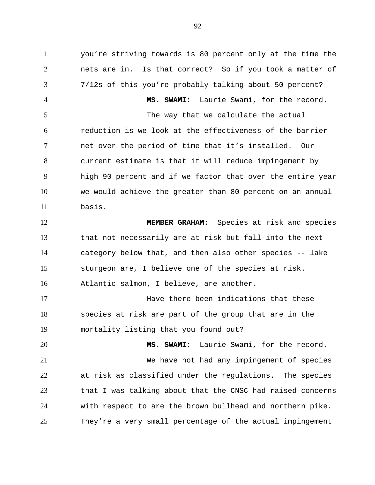you're striving towards is 80 percent only at the time the nets are in. Is that correct? So if you took a matter of 7/12s of this you're probably talking about 50 percent? **MS. SWAMI:** Laurie Swami, for the record. The way that we calculate the actual reduction is we look at the effectiveness of the barrier net over the period of time that it's installed. Our current estimate is that it will reduce impingement by high 90 percent and if we factor that over the entire year we would achieve the greater than 80 percent on an annual basis. **MEMBER GRAHAM:** Species at risk and species that not necessarily are at risk but fall into the next category below that, and then also other species -- lake sturgeon are, I believe one of the species at risk. Atlantic salmon, I believe, are another.

**Have there been indications that these**  species at risk are part of the group that are in the mortality listing that you found out?

 **MS. SWAMI:** Laurie Swami, for the record. We have not had any impingement of species at risk as classified under the regulations. The species that I was talking about that the CNSC had raised concerns with respect to are the brown bullhead and northern pike. They're a very small percentage of the actual impingement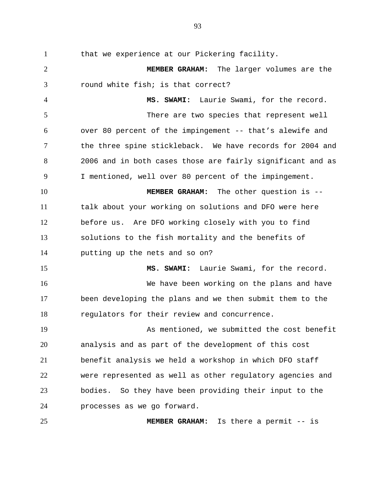that we experience at our Pickering facility.

 **MEMBER GRAHAM:** The larger volumes are the round white fish; is that correct?

 **MS. SWAMI:** Laurie Swami, for the record. There are two species that represent well over 80 percent of the impingement -- that's alewife and the three spine stickleback. We have records for 2004 and 2006 and in both cases those are fairly significant and as I mentioned, well over 80 percent of the impingement.

 **MEMBER GRAHAM:** The other question is -- talk about your working on solutions and DFO were here before us. Are DFO working closely with you to find solutions to the fish mortality and the benefits of putting up the nets and so on?

 **MS. SWAMI:** Laurie Swami, for the record. We have been working on the plans and have been developing the plans and we then submit them to the regulators for their review and concurrence.

 As mentioned, we submitted the cost benefit analysis and as part of the development of this cost benefit analysis we held a workshop in which DFO staff were represented as well as other regulatory agencies and bodies. So they have been providing their input to the processes as we go forward.

**MEMBER GRAHAM:** Is there a permit -- is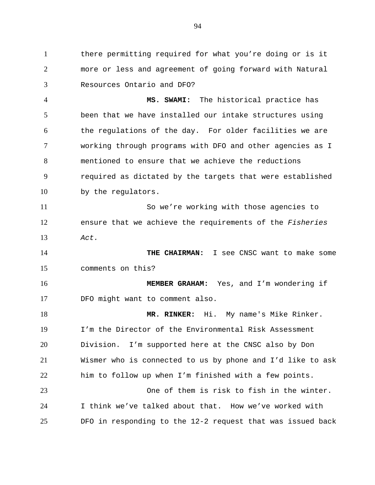there permitting required for what you're doing or is it more or less and agreement of going forward with Natural Resources Ontario and DFO?

 **MS. SWAMI:** The historical practice has been that we have installed our intake structures using the regulations of the day. For older facilities we are working through programs with DFO and other agencies as I mentioned to ensure that we achieve the reductions required as dictated by the targets that were established by the regulators.

 So we're working with those agencies to ensure that we achieve the requirements of the *Fisheries Act.*

 **THE CHAIRMAN:** I see CNSC want to make some comments on this?

 **MEMBER GRAHAM:** Yes, and I'm wondering if DFO might want to comment also.

 **MR. RINKER:** Hi. My name's Mike Rinker. I'm the Director of the Environmental Risk Assessment Division. I'm supported here at the CNSC also by Don Wismer who is connected to us by phone and I'd like to ask him to follow up when I'm finished with a few points. One of them is risk to fish in the winter. I think we've talked about that. How we've worked with

DFO in responding to the 12-2 request that was issued back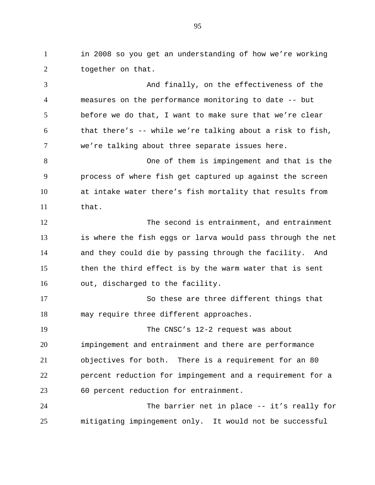in 2008 so you get an understanding of how we're working 2 together on that.

 And finally, on the effectiveness of the measures on the performance monitoring to date -- but before we do that, I want to make sure that we're clear that there's  $-$  while we're talking about a risk to fish, we're talking about three separate issues here. One of them is impingement and that is the process of where fish get captured up against the screen at intake water there's fish mortality that results from that. The second is entrainment, and entrainment is where the fish eggs or larva would pass through the net and they could die by passing through the facility. And then the third effect is by the warm water that is sent out, discharged to the facility. So these are three different things that may require three different approaches. The CNSC's 12-2 request was about impingement and entrainment and there are performance objectives for both. There is a requirement for an 80 percent reduction for impingement and a requirement for a 60 percent reduction for entrainment.

 The barrier net in place -- it's really for mitigating impingement only. It would not be successful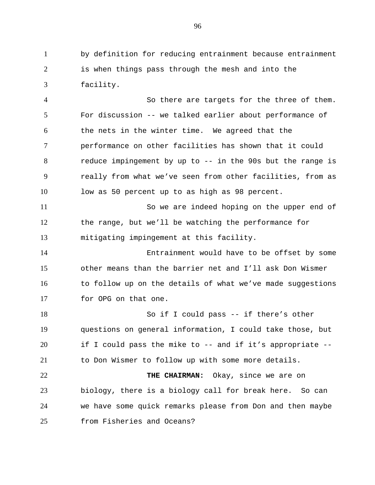by definition for reducing entrainment because entrainment is when things pass through the mesh and into the facility.

 So there are targets for the three of them. For discussion -- we talked earlier about performance of the nets in the winter time. We agreed that the performance on other facilities has shown that it could reduce impingement by up to -- in the 90s but the range is really from what we've seen from other facilities, from as low as 50 percent up to as high as 98 percent. So we are indeed hoping on the upper end of the range, but we'll be watching the performance for mitigating impingement at this facility. Entrainment would have to be offset by some other means than the barrier net and I'll ask Don Wismer to follow up on the details of what we've made suggestions for OPG on that one.

 So if I could pass -- if there's other questions on general information, I could take those, but if I could pass the mike to -- and if it's appropriate -- to Don Wismer to follow up with some more details. **THE CHAIRMAN:** Okay, since we are on

 biology, there is a biology call for break here. So can we have some quick remarks please from Don and then maybe from Fisheries and Oceans?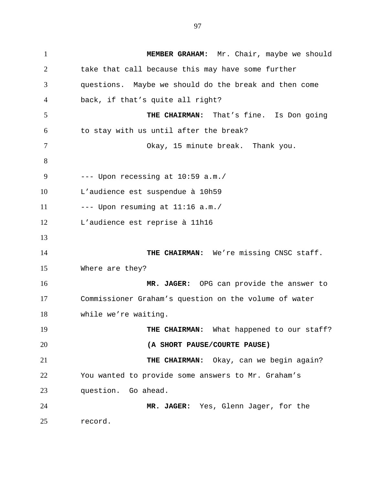**MEMBER GRAHAM:** Mr. Chair, maybe we should take that call because this may have some further questions. Maybe we should do the break and then come back, if that's quite all right? **THE CHAIRMAN:** That's fine. Is Don going to stay with us until after the break? Okay, 15 minute break. Thank you.  $---$  Upon recessing at  $10:59$  a.m./ L'audience est suspendue à 10h59  $---$  Upon resuming at  $11:16$  a.m./ L'audience est reprise à 11h16 **THE CHAIRMAN:** We're missing CNSC staff. Where are they? **MR. JAGER:** OPG can provide the answer to Commissioner Graham's question on the volume of water while we're waiting. **THE CHAIRMAN:** What happened to our staff? **(A SHORT PAUSE/COURTE PAUSE) THE CHAIRMAN:** Okay, can we begin again? You wanted to provide some answers to Mr. Graham's question. Go ahead. **MR. JAGER:** Yes, Glenn Jager, for the record.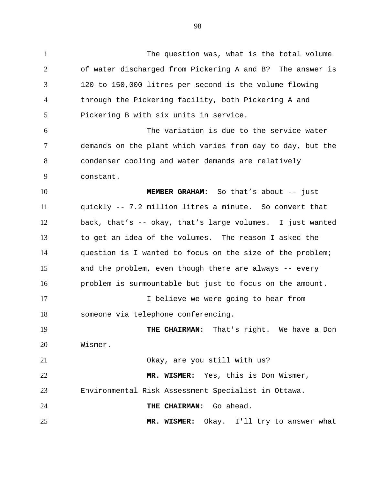The question was, what is the total volume of water discharged from Pickering A and B? The answer is 120 to 150,000 litres per second is the volume flowing through the Pickering facility, both Pickering A and Pickering B with six units in service. The variation is due to the service water demands on the plant which varies from day to day, but the condenser cooling and water demands are relatively constant. **MEMBER GRAHAM:** So that's about -- just quickly -- 7.2 million litres a minute. So convert that back, that's -- okay, that's large volumes. I just wanted to get an idea of the volumes. The reason I asked the question is I wanted to focus on the size of the problem; and the problem, even though there are always -- every problem is surmountable but just to focus on the amount. 17 17 I believe we were going to hear from someone via telephone conferencing. **THE CHAIRMAN:** That's right. We have a Don Wismer. Okay, are you still with us? **MR. WISMER:** Yes, this is Don Wismer, Environmental Risk Assessment Specialist in Ottawa. **THE CHAIRMAN:** Go ahead. **MR. WISMER:** Okay. I'll try to answer what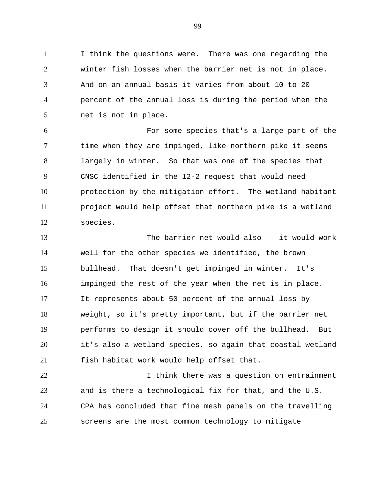I think the questions were. There was one regarding the winter fish losses when the barrier net is not in place. And on an annual basis it varies from about 10 to 20 percent of the annual loss is during the period when the net is not in place.

 For some species that's a large part of the 7 time when they are impinged, like northern pike it seems largely in winter. So that was one of the species that CNSC identified in the 12-2 request that would need protection by the mitigation effort. The wetland habitant project would help offset that northern pike is a wetland species.

 The barrier net would also -- it would work well for the other species we identified, the brown bullhead. That doesn't get impinged in winter. It's impinged the rest of the year when the net is in place. It represents about 50 percent of the annual loss by weight, so it's pretty important, but if the barrier net performs to design it should cover off the bullhead. But it's also a wetland species, so again that coastal wetland fish habitat work would help offset that.

**I** think there was a question on entrainment and is there a technological fix for that, and the U.S. CPA has concluded that fine mesh panels on the travelling screens are the most common technology to mitigate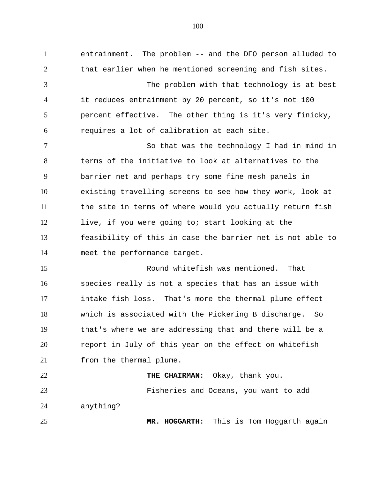entrainment. The problem -- and the DFO person alluded to that earlier when he mentioned screening and fish sites. The problem with that technology is at best it reduces entrainment by 20 percent, so it's not 100 percent effective. The other thing is it's very finicky, requires a lot of calibration at each site. So that was the technology I had in mind in terms of the initiative to look at alternatives to the barrier net and perhaps try some fine mesh panels in existing travelling screens to see how they work, look at the site in terms of where would you actually return fish live, if you were going to; start looking at the feasibility of this in case the barrier net is not able to meet the performance target. Round whitefish was mentioned. That species really is not a species that has an issue with intake fish loss. That's more the thermal plume effect which is associated with the Pickering B discharge. So that's where we are addressing that and there will be a report in July of this year on the effect on whitefish from the thermal plume. **THE CHAIRMAN:** Okay, thank you. Fisheries and Oceans, you want to add anything? **MR. HOGGARTH:** This is Tom Hoggarth again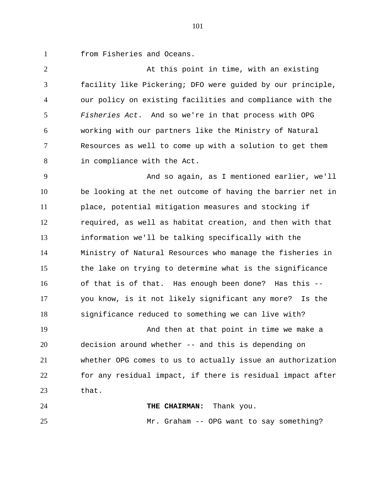from Fisheries and Oceans.

 At this point in time, with an existing facility like Pickering; DFO were guided by our principle, our policy on existing facilities and compliance with the *Fisheries Act*. And so we're in that process with OPG working with our partners like the Ministry of Natural Resources as well to come up with a solution to get them in compliance with the Act.

 And so again, as I mentioned earlier, we'll be looking at the net outcome of having the barrier net in place, potential mitigation measures and stocking if required, as well as habitat creation, and then with that information we'll be talking specifically with the Ministry of Natural Resources who manage the fisheries in the lake on trying to determine what is the significance of that is of that. Has enough been done? Has this -- you know, is it not likely significant any more? Is the significance reduced to something we can live with?

 And then at that point in time we make a decision around whether -- and this is depending on whether OPG comes to us to actually issue an authorization for any residual impact, if there is residual impact after that.

 **THE CHAIRMAN:** Thank you. Mr. Graham -- OPG want to say something?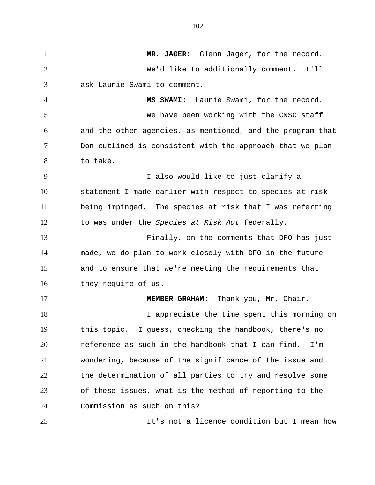**MR. JAGER:** Glenn Jager, for the record. We'd like to additionally comment. I'll ask Laurie Swami to comment. **MS SWAMI:** Laurie Swami, for the record. We have been working with the CNSC staff and the other agencies, as mentioned, and the program that Don outlined is consistent with the approach that we plan to take. I also would like to just clarify a statement I made earlier with respect to species at risk being impinged. The species at risk that I was referring to was under the *Species at Risk Act* federally. Finally, on the comments that DFO has just made, we do plan to work closely with DFO in the future and to ensure that we're meeting the requirements that they require of us. **MEMBER GRAHAM:** Thank you, Mr. Chair. 18 I appreciate the time spent this morning on this topic. I guess, checking the handbook, there's no reference as such in the handbook that I can find. I'm wondering, because of the significance of the issue and the determination of all parties to try and resolve some of these issues, what is the method of reporting to the Commission as such on this? It's not a licence condition but I mean how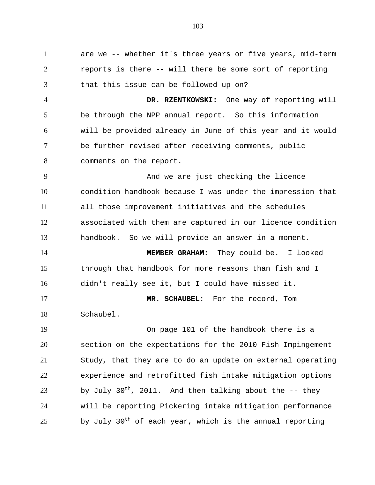are we -- whether it's three years or five years, mid-term reports is there -- will there be some sort of reporting that this issue can be followed up on? **DR. RZENTKOWSKI:** One way of reporting will be through the NPP annual report. So this information will be provided already in June of this year and it would be further revised after receiving comments, public 8 comments on the report. And we are just checking the licence condition handbook because I was under the impression that all those improvement initiatives and the schedules associated with them are captured in our licence condition handbook. So we will provide an answer in a moment. **MEMBER GRAHAM:** They could be. I looked through that handbook for more reasons than fish and I didn't really see it, but I could have missed it. **MR. SCHAUBEL:** For the record, Tom Schaubel. On page 101 of the handbook there is a section on the expectations for the 2010 Fish Impingement Study, that they are to do an update on external operating experience and retrofitted fish intake mitigation options by July 30<sup>th</sup>, 2011. And then talking about the  $-$ - they will be reporting Pickering intake mitigation performance by July 30<sup>th</sup> of each year, which is the annual reporting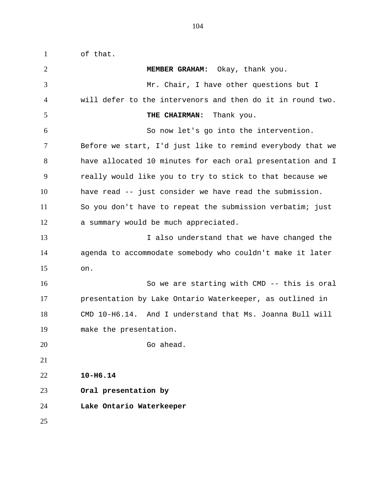of that. **MEMBER GRAHAM:** Okay, thank you. Mr. Chair, I have other questions but I will defer to the intervenors and then do it in round two. **THE CHAIRMAN:** Thank you. So now let's go into the intervention. Before we start, I'd just like to remind everybody that we have allocated 10 minutes for each oral presentation and I really would like you to try to stick to that because we have read -- just consider we have read the submission. So you don't have to repeat the submission verbatim; just a summary would be much appreciated. 13 I also understand that we have changed the agenda to accommodate somebody who couldn't make it later on. So we are starting with CMD -- this is oral presentation by Lake Ontario Waterkeeper, as outlined in CMD 10-H6.14. And I understand that Ms. Joanna Bull will make the presentation. Go ahead. **10-H6.14 Oral presentation by Lake Ontario Waterkeeper**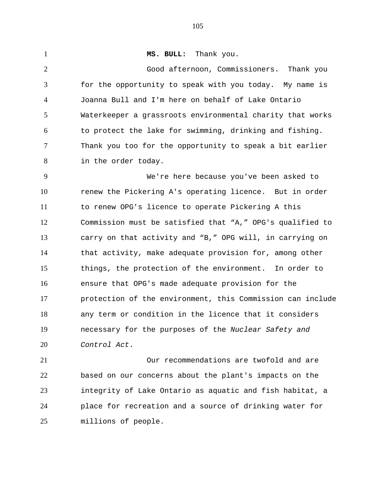**MS. BULL:** Thank you. Good afternoon, Commissioners. Thank you for the opportunity to speak with you today. My name is Joanna Bull and I'm here on behalf of Lake Ontario Waterkeeper a grassroots environmental charity that works to protect the lake for swimming, drinking and fishing. Thank you too for the opportunity to speak a bit earlier in the order today. We're here because you've been asked to renew the Pickering A's operating licence. But in order to renew OPG's licence to operate Pickering A this Commission must be satisfied that "A," OPG's qualified to carry on that activity and "B," OPG will, in carrying on that activity, make adequate provision for, among other things, the protection of the environment. In order to ensure that OPG's made adequate provision for the protection of the environment, this Commission can include any term or condition in the licence that it considers necessary for the purposes of the *Nuclear Safety and Control Act*. Our recommendations are twofold and are

 based on our concerns about the plant's impacts on the integrity of Lake Ontario as aquatic and fish habitat, a place for recreation and a source of drinking water for millions of people.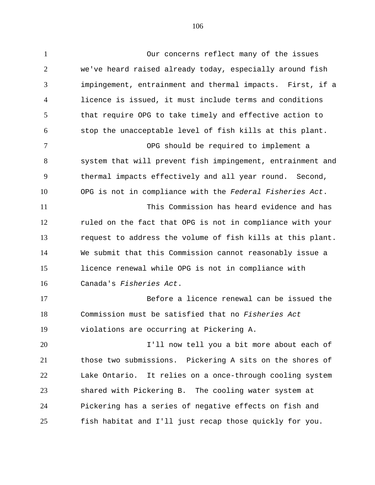Our concerns reflect many of the issues we've heard raised already today, especially around fish impingement, entrainment and thermal impacts. First, if a licence is issued, it must include terms and conditions that require OPG to take timely and effective action to stop the unacceptable level of fish kills at this plant. OPG should be required to implement a system that will prevent fish impingement, entrainment and thermal impacts effectively and all year round. Second, OPG is not in compliance with the *Federal Fisheries Act*. This Commission has heard evidence and has ruled on the fact that OPG is not in compliance with your request to address the volume of fish kills at this plant. We submit that this Commission cannot reasonably issue a licence renewal while OPG is not in compliance with Canada's *Fisheries Act*. Before a licence renewal can be issued the Commission must be satisfied that no *Fisheries Act* violations are occurring at Pickering A.

 I'll now tell you a bit more about each of those two submissions. Pickering A sits on the shores of Lake Ontario. It relies on a once-through cooling system shared with Pickering B. The cooling water system at Pickering has a series of negative effects on fish and fish habitat and I'll just recap those quickly for you.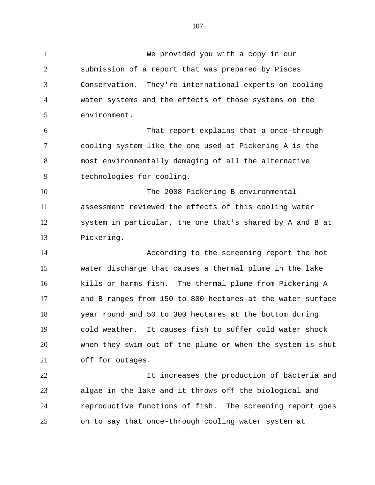We provided you with a copy in our submission of a report that was prepared by Pisces Conservation. They're international experts on cooling water systems and the effects of those systems on the environment. That report explains that a once-through cooling system like the one used at Pickering A is the most environmentally damaging of all the alternative technologies for cooling. The 2008 Pickering B environmental assessment reviewed the effects of this cooling water system in particular, the one that's shared by A and B at Pickering. According to the screening report the hot water discharge that causes a thermal plume in the lake kills or harms fish. The thermal plume from Pickering A and B ranges from 150 to 800 hectares at the water surface year round and 50 to 300 hectares at the bottom during cold weather. It causes fish to suffer cold water shock when they swim out of the plume or when the system is shut off for outages. It increases the production of bacteria and algae in the lake and it throws off the biological and reproductive functions of fish. The screening report goes

on to say that once-through cooling water system at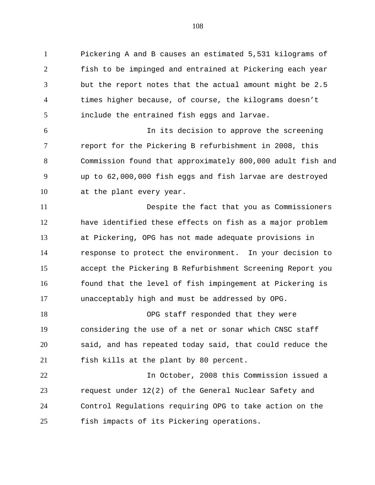Pickering A and B causes an estimated 5,531 kilograms of fish to be impinged and entrained at Pickering each year but the report notes that the actual amount might be 2.5 times higher because, of course, the kilograms doesn't include the entrained fish eggs and larvae.

 In its decision to approve the screening report for the Pickering B refurbishment in 2008, this Commission found that approximately 800,000 adult fish and up to 62,000,000 fish eggs and fish larvae are destroyed at the plant every year.

 Despite the fact that you as Commissioners have identified these effects on fish as a major problem at Pickering, OPG has not made adequate provisions in response to protect the environment. In your decision to accept the Pickering B Refurbishment Screening Report you 16 found that the level of fish impingement at Pickering is unacceptably high and must be addressed by OPG.

18 OPG staff responded that they were considering the use of a net or sonar which CNSC staff said, and has repeated today said, that could reduce the fish kills at the plant by 80 percent.

 In October, 2008 this Commission issued a request under 12(2) of the General Nuclear Safety and Control Regulations requiring OPG to take action on the fish impacts of its Pickering operations.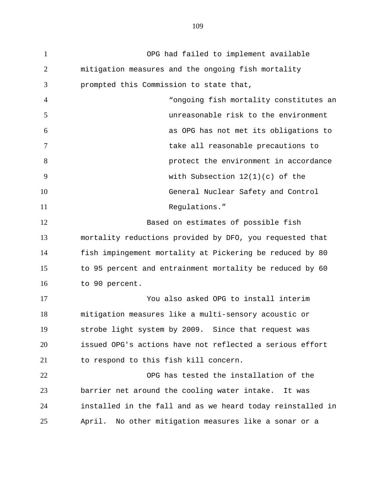OPG had failed to implement available mitigation measures and the ongoing fish mortality prompted this Commission to state that, "ongoing fish mortality constitutes an unreasonable risk to the environment as OPG has not met its obligations to take all reasonable precautions to protect the environment in accordance with Subsection 12(1)(c) of the General Nuclear Safety and Control 11 Requlations." Based on estimates of possible fish mortality reductions provided by DFO, you requested that fish impingement mortality at Pickering be reduced by 80 to 95 percent and entrainment mortality be reduced by 60 to 90 percent. You also asked OPG to install interim mitigation measures like a multi-sensory acoustic or strobe light system by 2009. Since that request was issued OPG's actions have not reflected a serious effort to respond to this fish kill concern. OPG has tested the installation of the barrier net around the cooling water intake. It was installed in the fall and as we heard today reinstalled in April. No other mitigation measures like a sonar or a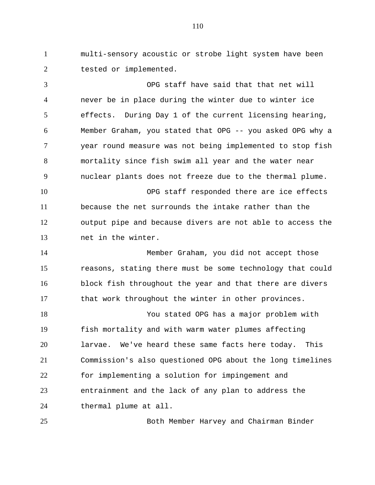multi-sensory acoustic or strobe light system have been 2 tested or implemented.

 OPG staff have said that that net will never be in place during the winter due to winter ice effects. During Day 1 of the current licensing hearing, Member Graham, you stated that OPG -- you asked OPG why a year round measure was not being implemented to stop fish mortality since fish swim all year and the water near nuclear plants does not freeze due to the thermal plume. OPG staff responded there are ice effects because the net surrounds the intake rather than the output pipe and because divers are not able to access the net in the winter. Member Graham, you did not accept those reasons, stating there must be some technology that could block fish throughout the year and that there are divers that work throughout the winter in other provinces. You stated OPG has a major problem with

 fish mortality and with warm water plumes affecting larvae. We've heard these same facts here today. This Commission's also questioned OPG about the long timelines for implementing a solution for impingement and entrainment and the lack of any plan to address the thermal plume at all.

Both Member Harvey and Chairman Binder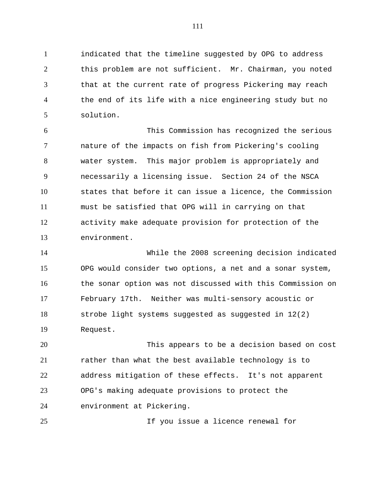indicated that the timeline suggested by OPG to address this problem are not sufficient. Mr. Chairman, you noted that at the current rate of progress Pickering may reach the end of its life with a nice engineering study but no solution.

 This Commission has recognized the serious nature of the impacts on fish from Pickering's cooling water system. This major problem is appropriately and necessarily a licensing issue. Section 24 of the NSCA states that before it can issue a licence, the Commission must be satisfied that OPG will in carrying on that activity make adequate provision for protection of the environment.

 While the 2008 screening decision indicated OPG would consider two options, a net and a sonar system, the sonar option was not discussed with this Commission on February 17th. Neither was multi-sensory acoustic or strobe light systems suggested as suggested in 12(2) Request.

 This appears to be a decision based on cost rather than what the best available technology is to address mitigation of these effects. It's not apparent OPG's making adequate provisions to protect the environment at Pickering.

If you issue a licence renewal for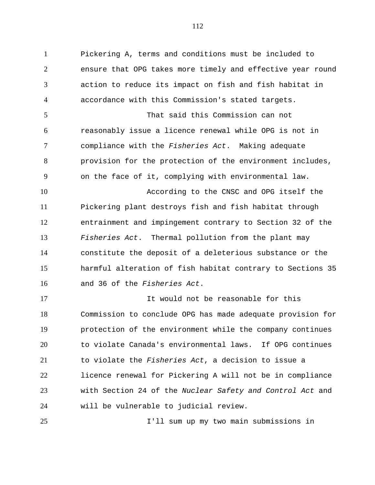Pickering A, terms and conditions must be included to ensure that OPG takes more timely and effective year round action to reduce its impact on fish and fish habitat in accordance with this Commission's stated targets. That said this Commission can not reasonably issue a licence renewal while OPG is not in compliance with the *Fisheries Act*. Making adequate provision for the protection of the environment includes, on the face of it, complying with environmental law. According to the CNSC and OPG itself the Pickering plant destroys fish and fish habitat through entrainment and impingement contrary to Section 32 of the *Fisheries Act*. Thermal pollution from the plant may constitute the deposit of a deleterious substance or the harmful alteration of fish habitat contrary to Sections 35 and 36 of the *Fisheries Act*.

 It would not be reasonable for this Commission to conclude OPG has made adequate provision for protection of the environment while the company continues to violate Canada's environmental laws. If OPG continues to violate the *Fisheries Act*, a decision to issue a licence renewal for Pickering A will not be in compliance with Section 24 of the *Nuclear Safety and Control Act* and will be vulnerable to judicial review.

I'll sum up my two main submissions in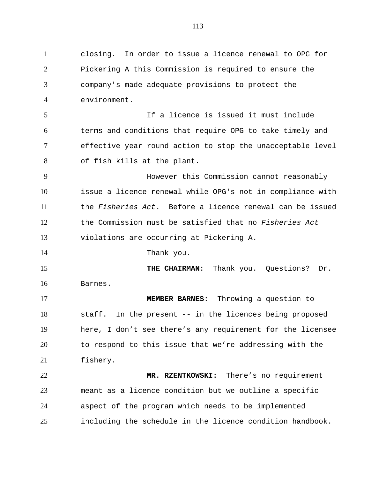closing. In order to issue a licence renewal to OPG for Pickering A this Commission is required to ensure the company's made adequate provisions to protect the environment. If a licence is issued it must include terms and conditions that require OPG to take timely and effective year round action to stop the unacceptable level of fish kills at the plant. However this Commission cannot reasonably issue a licence renewal while OPG's not in compliance with the *Fisheries Act*. Before a licence renewal can be issued the Commission must be satisfied that no *Fisheries Act* violations are occurring at Pickering A. Thank you. **THE CHAIRMAN:** Thank you. Questions? Dr. Barnes. **MEMBER BARNES:** Throwing a question to staff. In the present -- in the licences being proposed here, I don't see there's any requirement for the licensee to respond to this issue that we're addressing with the fishery. **MR. RZENTKOWSKI:** There's no requirement meant as a licence condition but we outline a specific aspect of the program which needs to be implemented including the schedule in the licence condition handbook.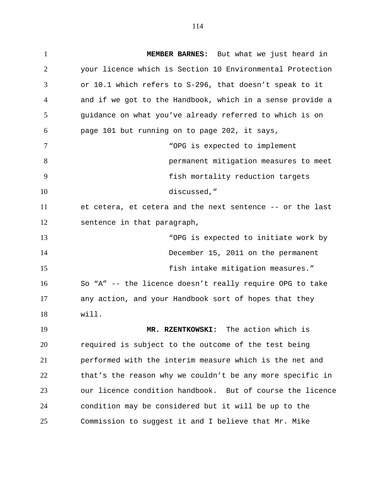**MEMBER BARNES:** But what we just heard in your licence which is Section 10 Environmental Protection or 10.1 which refers to S-296, that doesn't speak to it and if we got to the Handbook, which in a sense provide a guidance on what you've already referred to which is on page 101 but running on to page 202, it says, "OPG is expected to implement permanent mitigation measures to meet fish mortality reduction targets discussed," et cetera, et cetera and the next sentence -- or the last sentence in that paragraph, "OPG is expected to initiate work by December 15, 2011 on the permanent **fish intake mitigation measures.**" So "A" -- the licence doesn't really require OPG to take any action, and your Handbook sort of hopes that they will. **MR. RZENTKOWSKI:** The action which is required is subject to the outcome of the test being performed with the interim measure which is the net and that's the reason why we couldn't be any more specific in our licence condition handbook. But of course the licence condition may be considered but it will be up to the Commission to suggest it and I believe that Mr. Mike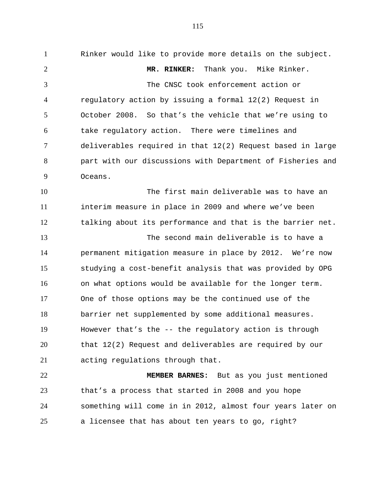Rinker would like to provide more details on the subject. **MR. RINKER:** Thank you. Mike Rinker. The CNSC took enforcement action or regulatory action by issuing a formal 12(2) Request in October 2008. So that's the vehicle that we're using to take regulatory action. There were timelines and deliverables required in that 12(2) Request based in large part with our discussions with Department of Fisheries and Oceans. The first main deliverable was to have an interim measure in place in 2009 and where we've been talking about its performance and that is the barrier net. The second main deliverable is to have a permanent mitigation measure in place by 2012. We're now studying a cost-benefit analysis that was provided by OPG on what options would be available for the longer term. One of those options may be the continued use of the barrier net supplemented by some additional measures. However that's the -- the regulatory action is through that 12(2) Request and deliverables are required by our acting regulations through that. **MEMBER BARNES:** But as you just mentioned that's a process that started in 2008 and you hope

a licensee that has about ten years to go, right?

something will come in in 2012, almost four years later on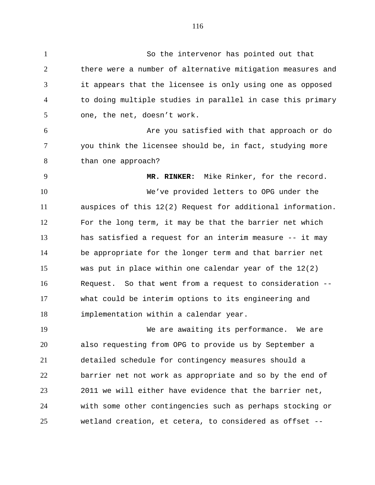So the intervenor has pointed out that there were a number of alternative mitigation measures and it appears that the licensee is only using one as opposed to doing multiple studies in parallel in case this primary one, the net, doesn't work. Are you satisfied with that approach or do you think the licensee should be, in fact, studying more than one approach? **MR. RINKER:** Mike Rinker, for the record. We've provided letters to OPG under the auspices of this 12(2) Request for additional information. For the long term, it may be that the barrier net which has satisfied a request for an interim measure -- it may be appropriate for the longer term and that barrier net was put in place within one calendar year of the 12(2) Request. So that went from a request to consideration -- what could be interim options to its engineering and implementation within a calendar year. We are awaiting its performance. We are also requesting from OPG to provide us by September a detailed schedule for contingency measures should a barrier net not work as appropriate and so by the end of 2011 we will either have evidence that the barrier net, with some other contingencies such as perhaps stocking or wetland creation, et cetera, to considered as offset --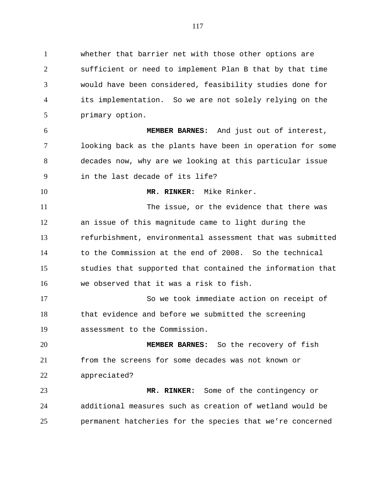whether that barrier net with those other options are sufficient or need to implement Plan B that by that time would have been considered, feasibility studies done for its implementation. So we are not solely relying on the primary option.

 **MEMBER BARNES:** And just out of interest, looking back as the plants have been in operation for some decades now, why are we looking at this particular issue in the last decade of its life?

**MR. RINKER:** Mike Rinker.

 The issue, or the evidence that there was an issue of this magnitude came to light during the refurbishment, environmental assessment that was submitted to the Commission at the end of 2008. So the technical studies that supported that contained the information that we observed that it was a risk to fish.

 So we took immediate action on receipt of that evidence and before we submitted the screening assessment to the Commission.

 **MEMBER BARNES:** So the recovery of fish from the screens for some decades was not known or appreciated?

 **MR. RINKER:** Some of the contingency or additional measures such as creation of wetland would be permanent hatcheries for the species that we're concerned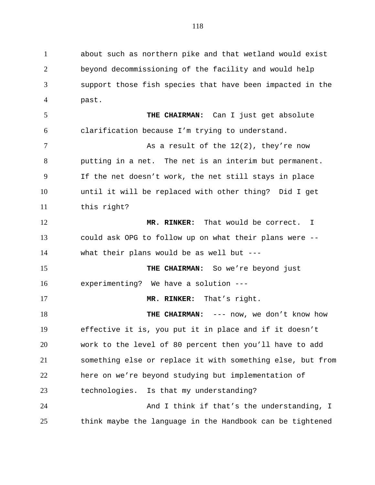about such as northern pike and that wetland would exist beyond decommissioning of the facility and would help support those fish species that have been impacted in the past.

 **THE CHAIRMAN:** Can I just get absolute clarification because I'm trying to understand.

7 As a result of the 12(2), they're now putting in a net. The net is an interim but permanent. If the net doesn't work, the net still stays in place until it will be replaced with other thing? Did I get this right?

 **MR. RINKER:** That would be correct. I could ask OPG to follow up on what their plans were -- what their plans would be as well but ---

 **THE CHAIRMAN:** So we're beyond just experimenting? We have a solution ---

**MR. RINKER:** That's right.

**THE CHAIRMAN:** --- now, we don't know how effective it is, you put it in place and if it doesn't work to the level of 80 percent then you'll have to add something else or replace it with something else, but from here on we're beyond studying but implementation of technologies. Is that my understanding? 24 And I think if that's the understanding, I

think maybe the language in the Handbook can be tightened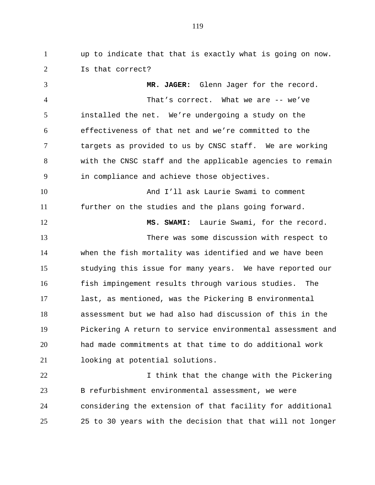up to indicate that that is exactly what is going on now. Is that correct?

 **MR. JAGER:** Glenn Jager for the record. That's correct. What we are -- we've installed the net. We're undergoing a study on the effectiveness of that net and we're committed to the targets as provided to us by CNSC staff. We are working with the CNSC staff and the applicable agencies to remain in compliance and achieve those objectives. And I'll ask Laurie Swami to comment further on the studies and the plans going forward. **MS. SWAMI:** Laurie Swami, for the record. There was some discussion with respect to when the fish mortality was identified and we have been studying this issue for many years. We have reported our fish impingement results through various studies. The last, as mentioned, was the Pickering B environmental assessment but we had also had discussion of this in the Pickering A return to service environmental assessment and

 had made commitments at that time to do additional work looking at potential solutions.

22 I think that the change with the Pickering B refurbishment environmental assessment, we were considering the extension of that facility for additional 25 to 30 years with the decision that that will not longer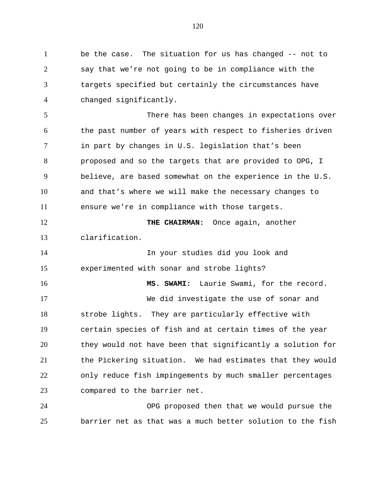1 be the case. The situation for us has changed -- not to say that we're not going to be in compliance with the targets specified but certainly the circumstances have changed significantly.

 There has been changes in expectations over the past number of years with respect to fisheries driven in part by changes in U.S. legislation that's been proposed and so the targets that are provided to OPG, I believe, are based somewhat on the experience in the U.S. and that's where we will make the necessary changes to ensure we're in compliance with those targets. **THE CHAIRMAN:** Once again, another

clarification.

 In your studies did you look and experimented with sonar and strobe lights?

 **MS. SWAMI:** Laurie Swami, for the record. We did investigate the use of sonar and strobe lights. They are particularly effective with certain species of fish and at certain times of the year they would not have been that significantly a solution for the Pickering situation. We had estimates that they would only reduce fish impingements by much smaller percentages compared to the barrier net.

 OPG proposed then that we would pursue the barrier net as that was a much better solution to the fish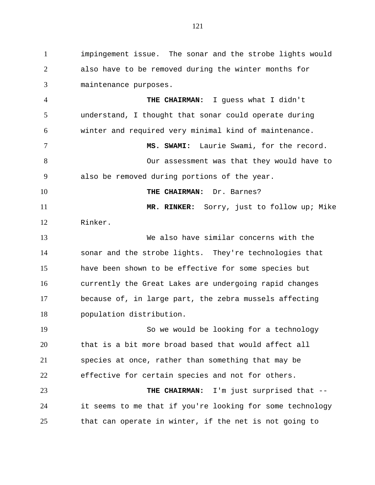impingement issue. The sonar and the strobe lights would also have to be removed during the winter months for maintenance purposes.

 **THE CHAIRMAN:** I guess what I didn't understand, I thought that sonar could operate during winter and required very minimal kind of maintenance.

 **MS. SWAMI:** Laurie Swami, for the record. Our assessment was that they would have to also be removed during portions of the year.

**THE CHAIRMAN:** Dr. Barnes?

**MR. RINKER:** Sorry, just to follow up; Mike

Rinker.

 We also have similar concerns with the sonar and the strobe lights. They're technologies that have been shown to be effective for some species but currently the Great Lakes are undergoing rapid changes because of, in large part, the zebra mussels affecting population distribution.

 So we would be looking for a technology that is a bit more broad based that would affect all species at once, rather than something that may be effective for certain species and not for others.

 **THE CHAIRMAN:** I'm just surprised that -- it seems to me that if you're looking for some technology that can operate in winter, if the net is not going to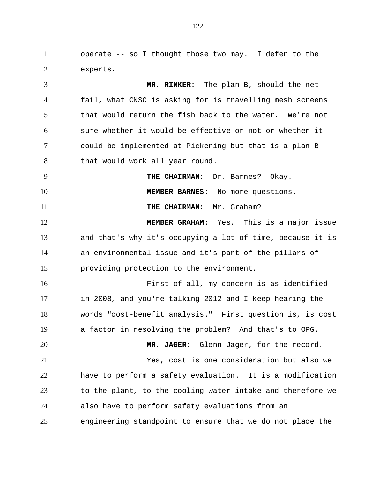operate -- so I thought those two may. I defer to the experts.

 **MR. RINKER:** The plan B, should the net fail, what CNSC is asking for is travelling mesh screens that would return the fish back to the water. We're not sure whether it would be effective or not or whether it could be implemented at Pickering but that is a plan B 8 that would work all year round. **THE CHAIRMAN:** Dr. Barnes? Okay. 10 MEMBER BARNES: No more questions. **THE CHAIRMAN:** Mr. Graham? **MEMBER GRAHAM:** Yes. This is a major issue and that's why it's occupying a lot of time, because it is an environmental issue and it's part of the pillars of providing protection to the environment. First of all, my concern is as identified in 2008, and you're talking 2012 and I keep hearing the words "cost-benefit analysis." First question is, is cost a factor in resolving the problem? And that's to OPG. **MR. JAGER:** Glenn Jager, for the record.

 Yes, cost is one consideration but also we have to perform a safety evaluation. It is a modification to the plant, to the cooling water intake and therefore we also have to perform safety evaluations from an engineering standpoint to ensure that we do not place the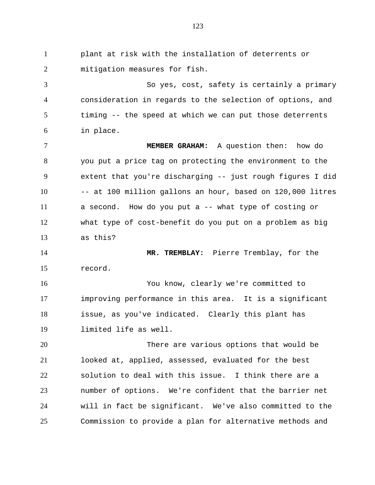plant at risk with the installation of deterrents or mitigation measures for fish. So yes, cost, safety is certainly a primary consideration in regards to the selection of options, and timing -- the speed at which we can put those deterrents in place. **MEMBER GRAHAM:** A question then: how do you put a price tag on protecting the environment to the extent that you're discharging -- just rough figures I did 10 -- at 100 million gallons an hour, based on 120,000 litres a second. How do you put a -- what type of costing or what type of cost-benefit do you put on a problem as big as this? **MR. TREMBLAY:** Pierre Tremblay, for the record. You know, clearly we're committed to improving performance in this area. It is a significant issue, as you've indicated. Clearly this plant has limited life as well. There are various options that would be looked at, applied, assessed, evaluated for the best solution to deal with this issue. I think there are a number of options. We're confident that the barrier net will in fact be significant. We've also committed to the Commission to provide a plan for alternative methods and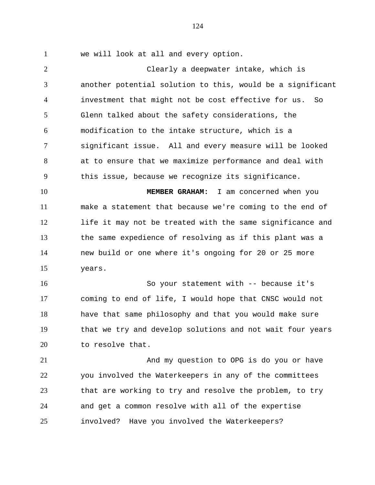we will look at all and every option.

 Clearly a deepwater intake, which is another potential solution to this, would be a significant investment that might not be cost effective for us. So Glenn talked about the safety considerations, the modification to the intake structure, which is a significant issue. All and every measure will be looked at to ensure that we maximize performance and deal with this issue, because we recognize its significance.

 **MEMBER GRAHAM:** I am concerned when you make a statement that because we're coming to the end of life it may not be treated with the same significance and the same expedience of resolving as if this plant was a new build or one where it's ongoing for 20 or 25 more years.

 So your statement with -- because it's coming to end of life, I would hope that CNSC would not have that same philosophy and that you would make sure that we try and develop solutions and not wait four years 20 to resolve that.

 And my question to OPG is do you or have you involved the Waterkeepers in any of the committees that are working to try and resolve the problem, to try and get a common resolve with all of the expertise involved? Have you involved the Waterkeepers?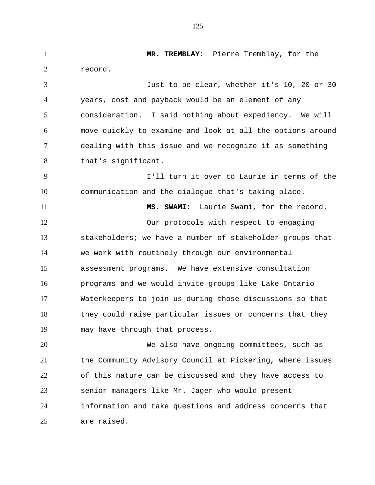**MR. TREMBLAY:** Pierre Tremblay, for the record. Just to be clear, whether it's 10, 20 or 30 years, cost and payback would be an element of any consideration. I said nothing about expediency. We will move quickly to examine and look at all the options around dealing with this issue and we recognize it as something that's significant. I'll turn it over to Laurie in terms of the communication and the dialogue that's taking place. **MS. SWAMI:** Laurie Swami, for the record. Our protocols with respect to engaging stakeholders; we have a number of stakeholder groups that we work with routinely through our environmental assessment programs. We have extensive consultation programs and we would invite groups like Lake Ontario Waterkeepers to join us during those discussions so that they could raise particular issues or concerns that they may have through that process. We also have ongoing committees, such as the Community Advisory Council at Pickering, where issues of this nature can be discussed and they have access to senior managers like Mr. Jager who would present

 information and take questions and address concerns that are raised.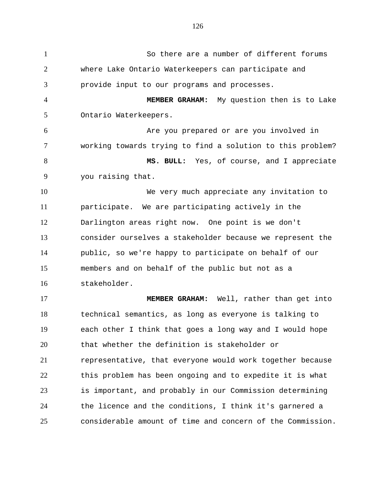So there are a number of different forums where Lake Ontario Waterkeepers can participate and provide input to our programs and processes. **MEMBER GRAHAM:** My question then is to Lake Ontario Waterkeepers. Are you prepared or are you involved in working towards trying to find a solution to this problem? **MS. BULL:** Yes, of course, and I appreciate you raising that. We very much appreciate any invitation to participate. We are participating actively in the Darlington areas right now. One point is we don't consider ourselves a stakeholder because we represent the public, so we're happy to participate on behalf of our members and on behalf of the public but not as a stakeholder. **MEMBER GRAHAM:** Well, rather than get into technical semantics, as long as everyone is talking to each other I think that goes a long way and I would hope that whether the definition is stakeholder or representative, that everyone would work together because this problem has been ongoing and to expedite it is what is important, and probably in our Commission determining the licence and the conditions, I think it's garnered a considerable amount of time and concern of the Commission.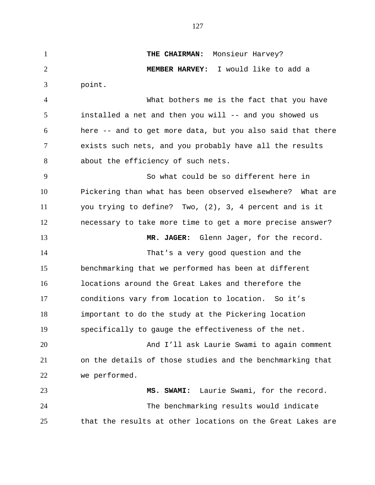**THE CHAIRMAN:** Monsieur Harvey? **MEMBER HARVEY:** I would like to add a point. What bothers me is the fact that you have installed a net and then you will -- and you showed us here -- and to get more data, but you also said that there exists such nets, and you probably have all the results about the efficiency of such nets. So what could be so different here in Pickering than what has been observed elsewhere? What are you trying to define? Two, (2), 3, 4 percent and is it necessary to take more time to get a more precise answer? **MR. JAGER:** Glenn Jager, for the record. That's a very good question and the benchmarking that we performed has been at different locations around the Great Lakes and therefore the conditions vary from location to location. So it's important to do the study at the Pickering location specifically to gauge the effectiveness of the net. And I'll ask Laurie Swami to again comment on the details of those studies and the benchmarking that we performed. **MS. SWAMI:** Laurie Swami, for the record. The benchmarking results would indicate that the results at other locations on the Great Lakes are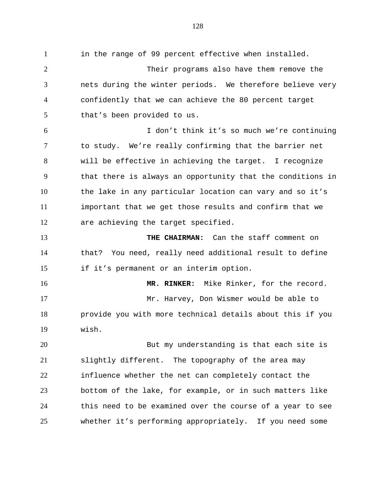in the range of 99 percent effective when installed. Their programs also have them remove the nets during the winter periods. We therefore believe very confidently that we can achieve the 80 percent target that's been provided to us. I don't think it's so much we're continuing to study. We're really confirming that the barrier net will be effective in achieving the target. I recognize that there is always an opportunity that the conditions in the lake in any particular location can vary and so it's important that we get those results and confirm that we are achieving the target specified. **THE CHAIRMAN:** Can the staff comment on that? You need, really need additional result to define if it's permanent or an interim option. **MR. RINKER:** Mike Rinker, for the record. Mr. Harvey, Don Wismer would be able to provide you with more technical details about this if you wish. But my understanding is that each site is slightly different. The topography of the area may influence whether the net can completely contact the bottom of the lake, for example, or in such matters like this need to be examined over the course of a year to see whether it's performing appropriately. If you need some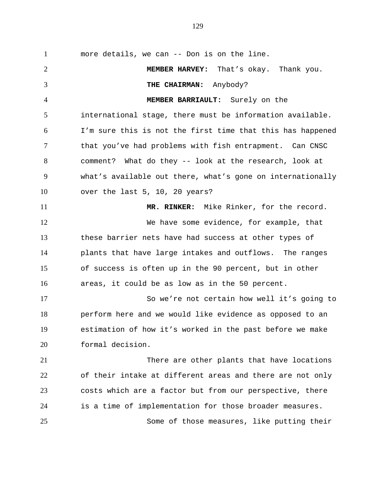more details, we can -- Don is on the line. **MEMBER HARVEY:** That's okay. Thank you. **THE CHAIRMAN:** Anybody? **MEMBER BARRIAULT:** Surely on the international stage, there must be information available. I'm sure this is not the first time that this has happened that you've had problems with fish entrapment. Can CNSC comment? What do they -- look at the research, look at what's available out there, what's gone on internationally over the last 5, 10, 20 years? **MR. RINKER:** Mike Rinker, for the record. We have some evidence, for example, that these barrier nets have had success at other types of plants that have large intakes and outflows. The ranges of success is often up in the 90 percent, but in other areas, it could be as low as in the 50 percent. So we're not certain how well it's going to perform here and we would like evidence as opposed to an estimation of how it's worked in the past before we make formal decision. There are other plants that have locations of their intake at different areas and there are not only costs which are a factor but from our perspective, there is a time of implementation for those broader measures.

Some of those measures, like putting their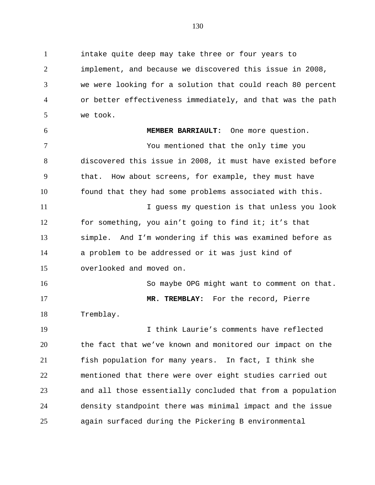intake quite deep may take three or four years to implement, and because we discovered this issue in 2008, we were looking for a solution that could reach 80 percent or better effectiveness immediately, and that was the path we took. **MEMBER BARRIAULT:** One more question. You mentioned that the only time you discovered this issue in 2008, it must have existed before that. How about screens, for example, they must have found that they had some problems associated with this. I guess my question is that unless you look for something, you ain't going to find it; it's that simple. And I'm wondering if this was examined before as a problem to be addressed or it was just kind of overlooked and moved on. 16 So maybe OPG might want to comment on that. **MR. TREMBLAY:** For the record, Pierre Tremblay. I think Laurie's comments have reflected the fact that we've known and monitored our impact on the fish population for many years. In fact, I think she mentioned that there were over eight studies carried out and all those essentially concluded that from a population density standpoint there was minimal impact and the issue again surfaced during the Pickering B environmental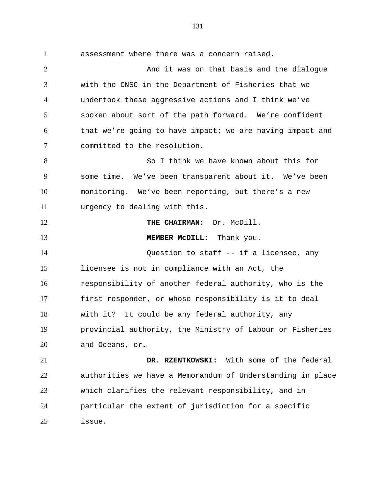assessment where there was a concern raised. **And it was on that basis and the dialogue**  with the CNSC in the Department of Fisheries that we undertook these aggressive actions and I think we've spoken about sort of the path forward. We're confident that we're going to have impact; we are having impact and committed to the resolution. So I think we have known about this for some time. We've been transparent about it. We've been monitoring. We've been reporting, but there's a new urgency to dealing with this. **THE CHAIRMAN:** Dr. McDill. **MEMBER McDILL:** Thank you. Question to staff -- if a licensee, any licensee is not in compliance with an Act, the responsibility of another federal authority, who is the first responder, or whose responsibility is it to deal with it? It could be any federal authority, any provincial authority, the Ministry of Labour or Fisheries and Oceans, or… **DR. RZENTKOWSKI:** With some of the federal authorities we have a Memorandum of Understanding in place which clarifies the relevant responsibility, and in

 particular the extent of jurisdiction for a specific issue.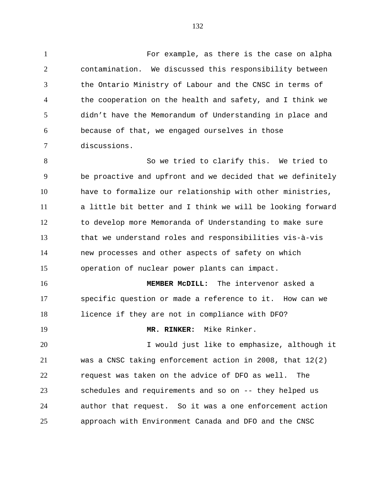For example, as there is the case on alpha contamination. We discussed this responsibility between the Ontario Ministry of Labour and the CNSC in terms of the cooperation on the health and safety, and I think we didn't have the Memorandum of Understanding in place and because of that, we engaged ourselves in those discussions.

 So we tried to clarify this. We tried to be proactive and upfront and we decided that we definitely have to formalize our relationship with other ministries, a little bit better and I think we will be looking forward to develop more Memoranda of Understanding to make sure that we understand roles and responsibilities vis-à-vis new processes and other aspects of safety on which operation of nuclear power plants can impact.

 **MEMBER McDILL:** The intervenor asked a specific question or made a reference to it. How can we licence if they are not in compliance with DFO?

**MR. RINKER:** Mike Rinker.

 I would just like to emphasize, although it was a CNSC taking enforcement action in 2008, that 12(2) request was taken on the advice of DFO as well. The schedules and requirements and so on -- they helped us author that request. So it was a one enforcement action approach with Environment Canada and DFO and the CNSC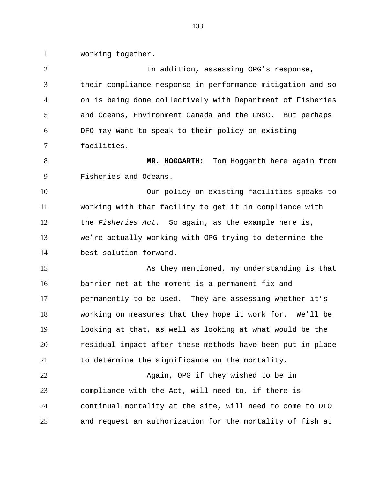working together.

 In addition, assessing OPG's response, their compliance response in performance mitigation and so on is being done collectively with Department of Fisheries and Oceans, Environment Canada and the CNSC. But perhaps DFO may want to speak to their policy on existing facilities. **MR. HOGGARTH:** Tom Hoggarth here again from Fisheries and Oceans. Our policy on existing facilities speaks to working with that facility to get it in compliance with the *Fisheries Act*. So again, as the example here is, we're actually working with OPG trying to determine the best solution forward. 15 As they mentioned, my understanding is that barrier net at the moment is a permanent fix and permanently to be used. They are assessing whether it's working on measures that they hope it work for. We'll be looking at that, as well as looking at what would be the residual impact after these methods have been put in place to determine the significance on the mortality. 22 Again, OPG if they wished to be in compliance with the Act, will need to, if there is continual mortality at the site, will need to come to DFO and request an authorization for the mortality of fish at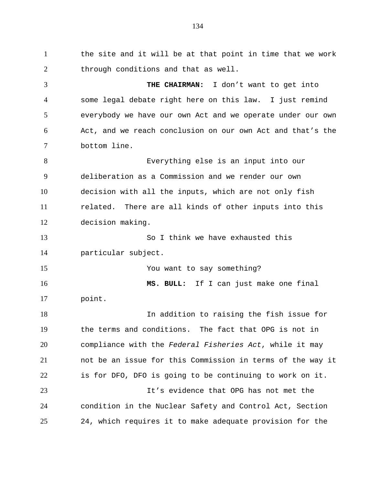1 the site and it will be at that point in time that we work through conditions and that as well. **THE CHAIRMAN:** I don't want to get into some legal debate right here on this law. I just remind everybody we have our own Act and we operate under our own Act, and we reach conclusion on our own Act and that's the bottom line. Everything else is an input into our deliberation as a Commission and we render our own decision with all the inputs, which are not only fish related. There are all kinds of other inputs into this decision making. So I think we have exhausted this particular subject. You want to say something? **MS. BULL:** If I can just make one final point. In addition to raising the fish issue for the terms and conditions. The fact that OPG is not in compliance with the *Federal Fisheries Act*, while it may not be an issue for this Commission in terms of the way it is for DFO, DFO is going to be continuing to work on it. It's evidence that OPG has not met the condition in the Nuclear Safety and Control Act, Section 24, which requires it to make adequate provision for the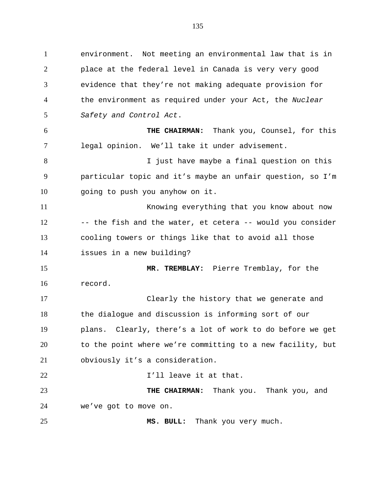environment. Not meeting an environmental law that is in place at the federal level in Canada is very very good evidence that they're not making adequate provision for the environment as required under your Act, the *Nuclear Safety and Control Act*. **THE CHAIRMAN:** Thank you, Counsel, for this legal opinion. We'll take it under advisement.

8 I just have maybe a final question on this particular topic and it's maybe an unfair question, so I'm going to push you anyhow on it.

 Knowing everything that you know about now 12 -- the fish and the water, et cetera -- would you consider cooling towers or things like that to avoid all those issues in a new building?

 **MR. TREMBLAY:** Pierre Tremblay, for the record.

 Clearly the history that we generate and the dialogue and discussion is informing sort of our plans. Clearly, there's a lot of work to do before we get to the point where we're committing to a new facility, but obviously it's a consideration.

**I'll leave it at that. THE CHAIRMAN:** Thank you. Thank you, and

we've got to move on.

**MS. BULL:** Thank you very much.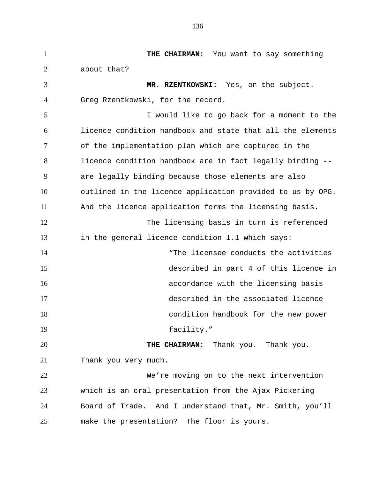**THE CHAIRMAN:** You want to say something about that? **MR. RZENTKOWSKI:** Yes, on the subject. Greg Rzentkowski, for the record. I would like to go back for a moment to the licence condition handbook and state that all the elements of the implementation plan which are captured in the licence condition handbook are in fact legally binding -- are legally binding because those elements are also outlined in the licence application provided to us by OPG. And the licence application forms the licensing basis. The licensing basis in turn is referenced in the general licence condition 1.1 which says: 14 The licensee conducts the activities described in part 4 of this licence in accordance with the licensing basis described in the associated licence condition handbook for the new power 19 facility." **THE CHAIRMAN:** Thank you. Thank you. Thank you very much. We're moving on to the next intervention which is an oral presentation from the Ajax Pickering Board of Trade. And I understand that, Mr. Smith, you'll make the presentation? The floor is yours.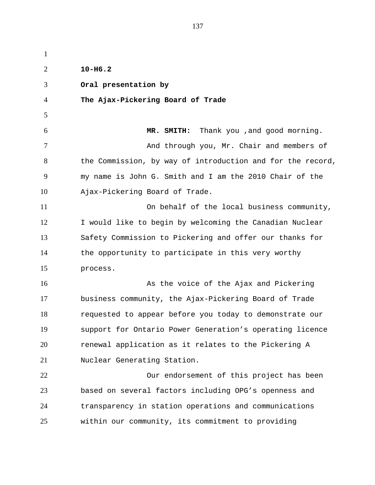| $\mathbf{1}$   |                                                            |
|----------------|------------------------------------------------------------|
| $\overline{2}$ | $10 - H6.2$                                                |
| 3              | Oral presentation by                                       |
| 4              | The Ajax-Pickering Board of Trade                          |
| 5              |                                                            |
| 6              | Thank you , and good morning.<br>MR. SMITH:                |
| 7              | And through you, Mr. Chair and members of                  |
| 8              | the Commission, by way of introduction and for the record, |
| 9              | my name is John G. Smith and I am the 2010 Chair of the    |
| 10             | Ajax-Pickering Board of Trade.                             |
| 11             | On behalf of the local business community,                 |
| 12             | I would like to begin by welcoming the Canadian Nuclear    |
| 13             | Safety Commission to Pickering and offer our thanks for    |
| 14             | the opportunity to participate in this very worthy         |
| 15             | process.                                                   |
| 16             | As the voice of the Ajax and Pickering                     |
| 17             | business community, the Ajax-Pickering Board of Trade      |
| 18             | requested to appear before you today to demonstrate our    |
| 19             | support for Ontario Power Generation's operating licence   |
| 20             | renewal application as it relates to the Pickering A       |
| 21             | Nuclear Generating Station.                                |
| 22             | Our endorsement of this project has been                   |
| 23             | based on several factors including OPG's openness and      |
| 24             | transparency in station operations and communications      |
| 25             | within our community, its commitment to providing          |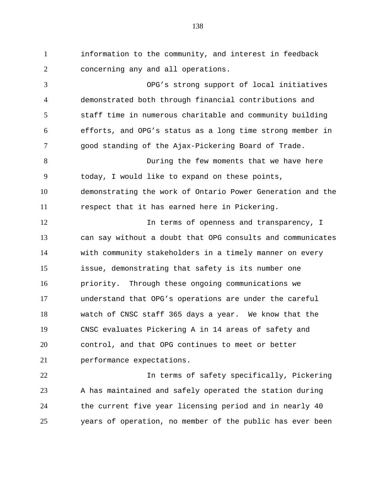information to the community, and interest in feedback concerning any and all operations.

 OPG's strong support of local initiatives demonstrated both through financial contributions and staff time in numerous charitable and community building efforts, and OPG's status as a long time strong member in good standing of the Ajax-Pickering Board of Trade. During the few moments that we have here today, I would like to expand on these points, demonstrating the work of Ontario Power Generation and the respect that it has earned here in Pickering. 12 12 In terms of openness and transparency, I can say without a doubt that OPG consults and communicates with community stakeholders in a timely manner on every issue, demonstrating that safety is its number one priority. Through these ongoing communications we understand that OPG's operations are under the careful watch of CNSC staff 365 days a year. We know that the CNSC evaluates Pickering A in 14 areas of safety and control, and that OPG continues to meet or better performance expectations.

 In terms of safety specifically, Pickering A has maintained and safely operated the station during the current five year licensing period and in nearly 40 years of operation, no member of the public has ever been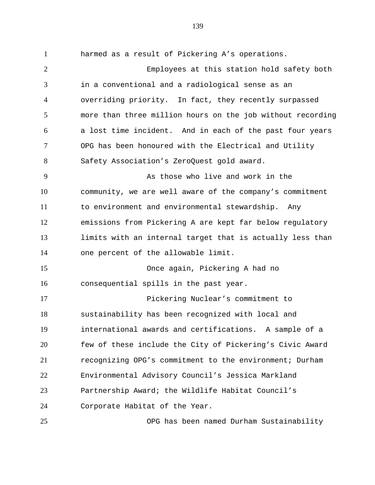harmed as a result of Pickering A's operations. Employees at this station hold safety both in a conventional and a radiological sense as an overriding priority. In fact, they recently surpassed more than three million hours on the job without recording a lost time incident. And in each of the past four years OPG has been honoured with the Electrical and Utility Safety Association's ZeroQuest gold award. As those who live and work in the community, we are well aware of the company's commitment to environment and environmental stewardship. Any emissions from Pickering A are kept far below regulatory limits with an internal target that is actually less than one percent of the allowable limit. Once again, Pickering A had no consequential spills in the past year. Pickering Nuclear's commitment to sustainability has been recognized with local and international awards and certifications. A sample of a few of these include the City of Pickering's Civic Award recognizing OPG's commitment to the environment; Durham Environmental Advisory Council's Jessica Markland Partnership Award; the Wildlife Habitat Council's Corporate Habitat of the Year.

OPG has been named Durham Sustainability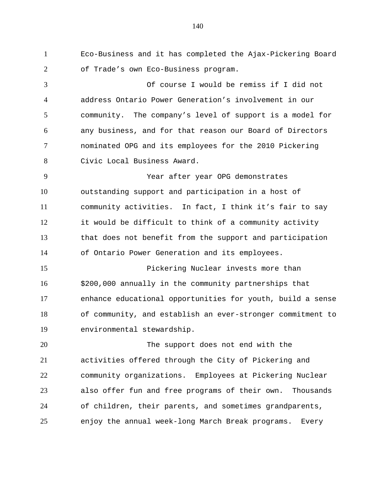Eco-Business and it has completed the Ajax-Pickering Board of Trade's own Eco-Business program.

 Of course I would be remiss if I did not address Ontario Power Generation's involvement in our community. The company's level of support is a model for any business, and for that reason our Board of Directors nominated OPG and its employees for the 2010 Pickering Civic Local Business Award.

 Year after year OPG demonstrates outstanding support and participation in a host of community activities. In fact, I think it's fair to say it would be difficult to think of a community activity that does not benefit from the support and participation of Ontario Power Generation and its employees.

 Pickering Nuclear invests more than \$200,000 annually in the community partnerships that enhance educational opportunities for youth, build a sense of community, and establish an ever-stronger commitment to environmental stewardship.

 The support does not end with the activities offered through the City of Pickering and community organizations. Employees at Pickering Nuclear also offer fun and free programs of their own. Thousands of children, their parents, and sometimes grandparents, enjoy the annual week-long March Break programs. Every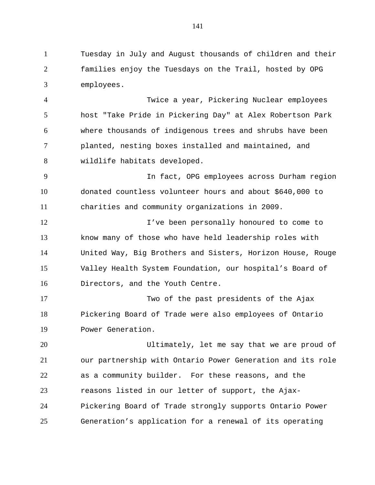Tuesday in July and August thousands of children and their families enjoy the Tuesdays on the Trail, hosted by OPG employees.

 Twice a year, Pickering Nuclear employees host "Take Pride in Pickering Day" at Alex Robertson Park where thousands of indigenous trees and shrubs have been planted, nesting boxes installed and maintained, and wildlife habitats developed.

 In fact, OPG employees across Durham region donated countless volunteer hours and about \$640,000 to charities and community organizations in 2009.

**I've been personally honoured to come to**  know many of those who have held leadership roles with United Way, Big Brothers and Sisters, Horizon House, Rouge Valley Health System Foundation, our hospital's Board of Directors, and the Youth Centre.

 Two of the past presidents of the Ajax Pickering Board of Trade were also employees of Ontario Power Generation.

 Ultimately, let me say that we are proud of our partnership with Ontario Power Generation and its role as a community builder. For these reasons, and the reasons listed in our letter of support, the Ajax- Pickering Board of Trade strongly supports Ontario Power Generation's application for a renewal of its operating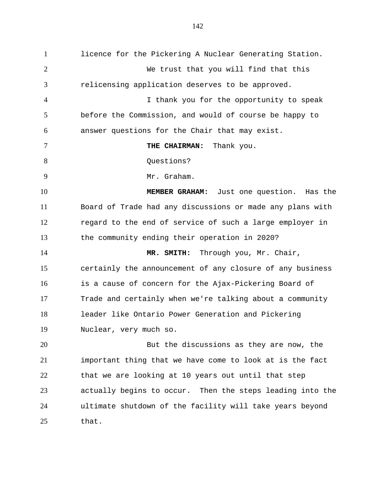licence for the Pickering A Nuclear Generating Station. We trust that you will find that this relicensing application deserves to be approved. I thank you for the opportunity to speak before the Commission, and would of course be happy to answer questions for the Chair that may exist. **THE CHAIRMAN:** Thank you. 8 Ouestions? Mr. Graham. **MEMBER GRAHAM:** Just one question. Has the Board of Trade had any discussions or made any plans with regard to the end of service of such a large employer in the community ending their operation in 2020? **MR. SMITH:** Through you, Mr. Chair, certainly the announcement of any closure of any business is a cause of concern for the Ajax-Pickering Board of Trade and certainly when we're talking about a community leader like Ontario Power Generation and Pickering Nuclear, very much so. But the discussions as they are now, the important thing that we have come to look at is the fact that we are looking at 10 years out until that step actually begins to occur. Then the steps leading into the ultimate shutdown of the facility will take years beyond that.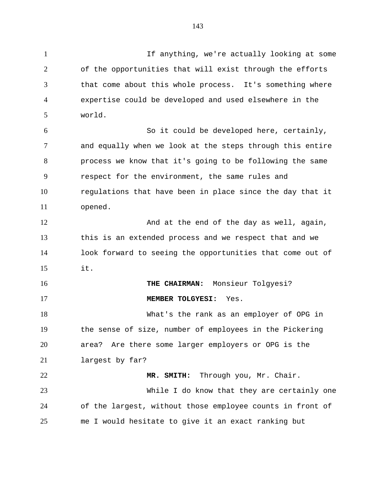If anything, we're actually looking at some of the opportunities that will exist through the efforts that come about this whole process. It's something where expertise could be developed and used elsewhere in the world. So it could be developed here, certainly, and equally when we look at the steps through this entire process we know that it's going to be following the same respect for the environment, the same rules and regulations that have been in place since the day that it opened. 12 And at the end of the day as well, again, this is an extended process and we respect that and we look forward to seeing the opportunities that come out of it. **THE CHAIRMAN:** Monsieur Tolgyesi? **MEMBER TOLGYESI:** Yes. What's the rank as an employer of OPG in the sense of size, number of employees in the Pickering area? Are there some larger employers or OPG is the largest by far? **MR. SMITH:** Through you, Mr. Chair. While I do know that they are certainly one of the largest, without those employee counts in front of me I would hesitate to give it an exact ranking but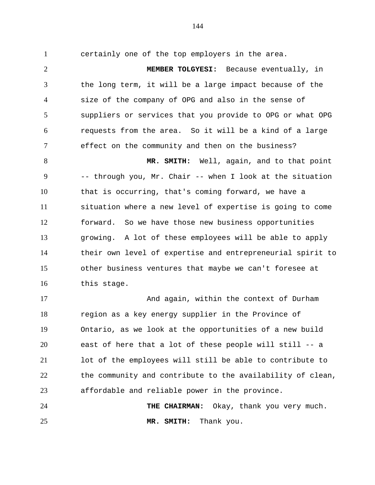certainly one of the top employers in the area. **MEMBER TOLGYESI:** Because eventually, in the long term, it will be a large impact because of the size of the company of OPG and also in the sense of suppliers or services that you provide to OPG or what OPG requests from the area. So it will be a kind of a large effect on the community and then on the business?

 **MR. SMITH:** Well, again, and to that point -- through you, Mr. Chair -- when I look at the situation that is occurring, that's coming forward, we have a situation where a new level of expertise is going to come forward. So we have those new business opportunities growing. A lot of these employees will be able to apply their own level of expertise and entrepreneurial spirit to other business ventures that maybe we can't foresee at this stage.

 And again, within the context of Durham region as a key energy supplier in the Province of Ontario, as we look at the opportunities of a new build east of here that a lot of these people will still -- a lot of the employees will still be able to contribute to the community and contribute to the availability of clean, affordable and reliable power in the province.

 **THE CHAIRMAN:** Okay, thank you very much. **MR. SMITH:** Thank you.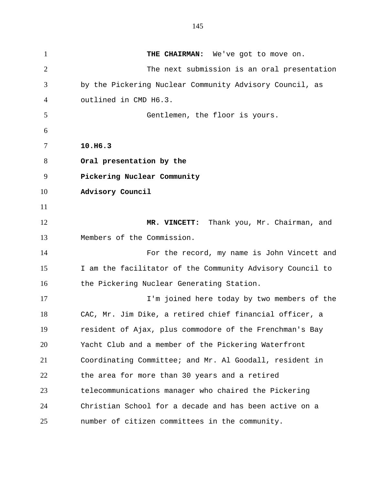**THE CHAIRMAN:** We've got to move on. The next submission is an oral presentation by the Pickering Nuclear Community Advisory Council, as outlined in CMD H6.3. Gentlemen, the floor is yours. **10.H6.3 Oral presentation by the Pickering Nuclear Community Advisory Council MR. VINCETT:** Thank you, Mr. Chairman, and Members of the Commission. For the record, my name is John Vincett and I am the facilitator of the Community Advisory Council to 16 the Pickering Nuclear Generating Station. I'm joined here today by two members of the CAC, Mr. Jim Dike, a retired chief financial officer, a resident of Ajax, plus commodore of the Frenchman's Bay Yacht Club and a member of the Pickering Waterfront Coordinating Committee; and Mr. Al Goodall, resident in the area for more than 30 years and a retired telecommunications manager who chaired the Pickering Christian School for a decade and has been active on a number of citizen committees in the community.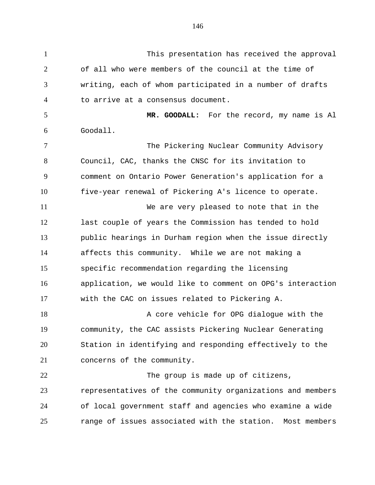This presentation has received the approval of all who were members of the council at the time of writing, each of whom participated in a number of drafts to arrive at a consensus document. **MR. GOODALL:** For the record, my name is Al Goodall. The Pickering Nuclear Community Advisory Council, CAC, thanks the CNSC for its invitation to comment on Ontario Power Generation's application for a five-year renewal of Pickering A's licence to operate. We are very pleased to note that in the last couple of years the Commission has tended to hold public hearings in Durham region when the issue directly affects this community. While we are not making a specific recommendation regarding the licensing application, we would like to comment on OPG's interaction with the CAC on issues related to Pickering A. 18 A core vehicle for OPG dialogue with the community, the CAC assists Pickering Nuclear Generating Station in identifying and responding effectively to the concerns of the community. The group is made up of citizens, representatives of the community organizations and members of local government staff and agencies who examine a wide range of issues associated with the station. Most members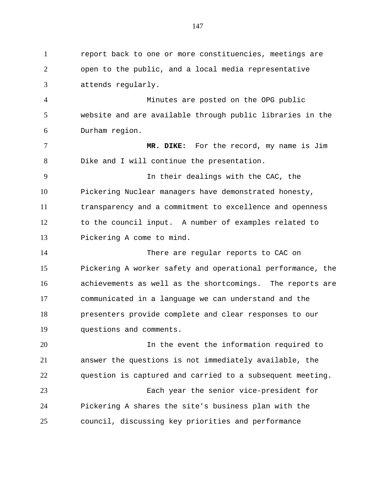report back to one or more constituencies, meetings are open to the public, and a local media representative attends regularly. Minutes are posted on the OPG public website and are available through public libraries in the Durham region. **MR. DIKE:** For the record, my name is Jim Dike and I will continue the presentation. In their dealings with the CAC, the Pickering Nuclear managers have demonstrated honesty, transparency and a commitment to excellence and openness to the council input. A number of examples related to Pickering A come to mind. There are regular reports to CAC on Pickering A worker safety and operational performance, the achievements as well as the shortcomings. The reports are communicated in a language we can understand and the presenters provide complete and clear responses to our questions and comments. 20 10 10 10 10 In the event the information required to answer the questions is not immediately available, the question is captured and carried to a subsequent meeting. Each year the senior vice-president for Pickering A shares the site's business plan with the council, discussing key priorities and performance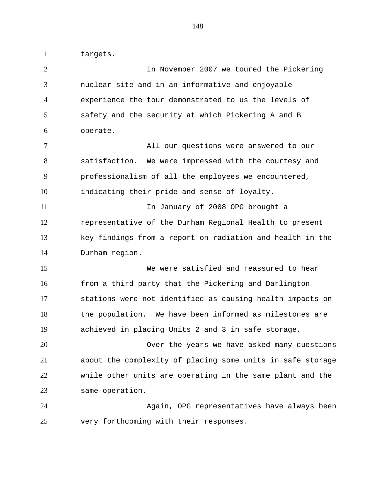targets.

 In November 2007 we toured the Pickering nuclear site and in an informative and enjoyable experience the tour demonstrated to us the levels of safety and the security at which Pickering A and B operate. All our questions were answered to our satisfaction. We were impressed with the courtesy and professionalism of all the employees we encountered, indicating their pride and sense of loyalty. In January of 2008 OPG brought a representative of the Durham Regional Health to present key findings from a report on radiation and health in the Durham region. We were satisfied and reassured to hear from a third party that the Pickering and Darlington stations were not identified as causing health impacts on the population. We have been informed as milestones are achieved in placing Units 2 and 3 in safe storage. Over the years we have asked many questions about the complexity of placing some units in safe storage while other units are operating in the same plant and the same operation. Again, OPG representatives have always been very forthcoming with their responses.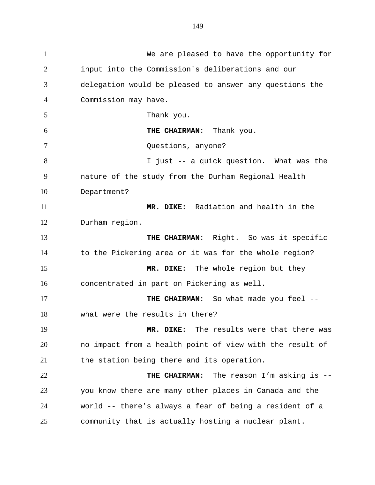We are pleased to have the opportunity for input into the Commission's deliberations and our delegation would be pleased to answer any questions the Commission may have. Thank you. **THE CHAIRMAN:** Thank you. Questions, anyone? I just -- a quick question. What was the nature of the study from the Durham Regional Health Department? **MR. DIKE:** Radiation and health in the Durham region. **THE CHAIRMAN:** Right. So was it specific to the Pickering area or it was for the whole region? **MR. DIKE:** The whole region but they concentrated in part on Pickering as well. **THE CHAIRMAN:** So what made you feel -- what were the results in there? **MR. DIKE:** The results were that there was no impact from a health point of view with the result of the station being there and its operation. **THE CHAIRMAN:** The reason I'm asking is -- you know there are many other places in Canada and the world -- there's always a fear of being a resident of a community that is actually hosting a nuclear plant.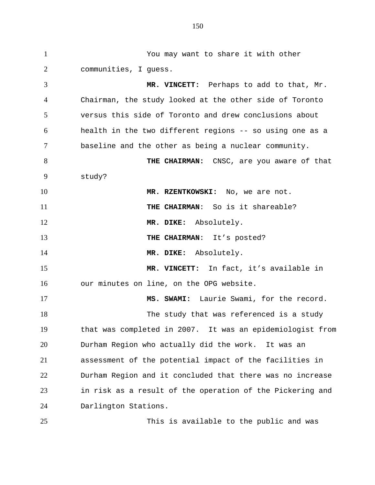You may want to share it with other communities, I guess. **MR. VINCETT:** Perhaps to add to that, Mr. Chairman, the study looked at the other side of Toronto versus this side of Toronto and drew conclusions about health in the two different regions -- so using one as a baseline and the other as being a nuclear community. **THE CHAIRMAN:** CNSC, are you aware of that study? **MR. RZENTKOWSKI:** No, we are not. **THE CHAIRMAN**: So is it shareable? **MR. DIKE:** Absolutely. **THE CHAIRMAN:** It's posted? **MR. DIKE:** Absolutely. **MR. VINCETT:** In fact, it's available in our minutes on line, on the OPG website. **MS. SWAMI:** Laurie Swami, for the record. 18 The study that was referenced is a study that was completed in 2007. It was an epidemiologist from Durham Region who actually did the work. It was an assessment of the potential impact of the facilities in Durham Region and it concluded that there was no increase in risk as a result of the operation of the Pickering and Darlington Stations.

This is available to the public and was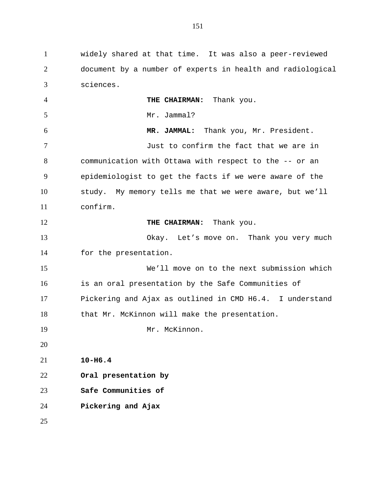widely shared at that time. It was also a peer-reviewed document by a number of experts in health and radiological sciences. **THE CHAIRMAN:** Thank you. Mr. Jammal? **MR. JAMMAL:** Thank you, Mr. President. Just to confirm the fact that we are in communication with Ottawa with respect to the -- or an epidemiologist to get the facts if we were aware of the study. My memory tells me that we were aware, but we'll confirm. **THE CHAIRMAN:** Thank you. Okay. Let's move on. Thank you very much for the presentation. We'll move on to the next submission which is an oral presentation by the Safe Communities of Pickering and Ajax as outlined in CMD H6.4. I understand 18 that Mr. McKinnon will make the presentation. 19 Mr. McKinnon. **10-H6.4 Oral presentation by Safe Communities of Pickering and Ajax**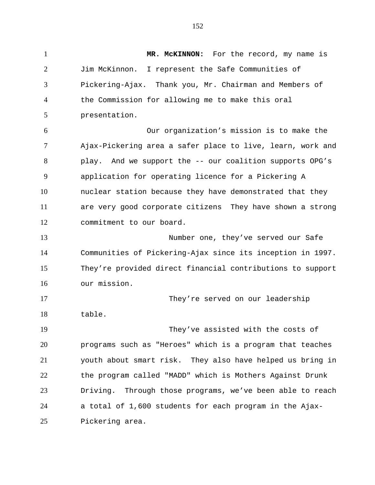1 MR. MCKINNON: For the record, my name is Jim McKinnon. I represent the Safe Communities of Pickering-Ajax. Thank you, Mr. Chairman and Members of the Commission for allowing me to make this oral presentation. Our organization's mission is to make the Ajax-Pickering area a safer place to live, learn, work and play. And we support the -- our coalition supports OPG's application for operating licence for a Pickering A nuclear station because they have demonstrated that they are very good corporate citizens They have shown a strong commitment to our board. Number one, they've served our Safe Communities of Pickering-Ajax since its inception in 1997. They're provided direct financial contributions to support our mission. They're served on our leadership table. They've assisted with the costs of programs such as "Heroes" which is a program that teaches youth about smart risk. They also have helped us bring in the program called "MADD" which is Mothers Against Drunk Driving. Through those programs, we've been able to reach a total of 1,600 students for each program in the Ajax-Pickering area.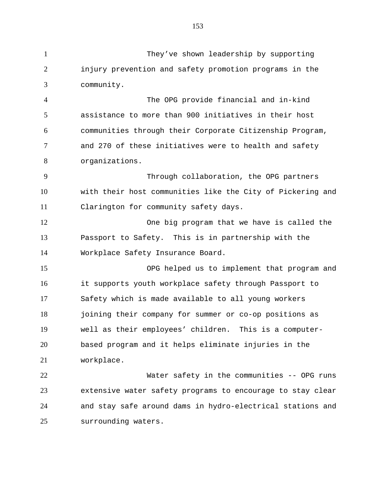They've shown leadership by supporting injury prevention and safety promotion programs in the community. The OPG provide financial and in-kind assistance to more than 900 initiatives in their host communities through their Corporate Citizenship Program, and 270 of these initiatives were to health and safety organizations. Through collaboration, the OPG partners with their host communities like the City of Pickering and Clarington for community safety days. One big program that we have is called the Passport to Safety. This is in partnership with the Workplace Safety Insurance Board. OPG helped us to implement that program and it supports youth workplace safety through Passport to Safety which is made available to all young workers joining their company for summer or co-op positions as well as their employees' children. This is a computer- based program and it helps eliminate injuries in the workplace. Water safety in the communities -- OPG runs extensive water safety programs to encourage to stay clear and stay safe around dams in hydro-electrical stations and

surrounding waters.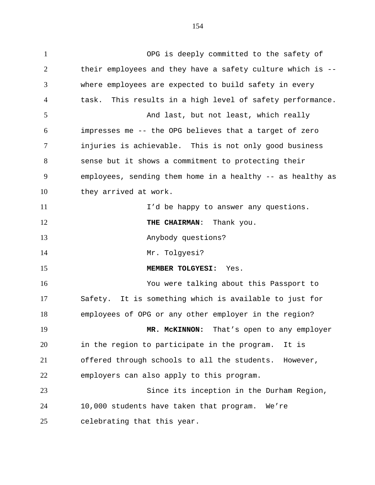OPG is deeply committed to the safety of their employees and they have a safety culture which is -- where employees are expected to build safety in every task. This results in a high level of safety performance. 5 And last, but not least, which really impresses me -- the OPG believes that a target of zero injuries is achievable. This is not only good business sense but it shows a commitment to protecting their employees, sending them home in a healthy -- as healthy as they arrived at work. I'd be happy to answer any questions. **THE CHAIRMAN:** Thank you. Anybody questions? Mr. Tolgyesi? **MEMBER TOLGYESI:** Yes. You were talking about this Passport to Safety. It is something which is available to just for employees of OPG or any other employer in the region? **MR. McKINNON:** That's open to any employer in the region to participate in the program. It is offered through schools to all the students. However, employers can also apply to this program. Since its inception in the Durham Region, 10,000 students have taken that program. We're celebrating that this year.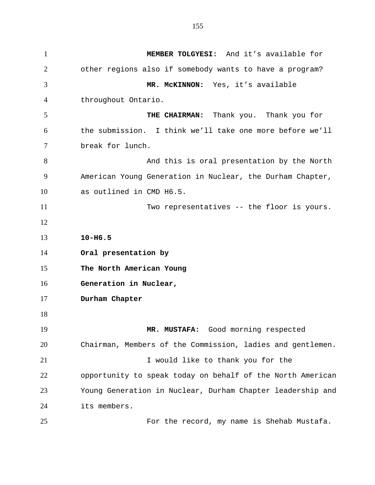**MEMBER TOLGYESI:** And it's available for other regions also if somebody wants to have a program? **MR. McKINNON:** Yes, it's available throughout Ontario. **THE CHAIRMAN:** Thank you. Thank you for the submission. I think we'll take one more before we'll break for lunch. 8 And this is oral presentation by the North American Young Generation in Nuclear, the Durham Chapter, as outlined in CMD H6.5. Two representatives -- the floor is yours. **10-H6.5 Oral presentation by The North American Young Generation in Nuclear, Durham Chapter MR. MUSTAFA:** Good morning respected Chairman, Members of the Commission, ladies and gentlemen. 21 I would like to thank you for the opportunity to speak today on behalf of the North American Young Generation in Nuclear, Durham Chapter leadership and its members. For the record, my name is Shehab Mustafa.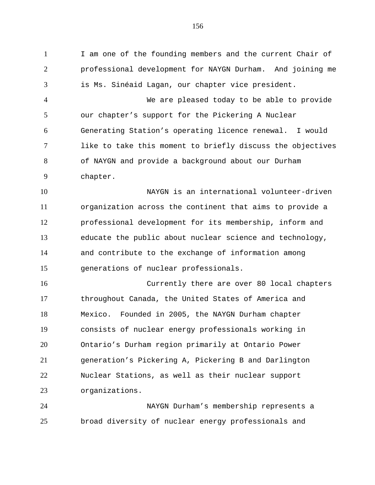I am one of the founding members and the current Chair of professional development for NAYGN Durham. And joining me is Ms. Sinéaid Lagan, our chapter vice president.

 We are pleased today to be able to provide our chapter's support for the Pickering A Nuclear Generating Station's operating licence renewal. I would like to take this moment to briefly discuss the objectives of NAYGN and provide a background about our Durham chapter.

 NAYGN is an international volunteer-driven organization across the continent that aims to provide a professional development for its membership, inform and educate the public about nuclear science and technology, and contribute to the exchange of information among generations of nuclear professionals.

 Currently there are over 80 local chapters throughout Canada, the United States of America and Mexico. Founded in 2005, the NAYGN Durham chapter consists of nuclear energy professionals working in Ontario's Durham region primarily at Ontario Power generation's Pickering A, Pickering B and Darlington Nuclear Stations, as well as their nuclear support organizations.

 NAYGN Durham's membership represents a broad diversity of nuclear energy professionals and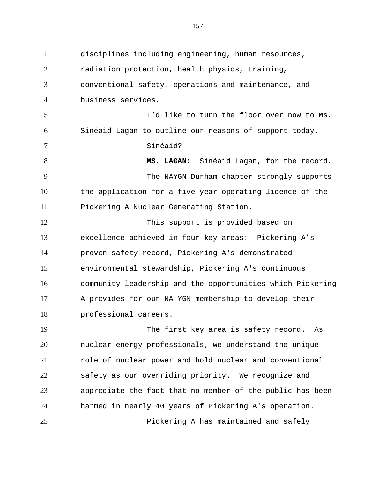disciplines including engineering, human resources, radiation protection, health physics, training, conventional safety, operations and maintenance, and business services. I'd like to turn the floor over now to Ms. Sinéaid Lagan to outline our reasons of support today. Sinéaid? **MS. LAGAN:** Sinéaid Lagan, for the record. The NAYGN Durham chapter strongly supports the application for a five year operating licence of the Pickering A Nuclear Generating Station. This support is provided based on excellence achieved in four key areas: Pickering A's proven safety record, Pickering A's demonstrated environmental stewardship, Pickering A's continuous community leadership and the opportunities which Pickering A provides for our NA-YGN membership to develop their professional careers. The first key area is safety record. As nuclear energy professionals, we understand the unique role of nuclear power and hold nuclear and conventional safety as our overriding priority. We recognize and appreciate the fact that no member of the public has been harmed in nearly 40 years of Pickering A's operation.

Pickering A has maintained and safely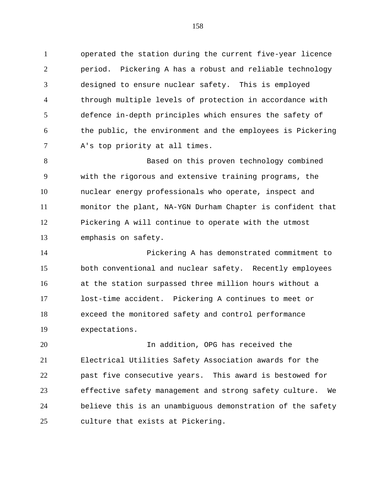operated the station during the current five-year licence period. Pickering A has a robust and reliable technology designed to ensure nuclear safety. This is employed through multiple levels of protection in accordance with defence in-depth principles which ensures the safety of the public, the environment and the employees is Pickering A's top priority at all times.

 Based on this proven technology combined with the rigorous and extensive training programs, the nuclear energy professionals who operate, inspect and monitor the plant, NA-YGN Durham Chapter is confident that Pickering A will continue to operate with the utmost emphasis on safety.

 Pickering A has demonstrated commitment to both conventional and nuclear safety. Recently employees at the station surpassed three million hours without a lost-time accident. Pickering A continues to meet or exceed the monitored safety and control performance expectations.

 In addition, OPG has received the Electrical Utilities Safety Association awards for the past five consecutive years. This award is bestowed for effective safety management and strong safety culture. We believe this is an unambiguous demonstration of the safety culture that exists at Pickering.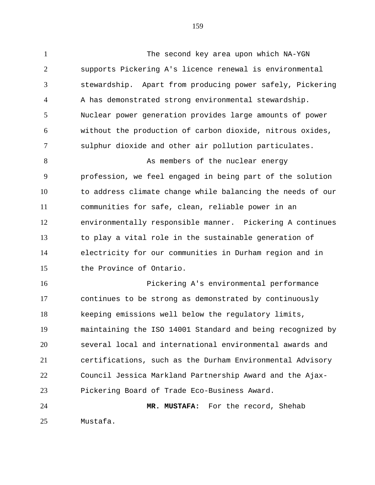The second key area upon which NA-YGN supports Pickering A's licence renewal is environmental stewardship. Apart from producing power safely, Pickering A has demonstrated strong environmental stewardship. Nuclear power generation provides large amounts of power without the production of carbon dioxide, nitrous oxides, sulphur dioxide and other air pollution particulates. 8 As members of the nuclear energy profession, we feel engaged in being part of the solution to address climate change while balancing the needs of our communities for safe, clean, reliable power in an environmentally responsible manner. Pickering A continues to play a vital role in the sustainable generation of electricity for our communities in Durham region and in the Province of Ontario. Pickering A's environmental performance continues to be strong as demonstrated by continuously

 keeping emissions well below the regulatory limits, maintaining the ISO 14001 Standard and being recognized by several local and international environmental awards and certifications, such as the Durham Environmental Advisory Council Jessica Markland Partnership Award and the Ajax-Pickering Board of Trade Eco-Business Award.

 **MR. MUSTAFA:** For the record, Shehab Mustafa.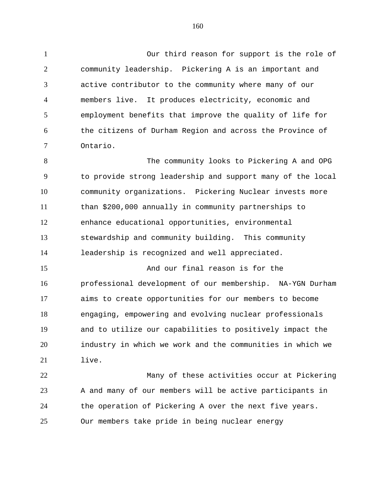Our third reason for support is the role of community leadership. Pickering A is an important and active contributor to the community where many of our members live. It produces electricity, economic and employment benefits that improve the quality of life for the citizens of Durham Region and across the Province of Ontario.

 The community looks to Pickering A and OPG to provide strong leadership and support many of the local community organizations. Pickering Nuclear invests more than \$200,000 annually in community partnerships to enhance educational opportunities, environmental stewardship and community building. This community leadership is recognized and well appreciated.

 And our final reason is for the professional development of our membership. NA-YGN Durham aims to create opportunities for our members to become engaging, empowering and evolving nuclear professionals and to utilize our capabilities to positively impact the industry in which we work and the communities in which we live.

 Many of these activities occur at Pickering A and many of our members will be active participants in the operation of Pickering A over the next five years. Our members take pride in being nuclear energy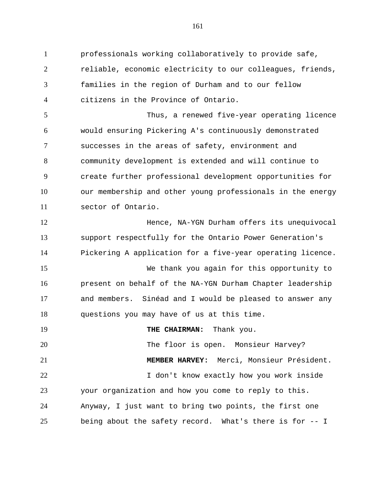professionals working collaboratively to provide safe, reliable, economic electricity to our colleagues, friends, families in the region of Durham and to our fellow citizens in the Province of Ontario. Thus, a renewed five-year operating licence would ensuring Pickering A's continuously demonstrated successes in the areas of safety, environment and community development is extended and will continue to create further professional development opportunities for our membership and other young professionals in the energy sector of Ontario. **Hence, NA-YGN Durham offers its unequivocal**  support respectfully for the Ontario Power Generation's Pickering A application for a five-year operating licence. We thank you again for this opportunity to present on behalf of the NA-YGN Durham Chapter leadership and members. Sinéad and I would be pleased to answer any questions you may have of us at this time. **THE CHAIRMAN:** Thank you.

20 The floor is open. Monsieur Harvey? **MEMBER HARVEY:** Merci, Monsieur Président. I don't know exactly how you work inside your organization and how you come to reply to this. Anyway, I just want to bring two points, the first one being about the safety record. What's there is for -- I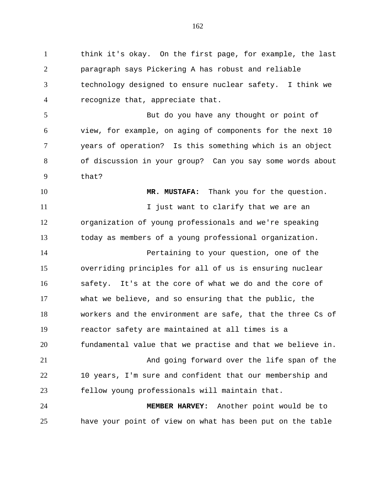think it's okay. On the first page, for example, the last paragraph says Pickering A has robust and reliable technology designed to ensure nuclear safety. I think we recognize that, appreciate that.

 But do you have any thought or point of view, for example, on aging of components for the next 10 years of operation? Is this something which is an object of discussion in your group? Can you say some words about that?

 **MR. MUSTAFA:** Thank you for the question. 11 11 I just want to clarify that we are an organization of young professionals and we're speaking today as members of a young professional organization. Pertaining to your question, one of the overriding principles for all of us is ensuring nuclear safety. It's at the core of what we do and the core of what we believe, and so ensuring that the public, the workers and the environment are safe, that the three Cs of reactor safety are maintained at all times is a fundamental value that we practise and that we believe in. And going forward over the life span of the 10 years, I'm sure and confident that our membership and fellow young professionals will maintain that. **MEMBER HARVEY:** Another point would be to have your point of view on what has been put on the table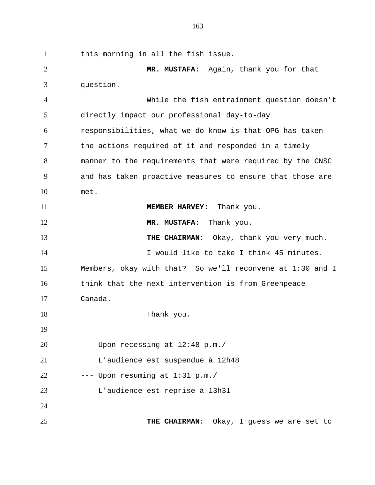this morning in all the fish issue. **MR. MUSTAFA:** Again, thank you for that question. While the fish entrainment question doesn't directly impact our professional day-to-day responsibilities, what we do know is that OPG has taken the actions required of it and responded in a timely manner to the requirements that were required by the CNSC and has taken proactive measures to ensure that those are met. **MEMBER HARVEY:** Thank you. **MR. MUSTAFA:** Thank you. 13 THE CHAIRMAN: Okay, thank you very much. 14 I would like to take I think 45 minutes. Members, okay with that? So we'll reconvene at 1:30 and I think that the next intervention is from Greenpeace Canada. 18 Thank you. --- Upon recessing at  $12:48$  p.m./ L'audience est suspendue à 12h48 --- Upon resuming at  $1:31$  p.m./ L'audience est reprise à 13h31 **THE CHAIRMAN:** Okay, I guess we are set to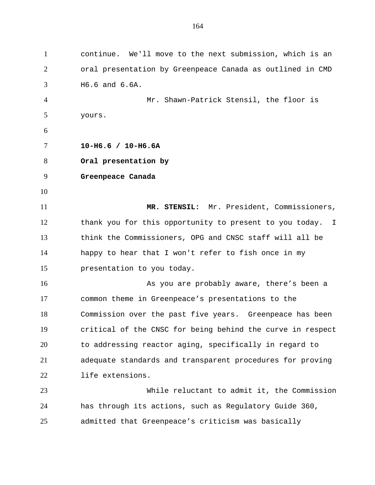continue. We'll move to the next submission, which is an oral presentation by Greenpeace Canada as outlined in CMD H6.6 and 6.6A. Mr. Shawn-Patrick Stensil, the floor is yours. **10-H6.6 / 10-H6.6A Oral presentation by Greenpeace Canada MR. STENSIL:** Mr. President, Commissioners, thank you for this opportunity to present to you today. I think the Commissioners, OPG and CNSC staff will all be happy to hear that I won't refer to fish once in my presentation to you today. 16 As you are probably aware, there's been a common theme in Greenpeace's presentations to the Commission over the past five years. Greenpeace has been critical of the CNSC for being behind the curve in respect to addressing reactor aging, specifically in regard to adequate standards and transparent procedures for proving life extensions. While reluctant to admit it, the Commission has through its actions, such as Regulatory Guide 360, admitted that Greenpeace's criticism was basically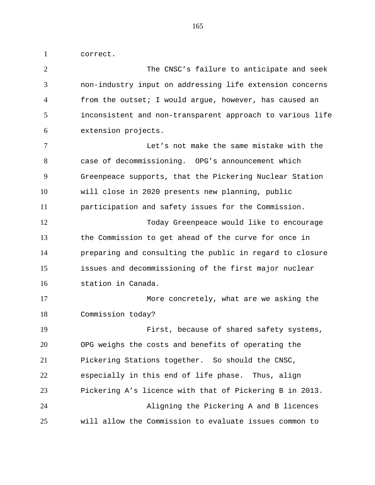correct.

 The CNSC's failure to anticipate and seek non-industry input on addressing life extension concerns from the outset; I would argue, however, has caused an inconsistent and non-transparent approach to various life extension projects. Let's not make the same mistake with the case of decommissioning. OPG's announcement which Greenpeace supports, that the Pickering Nuclear Station will close in 2020 presents new planning, public participation and safety issues for the Commission. Today Greenpeace would like to encourage the Commission to get ahead of the curve for once in preparing and consulting the public in regard to closure issues and decommissioning of the first major nuclear station in Canada. More concretely, what are we asking the Commission today? First, because of shared safety systems, OPG weighs the costs and benefits of operating the Pickering Stations together. So should the CNSC, especially in this end of life phase. Thus, align Pickering A's licence with that of Pickering B in 2013. Aligning the Pickering A and B licences will allow the Commission to evaluate issues common to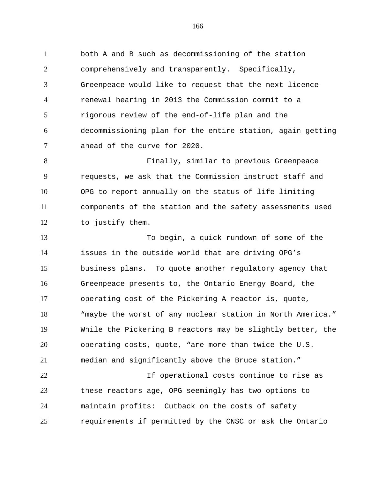both A and B such as decommissioning of the station comprehensively and transparently. Specifically, Greenpeace would like to request that the next licence renewal hearing in 2013 the Commission commit to a rigorous review of the end-of-life plan and the decommissioning plan for the entire station, again getting ahead of the curve for 2020.

 Finally, similar to previous Greenpeace requests, we ask that the Commission instruct staff and OPG to report annually on the status of life limiting components of the station and the safety assessments used to justify them.

 To begin, a quick rundown of some of the issues in the outside world that are driving OPG's business plans. To quote another regulatory agency that Greenpeace presents to, the Ontario Energy Board, the operating cost of the Pickering A reactor is, quote, "maybe the worst of any nuclear station in North America." While the Pickering B reactors may be slightly better, the operating costs, quote, "are more than twice the U.S. median and significantly above the Bruce station."

 If operational costs continue to rise as these reactors age, OPG seemingly has two options to maintain profits: Cutback on the costs of safety requirements if permitted by the CNSC or ask the Ontario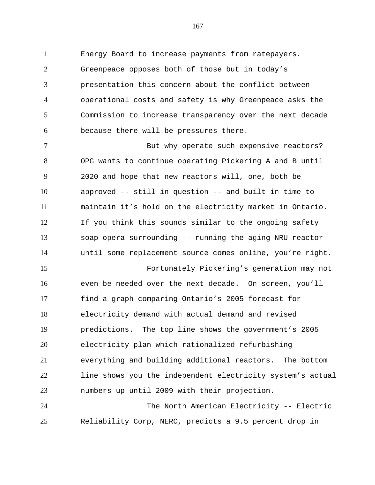Energy Board to increase payments from ratepayers. Greenpeace opposes both of those but in today's presentation this concern about the conflict between operational costs and safety is why Greenpeace asks the Commission to increase transparency over the next decade because there will be pressures there.

7 But why operate such expensive reactors? OPG wants to continue operating Pickering A and B until 2020 and hope that new reactors will, one, both be approved -- still in question -- and built in time to maintain it's hold on the electricity market in Ontario. If you think this sounds similar to the ongoing safety soap opera surrounding -- running the aging NRU reactor until some replacement source comes online, you're right.

 Fortunately Pickering's generation may not even be needed over the next decade. On screen, you'll find a graph comparing Ontario's 2005 forecast for electricity demand with actual demand and revised predictions. The top line shows the government's 2005 electricity plan which rationalized refurbishing everything and building additional reactors. The bottom line shows you the independent electricity system's actual numbers up until 2009 with their projection.

 The North American Electricity -- Electric Reliability Corp, NERC, predicts a 9.5 percent drop in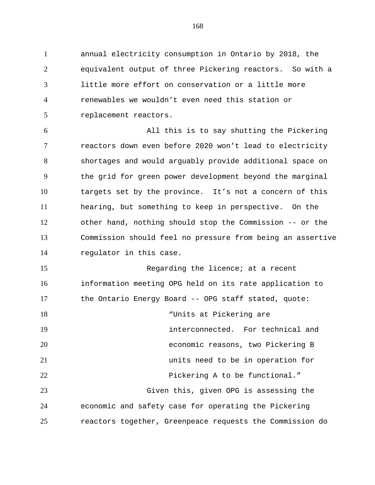annual electricity consumption in Ontario by 2018, the equivalent output of three Pickering reactors. So with a little more effort on conservation or a little more renewables we wouldn't even need this station or replacement reactors.

 All this is to say shutting the Pickering reactors down even before 2020 won't lead to electricity shortages and would arguably provide additional space on the grid for green power development beyond the marginal targets set by the province. It's not a concern of this hearing, but something to keep in perspective. On the other hand, nothing should stop the Commission -- or the Commission should feel no pressure from being an assertive regulator in this case.

15 Regarding the licence; at a recent information meeting OPG held on its rate application to the Ontario Energy Board -- OPG staff stated, quote: "Units at Pickering are interconnected. For technical and economic reasons, two Pickering B units need to be in operation for Pickering A to be functional." Given this, given OPG is assessing the economic and safety case for operating the Pickering reactors together, Greenpeace requests the Commission do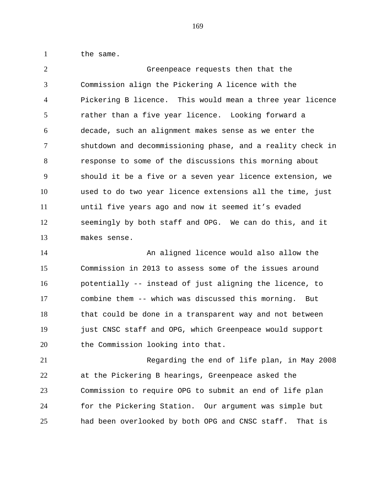1 the same.

 Greenpeace requests then that the Commission align the Pickering A licence with the Pickering B licence. This would mean a three year licence rather than a five year licence. Looking forward a decade, such an alignment makes sense as we enter the shutdown and decommissioning phase, and a reality check in response to some of the discussions this morning about should it be a five or a seven year licence extension, we used to do two year licence extensions all the time, just until five years ago and now it seemed it's evaded seemingly by both staff and OPG. We can do this, and it makes sense.

 An aligned licence would also allow the Commission in 2013 to assess some of the issues around potentially -- instead of just aligning the licence, to combine them -- which was discussed this morning. But that could be done in a transparent way and not between just CNSC staff and OPG, which Greenpeace would support 20 the Commission looking into that.

 Regarding the end of life plan, in May 2008 at the Pickering B hearings, Greenpeace asked the Commission to require OPG to submit an end of life plan for the Pickering Station. Our argument was simple but had been overlooked by both OPG and CNSC staff. That is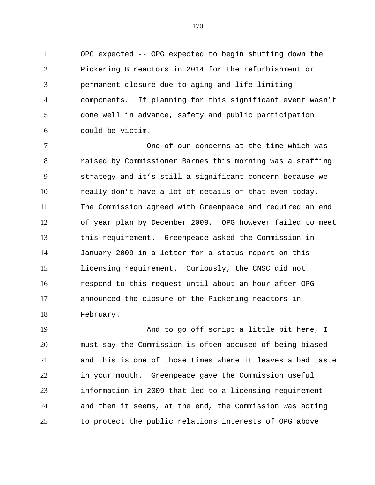OPG expected -- OPG expected to begin shutting down the Pickering B reactors in 2014 for the refurbishment or permanent closure due to aging and life limiting components. If planning for this significant event wasn't done well in advance, safety and public participation could be victim.

 One of our concerns at the time which was raised by Commissioner Barnes this morning was a staffing strategy and it's still a significant concern because we really don't have a lot of details of that even today. The Commission agreed with Greenpeace and required an end of year plan by December 2009. OPG however failed to meet this requirement. Greenpeace asked the Commission in January 2009 in a letter for a status report on this licensing requirement. Curiously, the CNSC did not respond to this request until about an hour after OPG announced the closure of the Pickering reactors in February.

 And to go off script a little bit here, I must say the Commission is often accused of being biased and this is one of those times where it leaves a bad taste in your mouth. Greenpeace gave the Commission useful information in 2009 that led to a licensing requirement and then it seems, at the end, the Commission was acting to protect the public relations interests of OPG above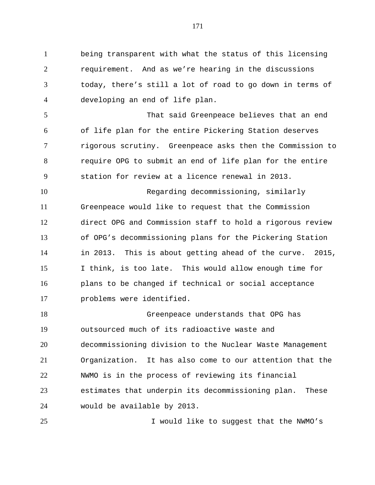being transparent with what the status of this licensing requirement. And as we're hearing in the discussions today, there's still a lot of road to go down in terms of developing an end of life plan.

 That said Greenpeace believes that an end of life plan for the entire Pickering Station deserves rigorous scrutiny. Greenpeace asks then the Commission to require OPG to submit an end of life plan for the entire station for review at a licence renewal in 2013.

 Regarding decommissioning, similarly Greenpeace would like to request that the Commission direct OPG and Commission staff to hold a rigorous review of OPG's decommissioning plans for the Pickering Station in 2013. This is about getting ahead of the curve. 2015, I think, is too late. This would allow enough time for plans to be changed if technical or social acceptance problems were identified.

 Greenpeace understands that OPG has outsourced much of its radioactive waste and decommissioning division to the Nuclear Waste Management Organization. It has also come to our attention that the NWMO is in the process of reviewing its financial estimates that underpin its decommissioning plan. These would be available by 2013.

I would like to suggest that the NWMO's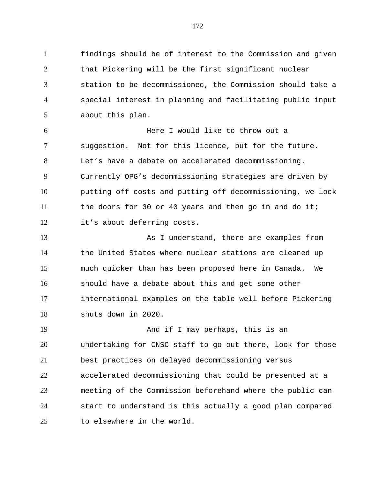findings should be of interest to the Commission and given that Pickering will be the first significant nuclear station to be decommissioned, the Commission should take a special interest in planning and facilitating public input about this plan.

 Here I would like to throw out a suggestion. Not for this licence, but for the future. Let's have a debate on accelerated decommissioning. Currently OPG's decommissioning strategies are driven by putting off costs and putting off decommissioning, we lock the doors for 30 or 40 years and then go in and do it; it's about deferring costs.

 As I understand, there are examples from the United States where nuclear stations are cleaned up much quicker than has been proposed here in Canada. We should have a debate about this and get some other international examples on the table well before Pickering shuts down in 2020.

 And if I may perhaps, this is an undertaking for CNSC staff to go out there, look for those best practices on delayed decommissioning versus accelerated decommissioning that could be presented at a meeting of the Commission beforehand where the public can start to understand is this actually a good plan compared to elsewhere in the world.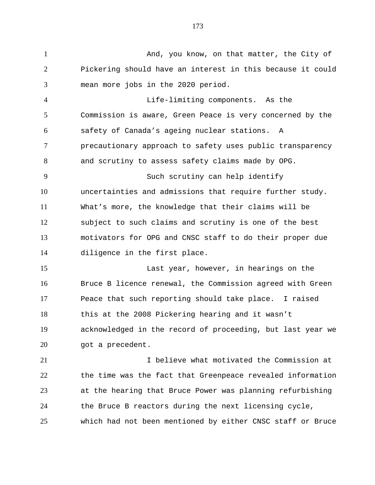1 And, you know, on that matter, the City of Pickering should have an interest in this because it could mean more jobs in the 2020 period.

 Life-limiting components. As the Commission is aware, Green Peace is very concerned by the safety of Canada's ageing nuclear stations. A precautionary approach to safety uses public transparency and scrutiny to assess safety claims made by OPG. Such scrutiny can help identify uncertainties and admissions that require further study. What's more, the knowledge that their claims will be subject to such claims and scrutiny is one of the best motivators for OPG and CNSC staff to do their proper due diligence in the first place.

 Last year, however, in hearings on the Bruce B licence renewal, the Commission agreed with Green Peace that such reporting should take place. I raised this at the 2008 Pickering hearing and it wasn't acknowledged in the record of proceeding, but last year we 20 got a precedent.

 I believe what motivated the Commission at the time was the fact that Greenpeace revealed information at the hearing that Bruce Power was planning refurbishing the Bruce B reactors during the next licensing cycle, which had not been mentioned by either CNSC staff or Bruce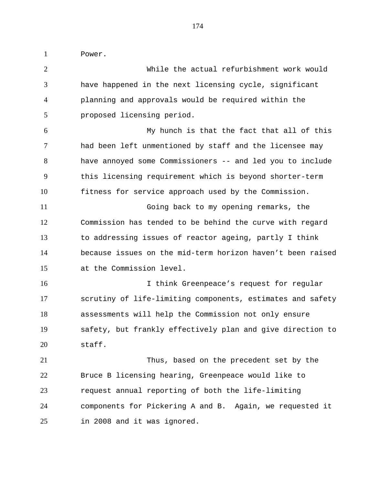Power.

 While the actual refurbishment work would have happened in the next licensing cycle, significant planning and approvals would be required within the proposed licensing period. My hunch is that the fact that all of this had been left unmentioned by staff and the licensee may have annoyed some Commissioners -- and led you to include this licensing requirement which is beyond shorter-term fitness for service approach used by the Commission. Going back to my opening remarks, the Commission has tended to be behind the curve with regard to addressing issues of reactor ageing, partly I think because issues on the mid-term horizon haven't been raised at the Commission level. 16 16 I think Greenpeace's request for regular scrutiny of life-limiting components, estimates and safety assessments will help the Commission not only ensure safety, but frankly effectively plan and give direction to staff. Thus, based on the precedent set by the Bruce B licensing hearing, Greenpeace would like to request annual reporting of both the life-limiting components for Pickering A and B. Again, we requested it in 2008 and it was ignored.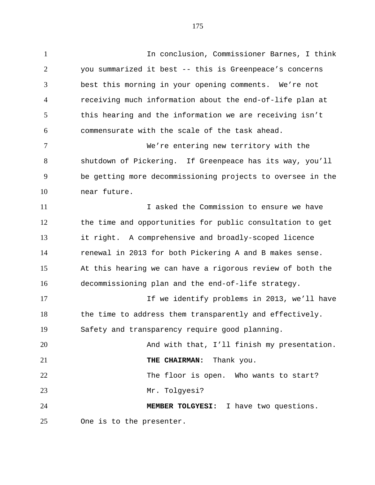In conclusion, Commissioner Barnes, I think

 you summarized it best -- this is Greenpeace's concerns best this morning in your opening comments. We're not receiving much information about the end-of-life plan at this hearing and the information we are receiving isn't commensurate with the scale of the task ahead. We're entering new territory with the shutdown of Pickering. If Greenpeace has its way, you'll be getting more decommissioning projects to oversee in the near future. I asked the Commission to ensure we have the time and opportunities for public consultation to get it right. A comprehensive and broadly-scoped licence renewal in 2013 for both Pickering A and B makes sense. At this hearing we can have a rigorous review of both the decommissioning plan and the end-of-life strategy. If we identify problems in 2013, we'll have 18 the time to address them transparently and effectively. Safety and transparency require good planning. And with that, I'll finish my presentation. **THE CHAIRMAN:** Thank you. The floor is open. Who wants to start? Mr. Tolgyesi? **MEMBER TOLGYESI:** I have two questions. One is to the presenter.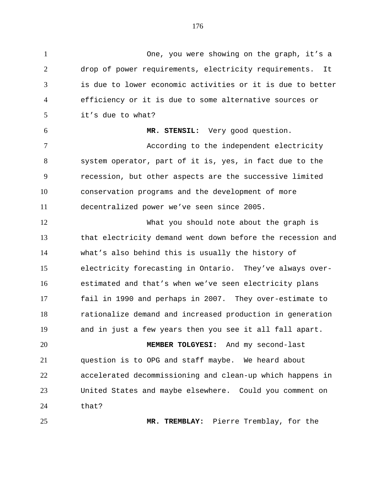One, you were showing on the graph, it's a drop of power requirements, electricity requirements. It is due to lower economic activities or it is due to better efficiency or it is due to some alternative sources or it's due to what? **MR. STENSIL:** Very good question. According to the independent electricity system operator, part of it is, yes, in fact due to the recession, but other aspects are the successive limited conservation programs and the development of more decentralized power we've seen since 2005. What you should note about the graph is that electricity demand went down before the recession and what's also behind this is usually the history of electricity forecasting in Ontario. They've always over- estimated and that's when we've seen electricity plans fail in 1990 and perhaps in 2007. They over-estimate to rationalize demand and increased production in generation and in just a few years then you see it all fall apart. **MEMBER TOLGYESI:** And my second-last question is to OPG and staff maybe. We heard about accelerated decommissioning and clean-up which happens in United States and maybe elsewhere. Could you comment on that?

**MR. TREMBLAY:** Pierre Tremblay, for the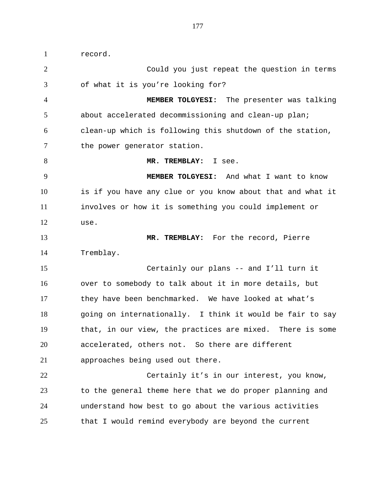record. Could you just repeat the question in terms of what it is you're looking for? **MEMBER TOLGYESI:** The presenter was talking about accelerated decommissioning and clean-up plan; clean-up which is following this shutdown of the station, 7 the power generator station. 8 MR. TREMBLAY: I see. **MEMBER TOLGYESI:** And what I want to know is if you have any clue or you know about that and what it involves or how it is something you could implement or use. **MR. TREMBLAY:** For the record, Pierre Tremblay. Certainly our plans -- and I'll turn it over to somebody to talk about it in more details, but they have been benchmarked. We have looked at what's going on internationally. I think it would be fair to say that, in our view, the practices are mixed. There is some accelerated, others not. So there are different approaches being used out there. Certainly it's in our interest, you know, to the general theme here that we do proper planning and understand how best to go about the various activities that I would remind everybody are beyond the current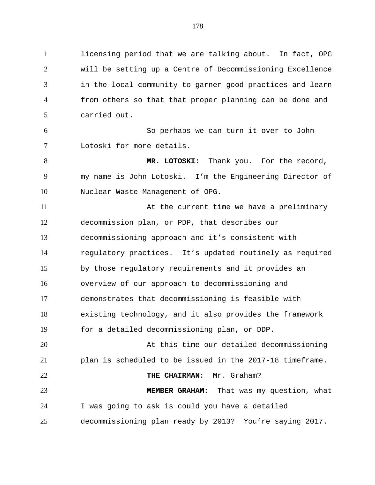licensing period that we are talking about. In fact, OPG will be setting up a Centre of Decommissioning Excellence in the local community to garner good practices and learn from others so that that proper planning can be done and carried out.

 So perhaps we can turn it over to John Lotoski for more details.

8 MR. LOTOSKI: Thank you. For the record, my name is John Lotoski. I'm the Engineering Director of Nuclear Waste Management of OPG.

11 At the current time we have a preliminary decommission plan, or PDP, that describes our decommissioning approach and it's consistent with regulatory practices. It's updated routinely as required by those regulatory requirements and it provides an overview of our approach to decommissioning and demonstrates that decommissioning is feasible with existing technology, and it also provides the framework for a detailed decommissioning plan, or DDP. At this time our detailed decommissioning plan is scheduled to be issued in the 2017-18 timeframe. **THE CHAIRMAN:** Mr. Graham? **MEMBER GRAHAM:** That was my question, what I was going to ask is could you have a detailed decommissioning plan ready by 2013? You're saying 2017.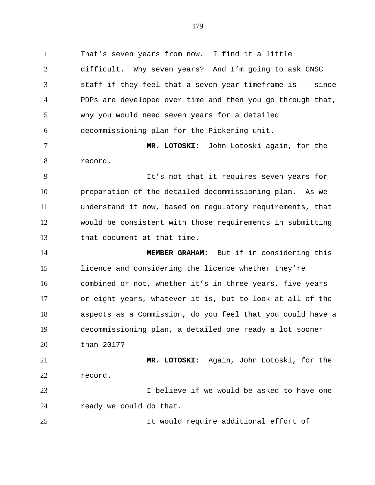That's seven years from now. I find it a little difficult. Why seven years? And I'm going to ask CNSC staff if they feel that a seven-year timeframe is -- since PDPs are developed over time and then you go through that, why you would need seven years for a detailed decommissioning plan for the Pickering unit. **MR. LOTOSKI:** John Lotoski again, for the record. It's not that it requires seven years for preparation of the detailed decommissioning plan. As we understand it now, based on regulatory requirements, that would be consistent with those requirements in submitting that document at that time. **MEMBER GRAHAM:** But if in considering this licence and considering the licence whether they're combined or not, whether it's in three years, five years or eight years, whatever it is, but to look at all of the aspects as a Commission, do you feel that you could have a decommissioning plan, a detailed one ready a lot sooner than 2017? **MR. LOTOSKI:** Again, John Lotoski, for the record. I believe if we would be asked to have one ready we could do that. It would require additional effort of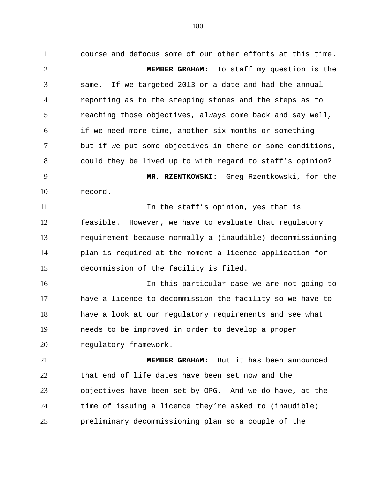course and defocus some of our other efforts at this time. **MEMBER GRAHAM:** To staff my question is the same. If we targeted 2013 or a date and had the annual reporting as to the stepping stones and the steps as to reaching those objectives, always come back and say well, if we need more time, another six months or something -- but if we put some objectives in there or some conditions, could they be lived up to with regard to staff's opinion? **MR. RZENTKOWSKI:** Greg Rzentkowski, for the record. 11 11 In the staff's opinion, yes that is feasible. However, we have to evaluate that regulatory requirement because normally a (inaudible) decommissioning plan is required at the moment a licence application for decommission of the facility is filed. In this particular case we are not going to have a licence to decommission the facility so we have to have a look at our regulatory requirements and see what needs to be improved in order to develop a proper 20 regulatory framework. **MEMBER GRAHAM:** But it has been announced that end of life dates have been set now and the objectives have been set by OPG. And we do have, at the

preliminary decommissioning plan so a couple of the

time of issuing a licence they're asked to (inaudible)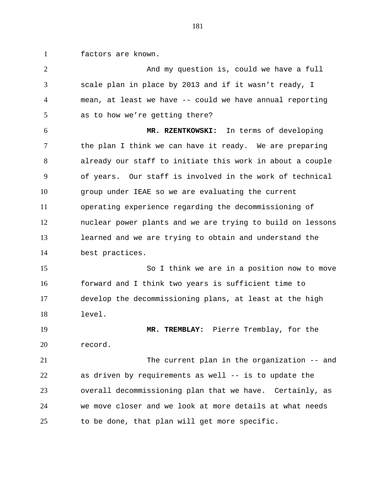factors are known.

2 And my question is, could we have a full scale plan in place by 2013 and if it wasn't ready, I mean, at least we have -- could we have annual reporting as to how we're getting there? **MR. RZENTKOWSKI:** In terms of developing 7 the plan I think we can have it ready. We are preparing already our staff to initiate this work in about a couple of years. Our staff is involved in the work of technical group under IEAE so we are evaluating the current operating experience regarding the decommissioning of nuclear power plants and we are trying to build on lessons learned and we are trying to obtain and understand the best practices. So I think we are in a position now to move forward and I think two years is sufficient time to develop the decommissioning plans, at least at the high level. **MR. TREMBLAY:** Pierre Tremblay, for the record. The current plan in the organization -- and as driven by requirements as well -- is to update the overall decommissioning plan that we have. Certainly, as we move closer and we look at more details at what needs to be done, that plan will get more specific.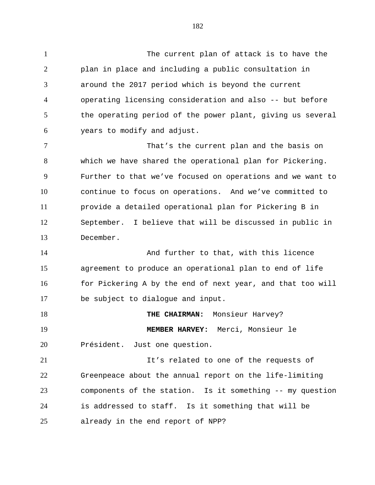The current plan of attack is to have the plan in place and including a public consultation in around the 2017 period which is beyond the current operating licensing consideration and also -- but before 5 the operating period of the power plant, giving us several years to modify and adjust.

 That's the current plan and the basis on which we have shared the operational plan for Pickering. Further to that we've focused on operations and we want to continue to focus on operations. And we've committed to provide a detailed operational plan for Pickering B in September. I believe that will be discussed in public in December.

 And further to that, with this licence agreement to produce an operational plan to end of life 16 for Pickering A by the end of next year, and that too will be subject to dialogue and input.

**THE CHAIRMAN:** Monsieur Harvey? **MEMBER HARVEY:** Merci, Monsieur le Président. Just one question.

 It's related to one of the requests of Greenpeace about the annual report on the life-limiting components of the station. Is it something -- my question is addressed to staff. Is it something that will be already in the end report of NPP?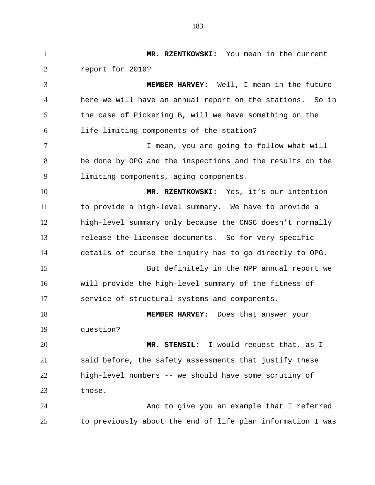**MR. RZENTKOWSKI:** You mean in the current report for 2010? **MEMBER HARVEY:** Well, I mean in the future here we will have an annual report on the stations. So in the case of Pickering B, will we have something on the life-limiting components of the station? 7 I mean, you are going to follow what will be done by OPG and the inspections and the results on the limiting components, aging components. **MR. RZENTKOWSKI:** Yes, it's our intention to provide a high-level summary. We have to provide a high-level summary only because the CNSC doesn't normally release the licensee documents. So for very specific details of course the inquiry has to go directly to OPG. But definitely in the NPP annual report we will provide the high-level summary of the fitness of service of structural systems and components. **MEMBER HARVEY:** Does that answer your question? **MR. STENSIL:** I would request that, as I said before, the safety assessments that justify these high-level numbers -- we should have some scrutiny of those. And to give you an example that I referred to previously about the end of life plan information I was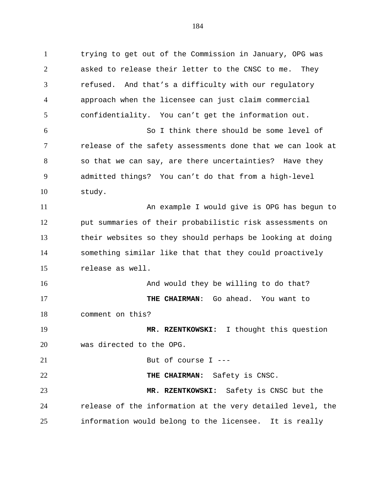trying to get out of the Commission in January, OPG was asked to release their letter to the CNSC to me. They refused. And that's a difficulty with our regulatory approach when the licensee can just claim commercial confidentiality. You can't get the information out. So I think there should be some level of release of the safety assessments done that we can look at so that we can say, are there uncertainties? Have they admitted things? You can't do that from a high-level study. An example I would give is OPG has begun to put summaries of their probabilistic risk assessments on their websites so they should perhaps be looking at doing something similar like that that they could proactively release as well. 16 And would they be willing to do that? **THE CHAIRMAN**: Go ahead. You want to comment on this? **MR. RZENTKOWSKI:** I thought this question was directed to the OPG. But of course I --- **THE CHAIRMAN:** Safety is CNSC. **MR. RZENTKOWSKI:** Safety is CNSC but the release of the information at the very detailed level, the information would belong to the licensee. It is really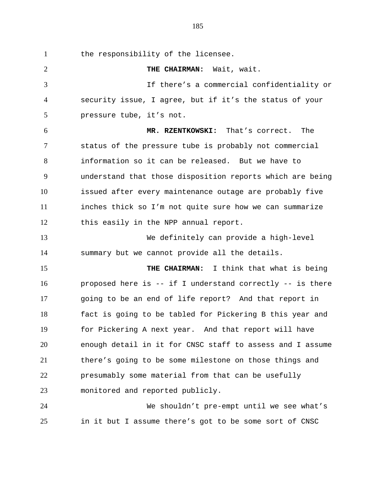1 the responsibility of the licensee. **THE CHAIRMAN:** Wait, wait. If there's a commercial confidentiality or security issue, I agree, but if it's the status of your pressure tube, it's not. **MR. RZENTKOWSKI:** That's correct. The status of the pressure tube is probably not commercial information so it can be released. But we have to understand that those disposition reports which are being issued after every maintenance outage are probably five inches thick so I'm not quite sure how we can summarize this easily in the NPP annual report. We definitely can provide a high-level summary but we cannot provide all the details. **THE CHAIRMAN:** I think that what is being proposed here is -- if I understand correctly -- is there going to be an end of life report? And that report in fact is going to be tabled for Pickering B this year and for Pickering A next year. And that report will have enough detail in it for CNSC staff to assess and I assume there's going to be some milestone on those things and

monitored and reported publicly.

 We shouldn't pre-empt until we see what's in it but I assume there's got to be some sort of CNSC

presumably some material from that can be usefully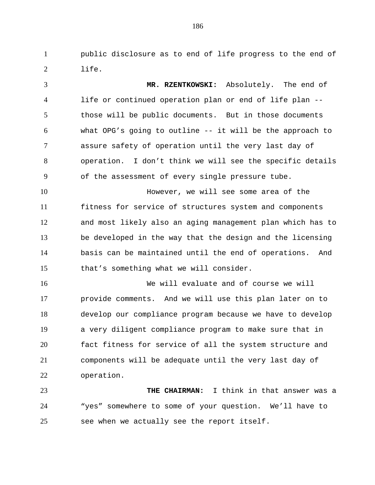public disclosure as to end of life progress to the end of life.

 **MR. RZENTKOWSKI:** Absolutely. The end of life or continued operation plan or end of life plan -- those will be public documents. But in those documents what OPG's going to outline -- it will be the approach to assure safety of operation until the very last day of operation. I don't think we will see the specific details of the assessment of every single pressure tube.

 However, we will see some area of the fitness for service of structures system and components and most likely also an aging management plan which has to be developed in the way that the design and the licensing basis can be maintained until the end of operations. And that's something what we will consider.

 We will evaluate and of course we will provide comments. And we will use this plan later on to develop our compliance program because we have to develop a very diligent compliance program to make sure that in fact fitness for service of all the system structure and components will be adequate until the very last day of operation.

 **THE CHAIRMAN:** I think in that answer was a "yes" somewhere to some of your question. We'll have to see when we actually see the report itself.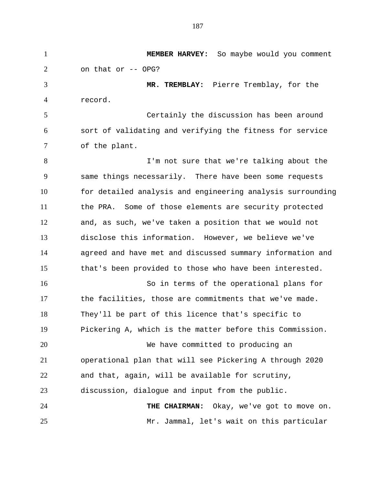**MEMBER HARVEY:** So maybe would you comment on that or -- OPG? **MR. TREMBLAY:** Pierre Tremblay, for the record. Certainly the discussion has been around sort of validating and verifying the fitness for service of the plant. 8 I'm not sure that we're talking about the same things necessarily. There have been some requests for detailed analysis and engineering analysis surrounding the PRA. Some of those elements are security protected and, as such, we've taken a position that we would not disclose this information. However, we believe we've agreed and have met and discussed summary information and that's been provided to those who have been interested. So in terms of the operational plans for the facilities, those are commitments that we've made. They'll be part of this licence that's specific to Pickering A, which is the matter before this Commission. We have committed to producing an operational plan that will see Pickering A through 2020 and that, again, will be available for scrutiny, discussion, dialogue and input from the public. **THE CHAIRMAN:** Okay, we've got to move on. Mr. Jammal, let's wait on this particular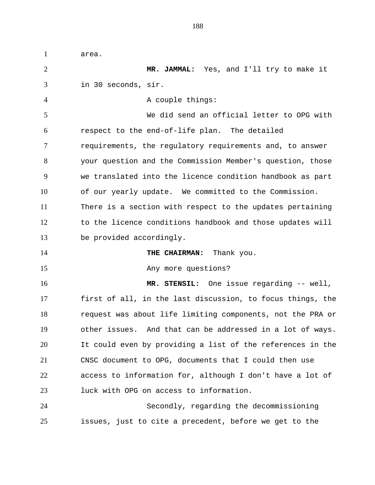area. **MR. JAMMAL:** Yes, and I'll try to make it in 30 seconds, sir. 4 A couple things: We did send an official letter to OPG with respect to the end-of-life plan. The detailed requirements, the regulatory requirements and, to answer your question and the Commission Member's question, those we translated into the licence condition handbook as part of our yearly update. We committed to the Commission. There is a section with respect to the updates pertaining to the licence conditions handbook and those updates will be provided accordingly. **THE CHAIRMAN:** Thank you. 15 Any more questions? **MR. STENSIL:** One issue regarding -- well, first of all, in the last discussion, to focus things, the request was about life limiting components, not the PRA or other issues. And that can be addressed in a lot of ways. It could even by providing a list of the references in the CNSC document to OPG, documents that I could then use access to information for, although I don't have a lot of luck with OPG on access to information. Secondly, regarding the decommissioning issues, just to cite a precedent, before we get to the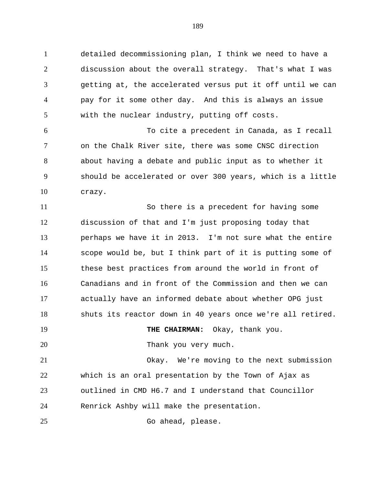detailed decommissioning plan, I think we need to have a discussion about the overall strategy. That's what I was getting at, the accelerated versus put it off until we can pay for it some other day. And this is always an issue with the nuclear industry, putting off costs.

 To cite a precedent in Canada, as I recall on the Chalk River site, there was some CNSC direction about having a debate and public input as to whether it should be accelerated or over 300 years, which is a little crazy.

 So there is a precedent for having some discussion of that and I'm just proposing today that perhaps we have it in 2013. I'm not sure what the entire scope would be, but I think part of it is putting some of these best practices from around the world in front of Canadians and in front of the Commission and then we can actually have an informed debate about whether OPG just shuts its reactor down in 40 years once we're all retired.

**THE CHAIRMAN:** Okay, thank you.

20 Thank you very much.

 Okay. We're moving to the next submission which is an oral presentation by the Town of Ajax as outlined in CMD H6.7 and I understand that Councillor Renrick Ashby will make the presentation.

25 Go ahead, please.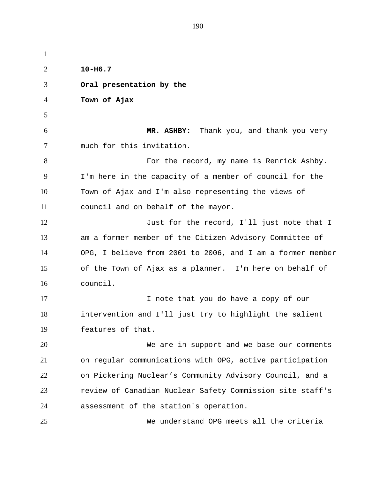**10-H6.7 Oral presentation by the Town of Ajax MR. ASHBY:** Thank you, and thank you very much for this invitation. 8 For the record, my name is Renrick Ashby. I'm here in the capacity of a member of council for the Town of Ajax and I'm also representing the views of council and on behalf of the mayor. 12 Just for the record, I'll just note that I am a former member of the Citizen Advisory Committee of OPG, I believe from 2001 to 2006, and I am a former member of the Town of Ajax as a planner. I'm here on behalf of council. 17 17 I note that you do have a copy of our intervention and I'll just try to highlight the salient features of that. We are in support and we base our comments on regular communications with OPG, active participation on Pickering Nuclear's Community Advisory Council, and a review of Canadian Nuclear Safety Commission site staff's assessment of the station's operation. We understand OPG meets all the criteria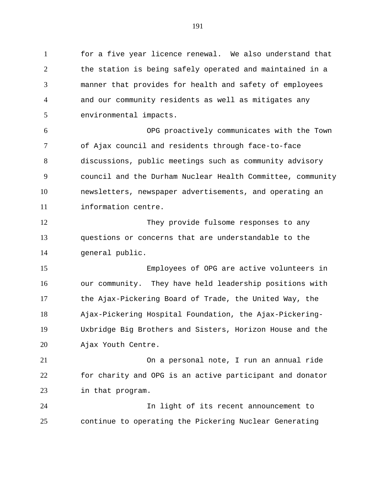for a five year licence renewal. We also understand that the station is being safely operated and maintained in a manner that provides for health and safety of employees and our community residents as well as mitigates any environmental impacts. OPG proactively communicates with the Town of Ajax council and residents through face-to-face discussions, public meetings such as community advisory council and the Durham Nuclear Health Committee, community newsletters, newspaper advertisements, and operating an information centre. They provide fulsome responses to any questions or concerns that are understandable to the general public. Employees of OPG are active volunteers in our community. They have held leadership positions with the Ajax-Pickering Board of Trade, the United Way, the Ajax-Pickering Hospital Foundation, the Ajax-Pickering-Uxbridge Big Brothers and Sisters, Horizon House and the

Ajax Youth Centre.

 On a personal note, I run an annual ride for charity and OPG is an active participant and donator in that program.

 In light of its recent announcement to continue to operating the Pickering Nuclear Generating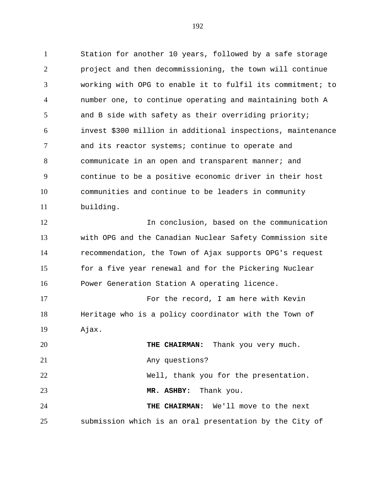Station for another 10 years, followed by a safe storage project and then decommissioning, the town will continue working with OPG to enable it to fulfil its commitment; to number one, to continue operating and maintaining both A and B side with safety as their overriding priority; invest \$300 million in additional inspections, maintenance and its reactor systems; continue to operate and communicate in an open and transparent manner; and continue to be a positive economic driver in their host communities and continue to be leaders in community building.

 In conclusion, based on the communication with OPG and the Canadian Nuclear Safety Commission site recommendation, the Town of Ajax supports OPG's request 15 for a five year renewal and for the Pickering Nuclear Power Generation Station A operating licence.

 For the record, I am here with Kevin Heritage who is a policy coordinator with the Town of Ajax.

**THE CHAIRMAN:** Thank you very much. 21 Any questions? Well, thank you for the presentation. **MR. ASHBY:** Thank you. **THE CHAIRMAN:** We'll move to the next submission which is an oral presentation by the City of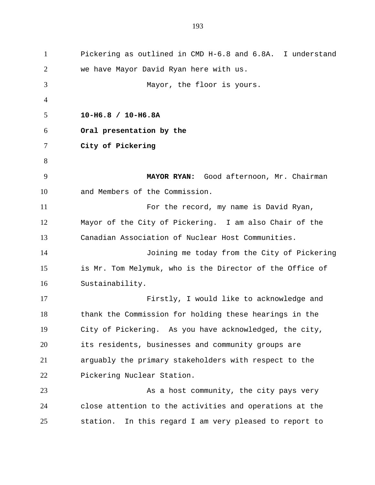Pickering as outlined in CMD H-6.8 and 6.8A. I understand we have Mayor David Ryan here with us. Mayor, the floor is yours. **10-H6.8 / 10-H6.8A Oral presentation by the City of Pickering MAYOR RYAN:** Good afternoon, Mr. Chairman and Members of the Commission. For the record, my name is David Ryan, Mayor of the City of Pickering. I am also Chair of the Canadian Association of Nuclear Host Communities. Joining me today from the City of Pickering is Mr. Tom Melymuk, who is the Director of the Office of Sustainability. Firstly, I would like to acknowledge and thank the Commission for holding these hearings in the City of Pickering. As you have acknowledged, the city, its residents, businesses and community groups are arguably the primary stakeholders with respect to the Pickering Nuclear Station. As a host community, the city pays very close attention to the activities and operations at the station. In this regard I am very pleased to report to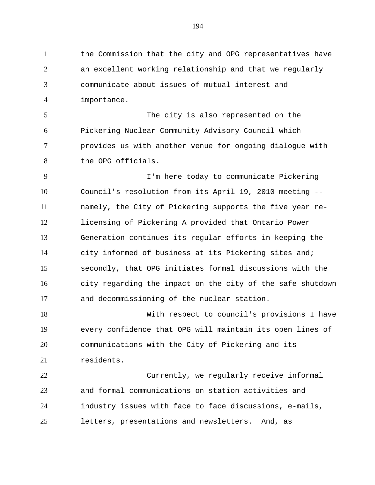the Commission that the city and OPG representatives have an excellent working relationship and that we regularly communicate about issues of mutual interest and importance.

 The city is also represented on the Pickering Nuclear Community Advisory Council which provides us with another venue for ongoing dialogue with the OPG officials.

 I'm here today to communicate Pickering Council's resolution from its April 19, 2010 meeting -- namely, the City of Pickering supports the five year re- licensing of Pickering A provided that Ontario Power Generation continues its regular efforts in keeping the city informed of business at its Pickering sites and; secondly, that OPG initiates formal discussions with the city regarding the impact on the city of the safe shutdown and decommissioning of the nuclear station.

 With respect to council's provisions I have every confidence that OPG will maintain its open lines of communications with the City of Pickering and its residents.

 Currently, we regularly receive informal and formal communications on station activities and industry issues with face to face discussions, e-mails, letters, presentations and newsletters. And, as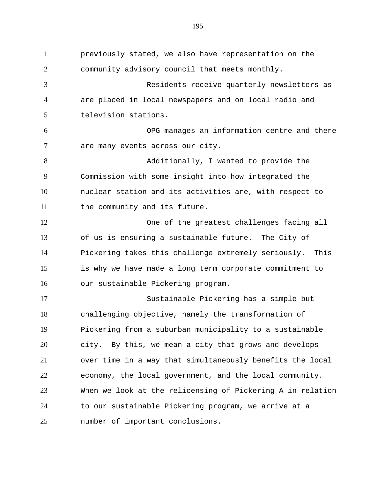previously stated, we also have representation on the community advisory council that meets monthly. Residents receive quarterly newsletters as are placed in local newspapers and on local radio and television stations. OPG manages an information centre and there are many events across our city. Additionally, I wanted to provide the Commission with some insight into how integrated the nuclear station and its activities are, with respect to 11 the community and its future. One of the greatest challenges facing all of us is ensuring a sustainable future. The City of Pickering takes this challenge extremely seriously. This is why we have made a long term corporate commitment to our sustainable Pickering program. Sustainable Pickering has a simple but challenging objective, namely the transformation of Pickering from a suburban municipality to a sustainable city. By this, we mean a city that grows and develops over time in a way that simultaneously benefits the local economy, the local government, and the local community. When we look at the relicensing of Pickering A in relation to our sustainable Pickering program, we arrive at a number of important conclusions.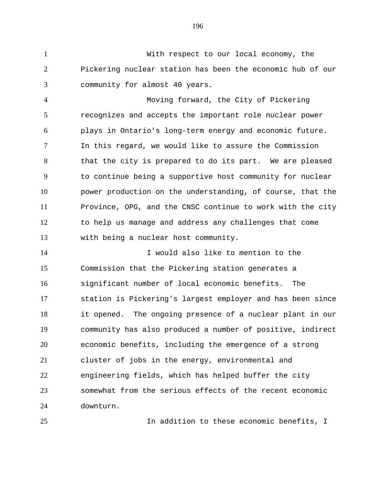With respect to our local economy, the Pickering nuclear station has been the economic hub of our community for almost 40 years.

 Moving forward, the City of Pickering recognizes and accepts the important role nuclear power plays in Ontario's long-term energy and economic future. In this regard, we would like to assure the Commission 8 that the city is prepared to do its part. We are pleased to continue being a supportive host community for nuclear power production on the understanding, of course, that the Province, OPG, and the CNSC continue to work with the city to help us manage and address any challenges that come with being a nuclear host community.

 I would also like to mention to the Commission that the Pickering station generates a significant number of local economic benefits. The station is Pickering's largest employer and has been since it opened. The ongoing presence of a nuclear plant in our community has also produced a number of positive, indirect economic benefits, including the emergence of a strong cluster of jobs in the energy, environmental and engineering fields, which has helped buffer the city somewhat from the serious effects of the recent economic downturn.

In addition to these economic benefits, I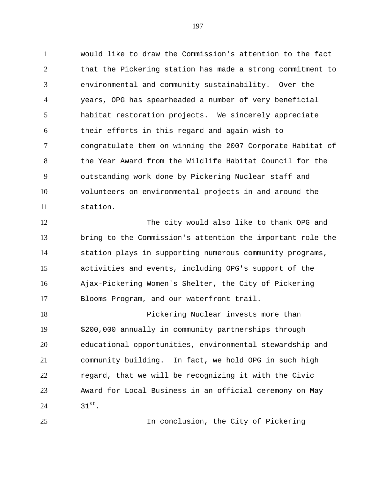would like to draw the Commission's attention to the fact that the Pickering station has made a strong commitment to environmental and community sustainability. Over the years, OPG has spearheaded a number of very beneficial habitat restoration projects. We sincerely appreciate their efforts in this regard and again wish to congratulate them on winning the 2007 Corporate Habitat of the Year Award from the Wildlife Habitat Council for the outstanding work done by Pickering Nuclear staff and volunteers on environmental projects in and around the station.

 The city would also like to thank OPG and bring to the Commission's attention the important role the station plays in supporting numerous community programs, activities and events, including OPG's support of the Ajax-Pickering Women's Shelter, the City of Pickering Blooms Program, and our waterfront trail.

 Pickering Nuclear invests more than \$200,000 annually in community partnerships through educational opportunities, environmental stewardship and community building. In fact, we hold OPG in such high regard, that we will be recognizing it with the Civic Award for Local Business in an official ceremony on May  $31^{st}$ 

In conclusion, the City of Pickering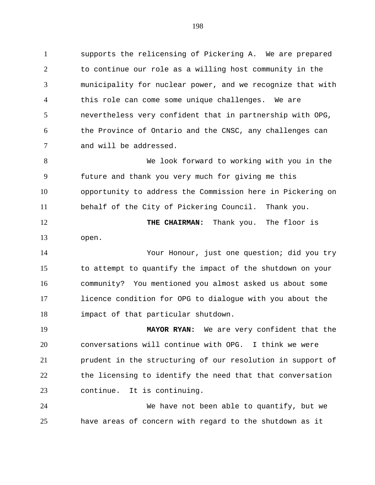supports the relicensing of Pickering A. We are prepared to continue our role as a willing host community in the municipality for nuclear power, and we recognize that with this role can come some unique challenges. We are nevertheless very confident that in partnership with OPG, the Province of Ontario and the CNSC, any challenges can and will be addressed.

 We look forward to working with you in the future and thank you very much for giving me this opportunity to address the Commission here in Pickering on behalf of the City of Pickering Council. Thank you.

**THE CHAIRMAN:** Thank you. The floor is open.

 Your Honour, just one question; did you try to attempt to quantify the impact of the shutdown on your community? You mentioned you almost asked us about some licence condition for OPG to dialogue with you about the impact of that particular shutdown.

 **MAYOR RYAN:** We are very confident that the conversations will continue with OPG. I think we were prudent in the structuring of our resolution in support of the licensing to identify the need that that conversation continue. It is continuing.

 We have not been able to quantify, but we have areas of concern with regard to the shutdown as it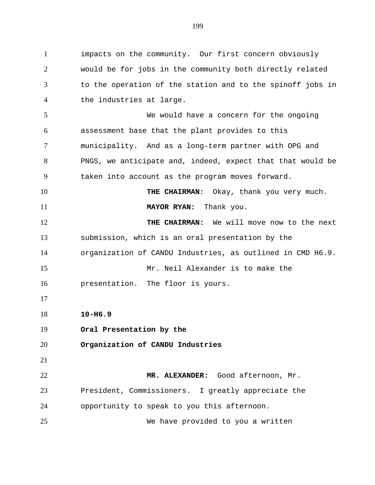impacts on the community. Our first concern obviously would be for jobs in the community both directly related to the operation of the station and to the spinoff jobs in the industries at large. We would have a concern for the ongoing assessment base that the plant provides to this municipality. And as a long-term partner with OPG and PNGS, we anticipate and, indeed, expect that that would be taken into account as the program moves forward. 10 THE CHAIRMAN: Okay, thank you very much. **MAYOR RYAN:** Thank you. **THE CHAIRMAN:** We will move now to the next submission, which is an oral presentation by the organization of CANDU Industries, as outlined in CMD H6.9. Mr. Neil Alexander is to make the presentation. The floor is yours. **10-H6.9 Oral Presentation by the Organization of CANDU Industries MR. ALEXANDER:** Good afternoon, Mr. President, Commissioners. I greatly appreciate the opportunity to speak to you this afternoon. We have provided to you a written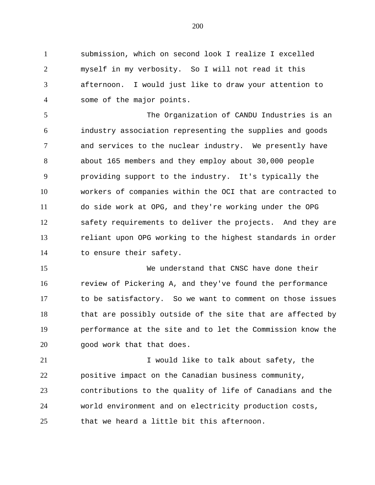submission, which on second look I realize I excelled myself in my verbosity. So I will not read it this afternoon. I would just like to draw your attention to some of the major points.

 The Organization of CANDU Industries is an industry association representing the supplies and goods and services to the nuclear industry. We presently have about 165 members and they employ about 30,000 people providing support to the industry. It's typically the workers of companies within the OCI that are contracted to do side work at OPG, and they're working under the OPG safety requirements to deliver the projects. And they are reliant upon OPG working to the highest standards in order to ensure their safety.

 We understand that CNSC have done their review of Pickering A, and they've found the performance to be satisfactory. So we want to comment on those issues that are possibly outside of the site that are affected by performance at the site and to let the Commission know the good work that that does.

21 I would like to talk about safety, the positive impact on the Canadian business community, contributions to the quality of life of Canadians and the world environment and on electricity production costs, that we heard a little bit this afternoon.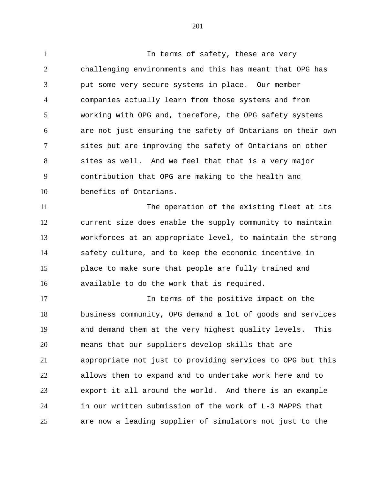1 1 In terms of safety, these are very challenging environments and this has meant that OPG has put some very secure systems in place. Our member companies actually learn from those systems and from working with OPG and, therefore, the OPG safety systems are not just ensuring the safety of Ontarians on their own sites but are improving the safety of Ontarians on other sites as well. And we feel that that is a very major contribution that OPG are making to the health and benefits of Ontarians.

 The operation of the existing fleet at its current size does enable the supply community to maintain workforces at an appropriate level, to maintain the strong safety culture, and to keep the economic incentive in place to make sure that people are fully trained and available to do the work that is required.

 In terms of the positive impact on the business community, OPG demand a lot of goods and services and demand them at the very highest quality levels. This means that our suppliers develop skills that are appropriate not just to providing services to OPG but this allows them to expand and to undertake work here and to export it all around the world. And there is an example in our written submission of the work of L-3 MAPPS that are now a leading supplier of simulators not just to the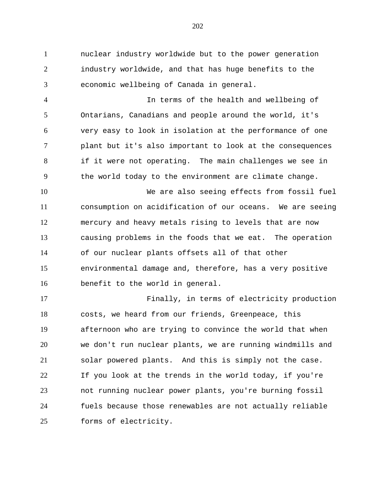nuclear industry worldwide but to the power generation industry worldwide, and that has huge benefits to the economic wellbeing of Canada in general.

 In terms of the health and wellbeing of Ontarians, Canadians and people around the world, it's very easy to look in isolation at the performance of one plant but it's also important to look at the consequences if it were not operating. The main challenges we see in the world today to the environment are climate change.

 We are also seeing effects from fossil fuel consumption on acidification of our oceans. We are seeing mercury and heavy metals rising to levels that are now causing problems in the foods that we eat. The operation of our nuclear plants offsets all of that other environmental damage and, therefore, has a very positive benefit to the world in general.

 Finally, in terms of electricity production costs, we heard from our friends, Greenpeace, this afternoon who are trying to convince the world that when we don't run nuclear plants, we are running windmills and solar powered plants. And this is simply not the case. If you look at the trends in the world today, if you're not running nuclear power plants, you're burning fossil fuels because those renewables are not actually reliable forms of electricity.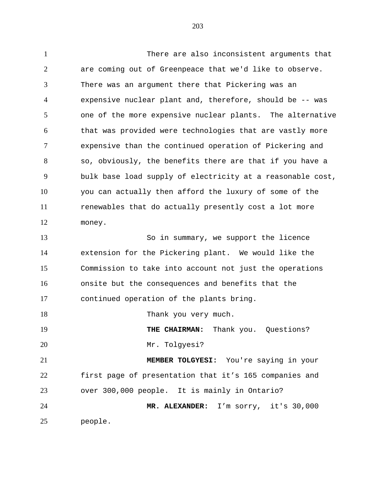There are also inconsistent arguments that are coming out of Greenpeace that we'd like to observe. There was an argument there that Pickering was an expensive nuclear plant and, therefore, should be -- was one of the more expensive nuclear plants. The alternative that was provided were technologies that are vastly more expensive than the continued operation of Pickering and so, obviously, the benefits there are that if you have a bulk base load supply of electricity at a reasonable cost, you can actually then afford the luxury of some of the renewables that do actually presently cost a lot more money. So in summary, we support the licence extension for the Pickering plant. We would like the Commission to take into account not just the operations onsite but the consequences and benefits that the continued operation of the plants bring. 18 Thank you very much. **THE CHAIRMAN:** Thank you. Questions? Mr. Tolgyesi? **MEMBER TOLGYESI:** You're saying in your first page of presentation that it's 165 companies and over 300,000 people. It is mainly in Ontario? **MR. ALEXANDER:** I'm sorry, it's 30,000 people.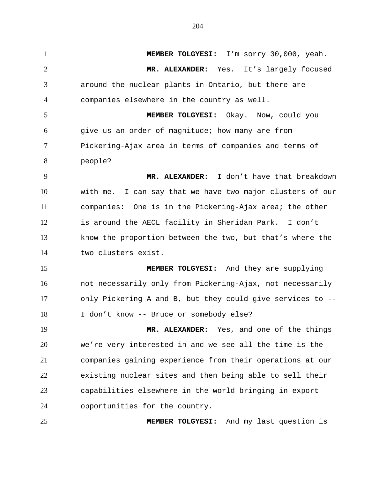**MEMBER TOLGYESI:** I'm sorry 30,000, yeah. **MR. ALEXANDER:** Yes. It's largely focused around the nuclear plants in Ontario, but there are companies elsewhere in the country as well. **MEMBER TOLGYESI:** Okay. Now, could you give us an order of magnitude; how many are from Pickering-Ajax area in terms of companies and terms of people? **MR. ALEXANDER:** I don't have that breakdown with me. I can say that we have two major clusters of our companies: One is in the Pickering-Ajax area; the other is around the AECL facility in Sheridan Park. I don't know the proportion between the two, but that's where the two clusters exist. **MEMBER TOLGYESI:** And they are supplying not necessarily only from Pickering-Ajax, not necessarily only Pickering A and B, but they could give services to -- 18 I don't know -- Bruce or somebody else? **MR. ALEXANDER:** Yes, and one of the things we're very interested in and we see all the time is the companies gaining experience from their operations at our existing nuclear sites and then being able to sell their capabilities elsewhere in the world bringing in export opportunities for the country. **MEMBER TOLGYESI:** And my last question is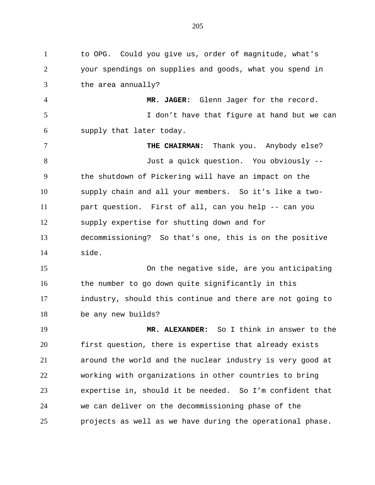to OPG. Could you give us, order of magnitude, what's your spendings on supplies and goods, what you spend in the area annually? **MR. JAGER:** Glenn Jager for the record. 5 I don't have that figure at hand but we can supply that later today. **THE CHAIRMAN:** Thank you. Anybody else? Just a quick question. You obviously -- the shutdown of Pickering will have an impact on the supply chain and all your members. So it's like a two- part question. First of all, can you help -- can you supply expertise for shutting down and for decommissioning? So that's one, this is on the positive side. On the negative side, are you anticipating 16 the number to go down quite significantly in this industry, should this continue and there are not going to be any new builds? **MR. ALEXANDER:** So I think in answer to the first question, there is expertise that already exists around the world and the nuclear industry is very good at working with organizations in other countries to bring expertise in, should it be needed. So I'm confident that we can deliver on the decommissioning phase of the projects as well as we have during the operational phase.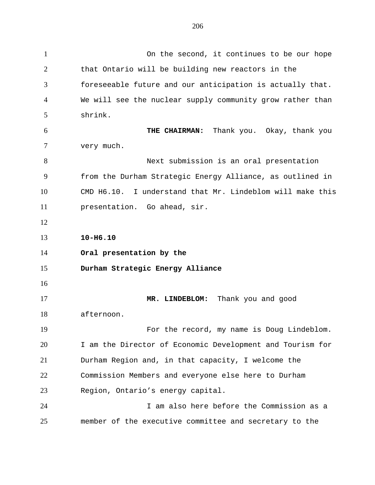On the second, it continues to be our hope that Ontario will be building new reactors in the foreseeable future and our anticipation is actually that. We will see the nuclear supply community grow rather than shrink. **THE CHAIRMAN:** Thank you. Okay, thank you very much. Next submission is an oral presentation from the Durham Strategic Energy Alliance, as outlined in CMD H6.10. I understand that Mr. Lindeblom will make this presentation. Go ahead, sir. **10-H6.10 Oral presentation by the Durham Strategic Energy Alliance MR. LINDEBLOM:** Thank you and good afternoon. For the record, my name is Doug Lindeblom. I am the Director of Economic Development and Tourism for Durham Region and, in that capacity, I welcome the Commission Members and everyone else here to Durham Region, Ontario's energy capital. I am also here before the Commission as a

member of the executive committee and secretary to the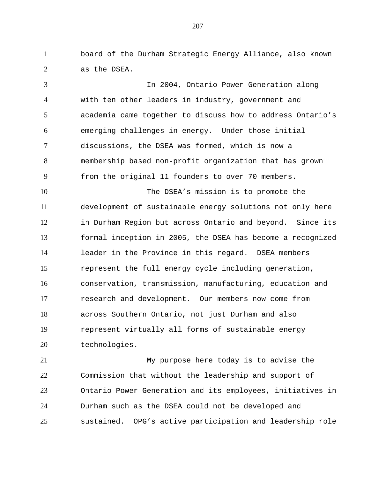board of the Durham Strategic Energy Alliance, also known as the DSEA.

 In 2004, Ontario Power Generation along with ten other leaders in industry, government and academia came together to discuss how to address Ontario's emerging challenges in energy. Under those initial discussions, the DSEA was formed, which is now a membership based non-profit organization that has grown from the original 11 founders to over 70 members.

 The DSEA's mission is to promote the development of sustainable energy solutions not only here in Durham Region but across Ontario and beyond. Since its formal inception in 2005, the DSEA has become a recognized leader in the Province in this regard. DSEA members represent the full energy cycle including generation, conservation, transmission, manufacturing, education and research and development. Our members now come from across Southern Ontario, not just Durham and also represent virtually all forms of sustainable energy technologies.

 My purpose here today is to advise the Commission that without the leadership and support of Ontario Power Generation and its employees, initiatives in Durham such as the DSEA could not be developed and sustained. OPG's active participation and leadership role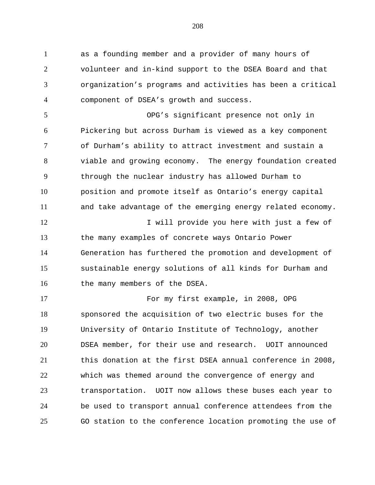as a founding member and a provider of many hours of volunteer and in-kind support to the DSEA Board and that organization's programs and activities has been a critical component of DSEA's growth and success.

 OPG's significant presence not only in Pickering but across Durham is viewed as a key component of Durham's ability to attract investment and sustain a viable and growing economy. The energy foundation created through the nuclear industry has allowed Durham to position and promote itself as Ontario's energy capital and take advantage of the emerging energy related economy.

12 I will provide you here with just a few of the many examples of concrete ways Ontario Power Generation has furthered the promotion and development of sustainable energy solutions of all kinds for Durham and 16 the many members of the DSEA.

 For my first example, in 2008, OPG sponsored the acquisition of two electric buses for the University of Ontario Institute of Technology, another DSEA member, for their use and research. UOIT announced this donation at the first DSEA annual conference in 2008, which was themed around the convergence of energy and transportation. UOIT now allows these buses each year to be used to transport annual conference attendees from the GO station to the conference location promoting the use of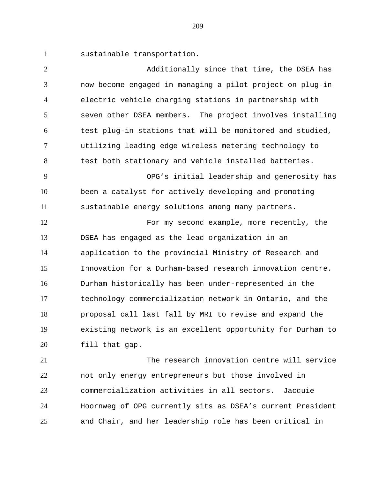sustainable transportation.

| $\overline{2}$ | Additionally since that time, the DSEA has                 |
|----------------|------------------------------------------------------------|
| 3              | now become engaged in managing a pilot project on plug-in  |
| $\overline{4}$ | electric vehicle charging stations in partnership with     |
| 5              | seven other DSEA members. The project involves installing  |
| 6              | test plug-in stations that will be monitored and studied,  |
| 7              | utilizing leading edge wireless metering technology to     |
| 8              | test both stationary and vehicle installed batteries.      |
| 9              | OPG's initial leadership and generosity has                |
| 10             | been a catalyst for actively developing and promoting      |
| 11             | sustainable energy solutions among many partners.          |
| 12             | For my second example, more recently, the                  |
| 13             | DSEA has engaged as the lead organization in an            |
| 14             | application to the provincial Ministry of Research and     |
| 15             | Innovation for a Durham-based research innovation centre.  |
| 16             | Durham historically has been under-represented in the      |
| 17             | technology commercialization network in Ontario, and the   |
| 18             | proposal call last fall by MRI to revise and expand the    |
| 19             | existing network is an excellent opportunity for Durham to |
| 20             | fill that gap.                                             |
| 21             | The research innovation centre will service                |
| $\cap$         |                                                            |

 not only energy entrepreneurs but those involved in commercialization activities in all sectors. Jacquie Hoornweg of OPG currently sits as DSEA's current President and Chair, and her leadership role has been critical in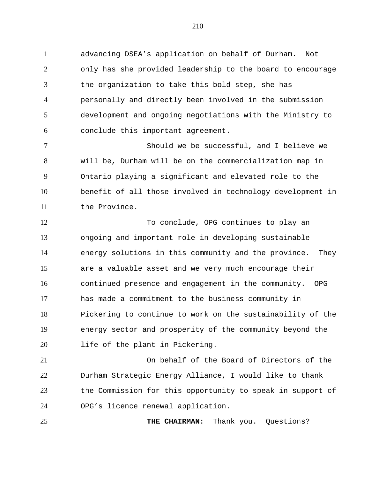advancing DSEA's application on behalf of Durham. Not only has she provided leadership to the board to encourage the organization to take this bold step, she has personally and directly been involved in the submission development and ongoing negotiations with the Ministry to conclude this important agreement.

 Should we be successful, and I believe we will be, Durham will be on the commercialization map in Ontario playing a significant and elevated role to the benefit of all those involved in technology development in the Province.

12 To conclude, OPG continues to play an ongoing and important role in developing sustainable energy solutions in this community and the province. They are a valuable asset and we very much encourage their continued presence and engagement in the community. OPG has made a commitment to the business community in Pickering to continue to work on the sustainability of the energy sector and prosperity of the community beyond the life of the plant in Pickering.

 On behalf of the Board of Directors of the Durham Strategic Energy Alliance, I would like to thank the Commission for this opportunity to speak in support of OPG's licence renewal application.

**THE CHAIRMAN:** Thank you. Questions?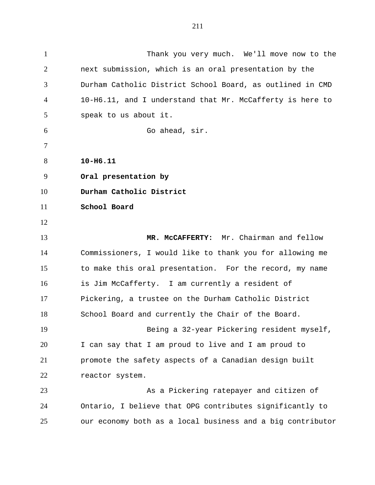Thank you very much. We'll move now to the next submission, which is an oral presentation by the Durham Catholic District School Board, as outlined in CMD 10-H6.11, and I understand that Mr. McCafferty is here to speak to us about it. Go ahead, sir. **10-H6.11 Oral presentation by Durham Catholic District School Board MR. McCAFFERTY:** Mr. Chairman and fellow Commissioners, I would like to thank you for allowing me to make this oral presentation. For the record, my name is Jim McCafferty. I am currently a resident of Pickering, a trustee on the Durham Catholic District School Board and currently the Chair of the Board. Being a 32-year Pickering resident myself, I can say that I am proud to live and I am proud to promote the safety aspects of a Canadian design built reactor system. As a Pickering ratepayer and citizen of Ontario, I believe that OPG contributes significantly to our economy both as a local business and a big contributor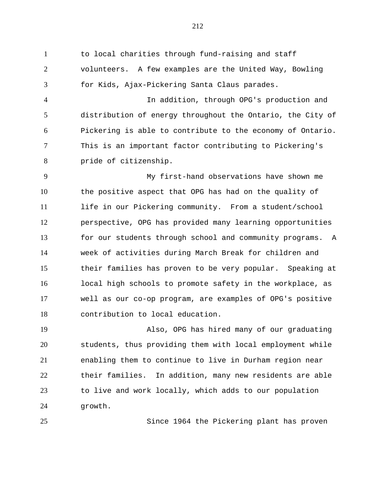to local charities through fund-raising and staff volunteers. A few examples are the United Way, Bowling for Kids, Ajax-Pickering Santa Claus parades.

 In addition, through OPG's production and distribution of energy throughout the Ontario, the City of Pickering is able to contribute to the economy of Ontario. This is an important factor contributing to Pickering's pride of citizenship.

 My first-hand observations have shown me the positive aspect that OPG has had on the quality of life in our Pickering community. From a student/school perspective, OPG has provided many learning opportunities for our students through school and community programs. A week of activities during March Break for children and their families has proven to be very popular. Speaking at local high schools to promote safety in the workplace, as well as our co-op program, are examples of OPG's positive contribution to local education.

 Also, OPG has hired many of our graduating students, thus providing them with local employment while enabling them to continue to live in Durham region near their families. In addition, many new residents are able to live and work locally, which adds to our population growth.

Since 1964 the Pickering plant has proven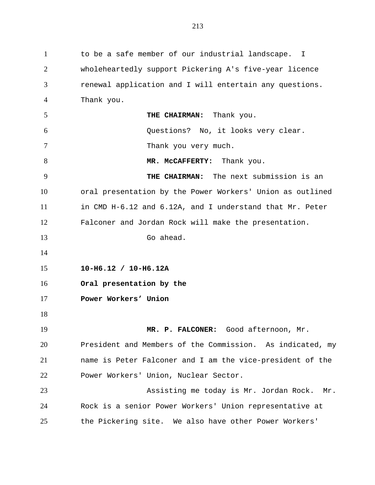to be a safe member of our industrial landscape. I wholeheartedly support Pickering A's five-year licence renewal application and I will entertain any questions. Thank you. **THE CHAIRMAN:** Thank you. Questions? No, it looks very clear. 7 Thank you very much. 8 MR. McCAFFERTY: Thank you. **THE CHAIRMAN:** The next submission is an oral presentation by the Power Workers' Union as outlined in CMD H-6.12 and 6.12A, and I understand that Mr. Peter Falconer and Jordan Rock will make the presentation. Go ahead. **10-H6.12 / 10-H6.12A Oral presentation by the Power Workers' Union MR. P. FALCONER:** Good afternoon, Mr. President and Members of the Commission. As indicated, my name is Peter Falconer and I am the vice-president of the Power Workers' Union, Nuclear Sector. Assisting me today is Mr. Jordan Rock. Mr. Rock is a senior Power Workers' Union representative at the Pickering site. We also have other Power Workers'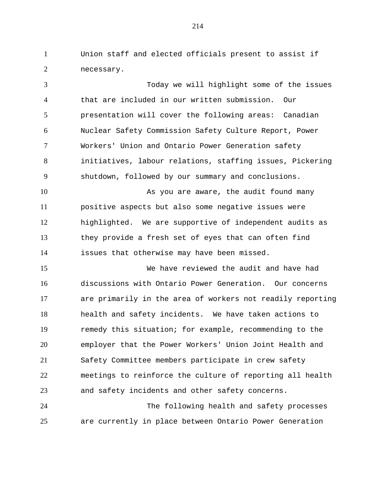Union staff and elected officials present to assist if necessary.

 Today we will highlight some of the issues that are included in our written submission. Our presentation will cover the following areas: Canadian Nuclear Safety Commission Safety Culture Report, Power Workers' Union and Ontario Power Generation safety initiatives, labour relations, staffing issues, Pickering shutdown, followed by our summary and conclusions. 10 As you are aware, the audit found many positive aspects but also some negative issues were highlighted. We are supportive of independent audits as they provide a fresh set of eyes that can often find issues that otherwise may have been missed. We have reviewed the audit and have had discussions with Ontario Power Generation. Our concerns are primarily in the area of workers not readily reporting health and safety incidents. We have taken actions to remedy this situation; for example, recommending to the employer that the Power Workers' Union Joint Health and Safety Committee members participate in crew safety

 meetings to reinforce the culture of reporting all health and safety incidents and other safety concerns. The following health and safety processes

are currently in place between Ontario Power Generation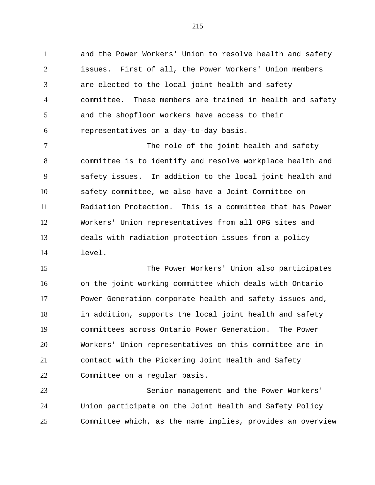and the Power Workers' Union to resolve health and safety issues. First of all, the Power Workers' Union members are elected to the local joint health and safety committee. These members are trained in health and safety and the shopfloor workers have access to their representatives on a day-to-day basis.

7 The role of the joint health and safety committee is to identify and resolve workplace health and safety issues. In addition to the local joint health and safety committee, we also have a Joint Committee on Radiation Protection. This is a committee that has Power Workers' Union representatives from all OPG sites and deals with radiation protection issues from a policy level.

 The Power Workers' Union also participates on the joint working committee which deals with Ontario Power Generation corporate health and safety issues and, in addition, supports the local joint health and safety committees across Ontario Power Generation. The Power Workers' Union representatives on this committee are in contact with the Pickering Joint Health and Safety Committee on a regular basis.

 Senior management and the Power Workers' Union participate on the Joint Health and Safety Policy Committee which, as the name implies, provides an overview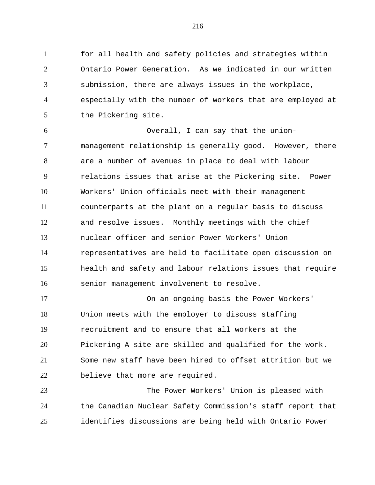for all health and safety policies and strategies within Ontario Power Generation. As we indicated in our written submission, there are always issues in the workplace, especially with the number of workers that are employed at the Pickering site.

 Overall, I can say that the union- management relationship is generally good. However, there are a number of avenues in place to deal with labour relations issues that arise at the Pickering site. Power Workers' Union officials meet with their management counterparts at the plant on a regular basis to discuss and resolve issues. Monthly meetings with the chief nuclear officer and senior Power Workers' Union representatives are held to facilitate open discussion on health and safety and labour relations issues that require senior management involvement to resolve.

 On an ongoing basis the Power Workers' Union meets with the employer to discuss staffing recruitment and to ensure that all workers at the Pickering A site are skilled and qualified for the work. Some new staff have been hired to offset attrition but we believe that more are required.

 The Power Workers' Union is pleased with the Canadian Nuclear Safety Commission's staff report that identifies discussions are being held with Ontario Power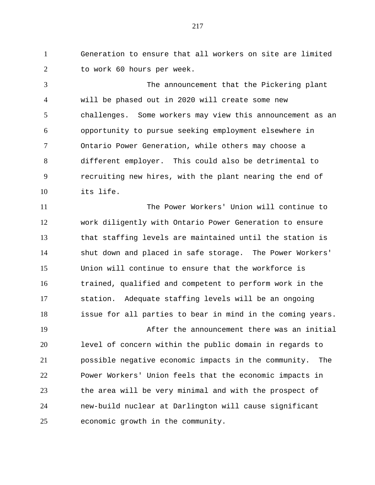Generation to ensure that all workers on site are limited to work 60 hours per week.

 The announcement that the Pickering plant will be phased out in 2020 will create some new challenges. Some workers may view this announcement as an opportunity to pursue seeking employment elsewhere in Ontario Power Generation, while others may choose a different employer. This could also be detrimental to recruiting new hires, with the plant nearing the end of its life.

 The Power Workers' Union will continue to work diligently with Ontario Power Generation to ensure that staffing levels are maintained until the station is shut down and placed in safe storage. The Power Workers' Union will continue to ensure that the workforce is trained, qualified and competent to perform work in the station. Adequate staffing levels will be an ongoing issue for all parties to bear in mind in the coming years.

 After the announcement there was an initial level of concern within the public domain in regards to possible negative economic impacts in the community. The Power Workers' Union feels that the economic impacts in the area will be very minimal and with the prospect of new-build nuclear at Darlington will cause significant economic growth in the community.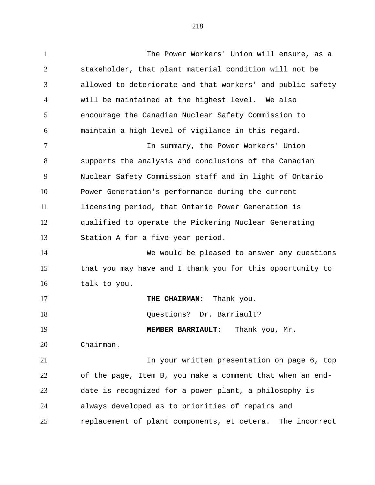The Power Workers' Union will ensure, as a stakeholder, that plant material condition will not be allowed to deteriorate and that workers' and public safety will be maintained at the highest level. We also encourage the Canadian Nuclear Safety Commission to maintain a high level of vigilance in this regard. In summary, the Power Workers' Union supports the analysis and conclusions of the Canadian Nuclear Safety Commission staff and in light of Ontario Power Generation's performance during the current licensing period, that Ontario Power Generation is qualified to operate the Pickering Nuclear Generating Station A for a five-year period. We would be pleased to answer any questions that you may have and I thank you for this opportunity to talk to you. **THE CHAIRMAN:** Thank you. 18 Ouestions? Dr. Barriault? **MEMBER BARRIAULT:** Thank you, Mr. Chairman. In your written presentation on page 6, top of the page, Item B, you make a comment that when an end-date is recognized for a power plant, a philosophy is

replacement of plant components, et cetera. The incorrect

always developed as to priorities of repairs and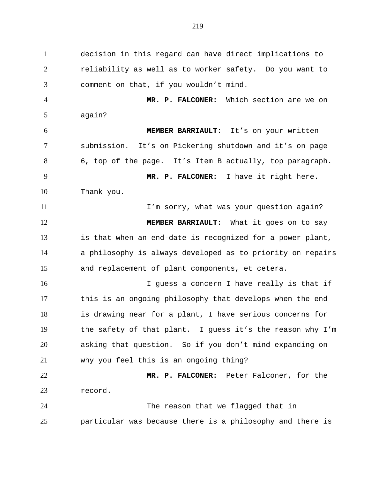decision in this regard can have direct implications to reliability as well as to worker safety. Do you want to comment on that, if you wouldn't mind. **MR. P. FALCONER:** Which section are we on

again?

 **MEMBER BARRIAULT:** It's on your written submission. It's on Pickering shutdown and it's on page 6, top of the page. It's Item B actually, top paragraph. **MR. P. FALCONER:** I have it right here. Thank you.

**I'm sorry, what was your question again? MEMBER BARRIAULT:** What it goes on to say is that when an end-date is recognized for a power plant, a philosophy is always developed as to priority on repairs and replacement of plant components, et cetera.

16 16 I guess a concern I have really is that if this is an ongoing philosophy that develops when the end is drawing near for a plant, I have serious concerns for the safety of that plant. I guess it's the reason why I'm asking that question. So if you don't mind expanding on why you feel this is an ongoing thing?

 **MR. P. FALCONER:** Peter Falconer, for the record.

 The reason that we flagged that in particular was because there is a philosophy and there is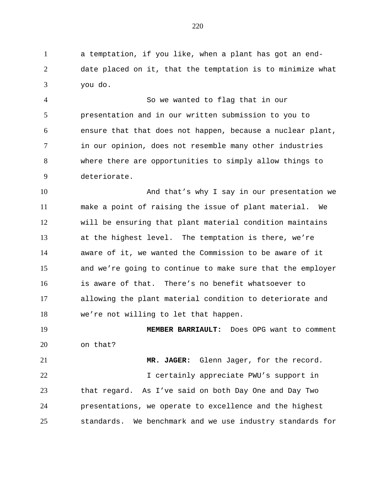a temptation, if you like, when a plant has got an end- date placed on it, that the temptation is to minimize what you do.

 So we wanted to flag that in our presentation and in our written submission to you to ensure that that does not happen, because a nuclear plant, in our opinion, does not resemble many other industries where there are opportunities to simply allow things to deteriorate.

10 And that's why I say in our presentation we make a point of raising the issue of plant material. We will be ensuring that plant material condition maintains at the highest level. The temptation is there, we're aware of it, we wanted the Commission to be aware of it and we're going to continue to make sure that the employer is aware of that. There's no benefit whatsoever to allowing the plant material condition to deteriorate and we're not willing to let that happen.

 **MEMBER BARRIAULT:** Does OPG want to comment on that?

 **MR. JAGER:** Glenn Jager, for the record. I certainly appreciate PWU's support in that regard. As I've said on both Day One and Day Two presentations, we operate to excellence and the highest standards. We benchmark and we use industry standards for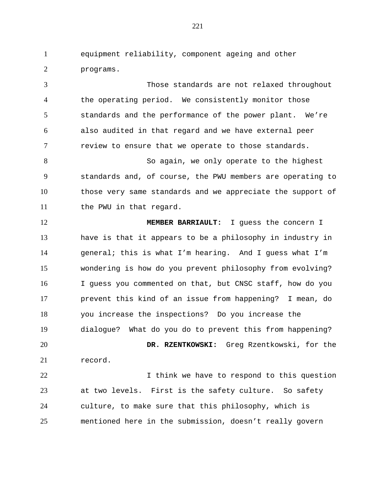equipment reliability, component ageing and other programs.

 Those standards are not relaxed throughout the operating period. We consistently monitor those standards and the performance of the power plant. We're also audited in that regard and we have external peer review to ensure that we operate to those standards. 8 So again, we only operate to the highest standards and, of course, the PWU members are operating to those very same standards and we appreciate the support of 11 the PWU in that regard.

 **MEMBER BARRIAULT:** I guess the concern I have is that it appears to be a philosophy in industry in general; this is what I'm hearing. And I guess what I'm wondering is how do you prevent philosophy from evolving? I guess you commented on that, but CNSC staff, how do you prevent this kind of an issue from happening? I mean, do you increase the inspections? Do you increase the dialogue? What do you do to prevent this from happening? **DR. RZENTKOWSKI:** Greg Rzentkowski, for the record.

22 1 1 think we have to respond to this question at two levels. First is the safety culture. So safety culture, to make sure that this philosophy, which is mentioned here in the submission, doesn't really govern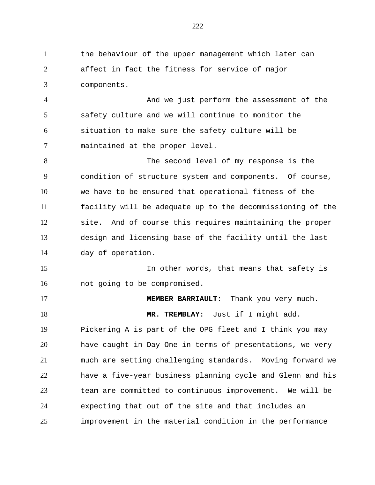the behaviour of the upper management which later can affect in fact the fitness for service of major components. And we just perform the assessment of the

 safety culture and we will continue to monitor the situation to make sure the safety culture will be maintained at the proper level.

 The second level of my response is the condition of structure system and components. Of course, we have to be ensured that operational fitness of the facility will be adequate up to the decommissioning of the site. And of course this requires maintaining the proper design and licensing base of the facility until the last day of operation.

 In other words, that means that safety is not going to be compromised.

 **MEMBER BARRIAULT:** Thank you very much. **MR. TREMBLAY:** Just if I might add. Pickering A is part of the OPG fleet and I think you may have caught in Day One in terms of presentations, we very

 much are setting challenging standards. Moving forward we have a five-year business planning cycle and Glenn and his team are committed to continuous improvement. We will be expecting that out of the site and that includes an improvement in the material condition in the performance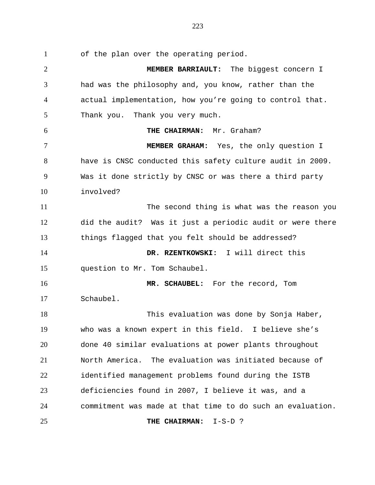of the plan over the operating period.

 **MEMBER BARRIAULT:** The biggest concern I had was the philosophy and, you know, rather than the actual implementation, how you're going to control that. Thank you. Thank you very much. **THE CHAIRMAN:** Mr. Graham? **MEMBER GRAHAM:** Yes, the only question I have is CNSC conducted this safety culture audit in 2009. Was it done strictly by CNSC or was there a third party involved? The second thing is what was the reason you did the audit? Was it just a periodic audit or were there things flagged that you felt should be addressed? **DR. RZENTKOWSKI:** I will direct this question to Mr. Tom Schaubel. **MR. SCHAUBEL:** For the record, Tom Schaubel. This evaluation was done by Sonja Haber, who was a known expert in this field. I believe she's done 40 similar evaluations at power plants throughout North America. The evaluation was initiated because of identified management problems found during the ISTB deficiencies found in 2007, I believe it was, and a commitment was made at that time to do such an evaluation. **THE CHAIRMAN:** I-S-D ?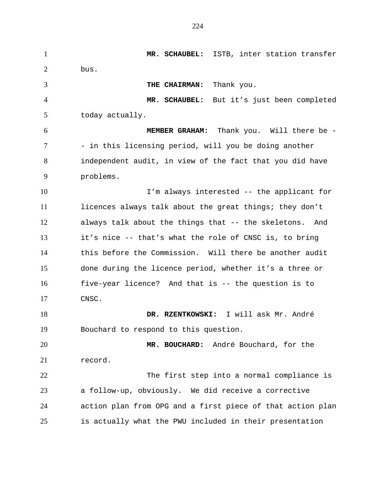**MR. SCHAUBEL:** ISTB, inter station transfer bus. **THE CHAIRMAN:** Thank you. **MR. SCHAUBEL:** But it's just been completed today actually. **MEMBER GRAHAM:** Thank you. Will there be - 7 - in this licensing period, will you be doing another independent audit, in view of the fact that you did have problems. I'm always interested -- the applicant for licences always talk about the great things; they don't always talk about the things that -- the skeletons. And it's nice -- that's what the role of CNSC is, to bring this before the Commission. Will there be another audit done during the licence period, whether it's a three or five-year licence? And that is -- the question is to CNSC. **DR. RZENTKOWSKI:** I will ask Mr. André Bouchard to respond to this question. **MR. BOUCHARD:** André Bouchard, for the record. The first step into a normal compliance is a follow-up, obviously. We did receive a corrective action plan from OPG and a first piece of that action plan is actually what the PWU included in their presentation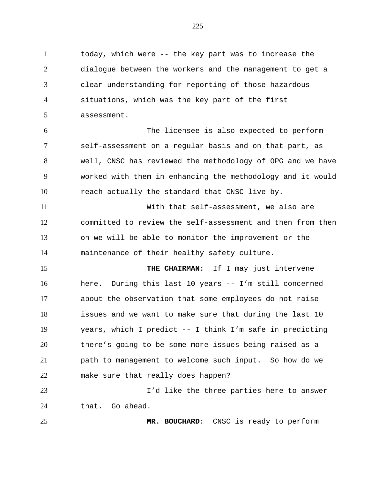today, which were -- the key part was to increase the dialogue between the workers and the management to get a clear understanding for reporting of those hazardous situations, which was the key part of the first assessment.

 The licensee is also expected to perform self-assessment on a regular basis and on that part, as well, CNSC has reviewed the methodology of OPG and we have worked with them in enhancing the methodology and it would reach actually the standard that CNSC live by.

 With that self-assessment, we also are committed to review the self-assessment and then from then on we will be able to monitor the improvement or the maintenance of their healthy safety culture.

 **THE CHAIRMAN:** If I may just intervene here. During this last 10 years -- I'm still concerned about the observation that some employees do not raise issues and we want to make sure that during the last 10 years, which I predict -- I think I'm safe in predicting there's going to be some more issues being raised as a path to management to welcome such input. So how do we make sure that really does happen?

 I'd like the three parties here to answer that. Go ahead.

**MR. BOUCHARD**: CNSC is ready to perform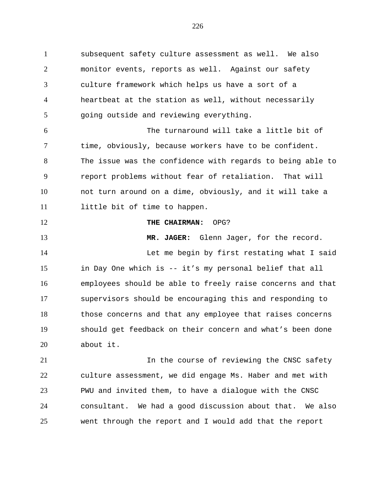subsequent safety culture assessment as well. We also monitor events, reports as well. Against our safety culture framework which helps us have a sort of a heartbeat at the station as well, without necessarily going outside and reviewing everything. The turnaround will take a little bit of time, obviously, because workers have to be confident. The issue was the confidence with regards to being able to

 report problems without fear of retaliation. That will not turn around on a dime, obviously, and it will take a 11 little bit of time to happen.

**THE CHAIRMAN:** OPG?

 **MR. JAGER:** Glenn Jager, for the record. Let me begin by first restating what I said in Day One which is -- it's my personal belief that all employees should be able to freely raise concerns and that supervisors should be encouraging this and responding to those concerns and that any employee that raises concerns should get feedback on their concern and what's been done about it.

21 12 12 In the course of reviewing the CNSC safety culture assessment, we did engage Ms. Haber and met with PWU and invited them, to have a dialogue with the CNSC consultant. We had a good discussion about that. We also went through the report and I would add that the report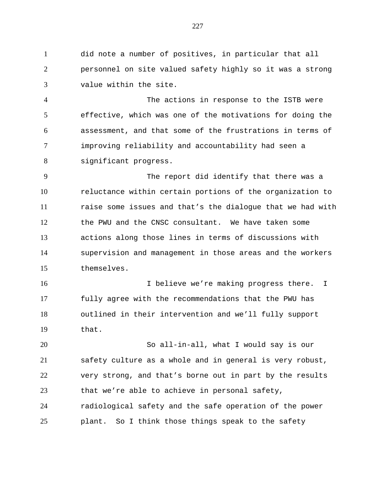did note a number of positives, in particular that all personnel on site valued safety highly so it was a strong value within the site.

 The actions in response to the ISTB were effective, which was one of the motivations for doing the assessment, and that some of the frustrations in terms of improving reliability and accountability had seen a significant progress.

 The report did identify that there was a reluctance within certain portions of the organization to raise some issues and that's the dialogue that we had with the PWU and the CNSC consultant. We have taken some actions along those lines in terms of discussions with supervision and management in those areas and the workers themselves.

 I believe we're making progress there. I fully agree with the recommendations that the PWU has outlined in their intervention and we'll fully support that.

 So all-in-all, what I would say is our safety culture as a whole and in general is very robust, very strong, and that's borne out in part by the results that we're able to achieve in personal safety, radiological safety and the safe operation of the power plant. So I think those things speak to the safety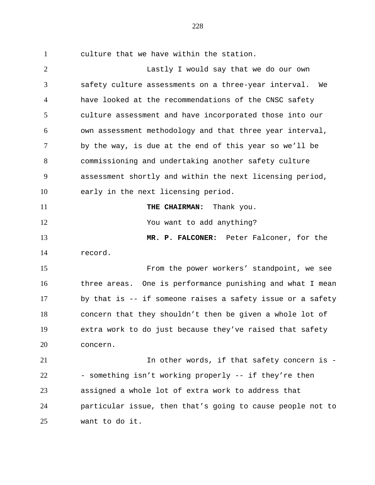culture that we have within the station.

 Lastly I would say that we do our own safety culture assessments on a three-year interval. We have looked at the recommendations of the CNSC safety culture assessment and have incorporated those into our own assessment methodology and that three year interval, by the way, is due at the end of this year so we'll be commissioning and undertaking another safety culture assessment shortly and within the next licensing period, early in the next licensing period. **THE CHAIRMAN:** Thank you. You want to add anything? **MR. P. FALCONER:** Peter Falconer, for the record. From the power workers' standpoint, we see three areas. One is performance punishing and what I mean by that is -- if someone raises a safety issue or a safety concern that they shouldn't then be given a whole lot of extra work to do just because they've raised that safety concern. 21 11 12 In other words, if that safety concern is -22 - something isn't working properly -- if they're then assigned a whole lot of extra work to address that particular issue, then that's going to cause people not to want to do it.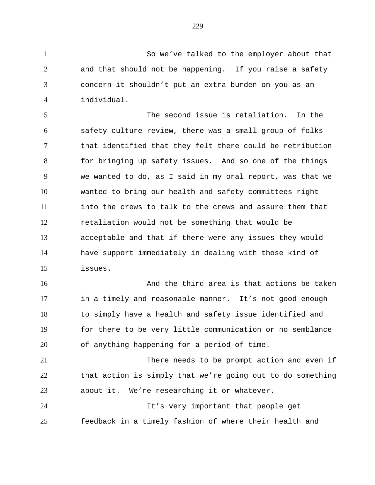So we've talked to the employer about that and that should not be happening. If you raise a safety concern it shouldn't put an extra burden on you as an individual.

 The second issue is retaliation. In the safety culture review, there was a small group of folks that identified that they felt there could be retribution for bringing up safety issues. And so one of the things we wanted to do, as I said in my oral report, was that we wanted to bring our health and safety committees right into the crews to talk to the crews and assure them that retaliation would not be something that would be acceptable and that if there were any issues they would have support immediately in dealing with those kind of issues.

 And the third area is that actions be taken in a timely and reasonable manner. It's not good enough to simply have a health and safety issue identified and for there to be very little communication or no semblance of anything happening for a period of time.

 There needs to be prompt action and even if that action is simply that we're going out to do something about it. We're researching it or whatever.

 It's very important that people get feedback in a timely fashion of where their health and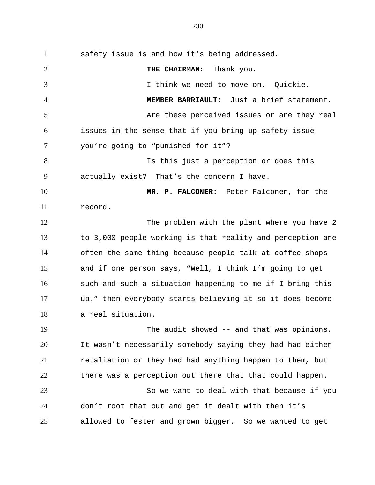safety issue is and how it's being addressed. **THE CHAIRMAN:** Thank you. I think we need to move on. Quickie. **MEMBER BARRIAULT:** Just a brief statement. Are these perceived issues or are they real issues in the sense that if you bring up safety issue you're going to "punished for it"? Is this just a perception or does this actually exist? That's the concern I have. **MR. P. FALCONER:** Peter Falconer, for the record. 12 The problem with the plant where you have 2 to 3,000 people working is that reality and perception are often the same thing because people talk at coffee shops and if one person says, "Well, I think I'm going to get such-and-such a situation happening to me if I bring this up," then everybody starts believing it so it does become a real situation. The audit showed -- and that was opinions.

 It wasn't necessarily somebody saying they had had either retaliation or they had had anything happen to them, but there was a perception out there that that could happen. So we want to deal with that because if you

 don't root that out and get it dealt with then it's allowed to fester and grown bigger. So we wanted to get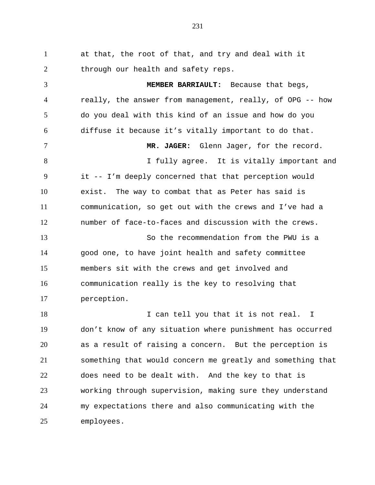at that, the root of that, and try and deal with it 2 through our health and safety reps. **MEMBER BARRIAULT:** Because that begs, really, the answer from management, really, of OPG -- how do you deal with this kind of an issue and how do you diffuse it because it's vitally important to do that. **MR. JAGER:** Glenn Jager, for the record. 8 I fully agree. It is vitally important and it -- I'm deeply concerned that that perception would exist. The way to combat that as Peter has said is communication, so get out with the crews and I've had a number of face-to-faces and discussion with the crews. So the recommendation from the PWU is a good one, to have joint health and safety committee members sit with the crews and get involved and communication really is the key to resolving that perception. 18 I can tell you that it is not real. I don't know of any situation where punishment has occurred as a result of raising a concern. But the perception is something that would concern me greatly and something that does need to be dealt with. And the key to that is working through supervision, making sure they understand my expectations there and also communicating with the

employees.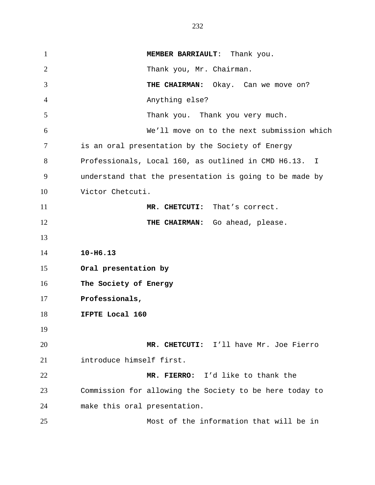**MEMBER BARRIAULT:** Thank you. Thank you, Mr. Chairman. **THE CHAIRMAN:** Okay. Can we move on? Anything else? Thank you. Thank you very much. We'll move on to the next submission which is an oral presentation by the Society of Energy Professionals, Local 160, as outlined in CMD H6.13. I understand that the presentation is going to be made by Victor Chetcuti. **MR. CHETCUTI:** That's correct. **THE CHAIRMAN:** Go ahead, please. **10-H6.13 Oral presentation by The Society of Energy Professionals, IFPTE Local 160 MR. CHETCUTI:** I'll have Mr. Joe Fierro introduce himself first. **MR. FIERRO:** I'd like to thank the Commission for allowing the Society to be here today to make this oral presentation. Most of the information that will be in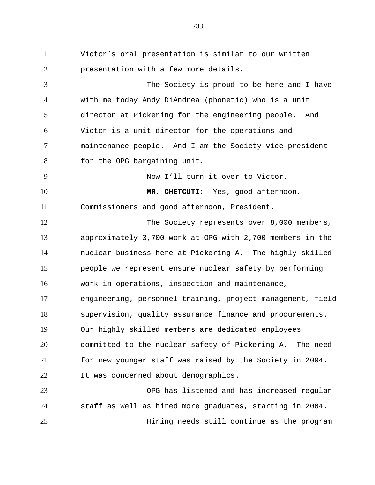Victor's oral presentation is similar to our written **presentation with a few more details.**  The Society is proud to be here and I have with me today Andy DiAndrea (phonetic) who is a unit director at Pickering for the engineering people. And Victor is a unit director for the operations and maintenance people. And I am the Society vice president for the OPG bargaining unit. Now I'll turn it over to Victor. **MR. CHETCUTI:** Yes, good afternoon, Commissioners and good afternoon, President. 12 The Society represents over 8,000 members, approximately 3,700 work at OPG with 2,700 members in the nuclear business here at Pickering A. The highly-skilled people we represent ensure nuclear safety by performing work in operations, inspection and maintenance, engineering, personnel training, project management, field supervision, quality assurance finance and procurements. Our highly skilled members are dedicated employees committed to the nuclear safety of Pickering A. The need for new younger staff was raised by the Society in 2004. It was concerned about demographics. OPG has listened and has increased regular staff as well as hired more graduates, starting in 2004.

Hiring needs still continue as the program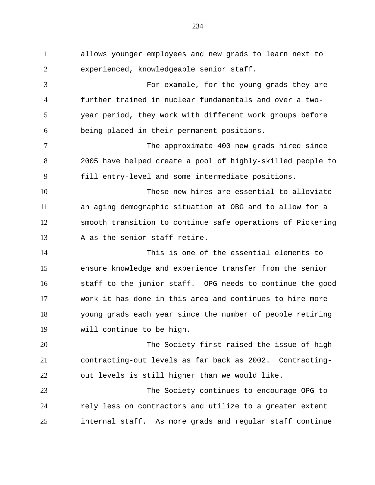allows younger employees and new grads to learn next to experienced, knowledgeable senior staff. For example, for the young grads they are further trained in nuclear fundamentals and over a two- year period, they work with different work groups before being placed in their permanent positions. The approximate 400 new grads hired since 2005 have helped create a pool of highly-skilled people to fill entry-level and some intermediate positions. These new hires are essential to alleviate an aging demographic situation at OBG and to allow for a smooth transition to continue safe operations of Pickering 13 A as the senior staff retire. This is one of the essential elements to ensure knowledge and experience transfer from the senior staff to the junior staff. OPG needs to continue the good work it has done in this area and continues to hire more young grads each year since the number of people retiring will continue to be high. The Society first raised the issue of high contracting-out levels as far back as 2002. Contracting- out levels is still higher than we would like. The Society continues to encourage OPG to rely less on contractors and utilize to a greater extent internal staff. As more grads and regular staff continue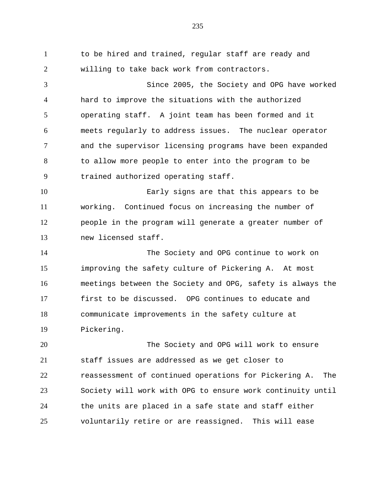to be hired and trained, regular staff are ready and willing to take back work from contractors. Since 2005, the Society and OPG have worked hard to improve the situations with the authorized operating staff. A joint team has been formed and it meets regularly to address issues. The nuclear operator and the supervisor licensing programs have been expanded to allow more people to enter into the program to be trained authorized operating staff. Early signs are that this appears to be working. Continued focus on increasing the number of people in the program will generate a greater number of new licensed staff. The Society and OPG continue to work on improving the safety culture of Pickering A. At most meetings between the Society and OPG, safety is always the first to be discussed. OPG continues to educate and communicate improvements in the safety culture at Pickering. The Society and OPG will work to ensure staff issues are addressed as we get closer to reassessment of continued operations for Pickering A. The

 Society will work with OPG to ensure work continuity until the units are placed in a safe state and staff either voluntarily retire or are reassigned. This will ease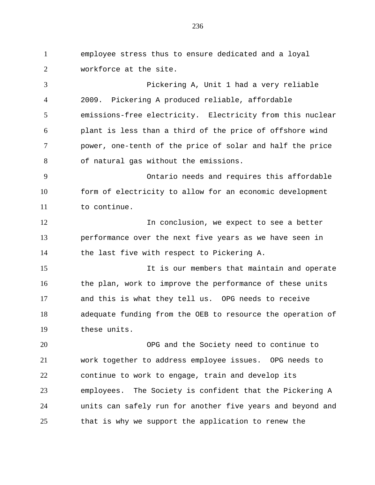employee stress thus to ensure dedicated and a loyal workforce at the site.

 Pickering A, Unit 1 had a very reliable 2009. Pickering A produced reliable, affordable emissions-free electricity. Electricity from this nuclear plant is less than a third of the price of offshore wind power, one-tenth of the price of solar and half the price of natural gas without the emissions.

 Ontario needs and requires this affordable form of electricity to allow for an economic development to continue.

12 12 In conclusion, we expect to see a better performance over the next five years as we have seen in the last five with respect to Pickering A.

 It is our members that maintain and operate 16 the plan, work to improve the performance of these units and this is what they tell us. OPG needs to receive adequate funding from the OEB to resource the operation of these units.

 OPG and the Society need to continue to work together to address employee issues. OPG needs to continue to work to engage, train and develop its employees. The Society is confident that the Pickering A units can safely run for another five years and beyond and that is why we support the application to renew the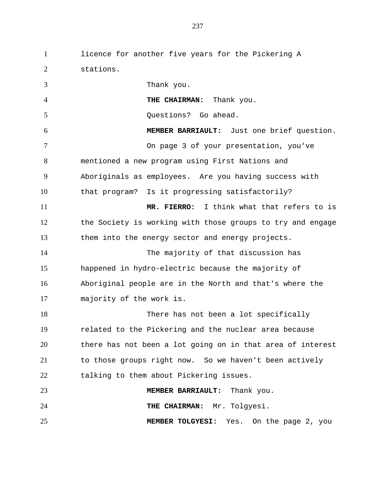licence for another five years for the Pickering A stations. Thank you. **THE CHAIRMAN:** Thank you. Questions? Go ahead. **MEMBER BARRIAULT:** Just one brief question. On page 3 of your presentation, you've mentioned a new program using First Nations and Aboriginals as employees. Are you having success with that program? Is it progressing satisfactorily? **MR. FIERRO:** I think what that refers to is the Society is working with those groups to try and engage them into the energy sector and energy projects. The majority of that discussion has happened in hydro-electric because the majority of Aboriginal people are in the North and that's where the majority of the work is. 18 There has not been a lot specifically related to the Pickering and the nuclear area because there has not been a lot going on in that area of interest to those groups right now. So we haven't been actively talking to them about Pickering issues. **MEMBER BARRIAULT:** Thank you. **THE CHAIRMAN:** Mr. Tolgyesi. **MEMBER TOLGYESI:** Yes. On the page 2, you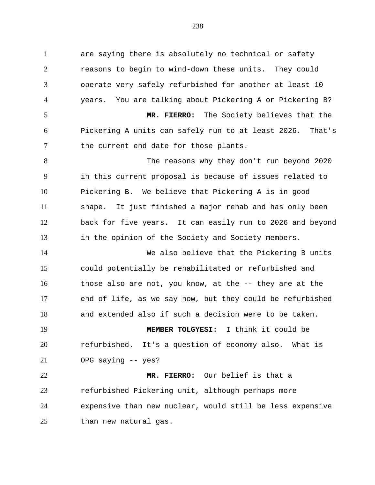are saying there is absolutely no technical or safety reasons to begin to wind-down these units. They could operate very safely refurbished for another at least 10 years. You are talking about Pickering A or Pickering B? **MR. FIERRO:** The Society believes that the Pickering A units can safely run to at least 2026. That's 7 the current end date for those plants. The reasons why they don't run beyond 2020 in this current proposal is because of issues related to Pickering B. We believe that Pickering A is in good shape. It just finished a major rehab and has only been back for five years. It can easily run to 2026 and beyond in the opinion of the Society and Society members. We also believe that the Pickering B units could potentially be rehabilitated or refurbished and those also are not, you know, at the -- they are at the end of life, as we say now, but they could be refurbished and extended also if such a decision were to be taken. **MEMBER TOLGYESI:** I think it could be refurbished. It's a question of economy also. What is OPG saying -- yes? **MR. FIERRO:** Our belief is that a

 refurbished Pickering unit, although perhaps more expensive than new nuclear, would still be less expensive than new natural gas.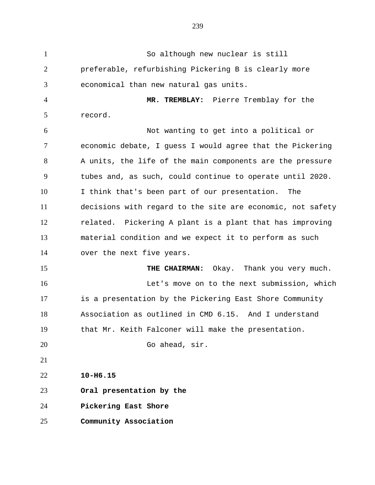So although new nuclear is still preferable, refurbishing Pickering B is clearly more economical than new natural gas units. **MR. TREMBLAY:** Pierre Tremblay for the record. Not wanting to get into a political or economic debate, I guess I would agree that the Pickering A units, the life of the main components are the pressure tubes and, as such, could continue to operate until 2020. I think that's been part of our presentation. The decisions with regard to the site are economic, not safety related. Pickering A plant is a plant that has improving material condition and we expect it to perform as such over the next five years. 15 THE CHAIRMAN: Okay. Thank you very much. Let's move on to the next submission, which is a presentation by the Pickering East Shore Community Association as outlined in CMD 6.15. And I understand that Mr. Keith Falconer will make the presentation. Go ahead, sir. **10-H6.15 Oral presentation by the Pickering East Shore Community Association**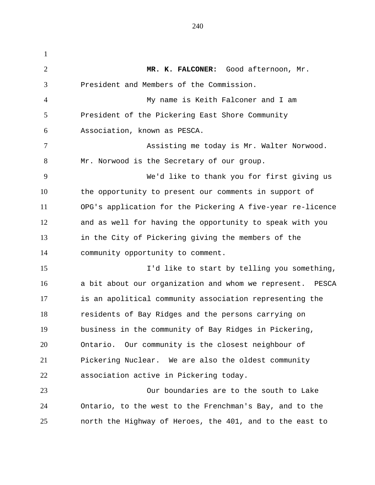**MR. K. FALCONER:** Good afternoon, Mr. President and Members of the Commission. My name is Keith Falconer and I am President of the Pickering East Shore Community Association, known as PESCA. Assisting me today is Mr. Walter Norwood. Mr. Norwood is the Secretary of our group. We'd like to thank you for first giving us the opportunity to present our comments in support of OPG's application for the Pickering A five-year re-licence and as well for having the opportunity to speak with you in the City of Pickering giving the members of the community opportunity to comment. I'd like to start by telling you something, a bit about our organization and whom we represent. PESCA is an apolitical community association representing the residents of Bay Ridges and the persons carrying on business in the community of Bay Ridges in Pickering, Ontario. Our community is the closest neighbour of Pickering Nuclear. We are also the oldest community association active in Pickering today. Our boundaries are to the south to Lake Ontario, to the west to the Frenchman's Bay, and to the north the Highway of Heroes, the 401, and to the east to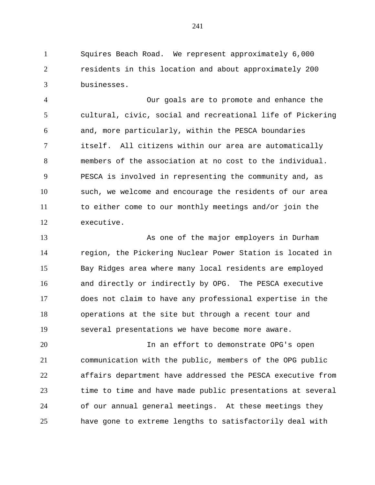Squires Beach Road. We represent approximately 6,000 residents in this location and about approximately 200 businesses.

 Our goals are to promote and enhance the cultural, civic, social and recreational life of Pickering and, more particularly, within the PESCA boundaries itself. All citizens within our area are automatically members of the association at no cost to the individual. PESCA is involved in representing the community and, as such, we welcome and encourage the residents of our area to either come to our monthly meetings and/or join the executive.

 As one of the major employers in Durham region, the Pickering Nuclear Power Station is located in Bay Ridges area where many local residents are employed and directly or indirectly by OPG. The PESCA executive does not claim to have any professional expertise in the operations at the site but through a recent tour and several presentations we have become more aware.

 In an effort to demonstrate OPG's open communication with the public, members of the OPG public affairs department have addressed the PESCA executive from time to time and have made public presentations at several of our annual general meetings. At these meetings they have gone to extreme lengths to satisfactorily deal with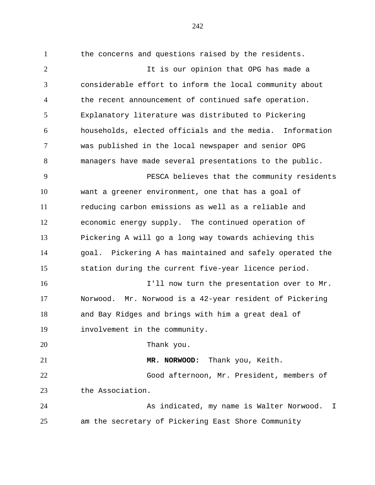the concerns and questions raised by the residents. 2 11 It is our opinion that OPG has made a considerable effort to inform the local community about the recent announcement of continued safe operation. Explanatory literature was distributed to Pickering households, elected officials and the media. Information was published in the local newspaper and senior OPG managers have made several presentations to the public. PESCA believes that the community residents want a greener environment, one that has a goal of reducing carbon emissions as well as a reliable and economic energy supply. The continued operation of Pickering A will go a long way towards achieving this goal. Pickering A has maintained and safely operated the station during the current five-year licence period. **I'll now turn the presentation over to Mr.**  Norwood. Mr. Norwood is a 42-year resident of Pickering and Bay Ridges and brings with him a great deal of involvement in the community. Thank you. **MR. NORWOOD:** Thank you, Keith. Good afternoon, Mr. President, members of the Association. As indicated, my name is Walter Norwood. I am the secretary of Pickering East Shore Community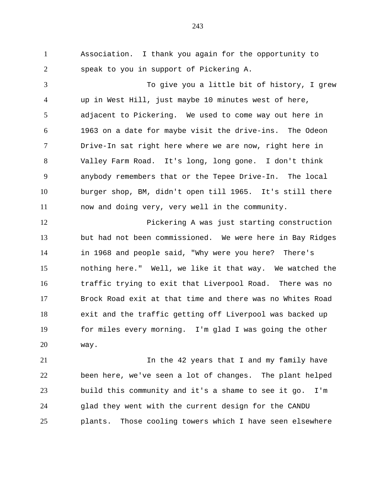Association. I thank you again for the opportunity to speak to you in support of Pickering A.

 To give you a little bit of history, I grew up in West Hill, just maybe 10 minutes west of here, adjacent to Pickering. We used to come way out here in 1963 on a date for maybe visit the drive-ins. The Odeon Drive-In sat right here where we are now, right here in Valley Farm Road. It's long, long gone. I don't think anybody remembers that or the Tepee Drive-In. The local burger shop, BM, didn't open till 1965. It's still there now and doing very, very well in the community.

 Pickering A was just starting construction but had not been commissioned. We were here in Bay Ridges in 1968 and people said, "Why were you here? There's nothing here." Well, we like it that way. We watched the traffic trying to exit that Liverpool Road. There was no Brock Road exit at that time and there was no Whites Road exit and the traffic getting off Liverpool was backed up for miles every morning. I'm glad I was going the other way.

21 12 In the 42 years that I and my family have been here, we've seen a lot of changes. The plant helped build this community and it's a shame to see it go. I'm glad they went with the current design for the CANDU plants. Those cooling towers which I have seen elsewhere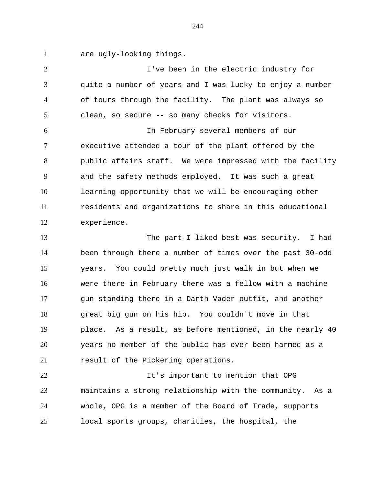are ugly-looking things.

 I've been in the electric industry for quite a number of years and I was lucky to enjoy a number of tours through the facility. The plant was always so clean, so secure -- so many checks for visitors. In February several members of our executive attended a tour of the plant offered by the public affairs staff. We were impressed with the facility and the safety methods employed. It was such a great learning opportunity that we will be encouraging other residents and organizations to share in this educational experience. The part I liked best was security. I had been through there a number of times over the past 30-odd years. You could pretty much just walk in but when we were there in February there was a fellow with a machine 17 gun standing there in a Darth Vader outfit, and another great big gun on his hip. You couldn't move in that place. As a result, as before mentioned, in the nearly 40 years no member of the public has ever been harmed as a 21 result of the Pickering operations. It's important to mention that OPG maintains a strong relationship with the community. As a whole, OPG is a member of the Board of Trade, supports

local sports groups, charities, the hospital, the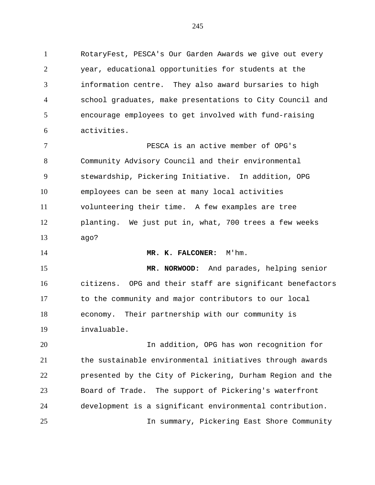RotaryFest, PESCA's Our Garden Awards we give out every year, educational opportunities for students at the information centre. They also award bursaries to high school graduates, make presentations to City Council and encourage employees to get involved with fund-raising activities.

 PESCA is an active member of OPG's Community Advisory Council and their environmental stewardship, Pickering Initiative. In addition, OPG employees can be seen at many local activities volunteering their time. A few examples are tree planting. We just put in, what, 700 trees a few weeks ago?

**MR. K. FALCONER:** M'hm.

 **MR. NORWOOD:** And parades, helping senior citizens. OPG and their staff are significant benefactors to the community and major contributors to our local economy. Their partnership with our community is invaluable.

 In addition, OPG has won recognition for the sustainable environmental initiatives through awards presented by the City of Pickering, Durham Region and the Board of Trade. The support of Pickering's waterfront development is a significant environmental contribution. In summary, Pickering East Shore Community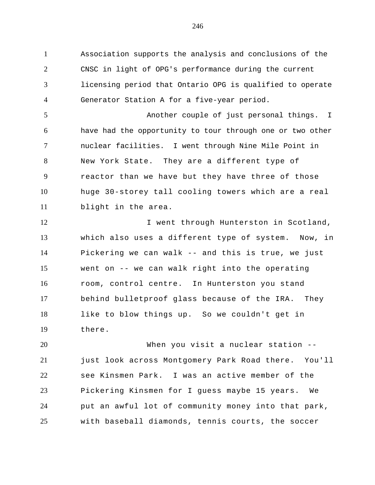Association supports the analysis and conclusions of the CNSC in light of OPG's performance during the current licensing period that Ontario OPG is qualified to operate Generator Station A for a five-year period.

 Another couple of just personal things. I have had the opportunity to tour through one or two other nuclear facilities. I went through Nine Mile Point in New York State. They are a different type of reactor than we have but they have three of those huge 30-storey tall cooling towers which are a real blight in the area.

12 I went through Hunterston in Scotland, which also uses a different type of system. Now, in Pickering we can walk -- and this is true, we just went on -- we can walk right into the operating room, control centre. In Hunterston you stand behind bulletproof glass because of the IRA. They like to blow things up. So we couldn't get in there.

 When you visit a nuclear station -- just look across Montgomery Park Road there. You'll see Kinsmen Park. I was an active member of the Pickering Kinsmen for I guess maybe 15 years. We put an awful lot of community money into that park, with baseball diamonds, tennis courts, the soccer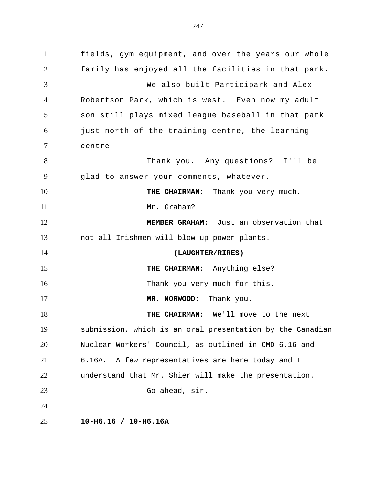fields, gym equipment, and over the years our whole family has enjoyed all the facilities in that park. We also built Participark and Alex Robertson Park, which is west. Even now my adult son still plays mixed league baseball in that park just north of the training centre, the learning centre. Thank you. Any questions? I'll be glad to answer your comments, whatever. 10 THE CHAIRMAN: Thank you very much. 11 Mr. Graham? **MEMBER GRAHAM:** Just an observation that not all Irishmen will blow up power plants. **(LAUGHTER/RIRES) THE CHAIRMAN:** Anything else? 16 Thank you very much for this. **MR. NORWOOD:** Thank you. **THE CHAIRMAN:** We'll move to the next submission, which is an oral presentation by the Canadian Nuclear Workers' Council, as outlined in CMD 6.16 and 6.16A. A few representatives are here today and I understand that Mr. Shier will make the presentation. Go ahead, sir. **10-H6.16 / 10-H6.16A**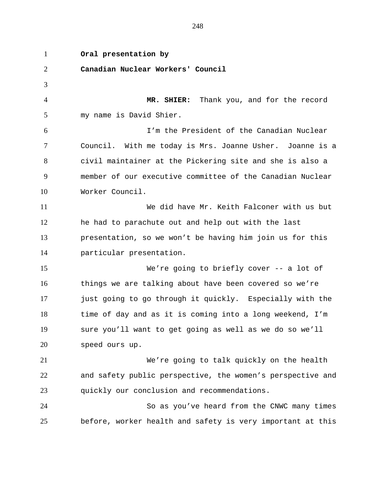**Oral presentation by Canadian Nuclear Workers' Council MR. SHIER:** Thank you, and for the record my name is David Shier. I'm the President of the Canadian Nuclear Council. With me today is Mrs. Joanne Usher. Joanne is a civil maintainer at the Pickering site and she is also a member of our executive committee of the Canadian Nuclear Worker Council. We did have Mr. Keith Falconer with us but he had to parachute out and help out with the last presentation, so we won't be having him join us for this particular presentation. We're going to briefly cover -- a lot of things we are talking about have been covered so we're just going to go through it quickly. Especially with the time of day and as it is coming into a long weekend, I'm sure you'll want to get going as well as we do so we'll speed ours up. We're going to talk quickly on the health and safety public perspective, the women's perspective and quickly our conclusion and recommendations. So as you've heard from the CNWC many times before, worker health and safety is very important at this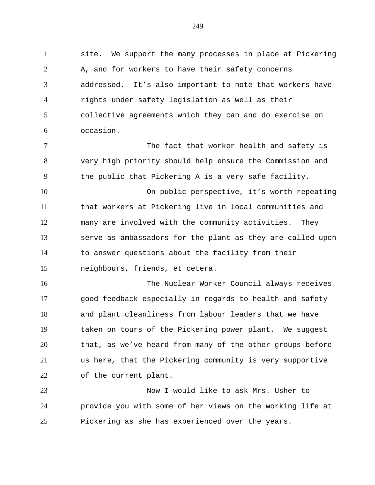site. We support the many processes in place at Pickering A, and for workers to have their safety concerns addressed. It's also important to note that workers have rights under safety legislation as well as their collective agreements which they can and do exercise on occasion.

7 The fact that worker health and safety is very high priority should help ensure the Commission and the public that Pickering A is a very safe facility.

 On public perspective, it's worth repeating that workers at Pickering live in local communities and many are involved with the community activities. They serve as ambassadors for the plant as they are called upon to answer questions about the facility from their neighbours, friends, et cetera.

 The Nuclear Worker Council always receives good feedback especially in regards to health and safety and plant cleanliness from labour leaders that we have taken on tours of the Pickering power plant. We suggest that, as we've heard from many of the other groups before us here, that the Pickering community is very supportive of the current plant.

 Now I would like to ask Mrs. Usher to provide you with some of her views on the working life at Pickering as she has experienced over the years.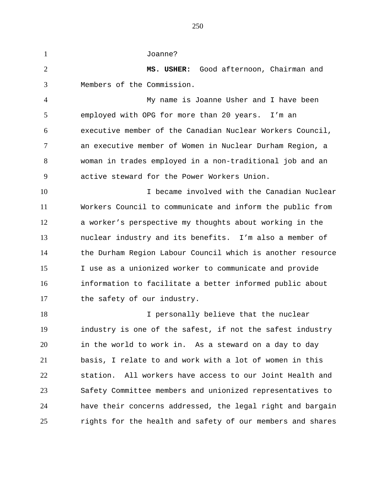Joanne?

 **MS. USHER:** Good afternoon, Chairman and Members of the Commission.

 My name is Joanne Usher and I have been employed with OPG for more than 20 years. I'm an executive member of the Canadian Nuclear Workers Council, an executive member of Women in Nuclear Durham Region, a woman in trades employed in a non-traditional job and an active steward for the Power Workers Union.

 I became involved with the Canadian Nuclear Workers Council to communicate and inform the public from a worker's perspective my thoughts about working in the nuclear industry and its benefits. I'm also a member of the Durham Region Labour Council which is another resource I use as a unionized worker to communicate and provide information to facilitate a better informed public about 17 the safety of our industry.

18 I personally believe that the nuclear industry is one of the safest, if not the safest industry in the world to work in. As a steward on a day to day basis, I relate to and work with a lot of women in this station. All workers have access to our Joint Health and Safety Committee members and unionized representatives to have their concerns addressed, the legal right and bargain rights for the health and safety of our members and shares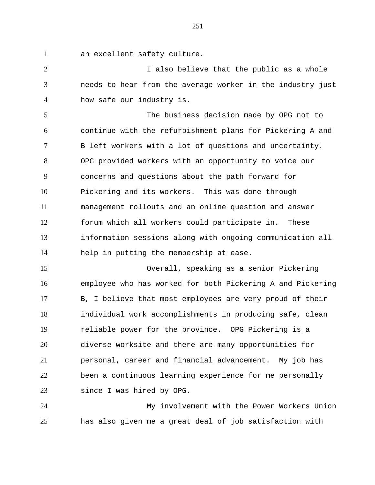an excellent safety culture.

2 1 I also believe that the public as a whole needs to hear from the average worker in the industry just how safe our industry is.

 The business decision made by OPG not to continue with the refurbishment plans for Pickering A and B left workers with a lot of questions and uncertainty. OPG provided workers with an opportunity to voice our concerns and questions about the path forward for Pickering and its workers. This was done through management rollouts and an online question and answer forum which all workers could participate in. These information sessions along with ongoing communication all help in putting the membership at ease.

 Overall, speaking as a senior Pickering employee who has worked for both Pickering A and Pickering B, I believe that most employees are very proud of their individual work accomplishments in producing safe, clean reliable power for the province. OPG Pickering is a diverse worksite and there are many opportunities for personal, career and financial advancement. My job has been a continuous learning experience for me personally since I was hired by OPG.

 My involvement with the Power Workers Union has also given me a great deal of job satisfaction with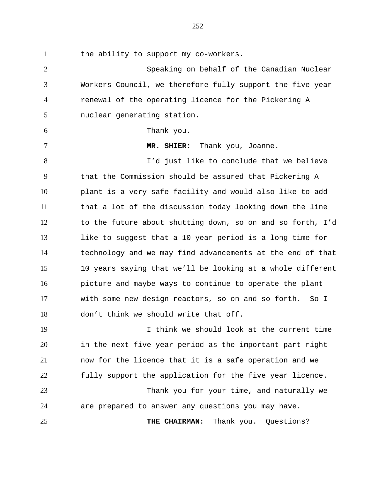the ability to support my co-workers.

 Speaking on behalf of the Canadian Nuclear Workers Council, we therefore fully support the five year renewal of the operating licence for the Pickering A nuclear generating station. Thank you. **MR. SHIER:** Thank you, Joanne. I'd just like to conclude that we believe that the Commission should be assured that Pickering A plant is a very safe facility and would also like to add that a lot of the discussion today looking down the line to the future about shutting down, so on and so forth, I'd like to suggest that a 10-year period is a long time for technology and we may find advancements at the end of that 10 years saying that we'll be looking at a whole different picture and maybe ways to continue to operate the plant with some new design reactors, so on and so forth. So I don't think we should write that off. I think we should look at the current time in the next five year period as the important part right now for the licence that it is a safe operation and we fully support the application for the five year licence. Thank you for your time, and naturally we are prepared to answer any questions you may have. **THE CHAIRMAN:** Thank you. Questions?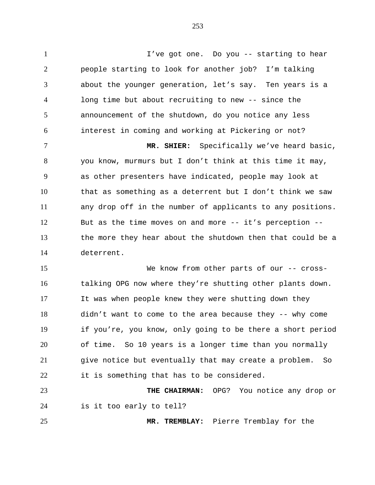I've got one. Do you -- starting to hear people starting to look for another job? I'm talking about the younger generation, let's say. Ten years is a long time but about recruiting to new -- since the announcement of the shutdown, do you notice any less interest in coming and working at Pickering or not?

 **MR. SHIER:** Specifically we've heard basic, you know, murmurs but I don't think at this time it may, as other presenters have indicated, people may look at that as something as a deterrent but I don't think we saw any drop off in the number of applicants to any positions. But as the time moves on and more -- it's perception -- the more they hear about the shutdown then that could be a deterrent.

15 We know from other parts of our -- cross- talking OPG now where they're shutting other plants down. It was when people knew they were shutting down they didn't want to come to the area because they -- why come if you're, you know, only going to be there a short period of time. So 10 years is a longer time than you normally give notice but eventually that may create a problem. So it is something that has to be considered.

 **THE CHAIRMAN:** OPG? You notice any drop or is it too early to tell?

**MR. TREMBLAY:** Pierre Tremblay for the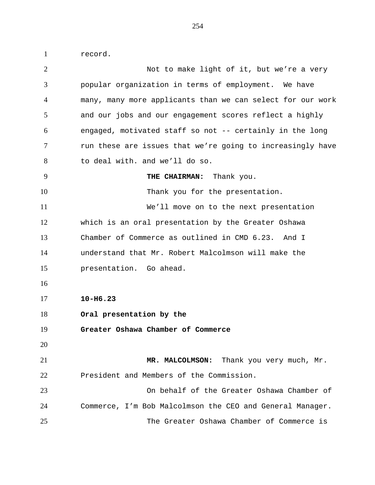record.

| $\overline{2}$ | Not to make light of it, but we're a very                  |
|----------------|------------------------------------------------------------|
| 3              | popular organization in terms of employment. We have       |
| $\overline{4}$ | many, many more applicants than we can select for our work |
| 5              | and our jobs and our engagement scores reflect a highly    |
| 6              | engaged, motivated staff so not -- certainly in the long   |
| 7              | run these are issues that we're going to increasingly have |
| 8              | to deal with. and we'll do so.                             |
| 9              | THE CHAIRMAN: Thank you.                                   |
| 10             | Thank you for the presentation.                            |
| 11             | We'll move on to the next presentation                     |
| 12             | which is an oral presentation by the Greater Oshawa        |
| 13             | Chamber of Commerce as outlined in CMD 6.23. And I         |
| 14             | understand that Mr. Robert Malcolmson will make the        |
| 15             | presentation. Go ahead.                                    |
| 16             |                                                            |
| 17             | $10 - H6.23$                                               |
| 18             | Oral presentation by the                                   |
| 19             | Greater Oshawa Chamber of Commerce                         |
| 20             |                                                            |
| 21             | MR. MALCOLMSON: Thank you very much, Mr.                   |
| 22             | President and Members of the Commission.                   |
| 23             | On behalf of the Greater Oshawa Chamber of                 |
| 24             | Commerce, I'm Bob Malcolmson the CEO and General Manager.  |
| 25             | The Greater Oshawa Chamber of Commerce is                  |
|                |                                                            |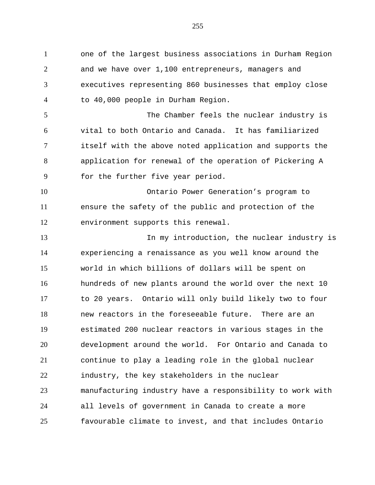one of the largest business associations in Durham Region and we have over 1,100 entrepreneurs, managers and executives representing 860 businesses that employ close to 40,000 people in Durham Region. The Chamber feels the nuclear industry is vital to both Ontario and Canada. It has familiarized itself with the above noted application and supports the application for renewal of the operation of Pickering A for the further five year period. Ontario Power Generation's program to ensure the safety of the public and protection of the environment supports this renewal. In my introduction, the nuclear industry is experiencing a renaissance as you well know around the world in which billions of dollars will be spent on hundreds of new plants around the world over the next 10 to 20 years. Ontario will only build likely two to four new reactors in the foreseeable future. There are an estimated 200 nuclear reactors in various stages in the development around the world. For Ontario and Canada to continue to play a leading role in the global nuclear industry, the key stakeholders in the nuclear manufacturing industry have a responsibility to work with all levels of government in Canada to create a more favourable climate to invest, and that includes Ontario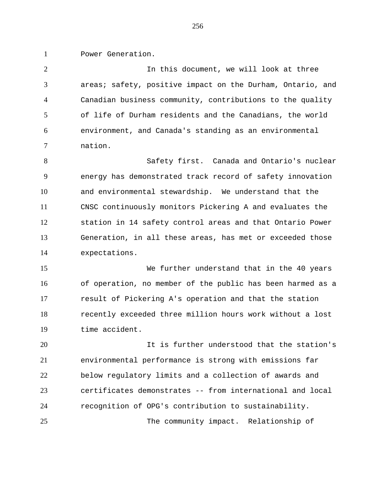Power Generation.

 In this document, we will look at three areas; safety, positive impact on the Durham, Ontario, and Canadian business community, contributions to the quality of life of Durham residents and the Canadians, the world environment, and Canada's standing as an environmental nation.

 Safety first. Canada and Ontario's nuclear energy has demonstrated track record of safety innovation and environmental stewardship. We understand that the CNSC continuously monitors Pickering A and evaluates the station in 14 safety control areas and that Ontario Power Generation, in all these areas, has met or exceeded those expectations.

 We further understand that in the 40 years of operation, no member of the public has been harmed as a result of Pickering A's operation and that the station recently exceeded three million hours work without a lost time accident.

 It is further understood that the station's environmental performance is strong with emissions far below regulatory limits and a collection of awards and certificates demonstrates -- from international and local recognition of OPG's contribution to sustainability.

The community impact. Relationship of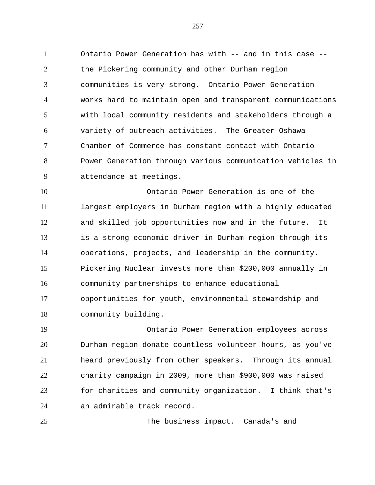Ontario Power Generation has with -- and in this case -- the Pickering community and other Durham region communities is very strong. Ontario Power Generation works hard to maintain open and transparent communications with local community residents and stakeholders through a variety of outreach activities. The Greater Oshawa Chamber of Commerce has constant contact with Ontario Power Generation through various communication vehicles in attendance at meetings.

 Ontario Power Generation is one of the largest employers in Durham region with a highly educated and skilled job opportunities now and in the future. It is a strong economic driver in Durham region through its operations, projects, and leadership in the community. Pickering Nuclear invests more than \$200,000 annually in community partnerships to enhance educational opportunities for youth, environmental stewardship and community building.

 Ontario Power Generation employees across Durham region donate countless volunteer hours, as you've heard previously from other speakers. Through its annual charity campaign in 2009, more than \$900,000 was raised for charities and community organization. I think that's an admirable track record.

The business impact. Canada's and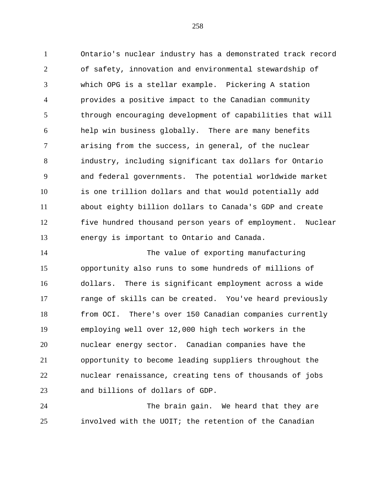Ontario's nuclear industry has a demonstrated track record of safety, innovation and environmental stewardship of which OPG is a stellar example. Pickering A station provides a positive impact to the Canadian community through encouraging development of capabilities that will help win business globally. There are many benefits arising from the success, in general, of the nuclear industry, including significant tax dollars for Ontario and federal governments. The potential worldwide market is one trillion dollars and that would potentially add about eighty billion dollars to Canada's GDP and create five hundred thousand person years of employment. Nuclear energy is important to Ontario and Canada.

 The value of exporting manufacturing opportunity also runs to some hundreds of millions of dollars. There is significant employment across a wide range of skills can be created. You've heard previously from OCI. There's over 150 Canadian companies currently employing well over 12,000 high tech workers in the nuclear energy sector. Canadian companies have the opportunity to become leading suppliers throughout the nuclear renaissance, creating tens of thousands of jobs and billions of dollars of GDP.

 The brain gain. We heard that they are involved with the UOIT; the retention of the Canadian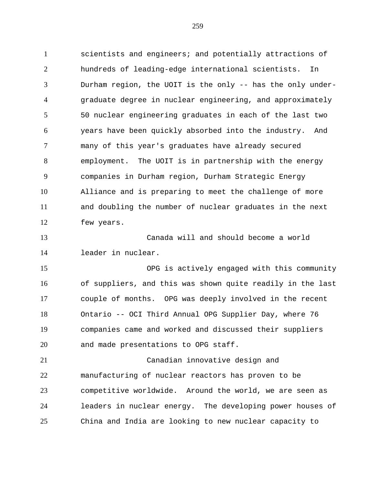scientists and engineers; and potentially attractions of hundreds of leading-edge international scientists. In Durham region, the UOIT is the only -- has the only under- graduate degree in nuclear engineering, and approximately 50 nuclear engineering graduates in each of the last two years have been quickly absorbed into the industry. And many of this year's graduates have already secured employment. The UOIT is in partnership with the energy companies in Durham region, Durham Strategic Energy Alliance and is preparing to meet the challenge of more and doubling the number of nuclear graduates in the next few years. Canada will and should become a world leader in nuclear. OPG is actively engaged with this community of suppliers, and this was shown quite readily in the last couple of months. OPG was deeply involved in the recent Ontario -- OCI Third Annual OPG Supplier Day, where 76 companies came and worked and discussed their suppliers and made presentations to OPG staff. Canadian innovative design and manufacturing of nuclear reactors has proven to be competitive worldwide. Around the world, we are seen as leaders in nuclear energy. The developing power houses of

China and India are looking to new nuclear capacity to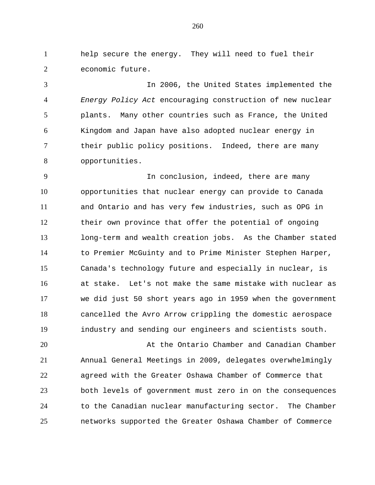help secure the energy. They will need to fuel their economic future.

 In 2006, the United States implemented the *Energy Policy Act* encouraging construction of new nuclear plants. Many other countries such as France, the United Kingdom and Japan have also adopted nuclear energy in their public policy positions. Indeed, there are many opportunities.

 In conclusion, indeed, there are many opportunities that nuclear energy can provide to Canada and Ontario and has very few industries, such as OPG in their own province that offer the potential of ongoing long-term and wealth creation jobs. As the Chamber stated to Premier McGuinty and to Prime Minister Stephen Harper, Canada's technology future and especially in nuclear, is at stake. Let's not make the same mistake with nuclear as we did just 50 short years ago in 1959 when the government cancelled the Avro Arrow crippling the domestic aerospace industry and sending our engineers and scientists south.

 At the Ontario Chamber and Canadian Chamber Annual General Meetings in 2009, delegates overwhelmingly agreed with the Greater Oshawa Chamber of Commerce that both levels of government must zero in on the consequences to the Canadian nuclear manufacturing sector. The Chamber networks supported the Greater Oshawa Chamber of Commerce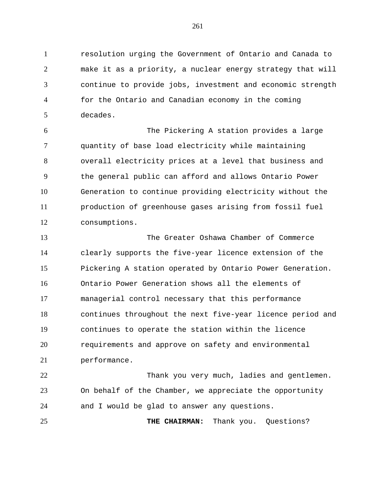resolution urging the Government of Ontario and Canada to make it as a priority, a nuclear energy strategy that will continue to provide jobs, investment and economic strength for the Ontario and Canadian economy in the coming decades.

 The Pickering A station provides a large quantity of base load electricity while maintaining overall electricity prices at a level that business and the general public can afford and allows Ontario Power Generation to continue providing electricity without the production of greenhouse gases arising from fossil fuel consumptions.

 The Greater Oshawa Chamber of Commerce clearly supports the five-year licence extension of the Pickering A station operated by Ontario Power Generation. Ontario Power Generation shows all the elements of managerial control necessary that this performance continues throughout the next five-year licence period and continues to operate the station within the licence requirements and approve on safety and environmental performance.

 Thank you very much, ladies and gentlemen. On behalf of the Chamber, we appreciate the opportunity and I would be glad to answer any questions.

**THE CHAIRMAN:** Thank you. Questions?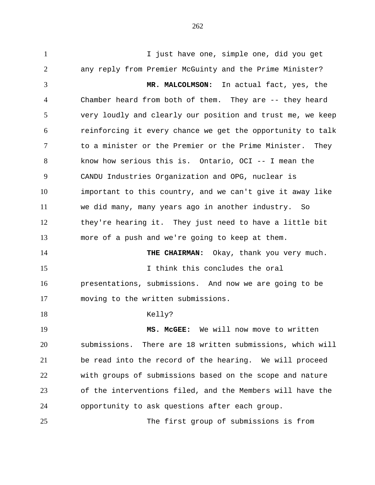I just have one, simple one, did you get any reply from Premier McGuinty and the Prime Minister? **MR. MALCOLMSON:** In actual fact, yes, the Chamber heard from both of them. They are -- they heard very loudly and clearly our position and trust me, we keep reinforcing it every chance we get the opportunity to talk to a minister or the Premier or the Prime Minister. They know how serious this is. Ontario, OCI -- I mean the CANDU Industries Organization and OPG, nuclear is important to this country, and we can't give it away like we did many, many years ago in another industry. So they're hearing it. They just need to have a little bit more of a push and we're going to keep at them. **THE CHAIRMAN:** Okay, thank you very much. I think this concludes the oral presentations, submissions. And now we are going to be moving to the written submissions. 18 Kelly? **MS. McGEE:** We will now move to written submissions. There are 18 written submissions, which will be read into the record of the hearing. We will proceed with groups of submissions based on the scope and nature of the interventions filed, and the Members will have the opportunity to ask questions after each group. The first group of submissions is from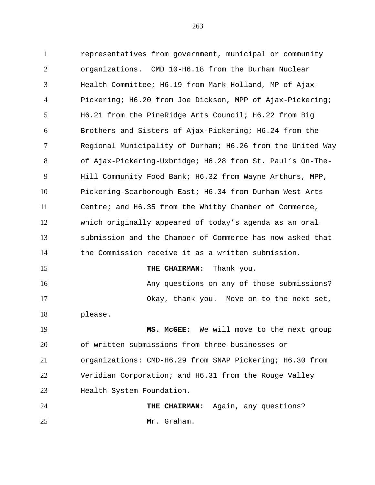representatives from government, municipal or community organizations. CMD 10-H6.18 from the Durham Nuclear Health Committee; H6.19 from Mark Holland, MP of Ajax- Pickering; H6.20 from Joe Dickson, MPP of Ajax-Pickering; H6.21 from the PineRidge Arts Council; H6.22 from Big Brothers and Sisters of Ajax-Pickering; H6.24 from the Regional Municipality of Durham; H6.26 from the United Way of Ajax-Pickering-Uxbridge; H6.28 from St. Paul's On-The- Hill Community Food Bank; H6.32 from Wayne Arthurs, MPP, Pickering-Scarborough East; H6.34 from Durham West Arts Centre; and H6.35 from the Whitby Chamber of Commerce, which originally appeared of today's agenda as an oral submission and the Chamber of Commerce has now asked that the Commission receive it as a written submission. **THE CHAIRMAN:** Thank you. Any questions on any of those submissions? Okay, thank you. Move on to the next set, please. **MS. McGEE:** We will move to the next group of written submissions from three businesses or organizations: CMD-H6.29 from SNAP Pickering; H6.30 from Veridian Corporation; and H6.31 from the Rouge Valley Health System Foundation.

 **THE CHAIRMAN:** Again, any questions? Mr. Graham.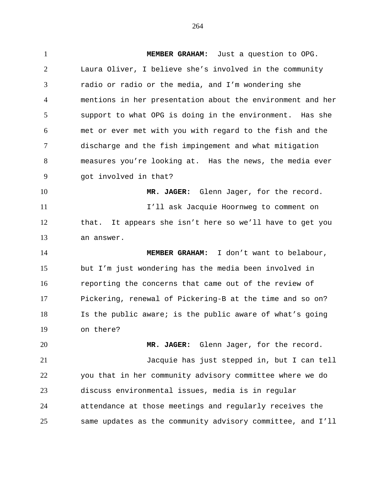**MEMBER GRAHAM:** Just a question to OPG. Laura Oliver, I believe she's involved in the community radio or radio or the media, and I'm wondering she mentions in her presentation about the environment and her support to what OPG is doing in the environment. Has she met or ever met with you with regard to the fish and the discharge and the fish impingement and what mitigation measures you're looking at. Has the news, the media ever got involved in that? **MR. JAGER:** Glenn Jager, for the record. I'll ask Jacquie Hoornweg to comment on that. It appears she isn't here so we'll have to get you an answer. **MEMBER GRAHAM:** I don't want to belabour, but I'm just wondering has the media been involved in reporting the concerns that came out of the review of Pickering, renewal of Pickering-B at the time and so on? Is the public aware; is the public aware of what's going on there? **MR. JAGER:** Glenn Jager, for the record. Jacquie has just stepped in, but I can tell you that in her community advisory committee where we do discuss environmental issues, media is in regular

 attendance at those meetings and regularly receives the same updates as the community advisory committee, and I'll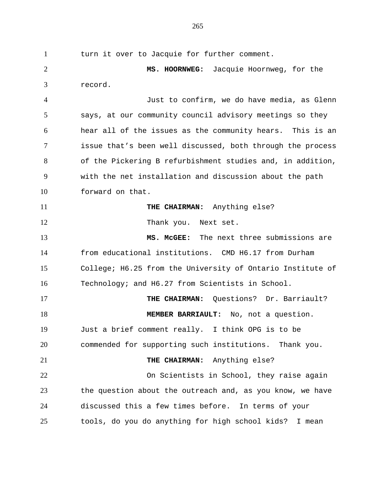turn it over to Jacquie for further comment. **MS. HOORNWEG:** Jacquie Hoornweg, for the record. Just to confirm, we do have media, as Glenn says, at our community council advisory meetings so they hear all of the issues as the community hears. This is an issue that's been well discussed, both through the process of the Pickering B refurbishment studies and, in addition, with the net installation and discussion about the path forward on that. **THE CHAIRMAN:** Anything else? 12 Thank you. Next set. **MS. McGEE:** The next three submissions are from educational institutions. CMD H6.17 from Durham College; H6.25 from the University of Ontario Institute of Technology; and H6.27 from Scientists in School. **THE CHAIRMAN:** Questions? Dr. Barriault? **MEMBER BARRIAULT:** No, not a question. Just a brief comment really. I think OPG is to be commended for supporting such institutions. Thank you. **THE CHAIRMAN:** Anything else? On Scientists in School, they raise again the question about the outreach and, as you know, we have discussed this a few times before. In terms of your tools, do you do anything for high school kids? I mean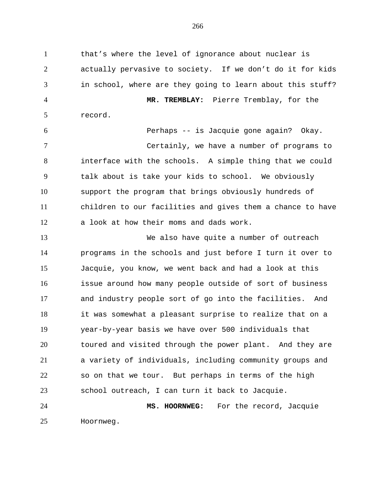that's where the level of ignorance about nuclear is actually pervasive to society. If we don't do it for kids in school, where are they going to learn about this stuff? **MR. TREMBLAY:** Pierre Tremblay, for the record. Perhaps -- is Jacquie gone again? Okay. Certainly, we have a number of programs to interface with the schools. A simple thing that we could talk about is take your kids to school. We obviously support the program that brings obviously hundreds of children to our facilities and gives them a chance to have a look at how their moms and dads work. We also have quite a number of outreach programs in the schools and just before I turn it over to Jacquie, you know, we went back and had a look at this issue around how many people outside of sort of business and industry people sort of go into the facilities. And it was somewhat a pleasant surprise to realize that on a year-by-year basis we have over 500 individuals that toured and visited through the power plant. And they are a variety of individuals, including community groups and so on that we tour. But perhaps in terms of the high school outreach, I can turn it back to Jacquie. **MS. HOORNWEG:** For the record, Jacquie Hoornweg.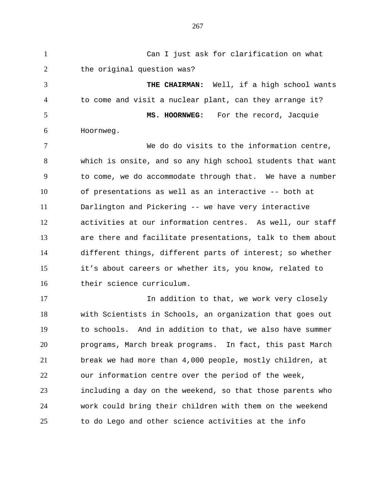Can I just ask for clarification on what 2 the original question was? **THE CHAIRMAN:** Well, if a high school wants to come and visit a nuclear plant, can they arrange it? **MS. HOORNWEG:** For the record, Jacquie Hoornweg. We do do visits to the information centre, which is onsite, and so any high school students that want to come, we do accommodate through that. We have a number of presentations as well as an interactive -- both at Darlington and Pickering -- we have very interactive activities at our information centres. As well, our staff are there and facilitate presentations, talk to them about different things, different parts of interest; so whether it's about careers or whether its, you know, related to their science curriculum. 17 17 In addition to that, we work very closely with Scientists in Schools, an organization that goes out to schools. And in addition to that, we also have summer programs, March break programs. In fact, this past March break we had more than 4,000 people, mostly children, at our information centre over the period of the week, including a day on the weekend, so that those parents who work could bring their children with them on the weekend to do Lego and other science activities at the info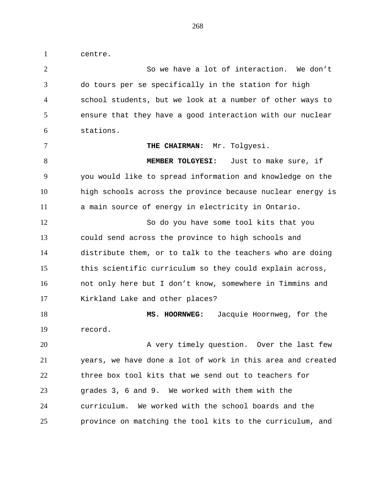centre.

 So we have a lot of interaction. We don't do tours per se specifically in the station for high school students, but we look at a number of other ways to ensure that they have a good interaction with our nuclear stations.

7 THE CHAIRMAN: Mr. Tolgyesi.

 **MEMBER TOLGYESI:** Just to make sure, if you would like to spread information and knowledge on the high schools across the province because nuclear energy is a main source of energy in electricity in Ontario.

 So do you have some tool kits that you could send across the province to high schools and distribute them, or to talk to the teachers who are doing this scientific curriculum so they could explain across, not only here but I don't know, somewhere in Timmins and 17 Kirkland Lake and other places?

 **MS. HOORNWEG:** Jacquie Hoornweg, for the record.

20 A very timely question. Over the last few years, we have done a lot of work in this area and created three box tool kits that we send out to teachers for grades 3, 6 and 9. We worked with them with the curriculum. We worked with the school boards and the province on matching the tool kits to the curriculum, and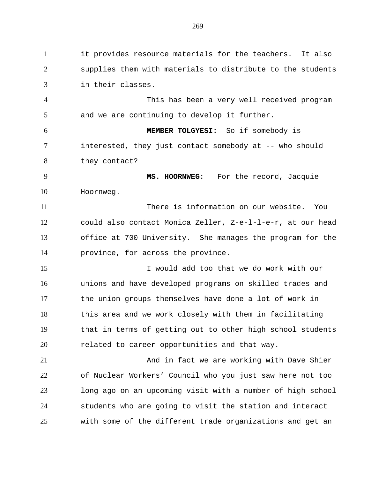it provides resource materials for the teachers. It also supplies them with materials to distribute to the students in their classes.

 This has been a very well received program and we are continuing to develop it further.

 **MEMBER TOLGYESI:** So if somebody is interested, they just contact somebody at -- who should they contact?

 **MS. HOORNWEG:** For the record, Jacquie Hoornweg.

 There is information on our website. You could also contact Monica Zeller, Z-e-l-l-e-r, at our head office at 700 University. She manages the program for the province, for across the province.

 I would add too that we do work with our unions and have developed programs on skilled trades and the union groups themselves have done a lot of work in this area and we work closely with them in facilitating that in terms of getting out to other high school students 20 related to career opportunities and that way.

21 And in fact we are working with Dave Shier of Nuclear Workers' Council who you just saw here not too long ago on an upcoming visit with a number of high school students who are going to visit the station and interact with some of the different trade organizations and get an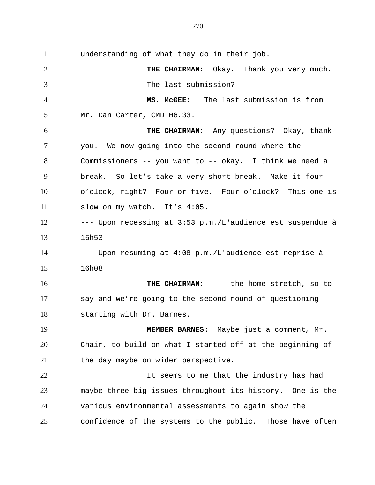understanding of what they do in their job. **THE CHAIRMAN:** Okay. Thank you very much. The last submission? **MS. McGEE:** The last submission is from Mr. Dan Carter, CMD H6.33. **THE CHAIRMAN:** Any questions? Okay, thank you. We now going into the second round where the Commissioners -- you want to -- okay. I think we need a break. So let's take a very short break. Make it four o'clock, right? Four or five. Four o'clock? This one is slow on my watch. It's 4:05. --- Upon recessing at 3:53 p.m./L'audience est suspendue à 15h53 --- Upon resuming at 4:08 p.m./L'audience est reprise à 16h08 **THE CHAIRMAN:** --- the home stretch, so to say and we're going to the second round of questioning starting with Dr. Barnes. **MEMBER BARNES:** Maybe just a comment, Mr. Chair, to build on what I started off at the beginning of 21 the day maybe on wider perspective. It seems to me that the industry has had maybe three big issues throughout its history. One is the various environmental assessments to again show the confidence of the systems to the public. Those have often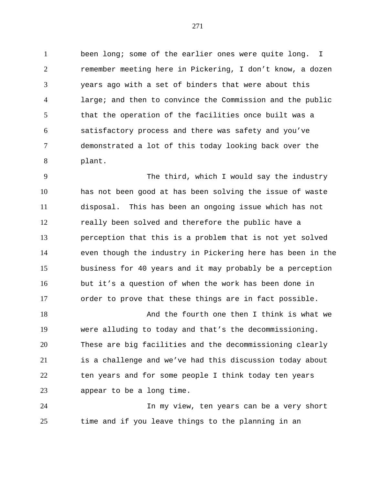been long; some of the earlier ones were quite long. I remember meeting here in Pickering, I don't know, a dozen years ago with a set of binders that were about this large; and then to convince the Commission and the public that the operation of the facilities once built was a satisfactory process and there was safety and you've demonstrated a lot of this today looking back over the plant.

 The third, which I would say the industry has not been good at has been solving the issue of waste disposal. This has been an ongoing issue which has not really been solved and therefore the public have a perception that this is a problem that is not yet solved even though the industry in Pickering here has been in the business for 40 years and it may probably be a perception but it's a question of when the work has been done in order to prove that these things are in fact possible.

 And the fourth one then I think is what we were alluding to today and that's the decommissioning. These are big facilities and the decommissioning clearly is a challenge and we've had this discussion today about ten years and for some people I think today ten years appear to be a long time.

 In my view, ten years can be a very short time and if you leave things to the planning in an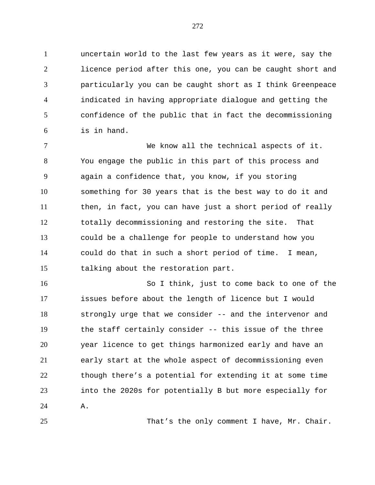uncertain world to the last few years as it were, say the licence period after this one, you can be caught short and particularly you can be caught short as I think Greenpeace indicated in having appropriate dialogue and getting the confidence of the public that in fact the decommissioning is in hand.

 We know all the technical aspects of it. You engage the public in this part of this process and again a confidence that, you know, if you storing something for 30 years that is the best way to do it and then, in fact, you can have just a short period of really totally decommissioning and restoring the site. That could be a challenge for people to understand how you could do that in such a short period of time. I mean, talking about the restoration part.

 So I think, just to come back to one of the issues before about the length of licence but I would strongly urge that we consider -- and the intervenor and the staff certainly consider -- this issue of the three year licence to get things harmonized early and have an early start at the whole aspect of decommissioning even though there's a potential for extending it at some time into the 2020s for potentially B but more especially for A.

That's the only comment I have, Mr. Chair.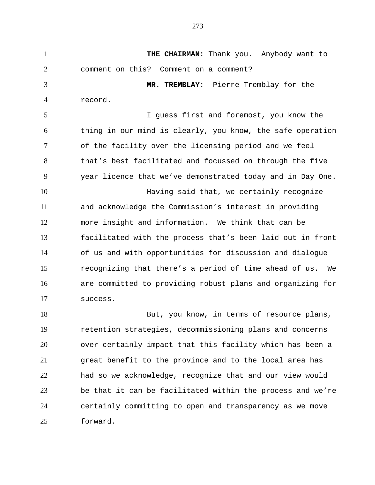**THE CHAIRMAN:** Thank you. Anybody want to comment on this? Comment on a comment? **MR. TREMBLAY:** Pierre Tremblay for the record. I guess first and foremost, you know the thing in our mind is clearly, you know, the safe operation of the facility over the licensing period and we feel that's best facilitated and focussed on through the five year licence that we've demonstrated today and in Day One. Having said that, we certainly recognize and acknowledge the Commission's interest in providing more insight and information. We think that can be facilitated with the process that's been laid out in front of us and with opportunities for discussion and dialogue recognizing that there's a period of time ahead of us. We are committed to providing robust plans and organizing for success. 18 But, you know, in terms of resource plans,

 retention strategies, decommissioning plans and concerns over certainly impact that this facility which has been a great benefit to the province and to the local area has had so we acknowledge, recognize that and our view would be that it can be facilitated within the process and we're certainly committing to open and transparency as we move forward.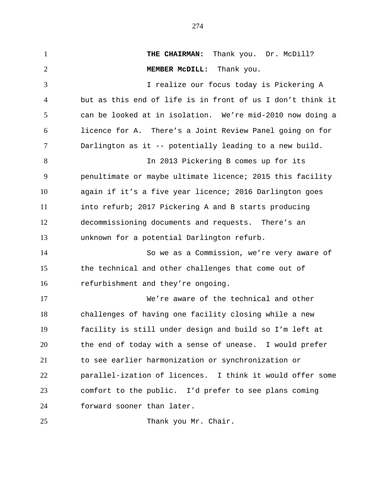**THE CHAIRMAN:** Thank you. Dr. McDill? **MEMBER McDILL:** Thank you. I realize our focus today is Pickering A but as this end of life is in front of us I don't think it can be looked at in isolation. We're mid-2010 now doing a licence for A. There's a Joint Review Panel going on for Darlington as it -- potentially leading to a new build. In 2013 Pickering B comes up for its penultimate or maybe ultimate licence; 2015 this facility again if it's a five year licence; 2016 Darlington goes into refurb; 2017 Pickering A and B starts producing decommissioning documents and requests. There's an unknown for a potential Darlington refurb. So we as a Commission, we're very aware of the technical and other challenges that come out of refurbishment and they're ongoing. We're aware of the technical and other challenges of having one facility closing while a new facility is still under design and build so I'm left at the end of today with a sense of unease. I would prefer to see earlier harmonization or synchronization or parallel-ization of licences. I think it would offer some comfort to the public. I'd prefer to see plans coming forward sooner than later. 25 Thank you Mr. Chair.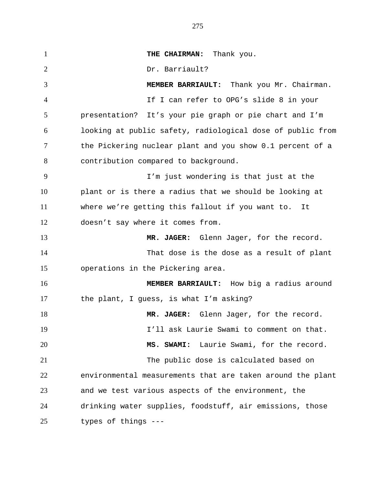**THE CHAIRMAN:** Thank you. 2 Dr. Barriault? **MEMBER BARRIAULT:** Thank you Mr. Chairman. If I can refer to OPG's slide 8 in your presentation? It's your pie graph or pie chart and I'm looking at public safety, radiological dose of public from the Pickering nuclear plant and you show 0.1 percent of a contribution compared to background. I'm just wondering is that just at the plant or is there a radius that we should be looking at where we're getting this fallout if you want to. It doesn't say where it comes from. **MR. JAGER:** Glenn Jager, for the record. That dose is the dose as a result of plant operations in the Pickering area. **MEMBER BARRIAULT:** How big a radius around the plant, I guess, is what I'm asking? 18 MR. JAGER: Glenn Jager, for the record. I'll ask Laurie Swami to comment on that. **MS. SWAMI:** Laurie Swami, for the record. The public dose is calculated based on environmental measurements that are taken around the plant and we test various aspects of the environment, the drinking water supplies, foodstuff, air emissions, those types of things ---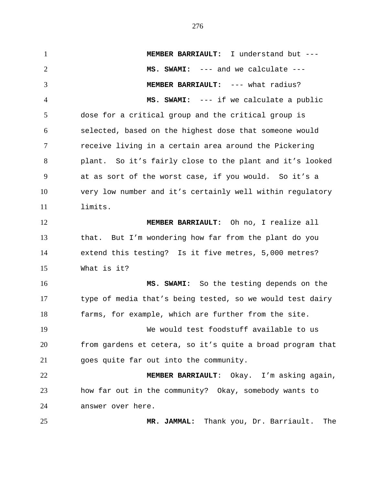**MEMBER BARRIAULT:** I understand but --- **MS. SWAMI:** --- and we calculate --- **MEMBER BARRIAULT:** --- what radius? **MS. SWAMI:** --- if we calculate a public dose for a critical group and the critical group is selected, based on the highest dose that someone would receive living in a certain area around the Pickering plant. So it's fairly close to the plant and it's looked at as sort of the worst case, if you would. So it's a very low number and it's certainly well within regulatory limits. **MEMBER BARRIAULT:** Oh no, I realize all that. But I'm wondering how far from the plant do you extend this testing? Is it five metres, 5,000 metres? What is it? **MS. SWAMI:** So the testing depends on the type of media that's being tested, so we would test dairy farms, for example, which are further from the site. We would test foodstuff available to us from gardens et cetera, so it's quite a broad program that goes quite far out into the community. **MEMBER BARRIAULT**: Okay. I'm asking again, how far out in the community? Okay, somebody wants to answer over here. **MR. JAMMAL:** Thank you, Dr. Barriault. The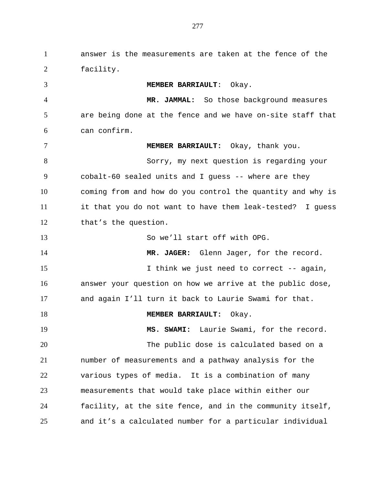answer is the measurements are taken at the fence of the facility. **MEMBER BARRIAULT**: Okay. **MR. JAMMAL:** So those background measures are being done at the fence and we have on-site staff that can confirm. **MEMBER BARRIAULT:** Okay, thank you. Sorry, my next question is regarding your cobalt-60 sealed units and I guess -- where are they coming from and how do you control the quantity and why is it that you do not want to have them leak-tested? I guess that's the question. So we'll start off with OPG. **MR. JAGER:** Glenn Jager, for the record. 15 I think we just need to correct -- again, answer your question on how we arrive at the public dose, and again I'll turn it back to Laurie Swami for that. **MEMBER BARRIAULT:** Okay. **MS. SWAMI:** Laurie Swami, for the record. The public dose is calculated based on a number of measurements and a pathway analysis for the various types of media. It is a combination of many measurements that would take place within either our facility, at the site fence, and in the community itself,

and it's a calculated number for a particular individual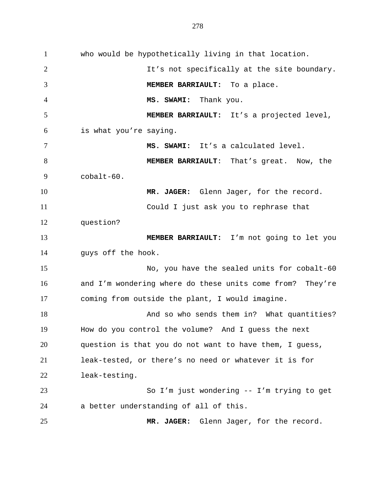who would be hypothetically living in that location. 2 It's not specifically at the site boundary. **MEMBER BARRIAULT:** To a place. **MS. SWAMI:** Thank you. **MEMBER BARRIAULT:** It's a projected level, is what you're saying. **MS. SWAMI:** It's a calculated level. **MEMBER BARRIAULT**: That's great. Now, the  $9 \qquad \qquad \text{cobalt-60}$ . **MR. JAGER:** Glenn Jager, for the record. Could I just ask you to rephrase that question? **MEMBER BARRIAULT:** I'm not going to let you guys off the hook. No, you have the sealed units for cobalt-60 and I'm wondering where do these units come from? They're coming from outside the plant, I would imagine. 18 And so who sends them in? What quantities? How do you control the volume? And I guess the next question is that you do not want to have them, I guess, leak-tested, or there's no need or whatever it is for leak-testing. So I'm just wondering -- I'm trying to get a better understanding of all of this. **MR. JAGER:** Glenn Jager, for the record.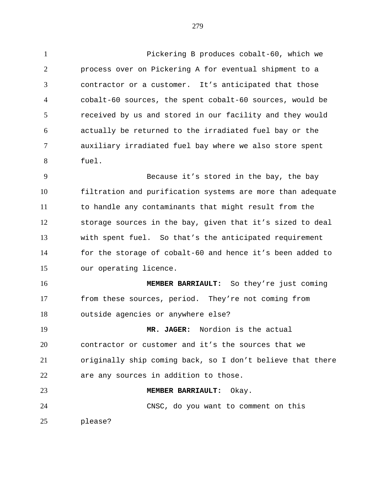Pickering B produces cobalt-60, which we process over on Pickering A for eventual shipment to a contractor or a customer. It's anticipated that those cobalt-60 sources, the spent cobalt-60 sources, would be received by us and stored in our facility and they would actually be returned to the irradiated fuel bay or the auxiliary irradiated fuel bay where we also store spent fuel.

 Because it's stored in the bay, the bay filtration and purification systems are more than adequate to handle any contaminants that might result from the storage sources in the bay, given that it's sized to deal with spent fuel. So that's the anticipated requirement for the storage of cobalt-60 and hence it's been added to our operating licence.

 **MEMBER BARRIAULT:** So they're just coming from these sources, period. They're not coming from outside agencies or anywhere else?

 **MR. JAGER:** Nordion is the actual contractor or customer and it's the sources that we originally ship coming back, so I don't believe that there are any sources in addition to those.

 **MEMBER BARRIAULT:** Okay. CNSC, do you want to comment on this

please?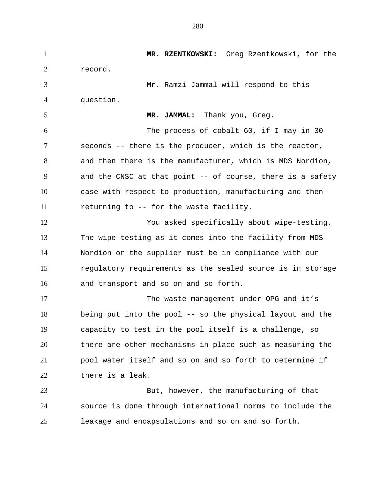**MR. RZENTKOWSKI:** Greg Rzentkowski, for the record. Mr. Ramzi Jammal will respond to this question. **MR. JAMMAL:** Thank you, Greg. The process of cobalt-60, if I may in 30 seconds -- there is the producer, which is the reactor, and then there is the manufacturer, which is MDS Nordion, and the CNSC at that point -- of course, there is a safety case with respect to production, manufacturing and then returning to -- for the waste facility. You asked specifically about wipe-testing. The wipe-testing as it comes into the facility from MDS Nordion or the supplier must be in compliance with our regulatory requirements as the sealed source is in storage and transport and so on and so forth. The waste management under OPG and it's being put into the pool -- so the physical layout and the capacity to test in the pool itself is a challenge, so there are other mechanisms in place such as measuring the pool water itself and so on and so forth to determine if there is a leak. But, however, the manufacturing of that source is done through international norms to include the leakage and encapsulations and so on and so forth.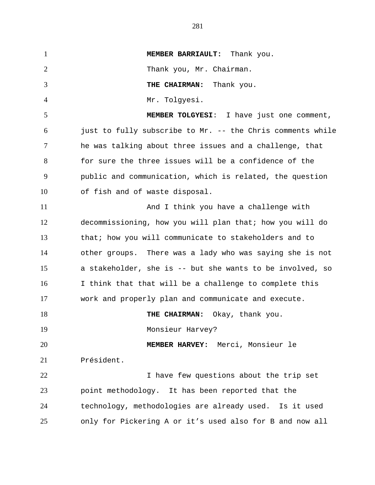**MEMBER BARRIAULT:** Thank you. Thank you, Mr. Chairman. **THE CHAIRMAN:** Thank you. Mr. Tolgyesi. **MEMBER TOLGYESI**: I have just one comment, just to fully subscribe to Mr. -- the Chris comments while he was talking about three issues and a challenge, that for sure the three issues will be a confidence of the public and communication, which is related, the question of fish and of waste disposal. And I think you have a challenge with decommissioning, how you will plan that; how you will do that; how you will communicate to stakeholders and to other groups. There was a lady who was saying she is not a stakeholder, she is -- but she wants to be involved, so I think that that will be a challenge to complete this work and properly plan and communicate and execute. **THE CHAIRMAN:** Okay, thank you. Monsieur Harvey? **MEMBER HARVEY:** Merci, Monsieur le Président. I have few questions about the trip set point methodology. It has been reported that the technology, methodologies are already used. Is it used only for Pickering A or it's used also for B and now all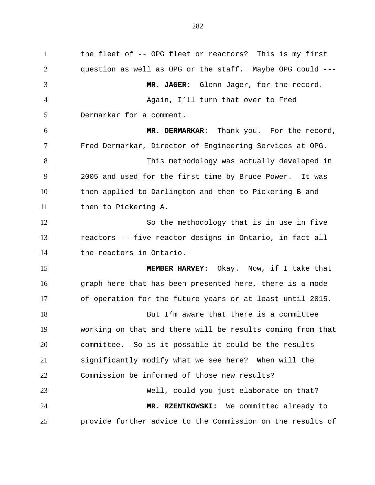the fleet of -- OPG fleet or reactors? This is my first question as well as OPG or the staff. Maybe OPG could --- **MR. JAGER:** Glenn Jager, for the record. Again, I'll turn that over to Fred Dermarkar for a comment. **MR. DERMARKAR**: Thank you. For the record, Fred Dermarkar, Director of Engineering Services at OPG. This methodology was actually developed in 2005 and used for the first time by Bruce Power. It was then applied to Darlington and then to Pickering B and then to Pickering A. So the methodology that is in use in five reactors -- five reactor designs in Ontario, in fact all the reactors in Ontario. **MEMBER HARVEY:** Okay. Now, if I take that graph here that has been presented here, there is a mode of operation for the future years or at least until 2015. 18 But I'm aware that there is a committee working on that and there will be results coming from that committee. So is it possible it could be the results significantly modify what we see here? When will the Commission be informed of those new results? Well, could you just elaborate on that? **MR. RZENTKOWSKI:** We committed already to provide further advice to the Commission on the results of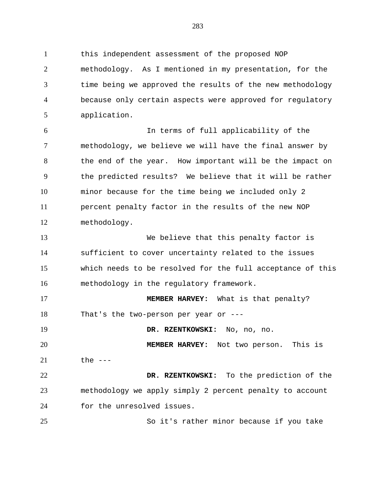this independent assessment of the proposed NOP methodology. As I mentioned in my presentation, for the time being we approved the results of the new methodology because only certain aspects were approved for regulatory application.

 In terms of full applicability of the methodology, we believe we will have the final answer by the end of the year. How important will be the impact on the predicted results? We believe that it will be rather minor because for the time being we included only 2 percent penalty factor in the results of the new NOP methodology.

 We believe that this penalty factor is sufficient to cover uncertainty related to the issues which needs to be resolved for the full acceptance of this methodology in the regulatory framework.

 **MEMBER HARVEY:** What is that penalty? That's the two-person per year or ---

**DR. RZENTKOWSKI:** No, no, no.

 **MEMBER HARVEY:** Not two person. This is the ---

 **DR. RZENTKOWSKI:** To the prediction of the methodology we apply simply 2 percent penalty to account for the unresolved issues.

So it's rather minor because if you take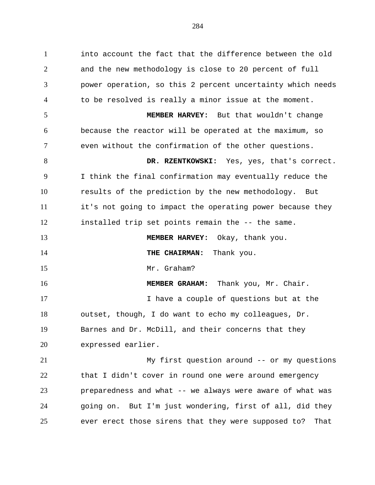into account the fact that the difference between the old and the new methodology is close to 20 percent of full power operation, so this 2 percent uncertainty which needs to be resolved is really a minor issue at the moment. **MEMBER HARVEY:** But that wouldn't change because the reactor will be operated at the maximum, so even without the confirmation of the other questions. **DR. RZENTKOWSKI:** Yes, yes, that's correct. I think the final confirmation may eventually reduce the results of the prediction by the new methodology. But it's not going to impact the operating power because they installed trip set points remain the -- the same. **MEMBER HARVEY:** Okay, thank you. **THE CHAIRMAN:** Thank you. Mr. Graham? **MEMBER GRAHAM:** Thank you, Mr. Chair. 17 17 I have a couple of questions but at the outset, though, I do want to echo my colleagues, Dr. Barnes and Dr. McDill, and their concerns that they expressed earlier. My first question around -- or my questions that I didn't cover in round one were around emergency

 preparedness and what -- we always were aware of what was going on. But I'm just wondering, first of all, did they ever erect those sirens that they were supposed to? That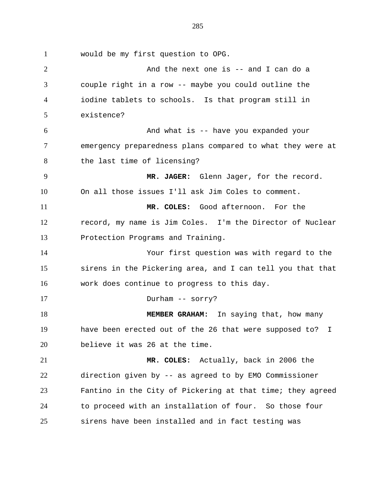would be my first question to OPG.

 And the next one is -- and I can do a couple right in a row -- maybe you could outline the iodine tablets to schools. Is that program still in existence? And what is -- have you expanded your emergency preparedness plans compared to what they were at 8 the last time of licensing? **MR. JAGER:** Glenn Jager, for the record. On all those issues I'll ask Jim Coles to comment. **MR. COLES:** Good afternoon. For the record, my name is Jim Coles. I'm the Director of Nuclear Protection Programs and Training. Your first question was with regard to the sirens in the Pickering area, and I can tell you that that work does continue to progress to this day. Durham -- sorry? **MEMBER GRAHAM:** In saying that, how many have been erected out of the 26 that were supposed to? I believe it was 26 at the time. **MR. COLES:** Actually, back in 2006 the direction given by -- as agreed to by EMO Commissioner Fantino in the City of Pickering at that time; they agreed to proceed with an installation of four. So those four sirens have been installed and in fact testing was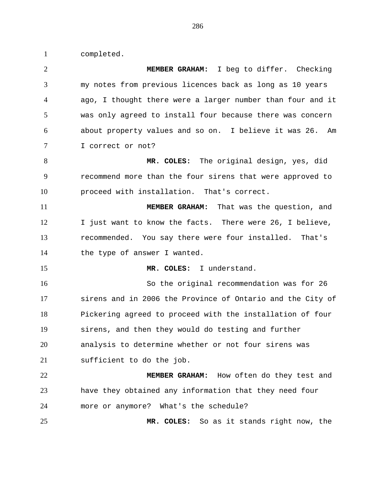completed.

 **MEMBER GRAHAM:** I beg to differ. Checking my notes from previous licences back as long as 10 years ago, I thought there were a larger number than four and it was only agreed to install four because there was concern about property values and so on. I believe it was 26. Am I correct or not? **MR. COLES:** The original design, yes, did recommend more than the four sirens that were approved to proceed with installation. That's correct. **MEMBER GRAHAM:** That was the question, and 12 I just want to know the facts. There were 26, I believe, recommended. You say there were four installed. That's 14 the type of answer I wanted. **MR. COLES:** I understand. So the original recommendation was for 26 sirens and in 2006 the Province of Ontario and the City of Pickering agreed to proceed with the installation of four sirens, and then they would do testing and further analysis to determine whether or not four sirens was sufficient to do the job. **MEMBER GRAHAM:** How often do they test and have they obtained any information that they need four more or anymore? What's the schedule? **MR. COLES:** So as it stands right now, the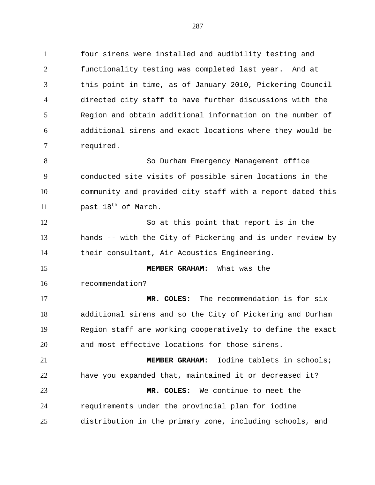four sirens were installed and audibility testing and functionality testing was completed last year. And at this point in time, as of January 2010, Pickering Council directed city staff to have further discussions with the Region and obtain additional information on the number of additional sirens and exact locations where they would be required.

 So Durham Emergency Management office conducted site visits of possible siren locations in the community and provided city staff with a report dated this  $\mu$  past  $18<sup>th</sup>$  of March.

 So at this point that report is in the hands -- with the City of Pickering and is under review by their consultant, Air Acoustics Engineering.

**MEMBER GRAHAM:** What was the

recommendation?

 **MR. COLES:** The recommendation is for six additional sirens and so the City of Pickering and Durham Region staff are working cooperatively to define the exact and most effective locations for those sirens.

 **MEMBER GRAHAM:** Iodine tablets in schools; have you expanded that, maintained it or decreased it? **MR. COLES:** We continue to meet the requirements under the provincial plan for iodine distribution in the primary zone, including schools, and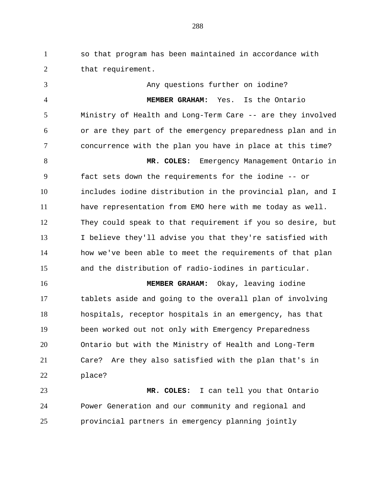so that program has been maintained in accordance with 2 that requirement.

 Any questions further on iodine? **MEMBER GRAHAM:** Yes. Is the Ontario Ministry of Health and Long-Term Care -- are they involved or are they part of the emergency preparedness plan and in concurrence with the plan you have in place at this time? **MR. COLES:** Emergency Management Ontario in fact sets down the requirements for the iodine -- or includes iodine distribution in the provincial plan, and I have representation from EMO here with me today as well. They could speak to that requirement if you so desire, but I believe they'll advise you that they're satisfied with how we've been able to meet the requirements of that plan and the distribution of radio-iodines in particular. **MEMBER GRAHAM:** Okay, leaving iodine tablets aside and going to the overall plan of involving hospitals, receptor hospitals in an emergency, has that been worked out not only with Emergency Preparedness Ontario but with the Ministry of Health and Long-Term Care? Are they also satisfied with the plan that's in place?

 **MR. COLES:** I can tell you that Ontario Power Generation and our community and regional and provincial partners in emergency planning jointly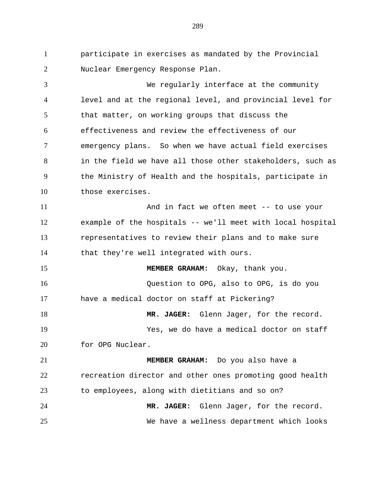participate in exercises as mandated by the Provincial Nuclear Emergency Response Plan.

 We regularly interface at the community level and at the regional level, and provincial level for that matter, on working groups that discuss the effectiveness and review the effectiveness of our emergency plans. So when we have actual field exercises in the field we have all those other stakeholders, such as the Ministry of Health and the hospitals, participate in those exercises. And in fact we often meet -- to use your

 example of the hospitals -- we'll meet with local hospital representatives to review their plans and to make sure that they're well integrated with ours.

15 MEMBER GRAHAM: Okay, thank you. Question to OPG, also to OPG, is do you have a medical doctor on staff at Pickering?

18 MR. JAGER: Glenn Jager, for the record.

 Yes, we do have a medical doctor on staff for OPG Nuclear.

 **MEMBER GRAHAM:** Do you also have a recreation director and other ones promoting good health to employees, along with dietitians and so on? **MR. JAGER:** Glenn Jager, for the record. We have a wellness department which looks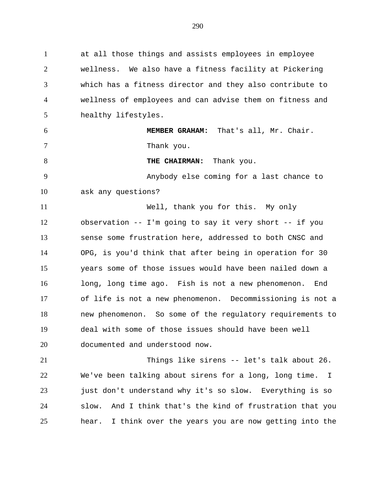at all those things and assists employees in employee wellness. We also have a fitness facility at Pickering which has a fitness director and they also contribute to wellness of employees and can advise them on fitness and healthy lifestyles.

 **MEMBER GRAHAM:** That's all, Mr. Chair. 7 Thank you. 8 THE CHAIRMAN: Thank you. Anybody else coming for a last chance to

ask any questions?

 Well, thank you for this. My only observation -- I'm going to say it very short -- if you sense some frustration here, addressed to both CNSC and OPG, is you'd think that after being in operation for 30 years some of those issues would have been nailed down a long, long time ago. Fish is not a new phenomenon. End of life is not a new phenomenon. Decommissioning is not a new phenomenon. So some of the regulatory requirements to deal with some of those issues should have been well documented and understood now.

 Things like sirens -- let's talk about 26. We've been talking about sirens for a long, long time. I just don't understand why it's so slow. Everything is so slow. And I think that's the kind of frustration that you hear. I think over the years you are now getting into the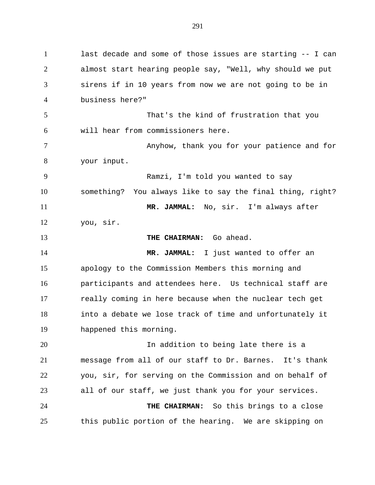last decade and some of those issues are starting -- I can almost start hearing people say, "Well, why should we put sirens if in 10 years from now we are not going to be in business here?" That's the kind of frustration that you will hear from commissioners here. 7 Anyhow, thank you for your patience and for your input. Ramzi, I'm told you wanted to say something? You always like to say the final thing, right? **MR. JAMMAL:** No, sir. I'm always after you, sir. **THE CHAIRMAN:** Go ahead. **MR. JAMMAL:** I just wanted to offer an apology to the Commission Members this morning and participants and attendees here. Us technical staff are really coming in here because when the nuclear tech get into a debate we lose track of time and unfortunately it happened this morning. In addition to being late there is a message from all of our staff to Dr. Barnes. It's thank you, sir, for serving on the Commission and on behalf of all of our staff, we just thank you for your services. **THE CHAIRMAN:** So this brings to a close this public portion of the hearing. We are skipping on